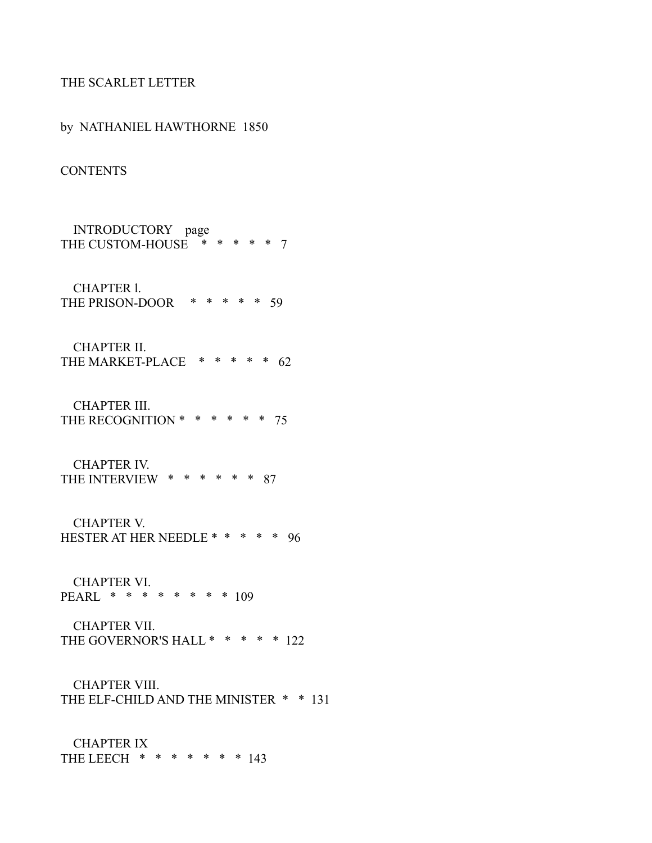## THE SCARLET LETTER

by NATHANIEL HAWTHORNE 1850 **CONTENTS**  INTRODUCTORY page THE CUSTOM-HOUSE \* \* \* \* \* 7 CHAPTER l. THE PRISON-DOOR \* \* \* \* \* 59 CHAPTER II. THE MARKET-PLACE \* \* \* \* \* 62 CHAPTER III. THE RECOGNITION \* \* \* \* \* \* 75 CHAPTER IV. THE INTERVIEW  $* * * * * * * * 87$  CHAPTER V. HESTER AT HER NEEDLE \* \* \* \* \* 96 CHAPTER VI. PEARL \* \* \* \* \* \* \* \* 109 CHAPTER VII. THE GOVERNOR'S HALL \* \* \* \* \* 122 CHAPTER VIII. THE ELF-CHILD AND THE MINISTER \* \* 131

 CHAPTER IX THE LEECH  $* * * * * * * * 143$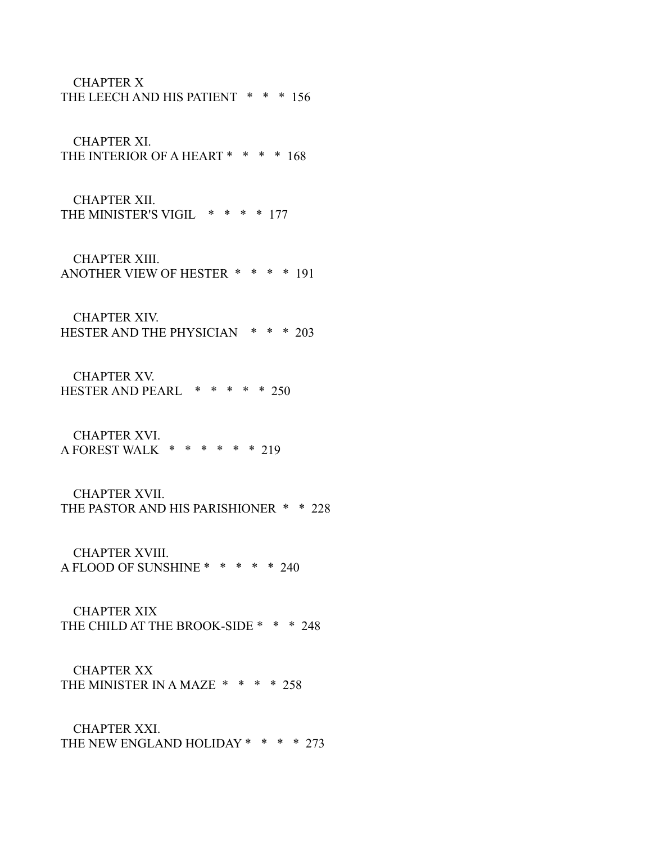CHAPTER X

THE LEECH AND HIS PATIENT \* \* \* 156

CHAPTER XI.

THE INTERIOR OF A HEART \* \* \* \* 168

 CHAPTER XII. THE MINISTER'S VIGIL \* \* \* \* 177

 CHAPTER XIII. ANOTHER VIEW OF HESTER \* \* \* \* 191

 CHAPTER XIV. HESTER AND THE PHYSICIAN \* \* \* 203

 CHAPTER XV. HESTER AND PEARL \* \* \* \* \* 250

 CHAPTER XVI. A FOREST WALK \* \* \* \* \* \* 219

 CHAPTER XVII. THE PASTOR AND HIS PARISHIONER \* \* 228

 CHAPTER XVIII. A FLOOD OF SUNSHINE \* \* \* \* \* 240

 CHAPTER XIX THE CHILD AT THE BROOK-SIDE \* \* \* 248

 CHAPTER XX THE MINISTER IN A MAZE \* \* \* \* 258

 CHAPTER XXI. THE NEW ENGLAND HOLIDAY \* \* \* \* 273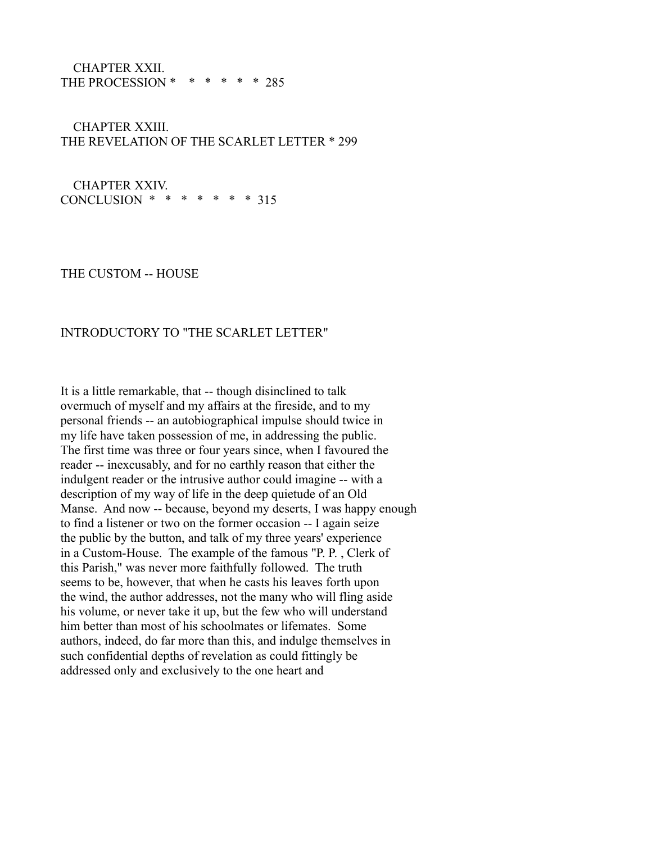#### CHAPTER XXII. THE PROCESSION  $* * * * * * * 285$

# CHAPTER XXIII. THE REVELATION OF THE SCARLET LETTER \* 299

 CHAPTER XXIV. CONCLUSION \* \* \* \* \* \* \* 315

THE CUSTOM -- HOUSE

## INTRODUCTORY TO "THE SCARLET LETTER"

It is a little remarkable, that -- though disinclined to talk overmuch of myself and my affairs at the fireside, and to my personal friends -- an autobiographical impulse should twice in my life have taken possession of me, in addressing the public. The first time was three or four years since, when I favoured the reader -- inexcusably, and for no earthly reason that either the indulgent reader or the intrusive author could imagine -- with a description of my way of life in the deep quietude of an Old Manse. And now -- because, beyond my deserts, I was happy enough to find a listener or two on the former occasion -- I again seize the public by the button, and talk of my three years' experience in a Custom-House. The example of the famous "P. P. , Clerk of this Parish," was never more faithfully followed. The truth seems to be, however, that when he casts his leaves forth upon the wind, the author addresses, not the many who will fling aside his volume, or never take it up, but the few who will understand him better than most of his schoolmates or lifemates. Some authors, indeed, do far more than this, and indulge themselves in such confidential depths of revelation as could fittingly be addressed only and exclusively to the one heart and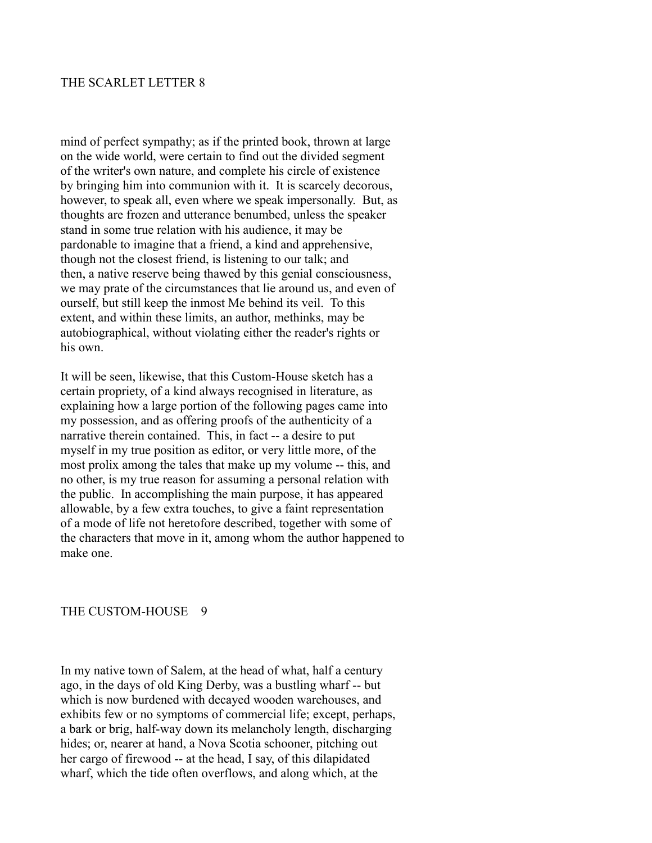## THE SCARLET LETTER 8

mind of perfect sympathy; as if the printed book, thrown at large on the wide world, were certain to find out the divided segment of the writer's own nature, and complete his circle of existence by bringing him into communion with it. It is scarcely decorous, however, to speak all, even where we speak impersonally. But, as thoughts are frozen and utterance benumbed, unless the speaker stand in some true relation with his audience, it may be pardonable to imagine that a friend, a kind and apprehensive, though not the closest friend, is listening to our talk; and then, a native reserve being thawed by this genial consciousness, we may prate of the circumstances that lie around us, and even of ourself, but still keep the inmost Me behind its veil. To this extent, and within these limits, an author, methinks, may be autobiographical, without violating either the reader's rights or his own.

It will be seen, likewise, that this Custom-House sketch has a certain propriety, of a kind always recognised in literature, as explaining how a large portion of the following pages came into my possession, and as offering proofs of the authenticity of a narrative therein contained. This, in fact -- a desire to put myself in my true position as editor, or very little more, of the most prolix among the tales that make up my volume -- this, and no other, is my true reason for assuming a personal relation with the public. In accomplishing the main purpose, it has appeared allowable, by a few extra touches, to give a faint representation of a mode of life not heretofore described, together with some of the characters that move in it, among whom the author happened to make one.

## THE CUSTOM-HOUSE 9

In my native town of Salem, at the head of what, half a century ago, in the days of old King Derby, was a bustling wharf -- but which is now burdened with decayed wooden warehouses, and exhibits few or no symptoms of commercial life; except, perhaps, a bark or brig, half-way down its melancholy length, discharging hides; or, nearer at hand, a Nova Scotia schooner, pitching out her cargo of firewood -- at the head, I say, of this dilapidated wharf, which the tide often overflows, and along which, at the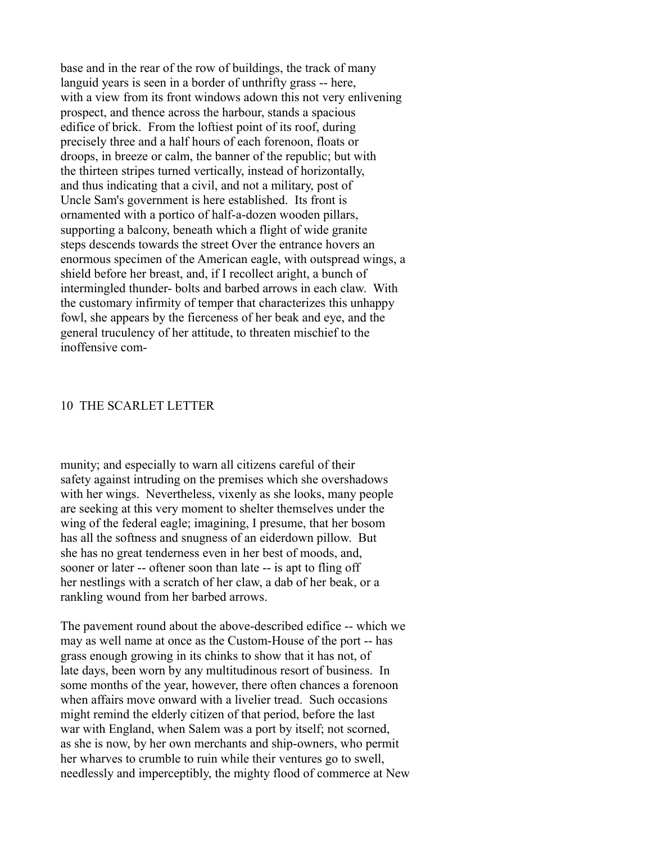base and in the rear of the row of buildings, the track of many languid years is seen in a border of unthrifty grass -- here, with a view from its front windows adown this not very enlivening prospect, and thence across the harbour, stands a spacious edifice of brick. From the loftiest point of its roof, during precisely three and a half hours of each forenoon, floats or droops, in breeze or calm, the banner of the republic; but with the thirteen stripes turned vertically, instead of horizontally, and thus indicating that a civil, and not a military, post of Uncle Sam's government is here established. Its front is ornamented with a portico of half-a-dozen wooden pillars, supporting a balcony, beneath which a flight of wide granite steps descends towards the street Over the entrance hovers an enormous specimen of the American eagle, with outspread wings, a shield before her breast, and, if I recollect aright, a bunch of intermingled thunder- bolts and barbed arrows in each claw. With the customary infirmity of temper that characterizes this unhappy fowl, she appears by the fierceness of her beak and eye, and the general truculency of her attitude, to threaten mischief to the inoffensive com-

### 10 THE SCARLET LETTER

munity; and especially to warn all citizens careful of their safety against intruding on the premises which she overshadows with her wings. Nevertheless, vixenly as she looks, many people are seeking at this very moment to shelter themselves under the wing of the federal eagle; imagining, I presume, that her bosom has all the softness and snugness of an eiderdown pillow. But she has no great tenderness even in her best of moods, and, sooner or later -- oftener soon than late -- is apt to fling off her nestlings with a scratch of her claw, a dab of her beak, or a rankling wound from her barbed arrows.

The pavement round about the above-described edifice -- which we may as well name at once as the Custom-House of the port -- has grass enough growing in its chinks to show that it has not, of late days, been worn by any multitudinous resort of business. In some months of the year, however, there often chances a forenoon when affairs move onward with a livelier tread. Such occasions might remind the elderly citizen of that period, before the last war with England, when Salem was a port by itself; not scorned, as she is now, by her own merchants and ship-owners, who permit her wharves to crumble to ruin while their ventures go to swell, needlessly and imperceptibly, the mighty flood of commerce at New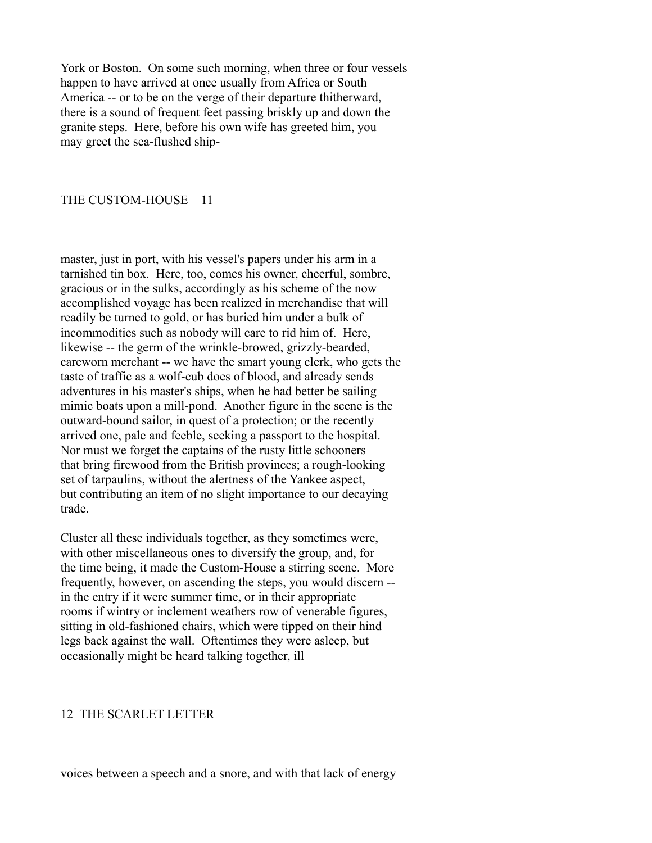York or Boston. On some such morning, when three or four vessels happen to have arrived at once usually from Africa or South America -- or to be on the verge of their departure thitherward, there is a sound of frequent feet passing briskly up and down the granite steps. Here, before his own wife has greeted him, you may greet the sea-flushed ship-

## THE CUSTOM-HOUSE 11

master, just in port, with his vessel's papers under his arm in a tarnished tin box. Here, too, comes his owner, cheerful, sombre, gracious or in the sulks, accordingly as his scheme of the now accomplished voyage has been realized in merchandise that will readily be turned to gold, or has buried him under a bulk of incommodities such as nobody will care to rid him of. Here, likewise -- the germ of the wrinkle-browed, grizzly-bearded, careworn merchant -- we have the smart young clerk, who gets the taste of traffic as a wolf-cub does of blood, and already sends adventures in his master's ships, when he had better be sailing mimic boats upon a mill-pond. Another figure in the scene is the outward-bound sailor, in quest of a protection; or the recently arrived one, pale and feeble, seeking a passport to the hospital. Nor must we forget the captains of the rusty little schooners that bring firewood from the British provinces; a rough-looking set of tarpaulins, without the alertness of the Yankee aspect, but contributing an item of no slight importance to our decaying trade.

Cluster all these individuals together, as they sometimes were, with other miscellaneous ones to diversify the group, and, for the time being, it made the Custom-House a stirring scene. More frequently, however, on ascending the steps, you would discern - in the entry if it were summer time, or in their appropriate rooms if wintry or inclement weathers row of venerable figures, sitting in old-fashioned chairs, which were tipped on their hind legs back against the wall. Oftentimes they were asleep, but occasionally might be heard talking together, ill

## 12 THE SCARLET LETTER

voices between a speech and a snore, and with that lack of energy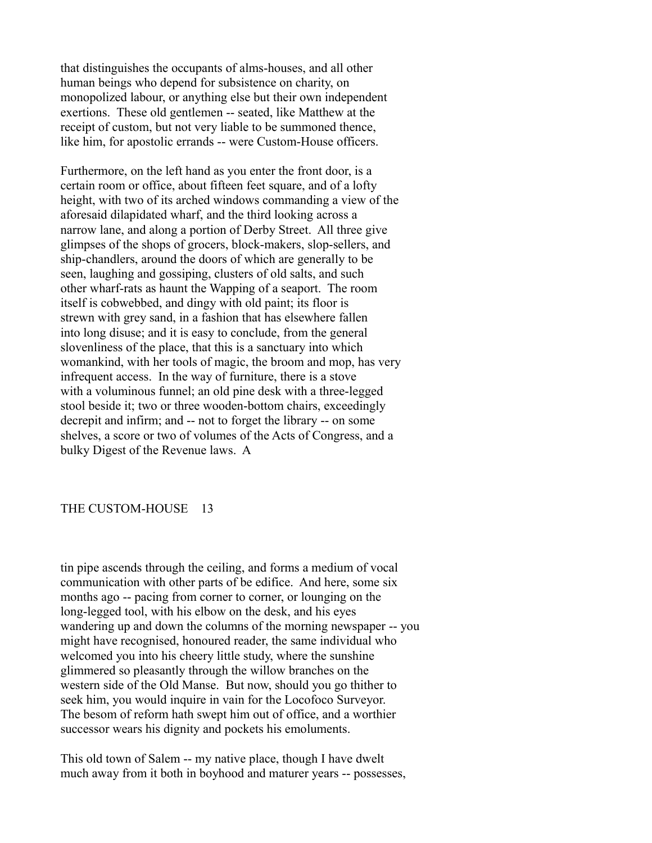that distinguishes the occupants of alms-houses, and all other human beings who depend for subsistence on charity, on monopolized labour, or anything else but their own independent exertions. These old gentlemen -- seated, like Matthew at the receipt of custom, but not very liable to be summoned thence, like him, for apostolic errands -- were Custom-House officers.

Furthermore, on the left hand as you enter the front door, is a certain room or office, about fifteen feet square, and of a lofty height, with two of its arched windows commanding a view of the aforesaid dilapidated wharf, and the third looking across a narrow lane, and along a portion of Derby Street. All three give glimpses of the shops of grocers, block-makers, slop-sellers, and ship-chandlers, around the doors of which are generally to be seen, laughing and gossiping, clusters of old salts, and such other wharf-rats as haunt the Wapping of a seaport. The room itself is cobwebbed, and dingy with old paint; its floor is strewn with grey sand, in a fashion that has elsewhere fallen into long disuse; and it is easy to conclude, from the general slovenliness of the place, that this is a sanctuary into which womankind, with her tools of magic, the broom and mop, has very infrequent access. In the way of furniture, there is a stove with a voluminous funnel; an old pine desk with a three-legged stool beside it; two or three wooden-bottom chairs, exceedingly decrepit and infirm; and -- not to forget the library -- on some shelves, a score or two of volumes of the Acts of Congress, and a bulky Digest of the Revenue laws. A

#### THE CUSTOM-HOUSE 13

tin pipe ascends through the ceiling, and forms a medium of vocal communication with other parts of be edifice. And here, some six months ago -- pacing from corner to corner, or lounging on the long-legged tool, with his elbow on the desk, and his eyes wandering up and down the columns of the morning newspaper -- you might have recognised, honoured reader, the same individual who welcomed you into his cheery little study, where the sunshine glimmered so pleasantly through the willow branches on the western side of the Old Manse. But now, should you go thither to seek him, you would inquire in vain for the Locofoco Surveyor. The besom of reform hath swept him out of office, and a worthier successor wears his dignity and pockets his emoluments.

This old town of Salem -- my native place, though I have dwelt much away from it both in boyhood and maturer years -- possesses,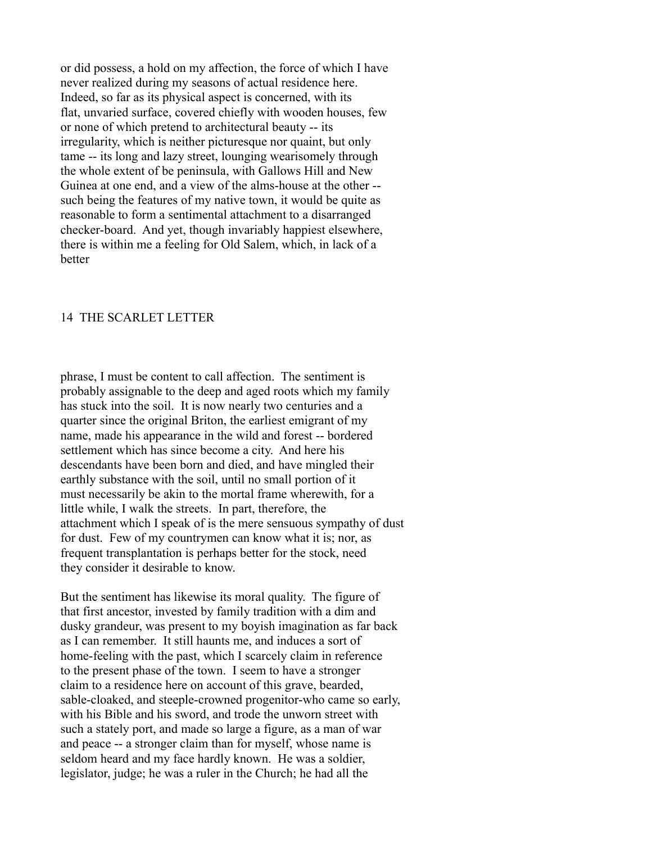or did possess, a hold on my affection, the force of which I have never realized during my seasons of actual residence here. Indeed, so far as its physical aspect is concerned, with its flat, unvaried surface, covered chiefly with wooden houses, few or none of which pretend to architectural beauty -- its irregularity, which is neither picturesque nor quaint, but only tame -- its long and lazy street, lounging wearisomely through the whole extent of be peninsula, with Gallows Hill and New Guinea at one end, and a view of the alms-house at the other - such being the features of my native town, it would be quite as reasonable to form a sentimental attachment to a disarranged checker-board. And yet, though invariably happiest elsewhere, there is within me a feeling for Old Salem, which, in lack of a better

### 14 THE SCARLET LETTER

phrase, I must be content to call affection. The sentiment is probably assignable to the deep and aged roots which my family has stuck into the soil. It is now nearly two centuries and a quarter since the original Briton, the earliest emigrant of my name, made his appearance in the wild and forest -- bordered settlement which has since become a city. And here his descendants have been born and died, and have mingled their earthly substance with the soil, until no small portion of it must necessarily be akin to the mortal frame wherewith, for a little while, I walk the streets. In part, therefore, the attachment which I speak of is the mere sensuous sympathy of dust for dust. Few of my countrymen can know what it is; nor, as frequent transplantation is perhaps better for the stock, need they consider it desirable to know.

But the sentiment has likewise its moral quality. The figure of that first ancestor, invested by family tradition with a dim and dusky grandeur, was present to my boyish imagination as far back as I can remember. It still haunts me, and induces a sort of home-feeling with the past, which I scarcely claim in reference to the present phase of the town. I seem to have a stronger claim to a residence here on account of this grave, bearded, sable-cloaked, and steeple-crowned progenitor-who came so early, with his Bible and his sword, and trode the unworn street with such a stately port, and made so large a figure, as a man of war and peace -- a stronger claim than for myself, whose name is seldom heard and my face hardly known. He was a soldier, legislator, judge; he was a ruler in the Church; he had all the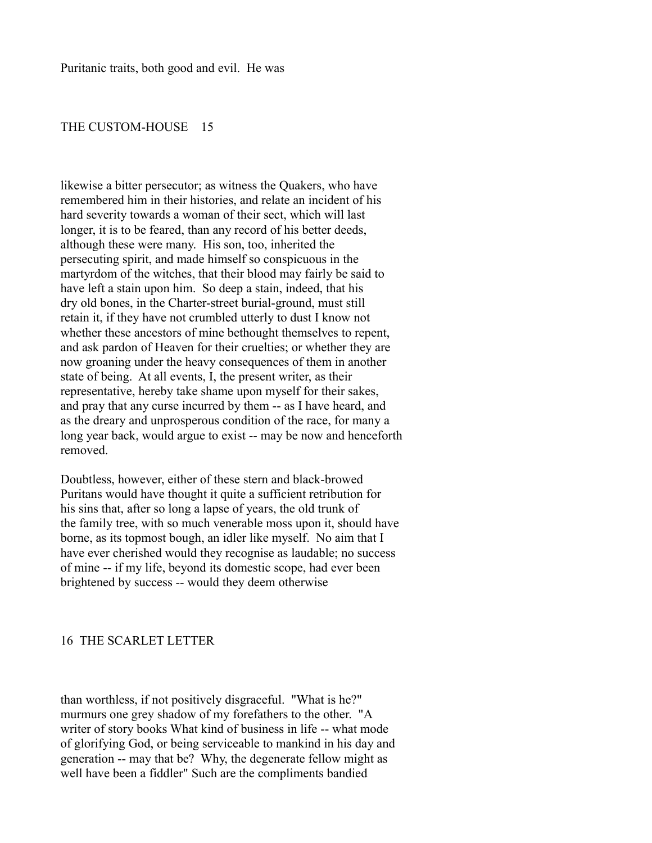## THE CUSTOM-HOUSE 15

likewise a bitter persecutor; as witness the Quakers, who have remembered him in their histories, and relate an incident of his hard severity towards a woman of their sect, which will last longer, it is to be feared, than any record of his better deeds, although these were many. His son, too, inherited the persecuting spirit, and made himself so conspicuous in the martyrdom of the witches, that their blood may fairly be said to have left a stain upon him. So deep a stain, indeed, that his dry old bones, in the Charter-street burial-ground, must still retain it, if they have not crumbled utterly to dust I know not whether these ancestors of mine bethought themselves to repent, and ask pardon of Heaven for their cruelties; or whether they are now groaning under the heavy consequences of them in another state of being. At all events, I, the present writer, as their representative, hereby take shame upon myself for their sakes, and pray that any curse incurred by them -- as I have heard, and as the dreary and unprosperous condition of the race, for many a long year back, would argue to exist -- may be now and henceforth removed.

Doubtless, however, either of these stern and black-browed Puritans would have thought it quite a sufficient retribution for his sins that, after so long a lapse of years, the old trunk of the family tree, with so much venerable moss upon it, should have borne, as its topmost bough, an idler like myself. No aim that I have ever cherished would they recognise as laudable; no success of mine -- if my life, beyond its domestic scope, had ever been brightened by success -- would they deem otherwise

## 16 THE SCARLET LETTER

than worthless, if not positively disgraceful. "What is he?" murmurs one grey shadow of my forefathers to the other. "A writer of story books What kind of business in life -- what mode of glorifying God, or being serviceable to mankind in his day and generation -- may that be? Why, the degenerate fellow might as well have been a fiddler" Such are the compliments bandied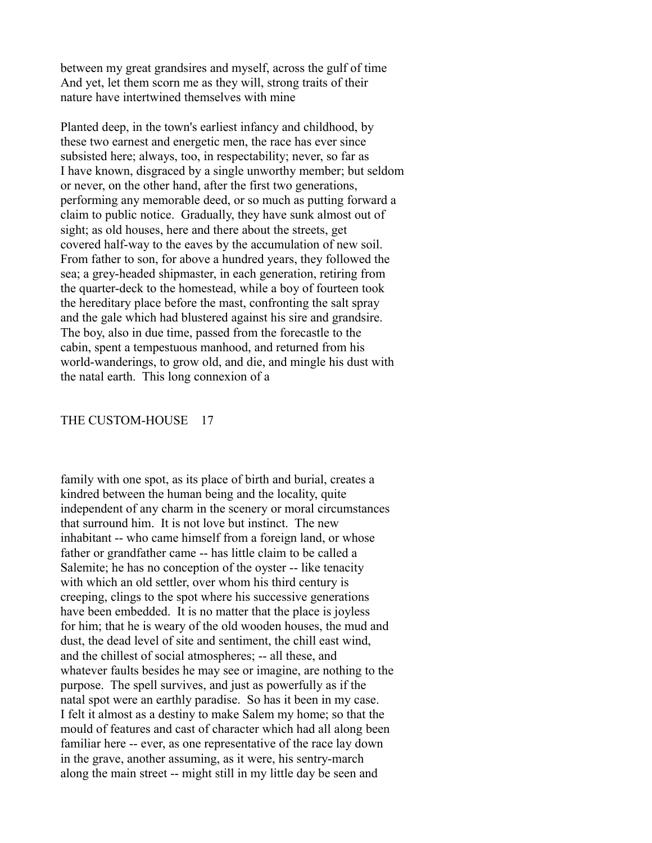between my great grandsires and myself, across the gulf of time And yet, let them scorn me as they will, strong traits of their nature have intertwined themselves with mine

Planted deep, in the town's earliest infancy and childhood, by these two earnest and energetic men, the race has ever since subsisted here; always, too, in respectability; never, so far as I have known, disgraced by a single unworthy member; but seldom or never, on the other hand, after the first two generations, performing any memorable deed, or so much as putting forward a claim to public notice. Gradually, they have sunk almost out of sight; as old houses, here and there about the streets, get covered half-way to the eaves by the accumulation of new soil. From father to son, for above a hundred years, they followed the sea; a grey-headed shipmaster, in each generation, retiring from the quarter-deck to the homestead, while a boy of fourteen took the hereditary place before the mast, confronting the salt spray and the gale which had blustered against his sire and grandsire. The boy, also in due time, passed from the forecastle to the cabin, spent a tempestuous manhood, and returned from his world-wanderings, to grow old, and die, and mingle his dust with the natal earth. This long connexion of a

### THE CUSTOM-HOUSE 17

family with one spot, as its place of birth and burial, creates a kindred between the human being and the locality, quite independent of any charm in the scenery or moral circumstances that surround him. It is not love but instinct. The new inhabitant -- who came himself from a foreign land, or whose father or grandfather came -- has little claim to be called a Salemite; he has no conception of the oyster -- like tenacity with which an old settler, over whom his third century is creeping, clings to the spot where his successive generations have been embedded. It is no matter that the place is joyless for him; that he is weary of the old wooden houses, the mud and dust, the dead level of site and sentiment, the chill east wind, and the chillest of social atmospheres; -- all these, and whatever faults besides he may see or imagine, are nothing to the purpose. The spell survives, and just as powerfully as if the natal spot were an earthly paradise. So has it been in my case. I felt it almost as a destiny to make Salem my home; so that the mould of features and cast of character which had all along been familiar here -- ever, as one representative of the race lay down in the grave, another assuming, as it were, his sentry-march along the main street -- might still in my little day be seen and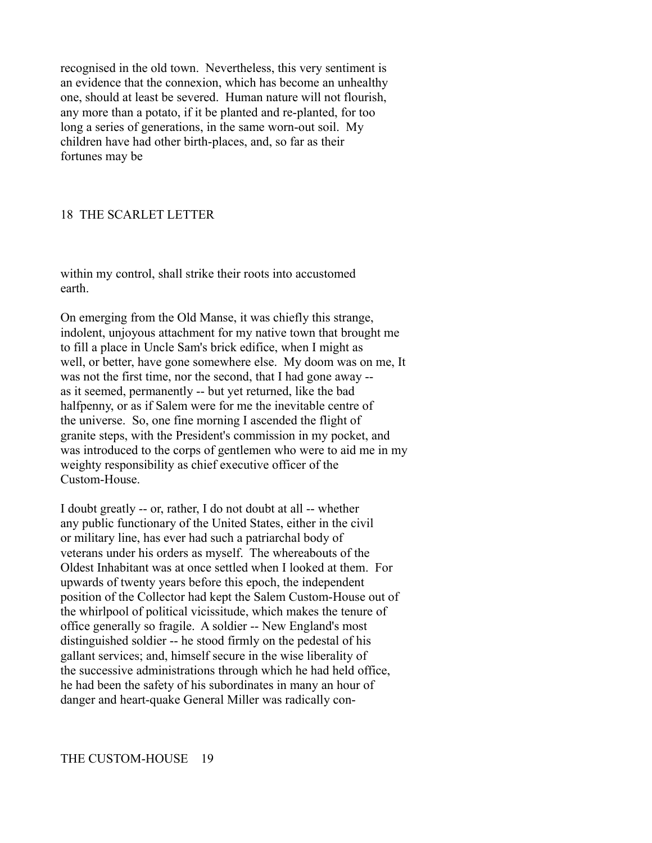recognised in the old town. Nevertheless, this very sentiment is an evidence that the connexion, which has become an unhealthy one, should at least be severed. Human nature will not flourish, any more than a potato, if it be planted and re-planted, for too long a series of generations, in the same worn-out soil. My children have had other birth-places, and, so far as their fortunes may be

## 18 THE SCARLET LETTER

within my control, shall strike their roots into accustomed earth.

On emerging from the Old Manse, it was chiefly this strange, indolent, unjoyous attachment for my native town that brought me to fill a place in Uncle Sam's brick edifice, when I might as well, or better, have gone somewhere else. My doom was on me, It was not the first time, nor the second, that I had gone away - as it seemed, permanently -- but yet returned, like the bad halfpenny, or as if Salem were for me the inevitable centre of the universe. So, one fine morning I ascended the flight of granite steps, with the President's commission in my pocket, and was introduced to the corps of gentlemen who were to aid me in my weighty responsibility as chief executive officer of the Custom-House.

I doubt greatly -- or, rather, I do not doubt at all -- whether any public functionary of the United States, either in the civil or military line, has ever had such a patriarchal body of veterans under his orders as myself. The whereabouts of the Oldest Inhabitant was at once settled when I looked at them. For upwards of twenty years before this epoch, the independent position of the Collector had kept the Salem Custom-House out of the whirlpool of political vicissitude, which makes the tenure of office generally so fragile. A soldier -- New England's most distinguished soldier -- he stood firmly on the pedestal of his gallant services; and, himself secure in the wise liberality of the successive administrations through which he had held office, he had been the safety of his subordinates in many an hour of danger and heart-quake General Miller was radically con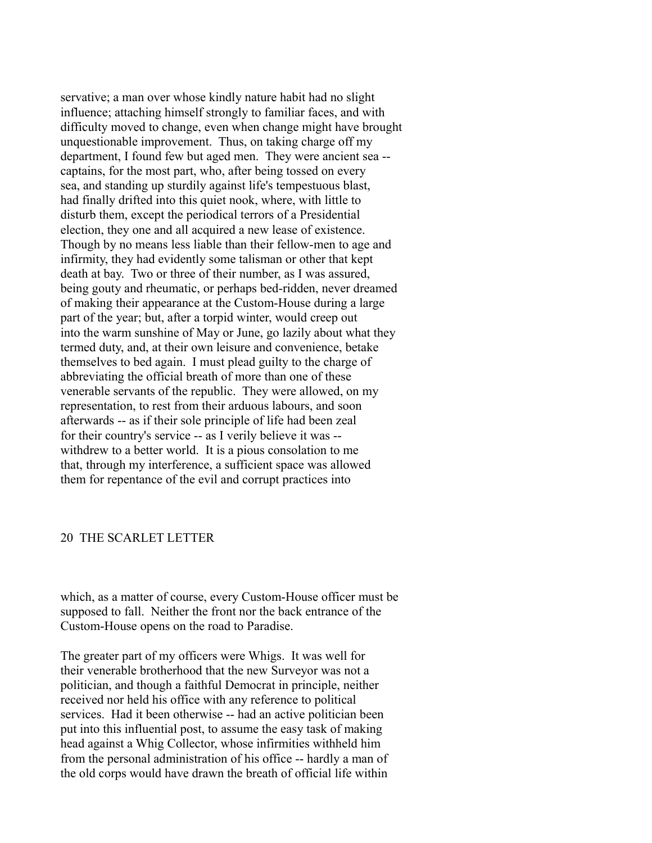servative; a man over whose kindly nature habit had no slight influence; attaching himself strongly to familiar faces, and with difficulty moved to change, even when change might have brought unquestionable improvement. Thus, on taking charge off my department, I found few but aged men. They were ancient sea - captains, for the most part, who, after being tossed on every sea, and standing up sturdily against life's tempestuous blast, had finally drifted into this quiet nook, where, with little to disturb them, except the periodical terrors of a Presidential election, they one and all acquired a new lease of existence. Though by no means less liable than their fellow-men to age and infirmity, they had evidently some talisman or other that kept death at bay. Two or three of their number, as I was assured, being gouty and rheumatic, or perhaps bed-ridden, never dreamed of making their appearance at the Custom-House during a large part of the year; but, after a torpid winter, would creep out into the warm sunshine of May or June, go lazily about what they termed duty, and, at their own leisure and convenience, betake themselves to bed again. I must plead guilty to the charge of abbreviating the official breath of more than one of these venerable servants of the republic. They were allowed, on my representation, to rest from their arduous labours, and soon afterwards -- as if their sole principle of life had been zeal for their country's service -- as I verily believe it was - withdrew to a better world. It is a pious consolation to me that, through my interference, a sufficient space was allowed them for repentance of the evil and corrupt practices into

## 20 THE SCARLET LETTER

which, as a matter of course, every Custom-House officer must be supposed to fall. Neither the front nor the back entrance of the Custom-House opens on the road to Paradise.

The greater part of my officers were Whigs. It was well for their venerable brotherhood that the new Surveyor was not a politician, and though a faithful Democrat in principle, neither received nor held his office with any reference to political services. Had it been otherwise -- had an active politician been put into this influential post, to assume the easy task of making head against a Whig Collector, whose infirmities withheld him from the personal administration of his office -- hardly a man of the old corps would have drawn the breath of official life within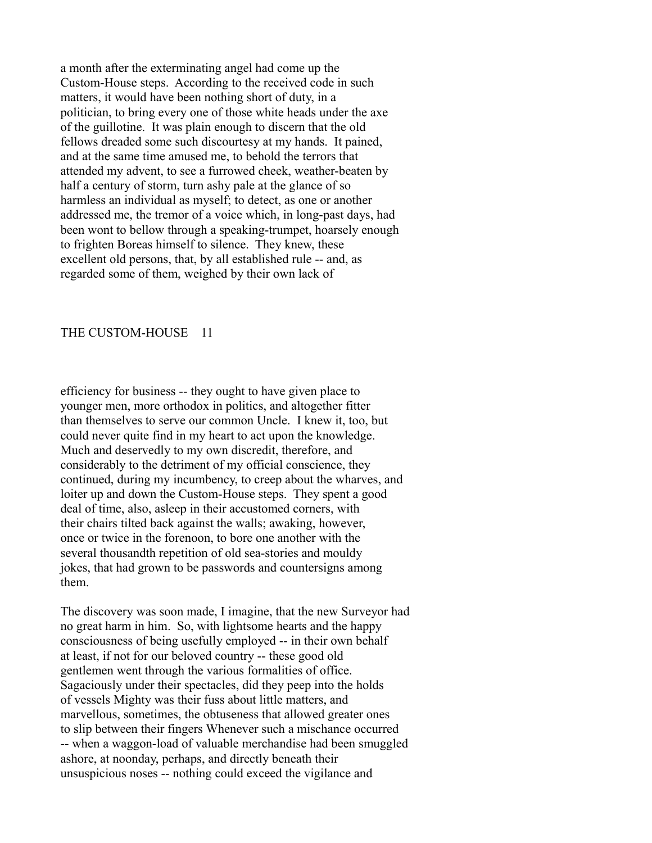a month after the exterminating angel had come up the Custom-House steps. According to the received code in such matters, it would have been nothing short of duty, in a politician, to bring every one of those white heads under the axe of the guillotine. It was plain enough to discern that the old fellows dreaded some such discourtesy at my hands. It pained, and at the same time amused me, to behold the terrors that attended my advent, to see a furrowed cheek, weather-beaten by half a century of storm, turn ashy pale at the glance of so harmless an individual as myself; to detect, as one or another addressed me, the tremor of a voice which, in long-past days, had been wont to bellow through a speaking-trumpet, hoarsely enough to frighten Boreas himself to silence. They knew, these excellent old persons, that, by all established rule -- and, as regarded some of them, weighed by their own lack of

#### THE CUSTOM-HOUSE 11

efficiency for business -- they ought to have given place to younger men, more orthodox in politics, and altogether fitter than themselves to serve our common Uncle. I knew it, too, but could never quite find in my heart to act upon the knowledge. Much and deservedly to my own discredit, therefore, and considerably to the detriment of my official conscience, they continued, during my incumbency, to creep about the wharves, and loiter up and down the Custom-House steps. They spent a good deal of time, also, asleep in their accustomed corners, with their chairs tilted back against the walls; awaking, however, once or twice in the forenoon, to bore one another with the several thousandth repetition of old sea-stories and mouldy jokes, that had grown to be passwords and countersigns among them.

The discovery was soon made, I imagine, that the new Surveyor had no great harm in him. So, with lightsome hearts and the happy consciousness of being usefully employed -- in their own behalf at least, if not for our beloved country -- these good old gentlemen went through the various formalities of office. Sagaciously under their spectacles, did they peep into the holds of vessels Mighty was their fuss about little matters, and marvellous, sometimes, the obtuseness that allowed greater ones to slip between their fingers Whenever such a mischance occurred -- when a waggon-load of valuable merchandise had been smuggled ashore, at noonday, perhaps, and directly beneath their unsuspicious noses -- nothing could exceed the vigilance and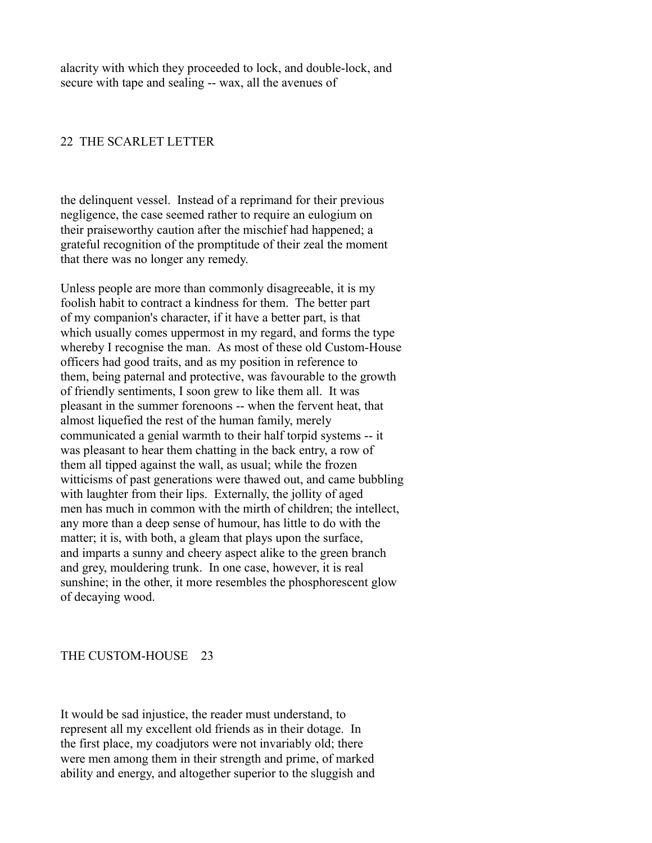alacrity with which they proceeded to lock, and double-lock, and secure with tape and sealing -- wax, all the avenues of

## 22 THE SCARLET LETTER

the delinquent vessel. Instead of a reprimand for their previous negligence, the case seemed rather to require an eulogium on their praiseworthy caution after the mischief had happened; a grateful recognition of the promptitude of their zeal the moment that there was no longer any remedy.

Unless people are more than commonly disagreeable, it is my foolish habit to contract a kindness for them. The better part of my companion's character, if it have a better part, is that which usually comes uppermost in my regard, and forms the type whereby I recognise the man. As most of these old Custom-House officers had good traits, and as my position in reference to them, being paternal and protective, was favourable to the growth of friendly sentiments, I soon grew to like them all. It was pleasant in the summer forenoons -- when the fervent heat, that almost liquefied the rest of the human family, merely communicated a genial warmth to their half torpid systems -- it was pleasant to hear them chatting in the back entry, a row of them all tipped against the wall, as usual; while the frozen witticisms of past generations were thawed out, and came bubbling with laughter from their lips. Externally, the jollity of aged men has much in common with the mirth of children; the intellect, any more than a deep sense of humour, has little to do with the matter; it is, with both, a gleam that plays upon the surface, and imparts a sunny and cheery aspect alike to the green branch and grey, mouldering trunk. In one case, however, it is real sunshine; in the other, it more resembles the phosphorescent glow of decaying wood.

## THE CUSTOM-HOUSE 23

It would be sad injustice, the reader must understand, to represent all my excellent old friends as in their dotage. In the first place, my coadjutors were not invariably old; there were men among them in their strength and prime, of marked ability and energy, and altogether superior to the sluggish and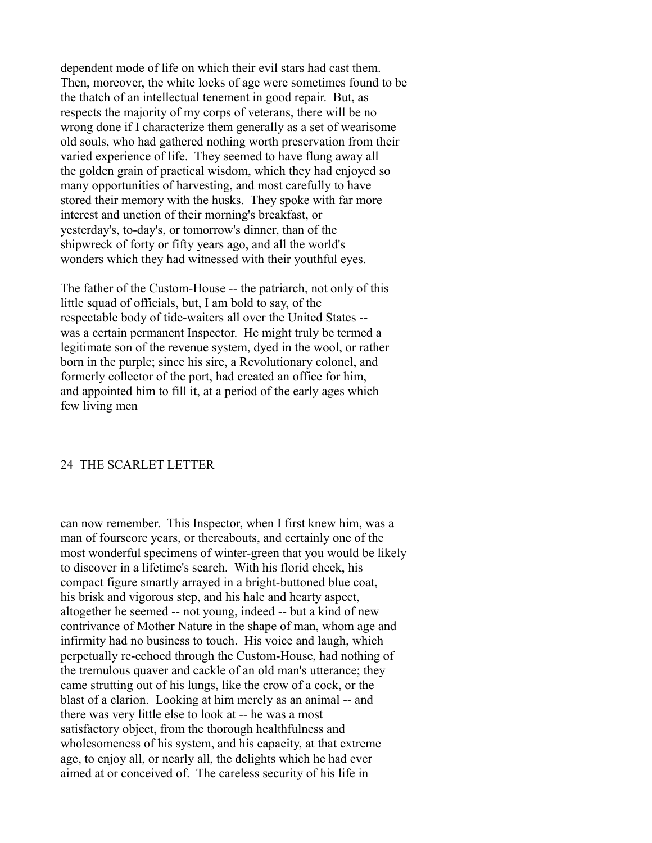dependent mode of life on which their evil stars had cast them. Then, moreover, the white locks of age were sometimes found to be the thatch of an intellectual tenement in good repair. But, as respects the majority of my corps of veterans, there will be no wrong done if I characterize them generally as a set of wearisome old souls, who had gathered nothing worth preservation from their varied experience of life. They seemed to have flung away all the golden grain of practical wisdom, which they had enjoyed so many opportunities of harvesting, and most carefully to have stored their memory with the husks. They spoke with far more interest and unction of their morning's breakfast, or yesterday's, to-day's, or tomorrow's dinner, than of the shipwreck of forty or fifty years ago, and all the world's wonders which they had witnessed with their youthful eyes.

The father of the Custom-House -- the patriarch, not only of this little squad of officials, but, I am bold to say, of the respectable body of tide-waiters all over the United States - was a certain permanent Inspector. He might truly be termed a legitimate son of the revenue system, dyed in the wool, or rather born in the purple; since his sire, a Revolutionary colonel, and formerly collector of the port, had created an office for him, and appointed him to fill it, at a period of the early ages which few living men

## 24 THE SCARLET LETTER

can now remember. This Inspector, when I first knew him, was a man of fourscore years, or thereabouts, and certainly one of the most wonderful specimens of winter-green that you would be likely to discover in a lifetime's search. With his florid cheek, his compact figure smartly arrayed in a bright-buttoned blue coat, his brisk and vigorous step, and his hale and hearty aspect, altogether he seemed -- not young, indeed -- but a kind of new contrivance of Mother Nature in the shape of man, whom age and infirmity had no business to touch. His voice and laugh, which perpetually re-echoed through the Custom-House, had nothing of the tremulous quaver and cackle of an old man's utterance; they came strutting out of his lungs, like the crow of a cock, or the blast of a clarion. Looking at him merely as an animal -- and there was very little else to look at -- he was a most satisfactory object, from the thorough healthfulness and wholesomeness of his system, and his capacity, at that extreme age, to enjoy all, or nearly all, the delights which he had ever aimed at or conceived of. The careless security of his life in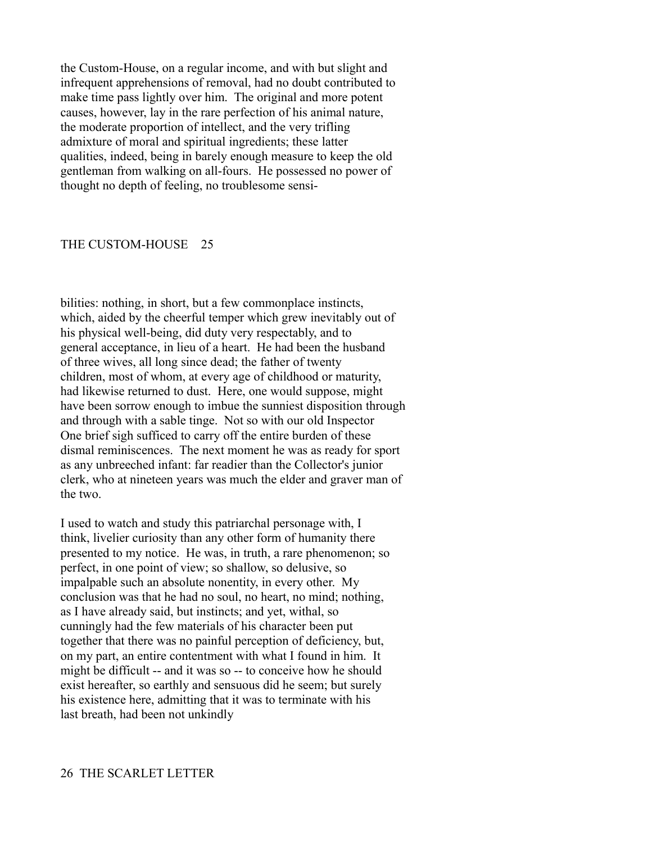the Custom-House, on a regular income, and with but slight and infrequent apprehensions of removal, had no doubt contributed to make time pass lightly over him. The original and more potent causes, however, lay in the rare perfection of his animal nature, the moderate proportion of intellect, and the very trifling admixture of moral and spiritual ingredients; these latter qualities, indeed, being in barely enough measure to keep the old gentleman from walking on all-fours. He possessed no power of thought no depth of feeling, no troublesome sensi-

#### THE CUSTOM-HOUSE 25

bilities: nothing, in short, but a few commonplace instincts, which, aided by the cheerful temper which grew inevitably out of his physical well-being, did duty very respectably, and to general acceptance, in lieu of a heart. He had been the husband of three wives, all long since dead; the father of twenty children, most of whom, at every age of childhood or maturity, had likewise returned to dust. Here, one would suppose, might have been sorrow enough to imbue the sunniest disposition through and through with a sable tinge. Not so with our old Inspector One brief sigh sufficed to carry off the entire burden of these dismal reminiscences. The next moment he was as ready for sport as any unbreeched infant: far readier than the Collector's junior clerk, who at nineteen years was much the elder and graver man of the two.

I used to watch and study this patriarchal personage with, I think, livelier curiosity than any other form of humanity there presented to my notice. He was, in truth, a rare phenomenon; so perfect, in one point of view; so shallow, so delusive, so impalpable such an absolute nonentity, in every other. My conclusion was that he had no soul, no heart, no mind; nothing, as I have already said, but instincts; and yet, withal, so cunningly had the few materials of his character been put together that there was no painful perception of deficiency, but, on my part, an entire contentment with what I found in him. It might be difficult -- and it was so -- to conceive how he should exist hereafter, so earthly and sensuous did he seem; but surely his existence here, admitting that it was to terminate with his last breath, had been not unkindly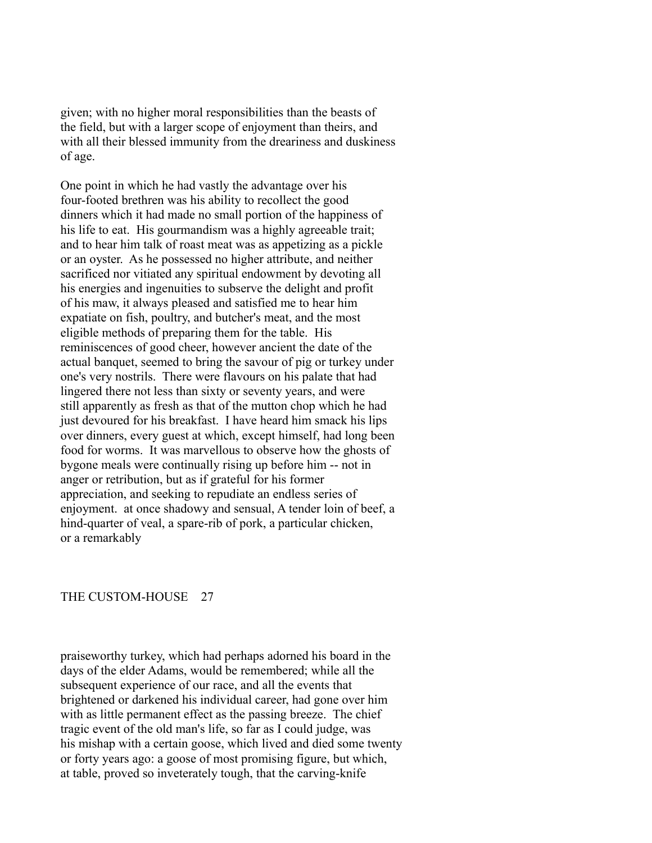given; with no higher moral responsibilities than the beasts of the field, but with a larger scope of enjoyment than theirs, and with all their blessed immunity from the dreariness and duskiness of age.

One point in which he had vastly the advantage over his four-footed brethren was his ability to recollect the good dinners which it had made no small portion of the happiness of his life to eat. His gourmandism was a highly agreeable trait; and to hear him talk of roast meat was as appetizing as a pickle or an oyster. As he possessed no higher attribute, and neither sacrificed nor vitiated any spiritual endowment by devoting all his energies and ingenuities to subserve the delight and profit of his maw, it always pleased and satisfied me to hear him expatiate on fish, poultry, and butcher's meat, and the most eligible methods of preparing them for the table. His reminiscences of good cheer, however ancient the date of the actual banquet, seemed to bring the savour of pig or turkey under one's very nostrils. There were flavours on his palate that had lingered there not less than sixty or seventy years, and were still apparently as fresh as that of the mutton chop which he had just devoured for his breakfast. I have heard him smack his lips over dinners, every guest at which, except himself, had long been food for worms. It was marvellous to observe how the ghosts of bygone meals were continually rising up before him -- not in anger or retribution, but as if grateful for his former appreciation, and seeking to repudiate an endless series of enjoyment. at once shadowy and sensual, A tender loin of beef, a hind-quarter of veal, a spare-rib of pork, a particular chicken, or a remarkably

## THE CUSTOM-HOUSE 27

praiseworthy turkey, which had perhaps adorned his board in the days of the elder Adams, would be remembered; while all the subsequent experience of our race, and all the events that brightened or darkened his individual career, had gone over him with as little permanent effect as the passing breeze. The chief tragic event of the old man's life, so far as I could judge, was his mishap with a certain goose, which lived and died some twenty or forty years ago: a goose of most promising figure, but which, at table, proved so inveterately tough, that the carving-knife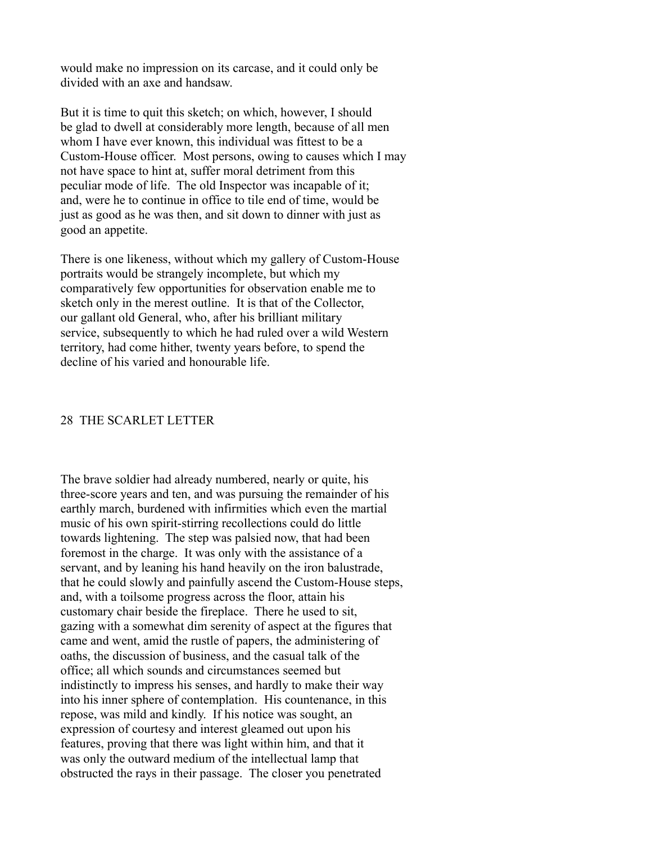would make no impression on its carcase, and it could only be divided with an axe and handsaw.

But it is time to quit this sketch; on which, however, I should be glad to dwell at considerably more length, because of all men whom I have ever known, this individual was fittest to be a Custom-House officer. Most persons, owing to causes which I may not have space to hint at, suffer moral detriment from this peculiar mode of life. The old Inspector was incapable of it; and, were he to continue in office to tile end of time, would be just as good as he was then, and sit down to dinner with just as good an appetite.

There is one likeness, without which my gallery of Custom-House portraits would be strangely incomplete, but which my comparatively few opportunities for observation enable me to sketch only in the merest outline. It is that of the Collector, our gallant old General, who, after his brilliant military service, subsequently to which he had ruled over a wild Western territory, had come hither, twenty years before, to spend the decline of his varied and honourable life.

## 28 THE SCARLET LETTER

The brave soldier had already numbered, nearly or quite, his three-score years and ten, and was pursuing the remainder of his earthly march, burdened with infirmities which even the martial music of his own spirit-stirring recollections could do little towards lightening. The step was palsied now, that had been foremost in the charge. It was only with the assistance of a servant, and by leaning his hand heavily on the iron balustrade, that he could slowly and painfully ascend the Custom-House steps, and, with a toilsome progress across the floor, attain his customary chair beside the fireplace. There he used to sit, gazing with a somewhat dim serenity of aspect at the figures that came and went, amid the rustle of papers, the administering of oaths, the discussion of business, and the casual talk of the office; all which sounds and circumstances seemed but indistinctly to impress his senses, and hardly to make their way into his inner sphere of contemplation. His countenance, in this repose, was mild and kindly. If his notice was sought, an expression of courtesy and interest gleamed out upon his features, proving that there was light within him, and that it was only the outward medium of the intellectual lamp that obstructed the rays in their passage. The closer you penetrated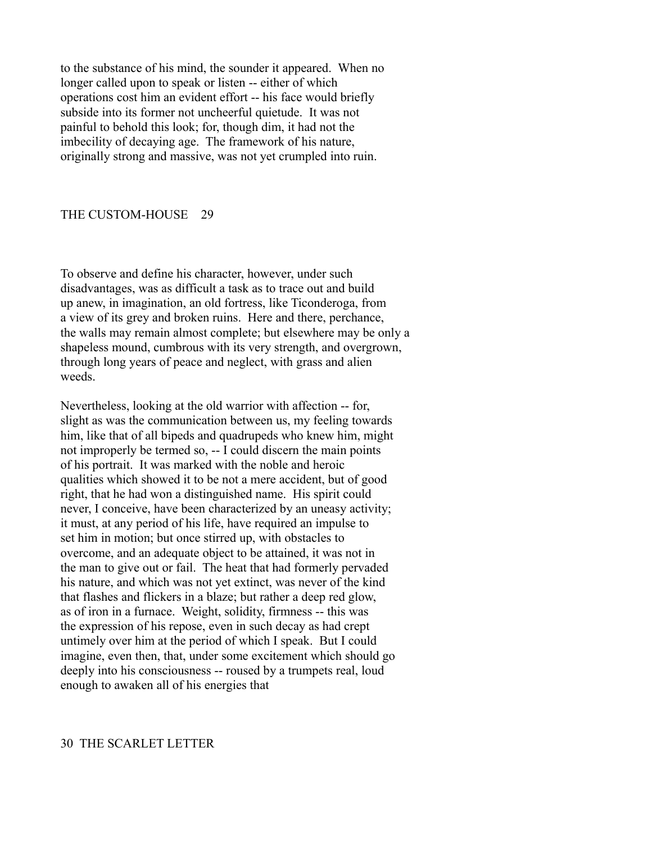to the substance of his mind, the sounder it appeared. When no longer called upon to speak or listen -- either of which operations cost him an evident effort -- his face would briefly subside into its former not uncheerful quietude. It was not painful to behold this look; for, though dim, it had not the imbecility of decaying age. The framework of his nature, originally strong and massive, was not yet crumpled into ruin.

#### THE CUSTOM-HOUSE 29

To observe and define his character, however, under such disadvantages, was as difficult a task as to trace out and build up anew, in imagination, an old fortress, like Ticonderoga, from a view of its grey and broken ruins. Here and there, perchance, the walls may remain almost complete; but elsewhere may be only a shapeless mound, cumbrous with its very strength, and overgrown, through long years of peace and neglect, with grass and alien weeds.

Nevertheless, looking at the old warrior with affection -- for, slight as was the communication between us, my feeling towards him, like that of all bipeds and quadrupeds who knew him, might not improperly be termed so, -- I could discern the main points of his portrait. It was marked with the noble and heroic qualities which showed it to be not a mere accident, but of good right, that he had won a distinguished name. His spirit could never, I conceive, have been characterized by an uneasy activity; it must, at any period of his life, have required an impulse to set him in motion; but once stirred up, with obstacles to overcome, and an adequate object to be attained, it was not in the man to give out or fail. The heat that had formerly pervaded his nature, and which was not yet extinct, was never of the kind that flashes and flickers in a blaze; but rather a deep red glow, as of iron in a furnace. Weight, solidity, firmness -- this was the expression of his repose, even in such decay as had crept untimely over him at the period of which I speak. But I could imagine, even then, that, under some excitement which should go deeply into his consciousness -- roused by a trumpets real, loud enough to awaken all of his energies that

## 30 THE SCARLET LETTER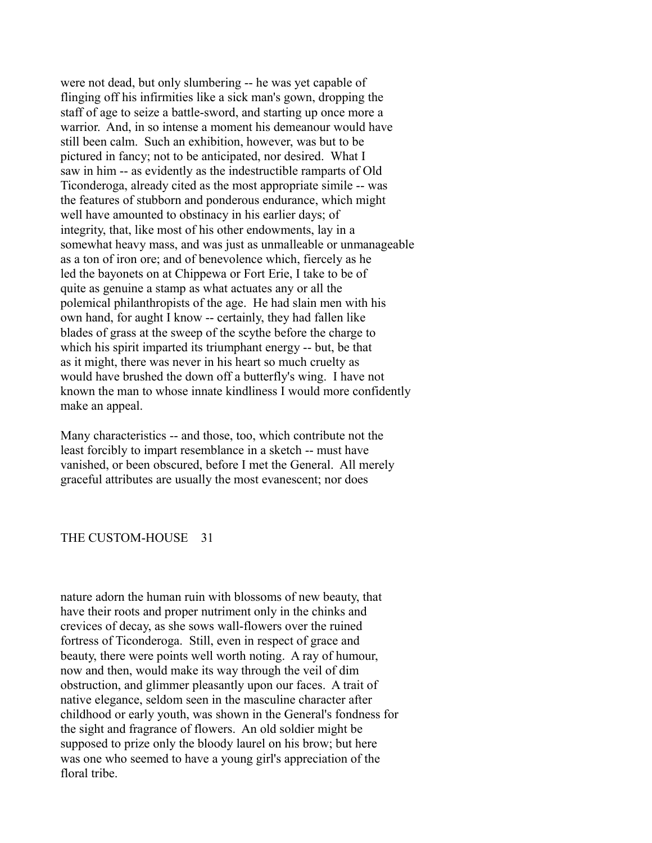were not dead, but only slumbering -- he was yet capable of flinging off his infirmities like a sick man's gown, dropping the staff of age to seize a battle-sword, and starting up once more a warrior. And, in so intense a moment his demeanour would have still been calm. Such an exhibition, however, was but to be pictured in fancy; not to be anticipated, nor desired. What I saw in him -- as evidently as the indestructible ramparts of Old Ticonderoga, already cited as the most appropriate simile -- was the features of stubborn and ponderous endurance, which might well have amounted to obstinacy in his earlier days; of integrity, that, like most of his other endowments, lay in a somewhat heavy mass, and was just as unmalleable or unmanageable as a ton of iron ore; and of benevolence which, fiercely as he led the bayonets on at Chippewa or Fort Erie, I take to be of quite as genuine a stamp as what actuates any or all the polemical philanthropists of the age. He had slain men with his own hand, for aught I know -- certainly, they had fallen like blades of grass at the sweep of the scythe before the charge to which his spirit imparted its triumphant energy -- but, be that as it might, there was never in his heart so much cruelty as would have brushed the down off a butterfly's wing. I have not known the man to whose innate kindliness I would more confidently make an appeal.

Many characteristics -- and those, too, which contribute not the least forcibly to impart resemblance in a sketch -- must have vanished, or been obscured, before I met the General. All merely graceful attributes are usually the most evanescent; nor does

### THE CUSTOM-HOUSE 31

nature adorn the human ruin with blossoms of new beauty, that have their roots and proper nutriment only in the chinks and crevices of decay, as she sows wall-flowers over the ruined fortress of Ticonderoga. Still, even in respect of grace and beauty, there were points well worth noting. A ray of humour, now and then, would make its way through the veil of dim obstruction, and glimmer pleasantly upon our faces. A trait of native elegance, seldom seen in the masculine character after childhood or early youth, was shown in the General's fondness for the sight and fragrance of flowers. An old soldier might be supposed to prize only the bloody laurel on his brow; but here was one who seemed to have a young girl's appreciation of the floral tribe.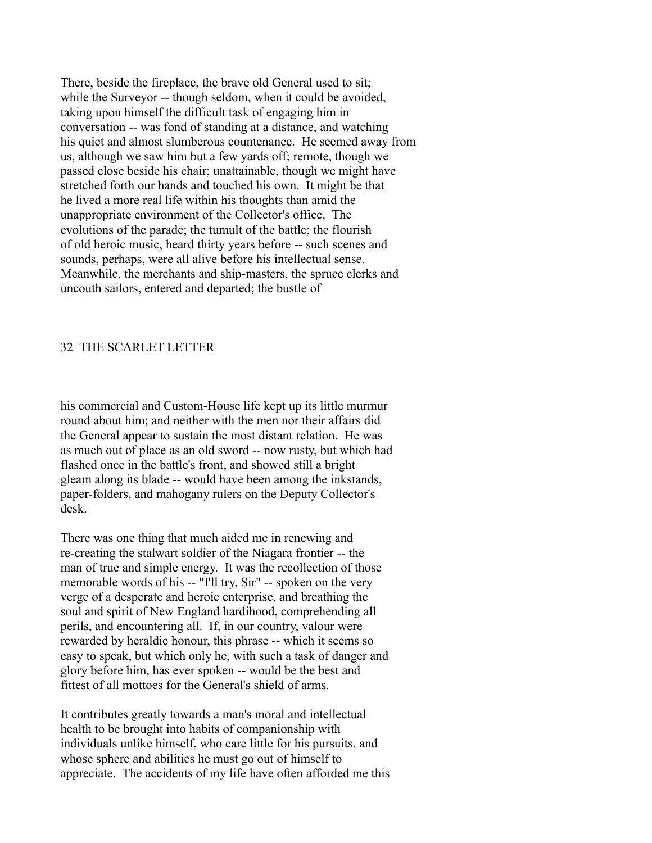There, beside the fireplace, the brave old General used to sit; while the Surveyor -- though seldom, when it could be avoided, taking upon himself the difficult task of engaging him in conversation -- was fond of standing at a distance, and watching his quiet and almost slumberous countenance. He seemed away from us, although we saw him but a few yards off; remote, though we passed close beside his chair; unattainable, though we might have stretched forth our hands and touched his own. It might be that he lived a more real life within his thoughts than amid the unappropriate environment of the Collector's office. The evolutions of the parade; the tumult of the battle; the flourish of old heroic music, heard thirty years before -- such scenes and sounds, perhaps, were all alive before his intellectual sense. Meanwhile, the merchants and ship-masters, the spruce clerks and uncouth sailors, entered and departed; the bustle of

## 32 THE SCARLET LETTER

his commercial and Custom-House life kept up its little murmur round about him; and neither with the men nor their affairs did the General appear to sustain the most distant relation. He was as much out of place as an old sword -- now rusty, but which had flashed once in the battle's front, and showed still a bright gleam along its blade -- would have been among the inkstands, paper-folders, and mahogany rulers on the Deputy Collector's desk.

There was one thing that much aided me in renewing and re-creating the stalwart soldier of the Niagara frontier -- the man of true and simple energy. It was the recollection of those memorable words of his -- "I'll try, Sir" -- spoken on the very verge of a desperate and heroic enterprise, and breathing the soul and spirit of New England hardihood, comprehending all perils, and encountering all. If, in our country, valour were rewarded by heraldic honour, this phrase -- which it seems so easy to speak, but which only he, with such a task of danger and glory before him, has ever spoken -- would be the best and fittest of all mottoes for the General's shield of arms.

It contributes greatly towards a man's moral and intellectual health to be brought into habits of companionship with individuals unlike himself, who care little for his pursuits, and whose sphere and abilities he must go out of himself to appreciate. The accidents of my life have often afforded me this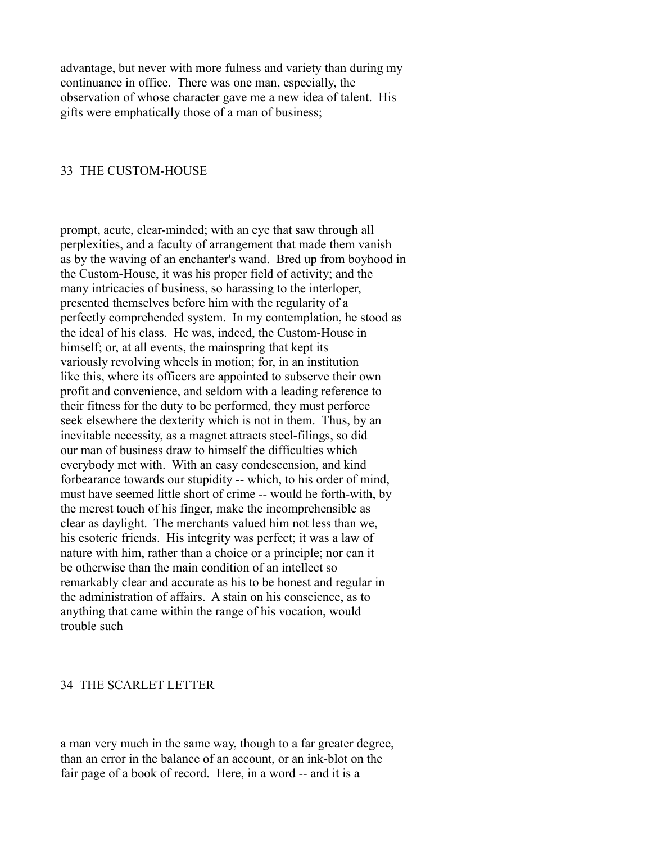advantage, but never with more fulness and variety than during my continuance in office. There was one man, especially, the observation of whose character gave me a new idea of talent. His gifts were emphatically those of a man of business;

## 33 THE CUSTOM-HOUSE

prompt, acute, clear-minded; with an eye that saw through all perplexities, and a faculty of arrangement that made them vanish as by the waving of an enchanter's wand. Bred up from boyhood in the Custom-House, it was his proper field of activity; and the many intricacies of business, so harassing to the interloper, presented themselves before him with the regularity of a perfectly comprehended system. In my contemplation, he stood as the ideal of his class. He was, indeed, the Custom-House in himself; or, at all events, the mainspring that kept its variously revolving wheels in motion; for, in an institution like this, where its officers are appointed to subserve their own profit and convenience, and seldom with a leading reference to their fitness for the duty to be performed, they must perforce seek elsewhere the dexterity which is not in them. Thus, by an inevitable necessity, as a magnet attracts steel-filings, so did our man of business draw to himself the difficulties which everybody met with. With an easy condescension, and kind forbearance towards our stupidity -- which, to his order of mind, must have seemed little short of crime -- would he forth-with, by the merest touch of his finger, make the incomprehensible as clear as daylight. The merchants valued him not less than we, his esoteric friends. His integrity was perfect; it was a law of nature with him, rather than a choice or a principle; nor can it be otherwise than the main condition of an intellect so remarkably clear and accurate as his to be honest and regular in the administration of affairs. A stain on his conscience, as to anything that came within the range of his vocation, would trouble such

## 34 THE SCARLET LETTER

a man very much in the same way, though to a far greater degree, than an error in the balance of an account, or an ink-blot on the fair page of a book of record. Here, in a word -- and it is a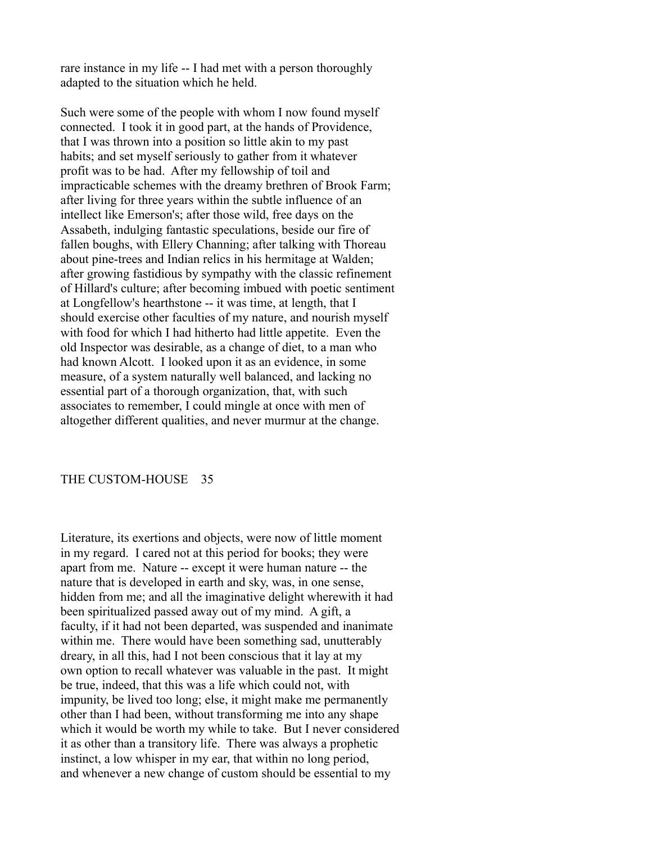rare instance in my life -- I had met with a person thoroughly adapted to the situation which he held.

Such were some of the people with whom I now found myself connected. I took it in good part, at the hands of Providence, that I was thrown into a position so little akin to my past habits; and set myself seriously to gather from it whatever profit was to be had. After my fellowship of toil and impracticable schemes with the dreamy brethren of Brook Farm; after living for three years within the subtle influence of an intellect like Emerson's; after those wild, free days on the Assabeth, indulging fantastic speculations, beside our fire of fallen boughs, with Ellery Channing; after talking with Thoreau about pine-trees and Indian relics in his hermitage at Walden; after growing fastidious by sympathy with the classic refinement of Hillard's culture; after becoming imbued with poetic sentiment at Longfellow's hearthstone -- it was time, at length, that I should exercise other faculties of my nature, and nourish myself with food for which I had hitherto had little appetite. Even the old Inspector was desirable, as a change of diet, to a man who had known Alcott. I looked upon it as an evidence, in some measure, of a system naturally well balanced, and lacking no essential part of a thorough organization, that, with such associates to remember, I could mingle at once with men of altogether different qualities, and never murmur at the change.

## THE CUSTOM-HOUSE 35

Literature, its exertions and objects, were now of little moment in my regard. I cared not at this period for books; they were apart from me. Nature -- except it were human nature -- the nature that is developed in earth and sky, was, in one sense, hidden from me; and all the imaginative delight wherewith it had been spiritualized passed away out of my mind. A gift, a faculty, if it had not been departed, was suspended and inanimate within me. There would have been something sad, unutterably dreary, in all this, had I not been conscious that it lay at my own option to recall whatever was valuable in the past. It might be true, indeed, that this was a life which could not, with impunity, be lived too long; else, it might make me permanently other than I had been, without transforming me into any shape which it would be worth my while to take. But I never considered it as other than a transitory life. There was always a prophetic instinct, a low whisper in my ear, that within no long period, and whenever a new change of custom should be essential to my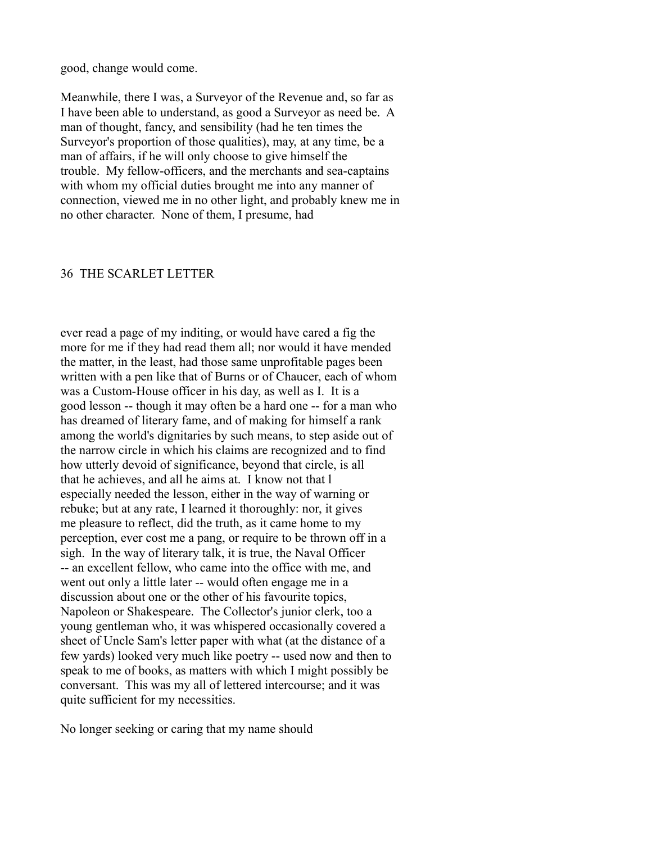good, change would come.

Meanwhile, there I was, a Surveyor of the Revenue and, so far as I have been able to understand, as good a Surveyor as need be. A man of thought, fancy, and sensibility (had he ten times the Surveyor's proportion of those qualities), may, at any time, be a man of affairs, if he will only choose to give himself the trouble. My fellow-officers, and the merchants and sea-captains with whom my official duties brought me into any manner of connection, viewed me in no other light, and probably knew me in no other character. None of them, I presume, had

## 36 THE SCARLET LETTER

ever read a page of my inditing, or would have cared a fig the more for me if they had read them all; nor would it have mended the matter, in the least, had those same unprofitable pages been written with a pen like that of Burns or of Chaucer, each of whom was a Custom-House officer in his day, as well as I. It is a good lesson -- though it may often be a hard one -- for a man who has dreamed of literary fame, and of making for himself a rank among the world's dignitaries by such means, to step aside out of the narrow circle in which his claims are recognized and to find how utterly devoid of significance, beyond that circle, is all that he achieves, and all he aims at. I know not that l especially needed the lesson, either in the way of warning or rebuke; but at any rate, I learned it thoroughly: nor, it gives me pleasure to reflect, did the truth, as it came home to my perception, ever cost me a pang, or require to be thrown off in a sigh. In the way of literary talk, it is true, the Naval Officer -- an excellent fellow, who came into the office with me, and went out only a little later -- would often engage me in a discussion about one or the other of his favourite topics, Napoleon or Shakespeare. The Collector's junior clerk, too a young gentleman who, it was whispered occasionally covered a sheet of Uncle Sam's letter paper with what (at the distance of a few yards) looked very much like poetry -- used now and then to speak to me of books, as matters with which I might possibly be conversant. This was my all of lettered intercourse; and it was quite sufficient for my necessities.

No longer seeking or caring that my name should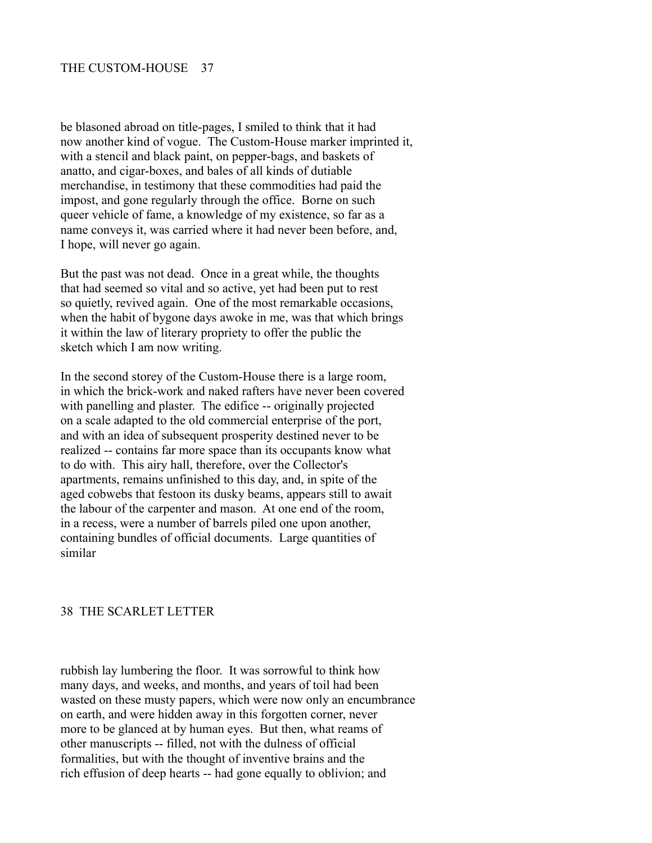be blasoned abroad on title-pages, I smiled to think that it had now another kind of vogue. The Custom-House marker imprinted it, with a stencil and black paint, on pepper-bags, and baskets of anatto, and cigar-boxes, and bales of all kinds of dutiable merchandise, in testimony that these commodities had paid the impost, and gone regularly through the office. Borne on such queer vehicle of fame, a knowledge of my existence, so far as a name conveys it, was carried where it had never been before, and, I hope, will never go again.

But the past was not dead. Once in a great while, the thoughts that had seemed so vital and so active, yet had been put to rest so quietly, revived again. One of the most remarkable occasions, when the habit of bygone days awoke in me, was that which brings it within the law of literary propriety to offer the public the sketch which I am now writing.

In the second storey of the Custom-House there is a large room, in which the brick-work and naked rafters have never been covered with panelling and plaster. The edifice -- originally projected on a scale adapted to the old commercial enterprise of the port, and with an idea of subsequent prosperity destined never to be realized -- contains far more space than its occupants know what to do with. This airy hall, therefore, over the Collector's apartments, remains unfinished to this day, and, in spite of the aged cobwebs that festoon its dusky beams, appears still to await the labour of the carpenter and mason. At one end of the room, in a recess, were a number of barrels piled one upon another, containing bundles of official documents. Large quantities of similar

#### 38 THE SCARLET LETTER

rubbish lay lumbering the floor. It was sorrowful to think how many days, and weeks, and months, and years of toil had been wasted on these musty papers, which were now only an encumbrance on earth, and were hidden away in this forgotten corner, never more to be glanced at by human eyes. But then, what reams of other manuscripts -- filled, not with the dulness of official formalities, but with the thought of inventive brains and the rich effusion of deep hearts -- had gone equally to oblivion; and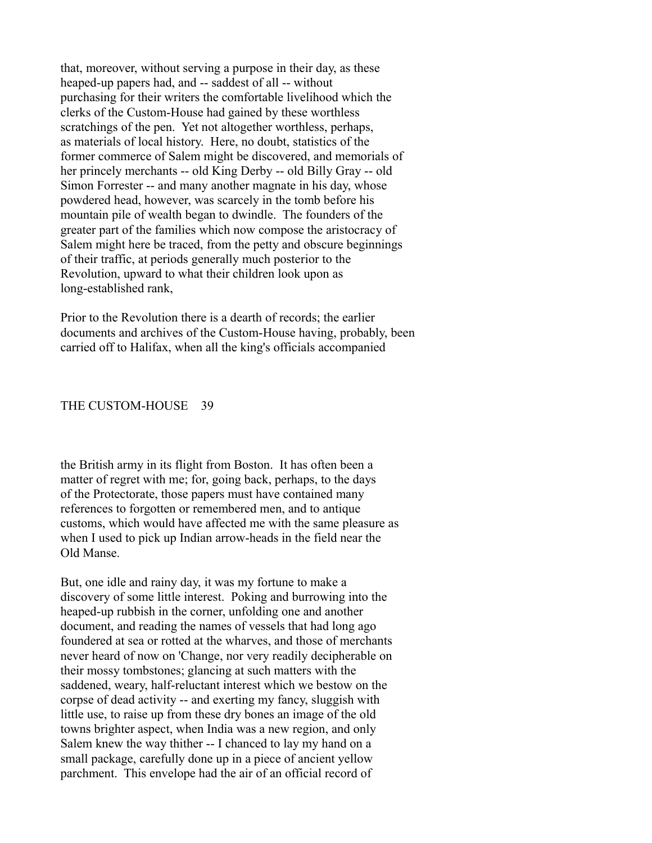that, moreover, without serving a purpose in their day, as these heaped-up papers had, and -- saddest of all -- without purchasing for their writers the comfortable livelihood which the clerks of the Custom-House had gained by these worthless scratchings of the pen. Yet not altogether worthless, perhaps, as materials of local history. Here, no doubt, statistics of the former commerce of Salem might be discovered, and memorials of her princely merchants -- old King Derby -- old Billy Gray -- old Simon Forrester -- and many another magnate in his day, whose powdered head, however, was scarcely in the tomb before his mountain pile of wealth began to dwindle. The founders of the greater part of the families which now compose the aristocracy of Salem might here be traced, from the petty and obscure beginnings of their traffic, at periods generally much posterior to the Revolution, upward to what their children look upon as long-established rank,

Prior to the Revolution there is a dearth of records; the earlier documents and archives of the Custom-House having, probably, been carried off to Halifax, when all the king's officials accompanied

#### THE CUSTOM-HOUSE 39

the British army in its flight from Boston. It has often been a matter of regret with me; for, going back, perhaps, to the days of the Protectorate, those papers must have contained many references to forgotten or remembered men, and to antique customs, which would have affected me with the same pleasure as when I used to pick up Indian arrow-heads in the field near the Old Manse.

But, one idle and rainy day, it was my fortune to make a discovery of some little interest. Poking and burrowing into the heaped-up rubbish in the corner, unfolding one and another document, and reading the names of vessels that had long ago foundered at sea or rotted at the wharves, and those of merchants never heard of now on 'Change, nor very readily decipherable on their mossy tombstones; glancing at such matters with the saddened, weary, half-reluctant interest which we bestow on the corpse of dead activity -- and exerting my fancy, sluggish with little use, to raise up from these dry bones an image of the old towns brighter aspect, when India was a new region, and only Salem knew the way thither -- I chanced to lay my hand on a small package, carefully done up in a piece of ancient yellow parchment. This envelope had the air of an official record of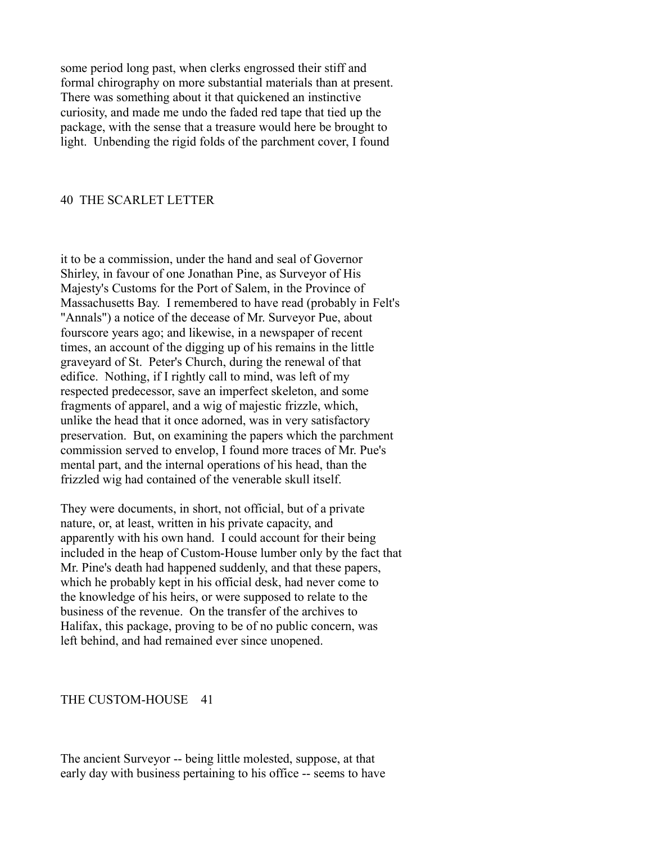some period long past, when clerks engrossed their stiff and formal chirography on more substantial materials than at present. There was something about it that quickened an instinctive curiosity, and made me undo the faded red tape that tied up the package, with the sense that a treasure would here be brought to light. Unbending the rigid folds of the parchment cover, I found

## 40 THE SCARLET LETTER

it to be a commission, under the hand and seal of Governor Shirley, in favour of one Jonathan Pine, as Surveyor of His Majesty's Customs for the Port of Salem, in the Province of Massachusetts Bay. I remembered to have read (probably in Felt's "Annals") a notice of the decease of Mr. Surveyor Pue, about fourscore years ago; and likewise, in a newspaper of recent times, an account of the digging up of his remains in the little graveyard of St. Peter's Church, during the renewal of that edifice. Nothing, if I rightly call to mind, was left of my respected predecessor, save an imperfect skeleton, and some fragments of apparel, and a wig of majestic frizzle, which, unlike the head that it once adorned, was in very satisfactory preservation. But, on examining the papers which the parchment commission served to envelop, I found more traces of Mr. Pue's mental part, and the internal operations of his head, than the frizzled wig had contained of the venerable skull itself.

They were documents, in short, not official, but of a private nature, or, at least, written in his private capacity, and apparently with his own hand. I could account for their being included in the heap of Custom-House lumber only by the fact that Mr. Pine's death had happened suddenly, and that these papers, which he probably kept in his official desk, had never come to the knowledge of his heirs, or were supposed to relate to the business of the revenue. On the transfer of the archives to Halifax, this package, proving to be of no public concern, was left behind, and had remained ever since unopened.

## THE CUSTOM-HOUSE 41

The ancient Surveyor -- being little molested, suppose, at that early day with business pertaining to his office -- seems to have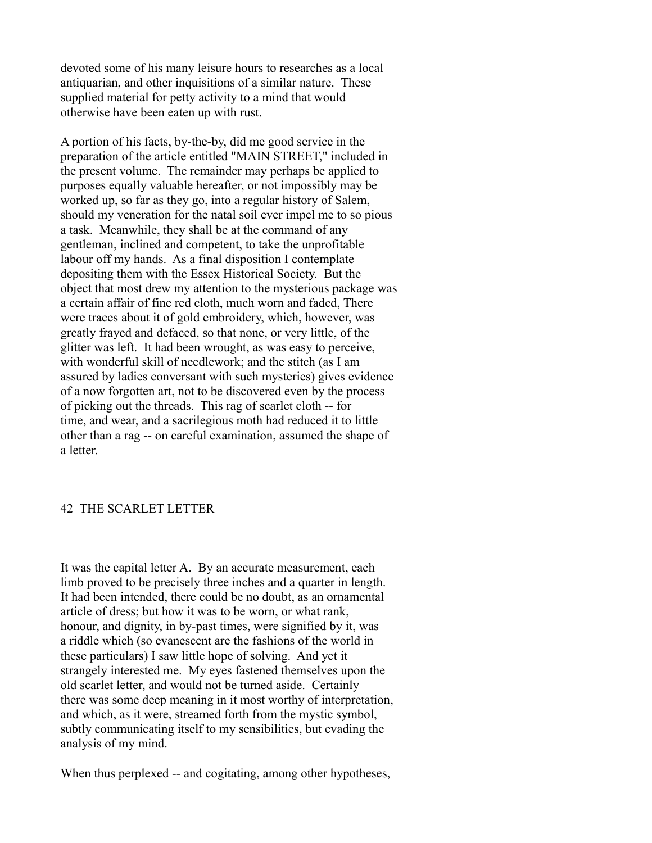devoted some of his many leisure hours to researches as a local antiquarian, and other inquisitions of a similar nature. These supplied material for petty activity to a mind that would otherwise have been eaten up with rust.

A portion of his facts, by-the-by, did me good service in the preparation of the article entitled "MAIN STREET," included in the present volume. The remainder may perhaps be applied to purposes equally valuable hereafter, or not impossibly may be worked up, so far as they go, into a regular history of Salem, should my veneration for the natal soil ever impel me to so pious a task. Meanwhile, they shall be at the command of any gentleman, inclined and competent, to take the unprofitable labour off my hands. As a final disposition I contemplate depositing them with the Essex Historical Society. But the object that most drew my attention to the mysterious package was a certain affair of fine red cloth, much worn and faded, There were traces about it of gold embroidery, which, however, was greatly frayed and defaced, so that none, or very little, of the glitter was left. It had been wrought, as was easy to perceive, with wonderful skill of needlework; and the stitch (as I am assured by ladies conversant with such mysteries) gives evidence of a now forgotten art, not to be discovered even by the process of picking out the threads. This rag of scarlet cloth -- for time, and wear, and a sacrilegious moth had reduced it to little other than a rag -- on careful examination, assumed the shape of a letter.

## 42 THE SCARLET LETTER

It was the capital letter A. By an accurate measurement, each limb proved to be precisely three inches and a quarter in length. It had been intended, there could be no doubt, as an ornamental article of dress; but how it was to be worn, or what rank, honour, and dignity, in by-past times, were signified by it, was a riddle which (so evanescent are the fashions of the world in these particulars) I saw little hope of solving. And yet it strangely interested me. My eyes fastened themselves upon the old scarlet letter, and would not be turned aside. Certainly there was some deep meaning in it most worthy of interpretation, and which, as it were, streamed forth from the mystic symbol, subtly communicating itself to my sensibilities, but evading the analysis of my mind.

When thus perplexed -- and cogitating, among other hypotheses,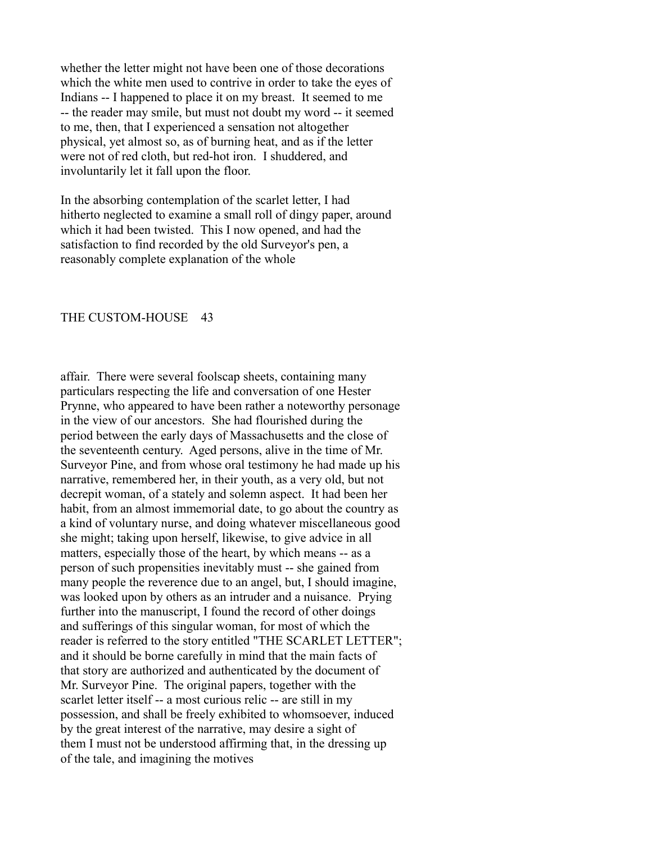whether the letter might not have been one of those decorations which the white men used to contrive in order to take the eyes of Indians -- I happened to place it on my breast. It seemed to me -- the reader may smile, but must not doubt my word -- it seemed to me, then, that I experienced a sensation not altogether physical, yet almost so, as of burning heat, and as if the letter were not of red cloth, but red-hot iron. I shuddered, and involuntarily let it fall upon the floor.

In the absorbing contemplation of the scarlet letter, I had hitherto neglected to examine a small roll of dingy paper, around which it had been twisted. This I now opened, and had the satisfaction to find recorded by the old Surveyor's pen, a reasonably complete explanation of the whole

### THE CUSTOM-HOUSE 43

affair. There were several foolscap sheets, containing many particulars respecting the life and conversation of one Hester Prynne, who appeared to have been rather a noteworthy personage in the view of our ancestors. She had flourished during the period between the early days of Massachusetts and the close of the seventeenth century. Aged persons, alive in the time of Mr. Surveyor Pine, and from whose oral testimony he had made up his narrative, remembered her, in their youth, as a very old, but not decrepit woman, of a stately and solemn aspect. It had been her habit, from an almost immemorial date, to go about the country as a kind of voluntary nurse, and doing whatever miscellaneous good she might; taking upon herself, likewise, to give advice in all matters, especially those of the heart, by which means -- as a person of such propensities inevitably must -- she gained from many people the reverence due to an angel, but, I should imagine, was looked upon by others as an intruder and a nuisance. Prying further into the manuscript, I found the record of other doings and sufferings of this singular woman, for most of which the reader is referred to the story entitled "THE SCARLET LETTER"; and it should be borne carefully in mind that the main facts of that story are authorized and authenticated by the document of Mr. Surveyor Pine. The original papers, together with the scarlet letter itself -- a most curious relic -- are still in my possession, and shall be freely exhibited to whomsoever, induced by the great interest of the narrative, may desire a sight of them I must not be understood affirming that, in the dressing up of the tale, and imagining the motives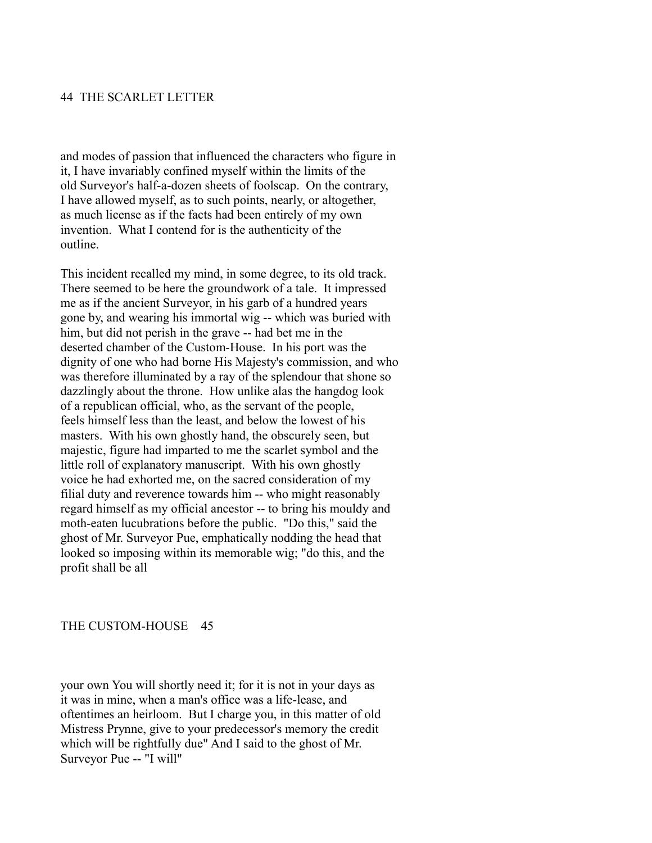### 44 THE SCARLET LETTER

and modes of passion that influenced the characters who figure in it, I have invariably confined myself within the limits of the old Surveyor's half-a-dozen sheets of foolscap. On the contrary, I have allowed myself, as to such points, nearly, or altogether, as much license as if the facts had been entirely of my own invention. What I contend for is the authenticity of the outline.

This incident recalled my mind, in some degree, to its old track. There seemed to be here the groundwork of a tale. It impressed me as if the ancient Surveyor, in his garb of a hundred years gone by, and wearing his immortal wig -- which was buried with him, but did not perish in the grave -- had bet me in the deserted chamber of the Custom-House. In his port was the dignity of one who had borne His Majesty's commission, and who was therefore illuminated by a ray of the splendour that shone so dazzlingly about the throne. How unlike alas the hangdog look of a republican official, who, as the servant of the people, feels himself less than the least, and below the lowest of his masters. With his own ghostly hand, the obscurely seen, but majestic, figure had imparted to me the scarlet symbol and the little roll of explanatory manuscript. With his own ghostly voice he had exhorted me, on the sacred consideration of my filial duty and reverence towards him -- who might reasonably regard himself as my official ancestor -- to bring his mouldy and moth-eaten lucubrations before the public. "Do this," said the ghost of Mr. Surveyor Pue, emphatically nodding the head that looked so imposing within its memorable wig; "do this, and the profit shall be all

#### THE CUSTOM-HOUSE 45

your own You will shortly need it; for it is not in your days as it was in mine, when a man's office was a life-lease, and oftentimes an heirloom. But I charge you, in this matter of old Mistress Prynne, give to your predecessor's memory the credit which will be rightfully due" And I said to the ghost of Mr. Surveyor Pue -- "I will"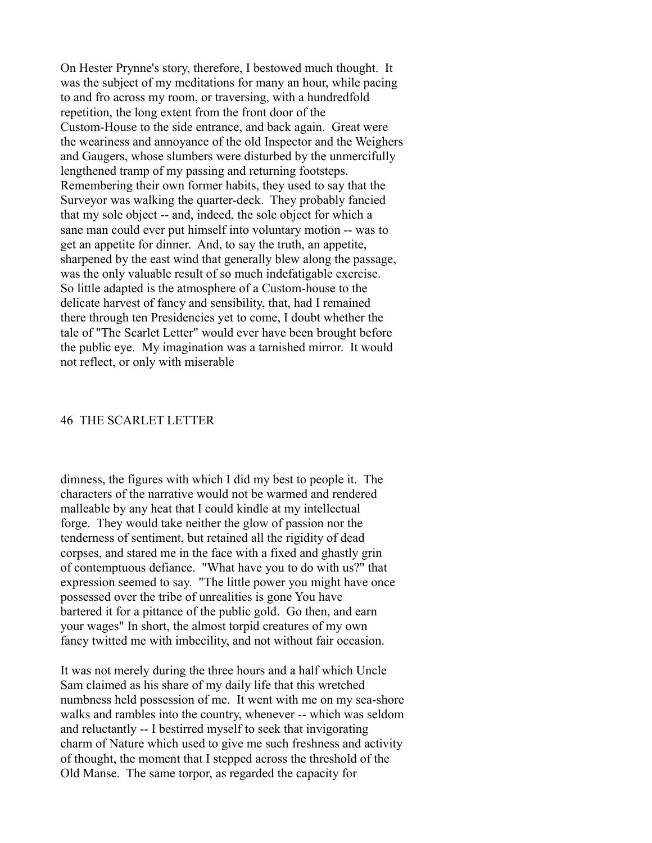On Hester Prynne's story, therefore, I bestowed much thought. It was the subject of my meditations for many an hour, while pacing to and fro across my room, or traversing, with a hundredfold repetition, the long extent from the front door of the Custom-House to the side entrance, and back again. Great were the weariness and annoyance of the old Inspector and the Weighers and Gaugers, whose slumbers were disturbed by the unmercifully lengthened tramp of my passing and returning footsteps. Remembering their own former habits, they used to say that the Surveyor was walking the quarter-deck. They probably fancied that my sole object -- and, indeed, the sole object for which a sane man could ever put himself into voluntary motion -- was to get an appetite for dinner. And, to say the truth, an appetite, sharpened by the east wind that generally blew along the passage, was the only valuable result of so much indefatigable exercise. So little adapted is the atmosphere of a Custom-house to the delicate harvest of fancy and sensibility, that, had I remained there through ten Presidencies yet to come, I doubt whether the tale of "The Scarlet Letter" would ever have been brought before the public eye. My imagination was a tarnished mirror. It would not reflect, or only with miserable

## 46 THE SCARLET LETTER

dimness, the figures with which I did my best to people it. The characters of the narrative would not be warmed and rendered malleable by any heat that I could kindle at my intellectual forge. They would take neither the glow of passion nor the tenderness of sentiment, but retained all the rigidity of dead corpses, and stared me in the face with a fixed and ghastly grin of contemptuous defiance. "What have you to do with us?" that expression seemed to say. "The little power you might have once possessed over the tribe of unrealities is gone You have bartered it for a pittance of the public gold. Go then, and earn your wages" In short, the almost torpid creatures of my own fancy twitted me with imbecility, and not without fair occasion.

It was not merely during the three hours and a half which Uncle Sam claimed as his share of my daily life that this wretched numbness held possession of me. It went with me on my sea-shore walks and rambles into the country, whenever -- which was seldom and reluctantly -- I bestirred myself to seek that invigorating charm of Nature which used to give me such freshness and activity of thought, the moment that I stepped across the threshold of the Old Manse. The same torpor, as regarded the capacity for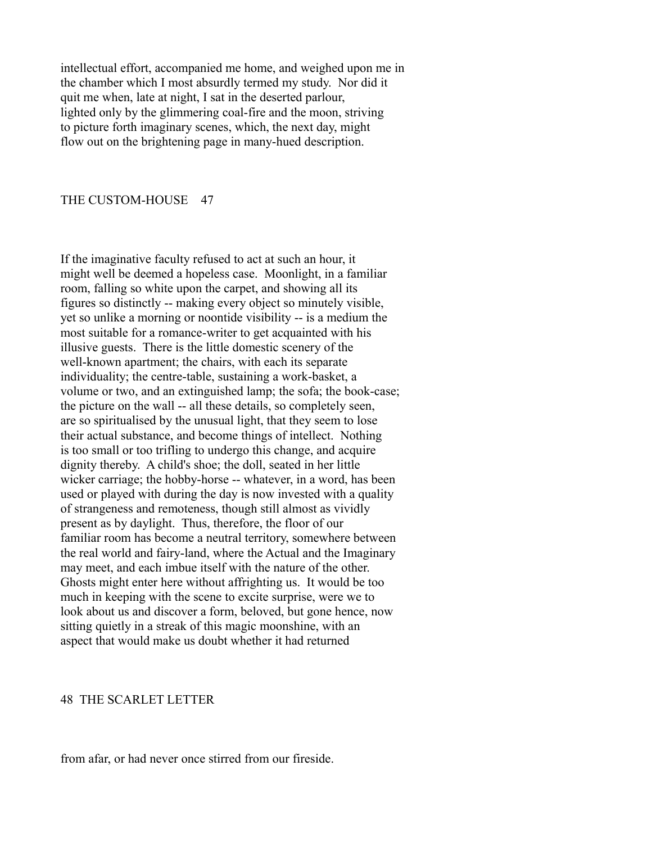intellectual effort, accompanied me home, and weighed upon me in the chamber which I most absurdly termed my study. Nor did it quit me when, late at night, I sat in the deserted parlour, lighted only by the glimmering coal-fire and the moon, striving to picture forth imaginary scenes, which, the next day, might flow out on the brightening page in many-hued description.

## THE CUSTOM-HOUSE 47

If the imaginative faculty refused to act at such an hour, it might well be deemed a hopeless case. Moonlight, in a familiar room, falling so white upon the carpet, and showing all its figures so distinctly -- making every object so minutely visible, yet so unlike a morning or noontide visibility -- is a medium the most suitable for a romance-writer to get acquainted with his illusive guests. There is the little domestic scenery of the well-known apartment; the chairs, with each its separate individuality; the centre-table, sustaining a work-basket, a volume or two, and an extinguished lamp; the sofa; the book-case; the picture on the wall -- all these details, so completely seen, are so spiritualised by the unusual light, that they seem to lose their actual substance, and become things of intellect. Nothing is too small or too trifling to undergo this change, and acquire dignity thereby. A child's shoe; the doll, seated in her little wicker carriage; the hobby-horse -- whatever, in a word, has been used or played with during the day is now invested with a quality of strangeness and remoteness, though still almost as vividly present as by daylight. Thus, therefore, the floor of our familiar room has become a neutral territory, somewhere between the real world and fairy-land, where the Actual and the Imaginary may meet, and each imbue itself with the nature of the other. Ghosts might enter here without affrighting us. It would be too much in keeping with the scene to excite surprise, were we to look about us and discover a form, beloved, but gone hence, now sitting quietly in a streak of this magic moonshine, with an aspect that would make us doubt whether it had returned

#### 48 THE SCARLET LETTER

from afar, or had never once stirred from our fireside.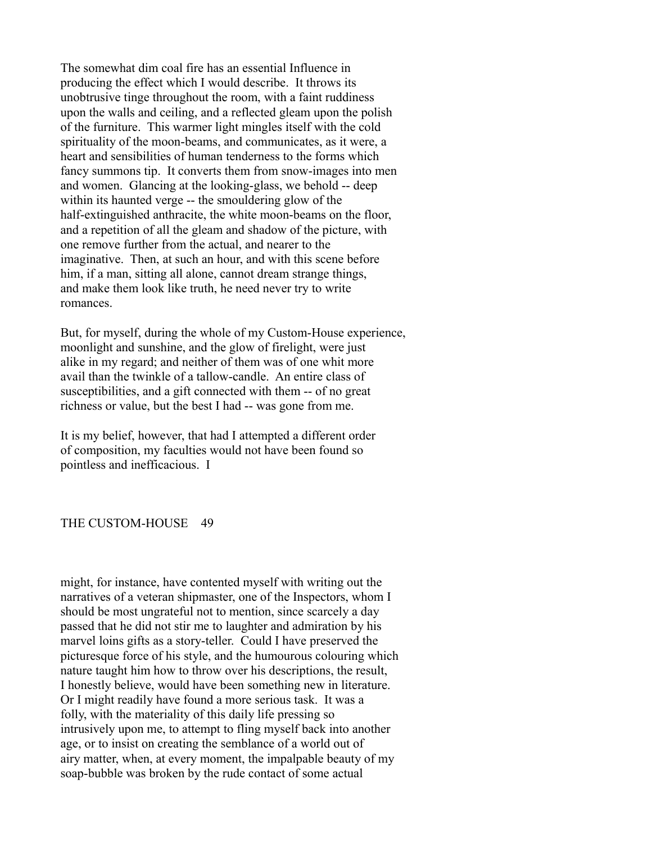The somewhat dim coal fire has an essential Influence in producing the effect which I would describe. It throws its unobtrusive tinge throughout the room, with a faint ruddiness upon the walls and ceiling, and a reflected gleam upon the polish of the furniture. This warmer light mingles itself with the cold spirituality of the moon-beams, and communicates, as it were, a heart and sensibilities of human tenderness to the forms which fancy summons tip. It converts them from snow-images into men and women. Glancing at the looking-glass, we behold -- deep within its haunted verge -- the smouldering glow of the half-extinguished anthracite, the white moon-beams on the floor, and a repetition of all the gleam and shadow of the picture, with one remove further from the actual, and nearer to the imaginative. Then, at such an hour, and with this scene before him, if a man, sitting all alone, cannot dream strange things, and make them look like truth, he need never try to write romances.

But, for myself, during the whole of my Custom-House experience, moonlight and sunshine, and the glow of firelight, were just alike in my regard; and neither of them was of one whit more avail than the twinkle of a tallow-candle. An entire class of susceptibilities, and a gift connected with them -- of no great richness or value, but the best I had -- was gone from me.

It is my belief, however, that had I attempted a different order of composition, my faculties would not have been found so pointless and inefficacious. I

## THE CUSTOM-HOUSE 49

might, for instance, have contented myself with writing out the narratives of a veteran shipmaster, one of the Inspectors, whom I should be most ungrateful not to mention, since scarcely a day passed that he did not stir me to laughter and admiration by his marvel loins gifts as a story-teller. Could I have preserved the picturesque force of his style, and the humourous colouring which nature taught him how to throw over his descriptions, the result, I honestly believe, would have been something new in literature. Or I might readily have found a more serious task. It was a folly, with the materiality of this daily life pressing so intrusively upon me, to attempt to fling myself back into another age, or to insist on creating the semblance of a world out of airy matter, when, at every moment, the impalpable beauty of my soap-bubble was broken by the rude contact of some actual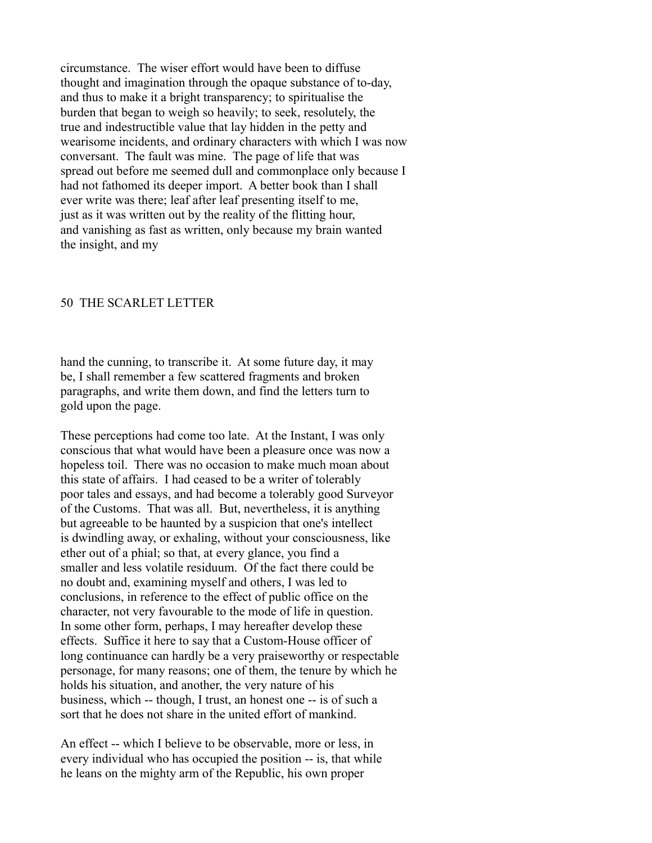circumstance. The wiser effort would have been to diffuse thought and imagination through the opaque substance of to-day, and thus to make it a bright transparency; to spiritualise the burden that began to weigh so heavily; to seek, resolutely, the true and indestructible value that lay hidden in the petty and wearisome incidents, and ordinary characters with which I was now conversant. The fault was mine. The page of life that was spread out before me seemed dull and commonplace only because I had not fathomed its deeper import. A better book than I shall ever write was there; leaf after leaf presenting itself to me, just as it was written out by the reality of the flitting hour, and vanishing as fast as written, only because my brain wanted the insight, and my

#### 50 THE SCARLET LETTER

hand the cunning, to transcribe it. At some future day, it may be, I shall remember a few scattered fragments and broken paragraphs, and write them down, and find the letters turn to gold upon the page.

These perceptions had come too late. At the Instant, I was only conscious that what would have been a pleasure once was now a hopeless toil. There was no occasion to make much moan about this state of affairs. I had ceased to be a writer of tolerably poor tales and essays, and had become a tolerably good Surveyor of the Customs. That was all. But, nevertheless, it is anything but agreeable to be haunted by a suspicion that one's intellect is dwindling away, or exhaling, without your consciousness, like ether out of a phial; so that, at every glance, you find a smaller and less volatile residuum. Of the fact there could be no doubt and, examining myself and others, I was led to conclusions, in reference to the effect of public office on the character, not very favourable to the mode of life in question. In some other form, perhaps, I may hereafter develop these effects. Suffice it here to say that a Custom-House officer of long continuance can hardly be a very praiseworthy or respectable personage, for many reasons; one of them, the tenure by which he holds his situation, and another, the very nature of his business, which -- though, I trust, an honest one -- is of such a sort that he does not share in the united effort of mankind.

An effect -- which I believe to be observable, more or less, in every individual who has occupied the position -- is, that while he leans on the mighty arm of the Republic, his own proper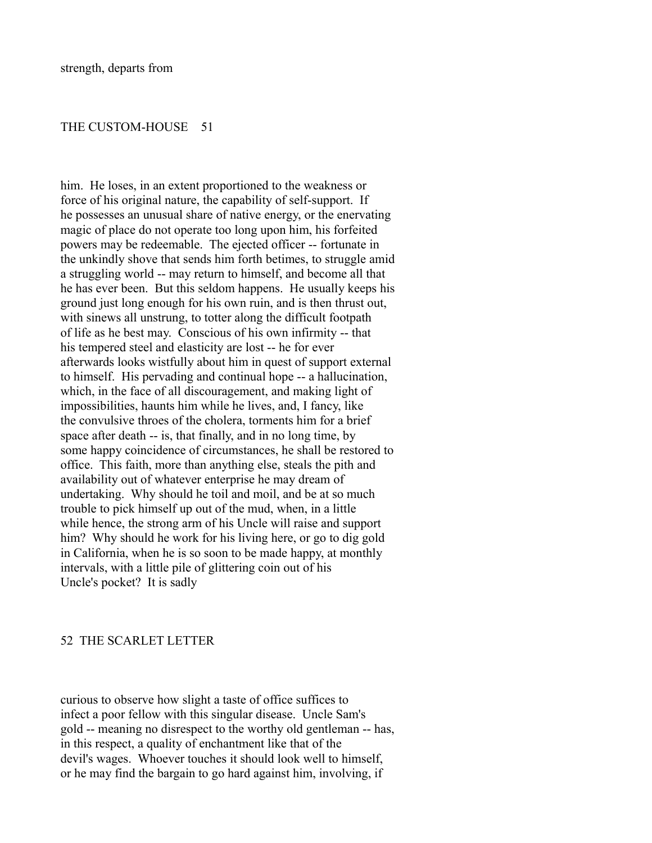### THE CUSTOM-HOUSE 51

him. He loses, in an extent proportioned to the weakness or force of his original nature, the capability of self-support. If he possesses an unusual share of native energy, or the enervating magic of place do not operate too long upon him, his forfeited powers may be redeemable. The ejected officer -- fortunate in the unkindly shove that sends him forth betimes, to struggle amid a struggling world -- may return to himself, and become all that he has ever been. But this seldom happens. He usually keeps his ground just long enough for his own ruin, and is then thrust out, with sinews all unstrung, to totter along the difficult footpath of life as he best may. Conscious of his own infirmity -- that his tempered steel and elasticity are lost -- he for ever afterwards looks wistfully about him in quest of support external to himself. His pervading and continual hope -- a hallucination, which, in the face of all discouragement, and making light of impossibilities, haunts him while he lives, and, I fancy, like the convulsive throes of the cholera, torments him for a brief space after death -- is, that finally, and in no long time, by some happy coincidence of circumstances, he shall be restored to office. This faith, more than anything else, steals the pith and availability out of whatever enterprise he may dream of undertaking. Why should he toil and moil, and be at so much trouble to pick himself up out of the mud, when, in a little while hence, the strong arm of his Uncle will raise and support him? Why should he work for his living here, or go to dig gold in California, when he is so soon to be made happy, at monthly intervals, with a little pile of glittering coin out of his Uncle's pocket? It is sadly

## 52 THE SCARLET LETTER

curious to observe how slight a taste of office suffices to infect a poor fellow with this singular disease. Uncle Sam's gold -- meaning no disrespect to the worthy old gentleman -- has, in this respect, a quality of enchantment like that of the devil's wages. Whoever touches it should look well to himself, or he may find the bargain to go hard against him, involving, if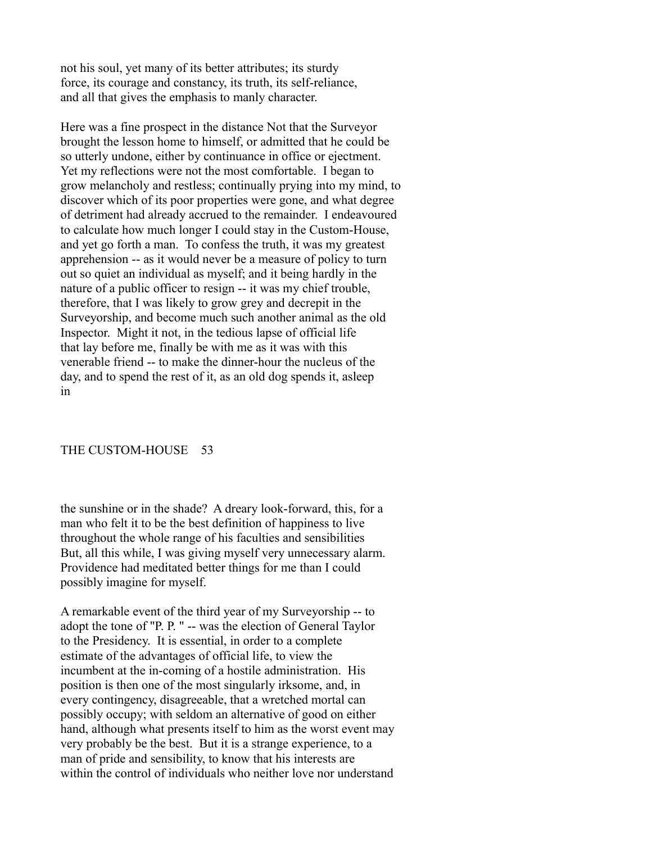not his soul, yet many of its better attributes; its sturdy force, its courage and constancy, its truth, its self-reliance, and all that gives the emphasis to manly character.

Here was a fine prospect in the distance Not that the Surveyor brought the lesson home to himself, or admitted that he could be so utterly undone, either by continuance in office or ejectment. Yet my reflections were not the most comfortable. I began to grow melancholy and restless; continually prying into my mind, to discover which of its poor properties were gone, and what degree of detriment had already accrued to the remainder. I endeavoured to calculate how much longer I could stay in the Custom-House, and yet go forth a man. To confess the truth, it was my greatest apprehension -- as it would never be a measure of policy to turn out so quiet an individual as myself; and it being hardly in the nature of a public officer to resign -- it was my chief trouble, therefore, that I was likely to grow grey and decrepit in the Surveyorship, and become much such another animal as the old Inspector. Might it not, in the tedious lapse of official life that lay before me, finally be with me as it was with this venerable friend -- to make the dinner-hour the nucleus of the day, and to spend the rest of it, as an old dog spends it, asleep in

## THE CUSTOM-HOUSE 53

the sunshine or in the shade? A dreary look-forward, this, for a man who felt it to be the best definition of happiness to live throughout the whole range of his faculties and sensibilities But, all this while, I was giving myself very unnecessary alarm. Providence had meditated better things for me than I could possibly imagine for myself.

A remarkable event of the third year of my Surveyorship -- to adopt the tone of "P. P. " -- was the election of General Taylor to the Presidency. It is essential, in order to a complete estimate of the advantages of official life, to view the incumbent at the in-coming of a hostile administration. His position is then one of the most singularly irksome, and, in every contingency, disagreeable, that a wretched mortal can possibly occupy; with seldom an alternative of good on either hand, although what presents itself to him as the worst event may very probably be the best. But it is a strange experience, to a man of pride and sensibility, to know that his interests are within the control of individuals who neither love nor understand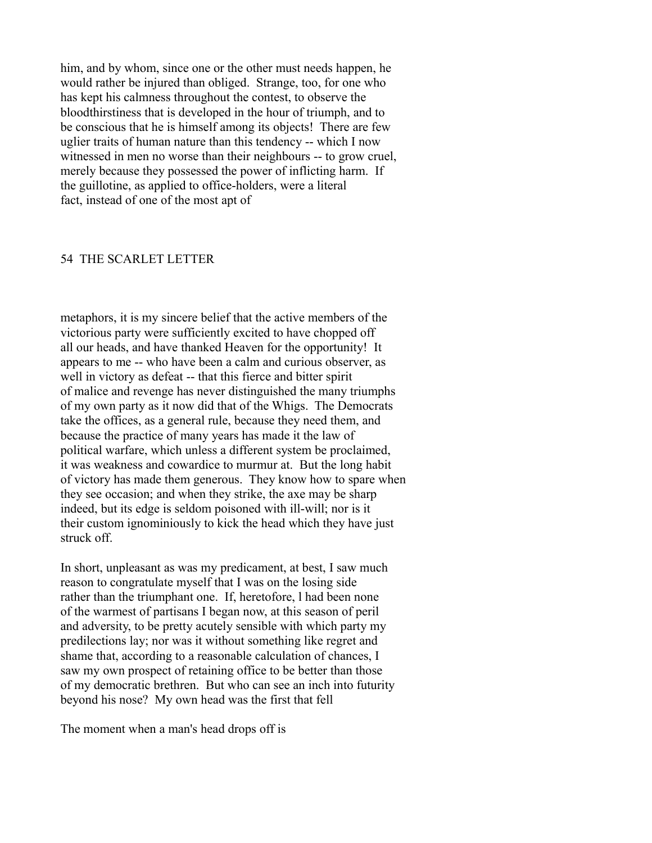him, and by whom, since one or the other must needs happen, he would rather be injured than obliged. Strange, too, for one who has kept his calmness throughout the contest, to observe the bloodthirstiness that is developed in the hour of triumph, and to be conscious that he is himself among its objects! There are few uglier traits of human nature than this tendency -- which I now witnessed in men no worse than their neighbours -- to grow cruel, merely because they possessed the power of inflicting harm. If the guillotine, as applied to office-holders, were a literal fact, instead of one of the most apt of

#### 54 THE SCARLET LETTER

metaphors, it is my sincere belief that the active members of the victorious party were sufficiently excited to have chopped off all our heads, and have thanked Heaven for the opportunity! It appears to me -- who have been a calm and curious observer, as well in victory as defeat -- that this fierce and bitter spirit of malice and revenge has never distinguished the many triumphs of my own party as it now did that of the Whigs. The Democrats take the offices, as a general rule, because they need them, and because the practice of many years has made it the law of political warfare, which unless a different system be proclaimed, it was weakness and cowardice to murmur at. But the long habit of victory has made them generous. They know how to spare when they see occasion; and when they strike, the axe may be sharp indeed, but its edge is seldom poisoned with ill-will; nor is it their custom ignominiously to kick the head which they have just struck off.

In short, unpleasant as was my predicament, at best, I saw much reason to congratulate myself that I was on the losing side rather than the triumphant one. If, heretofore, l had been none of the warmest of partisans I began now, at this season of peril and adversity, to be pretty acutely sensible with which party my predilections lay; nor was it without something like regret and shame that, according to a reasonable calculation of chances, I saw my own prospect of retaining office to be better than those of my democratic brethren. But who can see an inch into futurity beyond his nose? My own head was the first that fell

The moment when a man's head drops off is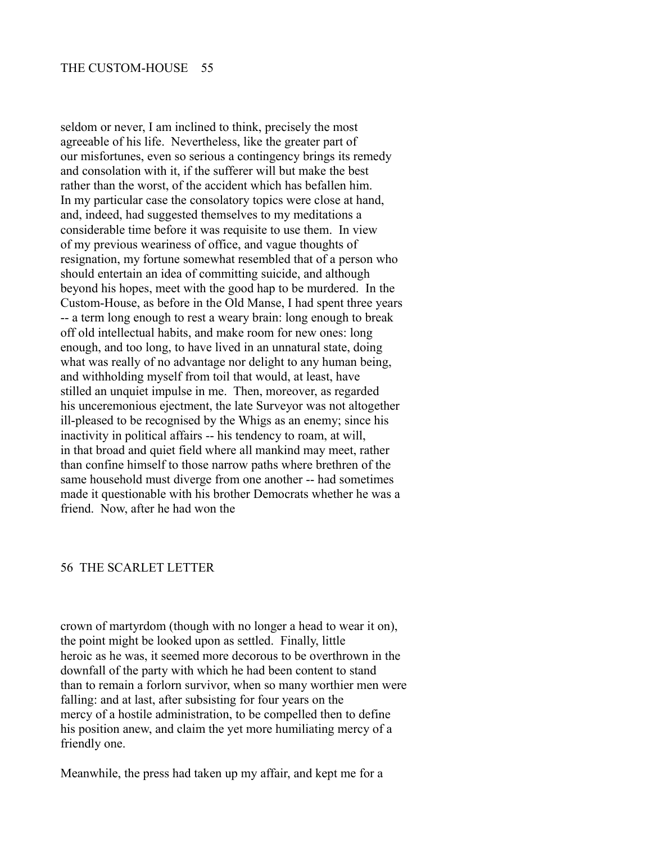seldom or never, I am inclined to think, precisely the most agreeable of his life. Nevertheless, like the greater part of our misfortunes, even so serious a contingency brings its remedy and consolation with it, if the sufferer will but make the best rather than the worst, of the accident which has befallen him. In my particular case the consolatory topics were close at hand, and, indeed, had suggested themselves to my meditations a considerable time before it was requisite to use them. In view of my previous weariness of office, and vague thoughts of resignation, my fortune somewhat resembled that of a person who should entertain an idea of committing suicide, and although beyond his hopes, meet with the good hap to be murdered. In the Custom-House, as before in the Old Manse, I had spent three years -- a term long enough to rest a weary brain: long enough to break off old intellectual habits, and make room for new ones: long enough, and too long, to have lived in an unnatural state, doing what was really of no advantage nor delight to any human being, and withholding myself from toil that would, at least, have stilled an unquiet impulse in me. Then, moreover, as regarded his unceremonious ejectment, the late Surveyor was not altogether ill-pleased to be recognised by the Whigs as an enemy; since his inactivity in political affairs -- his tendency to roam, at will, in that broad and quiet field where all mankind may meet, rather than confine himself to those narrow paths where brethren of the same household must diverge from one another -- had sometimes made it questionable with his brother Democrats whether he was a friend. Now, after he had won the

### 56 THE SCARLET LETTER

crown of martyrdom (though with no longer a head to wear it on), the point might be looked upon as settled. Finally, little heroic as he was, it seemed more decorous to be overthrown in the downfall of the party with which he had been content to stand than to remain a forlorn survivor, when so many worthier men were falling: and at last, after subsisting for four years on the mercy of a hostile administration, to be compelled then to define his position anew, and claim the yet more humiliating mercy of a friendly one.

Meanwhile, the press had taken up my affair, and kept me for a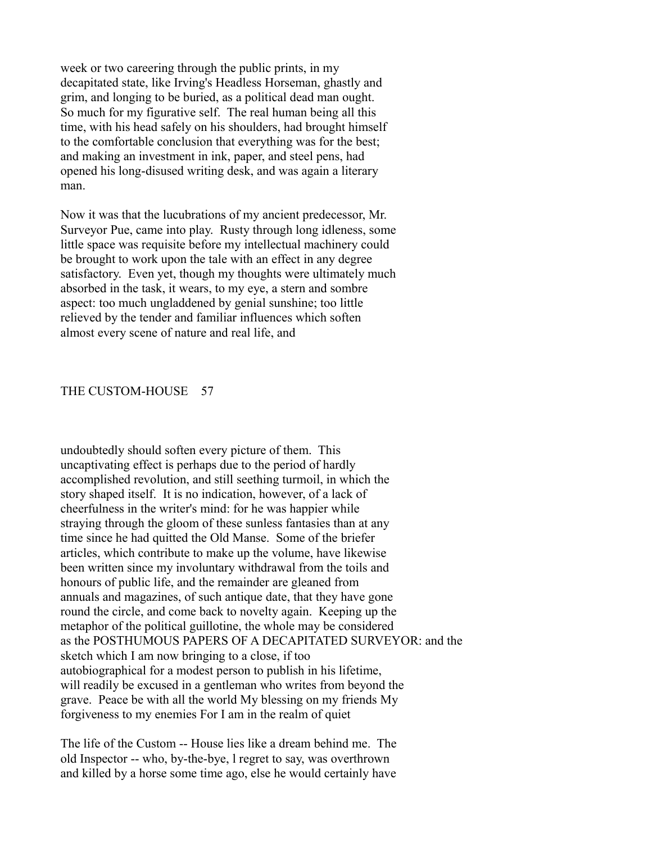week or two careering through the public prints, in my decapitated state, like Irving's Headless Horseman, ghastly and grim, and longing to be buried, as a political dead man ought. So much for my figurative self. The real human being all this time, with his head safely on his shoulders, had brought himself to the comfortable conclusion that everything was for the best; and making an investment in ink, paper, and steel pens, had opened his long-disused writing desk, and was again a literary man.

Now it was that the lucubrations of my ancient predecessor, Mr. Surveyor Pue, came into play. Rusty through long idleness, some little space was requisite before my intellectual machinery could be brought to work upon the tale with an effect in any degree satisfactory. Even yet, though my thoughts were ultimately much absorbed in the task, it wears, to my eye, a stern and sombre aspect: too much ungladdened by genial sunshine; too little relieved by the tender and familiar influences which soften almost every scene of nature and real life, and

## THE CUSTOM-HOUSE 57

undoubtedly should soften every picture of them. This uncaptivating effect is perhaps due to the period of hardly accomplished revolution, and still seething turmoil, in which the story shaped itself. It is no indication, however, of a lack of cheerfulness in the writer's mind: for he was happier while straying through the gloom of these sunless fantasies than at any time since he had quitted the Old Manse. Some of the briefer articles, which contribute to make up the volume, have likewise been written since my involuntary withdrawal from the toils and honours of public life, and the remainder are gleaned from annuals and magazines, of such antique date, that they have gone round the circle, and come back to novelty again. Keeping up the metaphor of the political guillotine, the whole may be considered as the POSTHUMOUS PAPERS OF A DECAPITATED SURVEYOR: and the sketch which I am now bringing to a close, if too autobiographical for a modest person to publish in his lifetime, will readily be excused in a gentleman who writes from beyond the grave. Peace be with all the world My blessing on my friends My forgiveness to my enemies For I am in the realm of quiet

The life of the Custom -- House lies like a dream behind me. The old Inspector -- who, by-the-bye, l regret to say, was overthrown and killed by a horse some time ago, else he would certainly have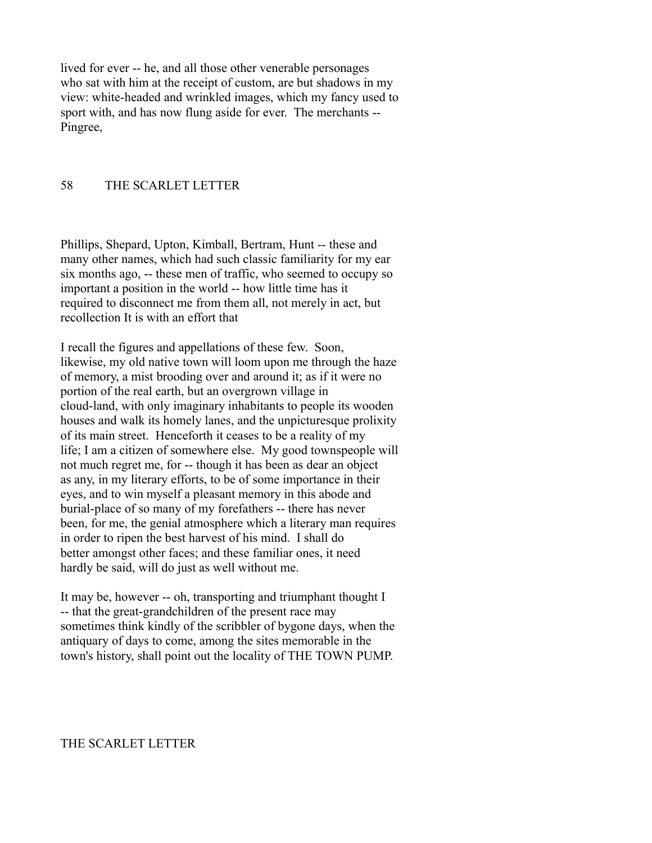lived for ever -- he, and all those other venerable personages who sat with him at the receipt of custom, are but shadows in my view: white-headed and wrinkled images, which my fancy used to sport with, and has now flung aside for ever. The merchants -- Pingree,

# 58 THE SCARLET LETTER

Phillips, Shepard, Upton, Kimball, Bertram, Hunt -- these and many other names, which had such classic familiarity for my ear six months ago, -- these men of traffic, who seemed to occupy so important a position in the world -- how little time has it required to disconnect me from them all, not merely in act, but recollection It is with an effort that

I recall the figures and appellations of these few. Soon, likewise, my old native town will loom upon me through the haze of memory, a mist brooding over and around it; as if it were no portion of the real earth, but an overgrown village in cloud-land, with only imaginary inhabitants to people its wooden houses and walk its homely lanes, and the unpicturesque prolixity of its main street. Henceforth it ceases to be a reality of my life; I am a citizen of somewhere else. My good townspeople will not much regret me, for -- though it has been as dear an object as any, in my literary efforts, to be of some importance in their eyes, and to win myself a pleasant memory in this abode and burial-place of so many of my forefathers -- there has never been, for me, the genial atmosphere which a literary man requires in order to ripen the best harvest of his mind. I shall do better amongst other faces; and these familiar ones, it need hardly be said, will do just as well without me.

It may be, however -- oh, transporting and triumphant thought I -- that the great-grandchildren of the present race may sometimes think kindly of the scribbler of bygone days, when the antiquary of days to come, among the sites memorable in the town's history, shall point out the locality of THE TOWN PUMP.

### THE SCARLET LETTER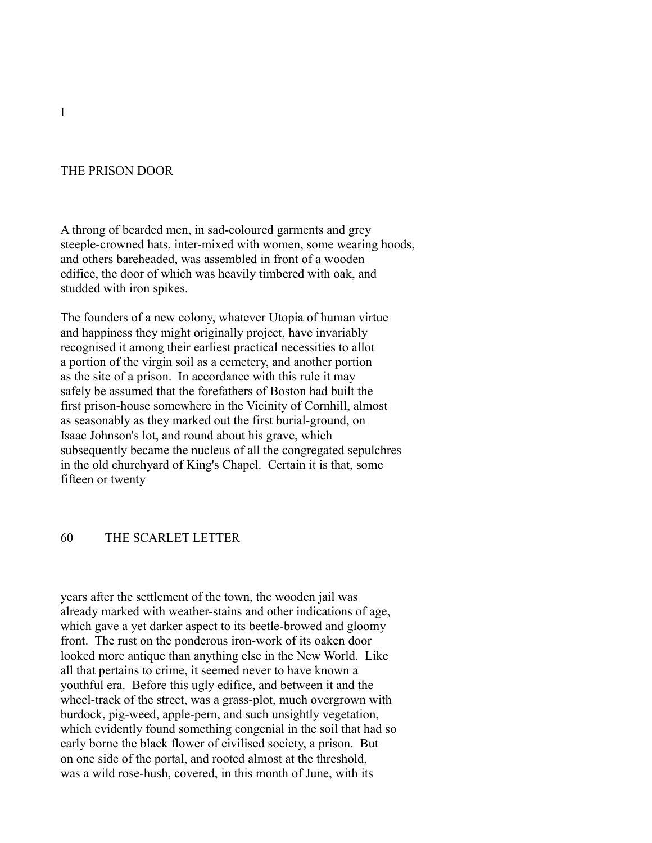# THE PRISON DOOR

A throng of bearded men, in sad-coloured garments and grey steeple-crowned hats, inter-mixed with women, some wearing hoods, and others bareheaded, was assembled in front of a wooden edifice, the door of which was heavily timbered with oak, and studded with iron spikes.

The founders of a new colony, whatever Utopia of human virtue and happiness they might originally project, have invariably recognised it among their earliest practical necessities to allot a portion of the virgin soil as a cemetery, and another portion as the site of a prison. In accordance with this rule it may safely be assumed that the forefathers of Boston had built the first prison-house somewhere in the Vicinity of Cornhill, almost as seasonably as they marked out the first burial-ground, on Isaac Johnson's lot, and round about his grave, which subsequently became the nucleus of all the congregated sepulchres in the old churchyard of King's Chapel. Certain it is that, some fifteen or twenty

## 60 THE SCARLET LETTER

years after the settlement of the town, the wooden jail was already marked with weather-stains and other indications of age, which gave a yet darker aspect to its beetle-browed and gloomy front. The rust on the ponderous iron-work of its oaken door looked more antique than anything else in the New World. Like all that pertains to crime, it seemed never to have known a youthful era. Before this ugly edifice, and between it and the wheel-track of the street, was a grass-plot, much overgrown with burdock, pig-weed, apple-pern, and such unsightly vegetation, which evidently found something congenial in the soil that had so early borne the black flower of civilised society, a prison. But on one side of the portal, and rooted almost at the threshold, was a wild rose-hush, covered, in this month of June, with its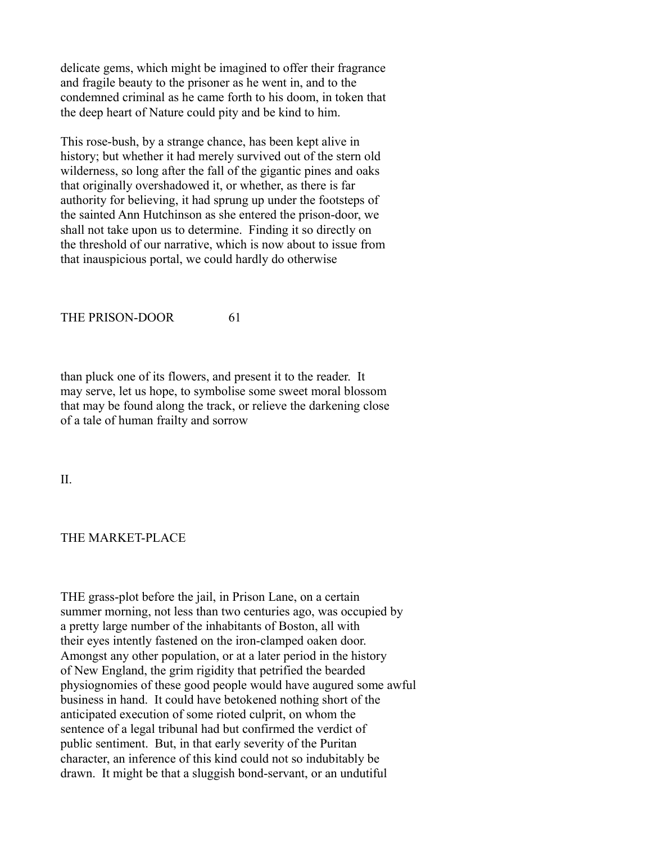delicate gems, which might be imagined to offer their fragrance and fragile beauty to the prisoner as he went in, and to the condemned criminal as he came forth to his doom, in token that the deep heart of Nature could pity and be kind to him.

This rose-bush, by a strange chance, has been kept alive in history; but whether it had merely survived out of the stern old wilderness, so long after the fall of the gigantic pines and oaks that originally overshadowed it, or whether, as there is far authority for believing, it had sprung up under the footsteps of the sainted Ann Hutchinson as she entered the prison-door, we shall not take upon us to determine. Finding it so directly on the threshold of our narrative, which is now about to issue from that inauspicious portal, we could hardly do otherwise

### THE PRISON-DOOR 61

than pluck one of its flowers, and present it to the reader. It may serve, let us hope, to symbolise some sweet moral blossom that may be found along the track, or relieve the darkening close of a tale of human frailty and sorrow

II.

## THE MARKET-PLACE

THE grass-plot before the jail, in Prison Lane, on a certain summer morning, not less than two centuries ago, was occupied by a pretty large number of the inhabitants of Boston, all with their eyes intently fastened on the iron-clamped oaken door. Amongst any other population, or at a later period in the history of New England, the grim rigidity that petrified the bearded physiognomies of these good people would have augured some awful business in hand. It could have betokened nothing short of the anticipated execution of some rioted culprit, on whom the sentence of a legal tribunal had but confirmed the verdict of public sentiment. But, in that early severity of the Puritan character, an inference of this kind could not so indubitably be drawn. It might be that a sluggish bond-servant, or an undutiful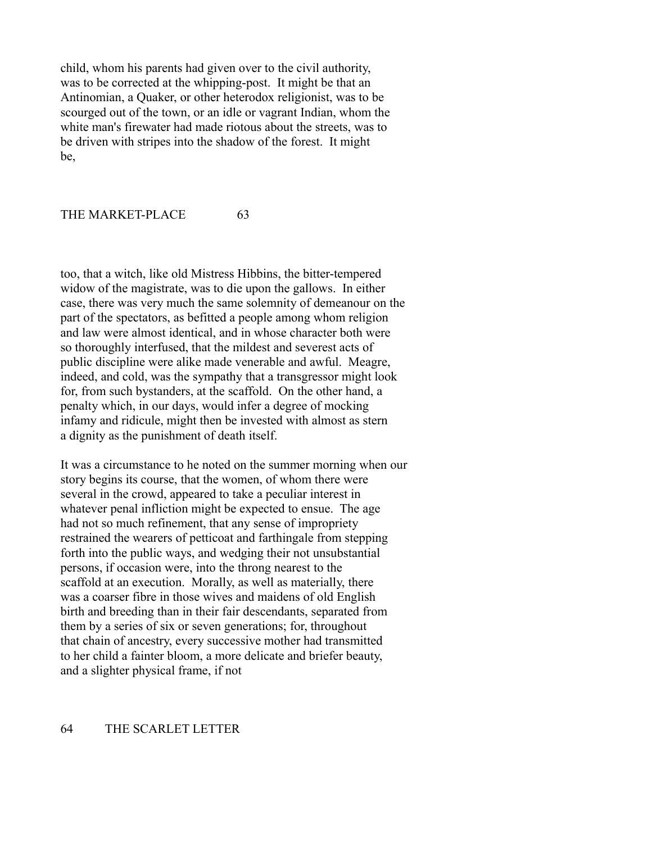child, whom his parents had given over to the civil authority, was to be corrected at the whipping-post. It might be that an Antinomian, a Quaker, or other heterodox religionist, was to be scourged out of the town, or an idle or vagrant Indian, whom the white man's firewater had made riotous about the streets, was to be driven with stripes into the shadow of the forest. It might be,

#### THE MARKET-PLACE 63

too, that a witch, like old Mistress Hibbins, the bitter-tempered widow of the magistrate, was to die upon the gallows. In either case, there was very much the same solemnity of demeanour on the part of the spectators, as befitted a people among whom religion and law were almost identical, and in whose character both were so thoroughly interfused, that the mildest and severest acts of public discipline were alike made venerable and awful. Meagre, indeed, and cold, was the sympathy that a transgressor might look for, from such bystanders, at the scaffold. On the other hand, a penalty which, in our days, would infer a degree of mocking infamy and ridicule, might then be invested with almost as stern a dignity as the punishment of death itself.

It was a circumstance to he noted on the summer morning when our story begins its course, that the women, of whom there were several in the crowd, appeared to take a peculiar interest in whatever penal infliction might be expected to ensue. The age had not so much refinement, that any sense of impropriety restrained the wearers of petticoat and farthingale from stepping forth into the public ways, and wedging their not unsubstantial persons, if occasion were, into the throng nearest to the scaffold at an execution. Morally, as well as materially, there was a coarser fibre in those wives and maidens of old English birth and breeding than in their fair descendants, separated from them by a series of six or seven generations; for, throughout that chain of ancestry, every successive mother had transmitted to her child a fainter bloom, a more delicate and briefer beauty, and a slighter physical frame, if not

### 64 THE SCARLET LETTER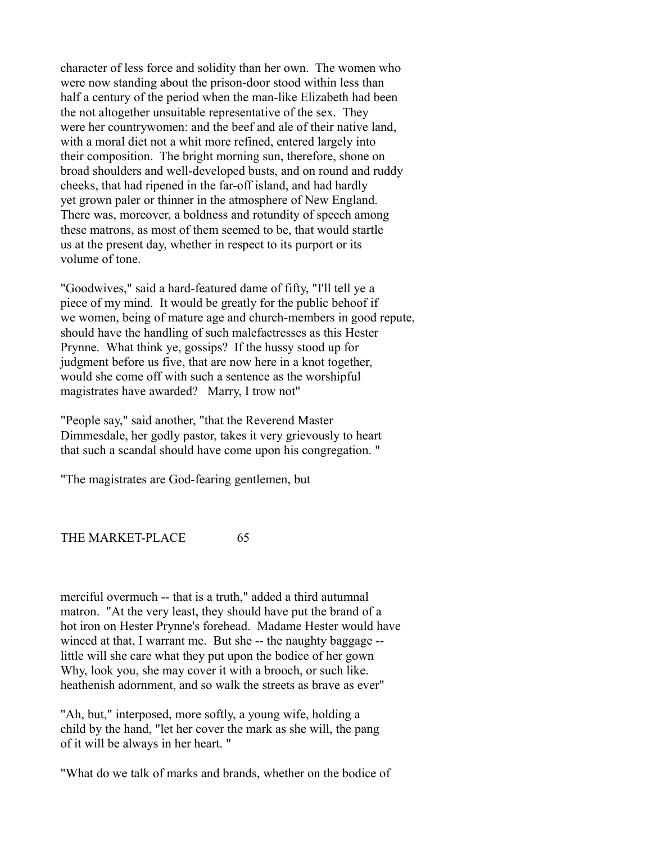character of less force and solidity than her own. The women who were now standing about the prison-door stood within less than half a century of the period when the man-like Elizabeth had been the not altogether unsuitable representative of the sex. They were her countrywomen: and the beef and ale of their native land, with a moral diet not a whit more refined, entered largely into their composition. The bright morning sun, therefore, shone on broad shoulders and well-developed busts, and on round and ruddy cheeks, that had ripened in the far-off island, and had hardly yet grown paler or thinner in the atmosphere of New England. There was, moreover, a boldness and rotundity of speech among these matrons, as most of them seemed to be, that would startle us at the present day, whether in respect to its purport or its volume of tone.

"Goodwives," said a hard-featured dame of fifty, "I'll tell ye a piece of my mind. It would be greatly for the public behoof if we women, being of mature age and church-members in good repute, should have the handling of such malefactresses as this Hester Prynne. What think ye, gossips? If the hussy stood up for judgment before us five, that are now here in a knot together, would she come off with such a sentence as the worshipful magistrates have awarded? Marry, I trow not"

"People say," said another, "that the Reverend Master Dimmesdale, her godly pastor, takes it very grievously to heart that such a scandal should have come upon his congregation. "

"The magistrates are God-fearing gentlemen, but

THE MARKET-PLACE 65

merciful overmuch -- that is a truth," added a third autumnal matron. "At the very least, they should have put the brand of a hot iron on Hester Prynne's forehead. Madame Hester would have winced at that, I warrant me. But she -- the naughty baggage -little will she care what they put upon the bodice of her gown Why, look you, she may cover it with a brooch, or such like. heathenish adornment, and so walk the streets as brave as ever"

"Ah, but," interposed, more softly, a young wife, holding a child by the hand, "let her cover the mark as she will, the pang of it will be always in her heart. "

"What do we talk of marks and brands, whether on the bodice of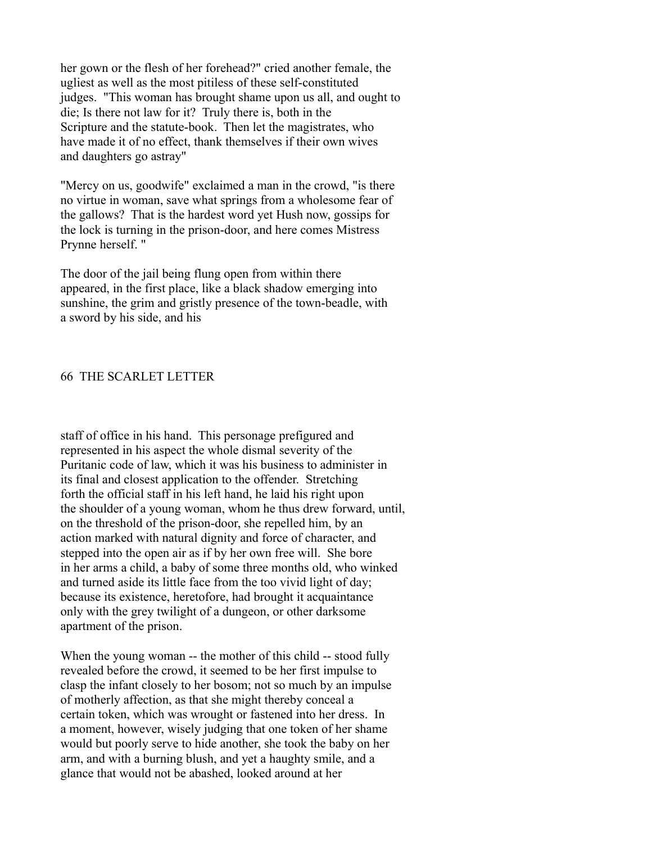her gown or the flesh of her forehead?" cried another female, the ugliest as well as the most pitiless of these self-constituted judges. "This woman has brought shame upon us all, and ought to die; Is there not law for it? Truly there is, both in the Scripture and the statute-book. Then let the magistrates, who have made it of no effect, thank themselves if their own wives and daughters go astray"

"Mercy on us, goodwife" exclaimed a man in the crowd, "is there no virtue in woman, save what springs from a wholesome fear of the gallows? That is the hardest word yet Hush now, gossips for the lock is turning in the prison-door, and here comes Mistress Prynne herself. "

The door of the jail being flung open from within there appeared, in the first place, like a black shadow emerging into sunshine, the grim and gristly presence of the town-beadle, with a sword by his side, and his

# 66 THE SCARLET LETTER

staff of office in his hand. This personage prefigured and represented in his aspect the whole dismal severity of the Puritanic code of law, which it was his business to administer in its final and closest application to the offender. Stretching forth the official staff in his left hand, he laid his right upon the shoulder of a young woman, whom he thus drew forward, until, on the threshold of the prison-door, she repelled him, by an action marked with natural dignity and force of character, and stepped into the open air as if by her own free will. She bore in her arms a child, a baby of some three months old, who winked and turned aside its little face from the too vivid light of day; because its existence, heretofore, had brought it acquaintance only with the grey twilight of a dungeon, or other darksome apartment of the prison.

When the young woman -- the mother of this child -- stood fully revealed before the crowd, it seemed to be her first impulse to clasp the infant closely to her bosom; not so much by an impulse of motherly affection, as that she might thereby conceal a certain token, which was wrought or fastened into her dress. In a moment, however, wisely judging that one token of her shame would but poorly serve to hide another, she took the baby on her arm, and with a burning blush, and yet a haughty smile, and a glance that would not be abashed, looked around at her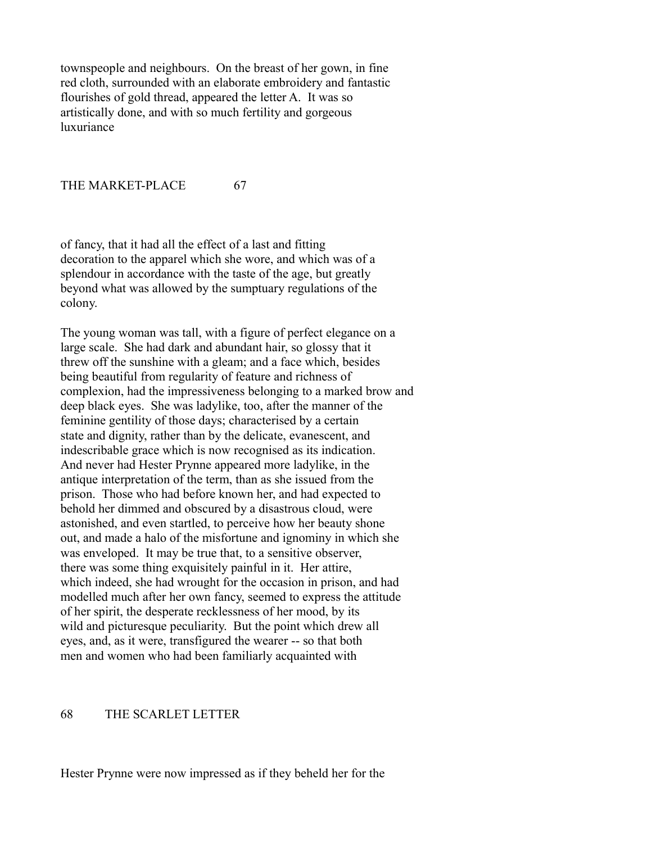townspeople and neighbours. On the breast of her gown, in fine red cloth, surrounded with an elaborate embroidery and fantastic flourishes of gold thread, appeared the letter A. It was so artistically done, and with so much fertility and gorgeous luxuriance

THE MARKET-PLACE 67

of fancy, that it had all the effect of a last and fitting decoration to the apparel which she wore, and which was of a splendour in accordance with the taste of the age, but greatly beyond what was allowed by the sumptuary regulations of the colony.

The young woman was tall, with a figure of perfect elegance on a large scale. She had dark and abundant hair, so glossy that it threw off the sunshine with a gleam; and a face which, besides being beautiful from regularity of feature and richness of complexion, had the impressiveness belonging to a marked brow and deep black eyes. She was ladylike, too, after the manner of the feminine gentility of those days; characterised by a certain state and dignity, rather than by the delicate, evanescent, and indescribable grace which is now recognised as its indication. And never had Hester Prynne appeared more ladylike, in the antique interpretation of the term, than as she issued from the prison. Those who had before known her, and had expected to behold her dimmed and obscured by a disastrous cloud, were astonished, and even startled, to perceive how her beauty shone out, and made a halo of the misfortune and ignominy in which she was enveloped. It may be true that, to a sensitive observer, there was some thing exquisitely painful in it. Her attire, which indeed, she had wrought for the occasion in prison, and had modelled much after her own fancy, seemed to express the attitude of her spirit, the desperate recklessness of her mood, by its wild and picturesque peculiarity. But the point which drew all eyes, and, as it were, transfigured the wearer -- so that both men and women who had been familiarly acquainted with

## 68 THE SCARLET LETTER

Hester Prynne were now impressed as if they beheld her for the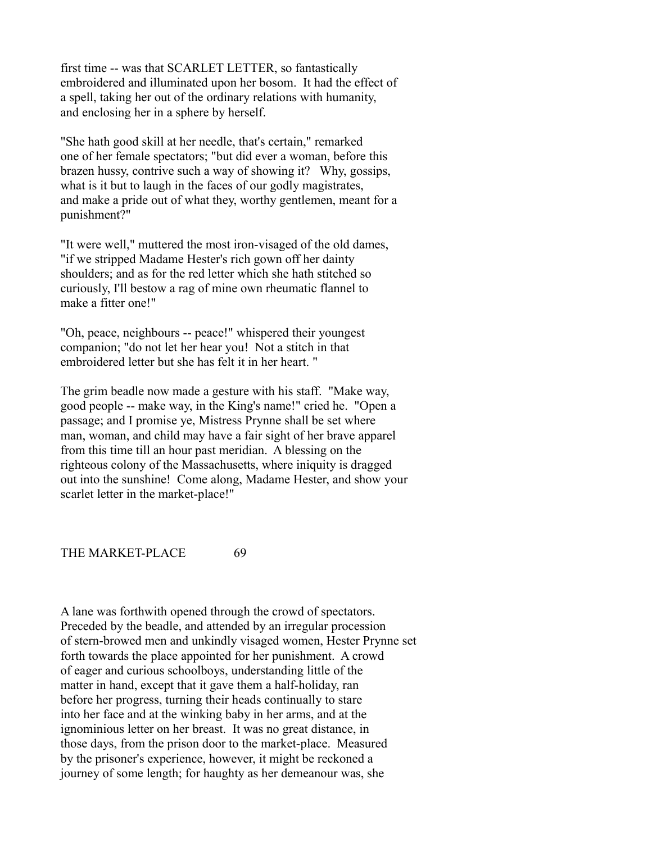first time -- was that SCARLET LETTER, so fantastically embroidered and illuminated upon her bosom. It had the effect of a spell, taking her out of the ordinary relations with humanity, and enclosing her in a sphere by herself.

"She hath good skill at her needle, that's certain," remarked one of her female spectators; "but did ever a woman, before this brazen hussy, contrive such a way of showing it? Why, gossips, what is it but to laugh in the faces of our godly magistrates, and make a pride out of what they, worthy gentlemen, meant for a punishment?"

"It were well," muttered the most iron-visaged of the old dames, "if we stripped Madame Hester's rich gown off her dainty shoulders; and as for the red letter which she hath stitched so curiously, I'll bestow a rag of mine own rheumatic flannel to make a fitter one!"

"Oh, peace, neighbours -- peace!" whispered their youngest companion; "do not let her hear you! Not a stitch in that embroidered letter but she has felt it in her heart. "

The grim beadle now made a gesture with his staff. "Make way, good people -- make way, in the King's name!" cried he. "Open a passage; and I promise ye, Mistress Prynne shall be set where man, woman, and child may have a fair sight of her brave apparel from this time till an hour past meridian. A blessing on the righteous colony of the Massachusetts, where iniquity is dragged out into the sunshine! Come along, Madame Hester, and show your scarlet letter in the market-place!"

THE MARKET-PLACE 69

A lane was forthwith opened through the crowd of spectators. Preceded by the beadle, and attended by an irregular procession of stern-browed men and unkindly visaged women, Hester Prynne set forth towards the place appointed for her punishment. A crowd of eager and curious schoolboys, understanding little of the matter in hand, except that it gave them a half-holiday, ran before her progress, turning their heads continually to stare into her face and at the winking baby in her arms, and at the ignominious letter on her breast. It was no great distance, in those days, from the prison door to the market-place. Measured by the prisoner's experience, however, it might be reckoned a journey of some length; for haughty as her demeanour was, she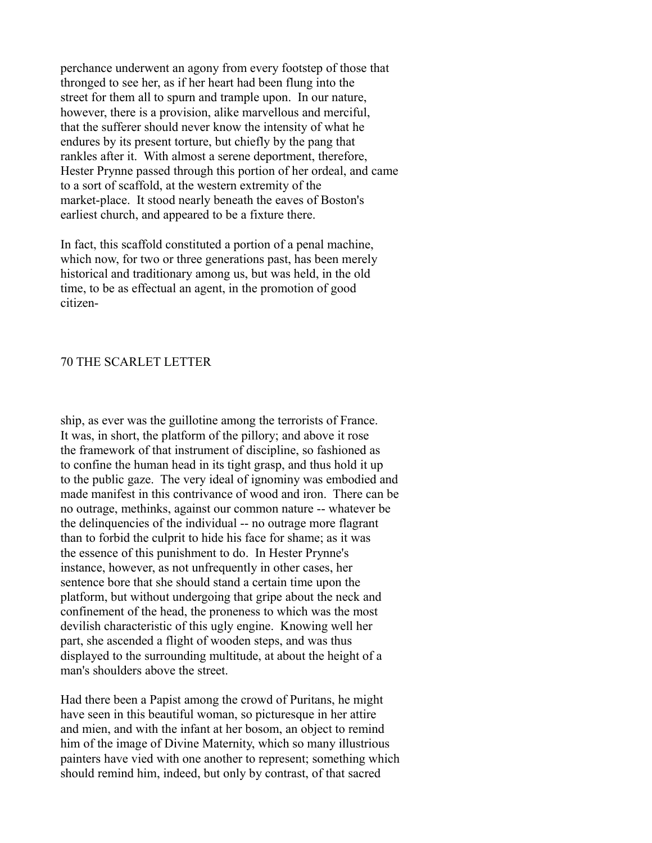perchance underwent an agony from every footstep of those that thronged to see her, as if her heart had been flung into the street for them all to spurn and trample upon. In our nature, however, there is a provision, alike marvellous and merciful, that the sufferer should never know the intensity of what he endures by its present torture, but chiefly by the pang that rankles after it. With almost a serene deportment, therefore, Hester Prynne passed through this portion of her ordeal, and came to a sort of scaffold, at the western extremity of the market-place. It stood nearly beneath the eaves of Boston's earliest church, and appeared to be a fixture there.

In fact, this scaffold constituted a portion of a penal machine, which now, for two or three generations past, has been merely historical and traditionary among us, but was held, in the old time, to be as effectual an agent, in the promotion of good citizen-

# 70 THE SCARLET LETTER

ship, as ever was the guillotine among the terrorists of France. It was, in short, the platform of the pillory; and above it rose the framework of that instrument of discipline, so fashioned as to confine the human head in its tight grasp, and thus hold it up to the public gaze. The very ideal of ignominy was embodied and made manifest in this contrivance of wood and iron. There can be no outrage, methinks, against our common nature -- whatever be the delinquencies of the individual -- no outrage more flagrant than to forbid the culprit to hide his face for shame; as it was the essence of this punishment to do. In Hester Prynne's instance, however, as not unfrequently in other cases, her sentence bore that she should stand a certain time upon the platform, but without undergoing that gripe about the neck and confinement of the head, the proneness to which was the most devilish characteristic of this ugly engine. Knowing well her part, she ascended a flight of wooden steps, and was thus displayed to the surrounding multitude, at about the height of a man's shoulders above the street.

Had there been a Papist among the crowd of Puritans, he might have seen in this beautiful woman, so picturesque in her attire and mien, and with the infant at her bosom, an object to remind him of the image of Divine Maternity, which so many illustrious painters have vied with one another to represent; something which should remind him, indeed, but only by contrast, of that sacred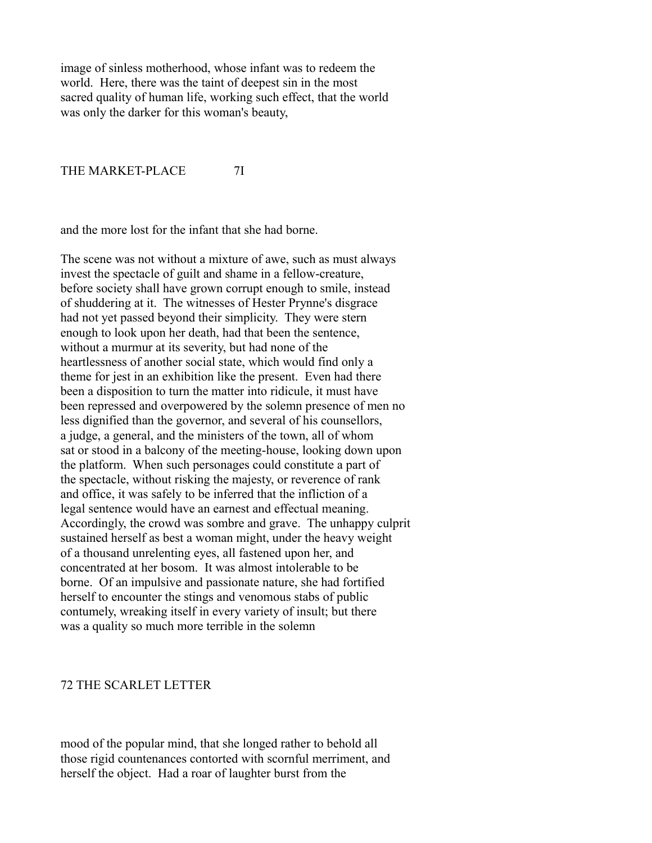image of sinless motherhood, whose infant was to redeem the world. Here, there was the taint of deepest sin in the most sacred quality of human life, working such effect, that the world was only the darker for this woman's beauty,

## THE MARKET-PLACE 7I

and the more lost for the infant that she had borne.

The scene was not without a mixture of awe, such as must always invest the spectacle of guilt and shame in a fellow-creature, before society shall have grown corrupt enough to smile, instead of shuddering at it. The witnesses of Hester Prynne's disgrace had not yet passed beyond their simplicity. They were stern enough to look upon her death, had that been the sentence, without a murmur at its severity, but had none of the heartlessness of another social state, which would find only a theme for jest in an exhibition like the present. Even had there been a disposition to turn the matter into ridicule, it must have been repressed and overpowered by the solemn presence of men no less dignified than the governor, and several of his counsellors, a judge, a general, and the ministers of the town, all of whom sat or stood in a balcony of the meeting-house, looking down upon the platform. When such personages could constitute a part of the spectacle, without risking the majesty, or reverence of rank and office, it was safely to be inferred that the infliction of a legal sentence would have an earnest and effectual meaning. Accordingly, the crowd was sombre and grave. The unhappy culprit sustained herself as best a woman might, under the heavy weight of a thousand unrelenting eyes, all fastened upon her, and concentrated at her bosom. It was almost intolerable to be borne. Of an impulsive and passionate nature, she had fortified herself to encounter the stings and venomous stabs of public contumely, wreaking itself in every variety of insult; but there was a quality so much more terrible in the solemn

# 72 THE SCARLET LETTER

mood of the popular mind, that she longed rather to behold all those rigid countenances contorted with scornful merriment, and herself the object. Had a roar of laughter burst from the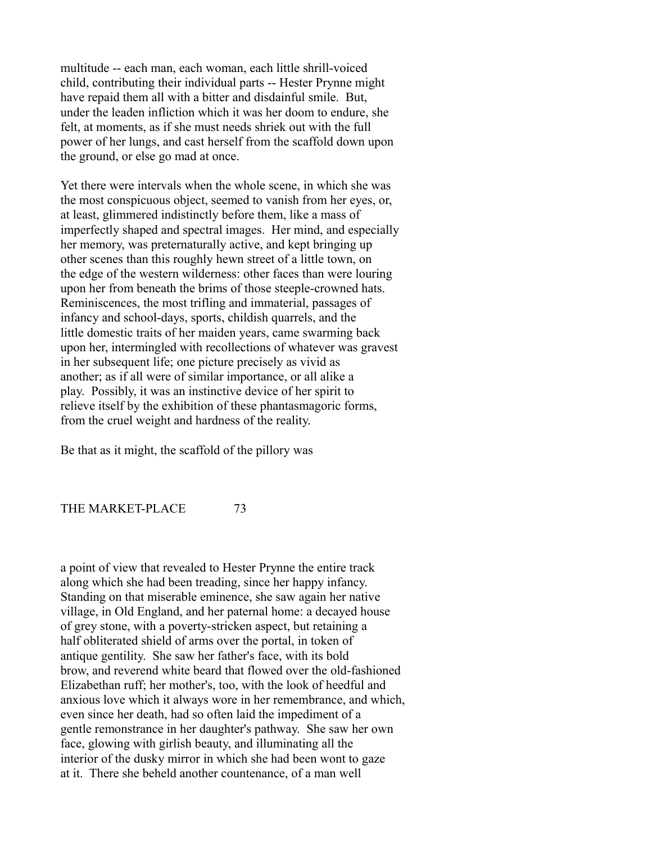multitude -- each man, each woman, each little shrill-voiced child, contributing their individual parts -- Hester Prynne might have repaid them all with a bitter and disdainful smile. But, under the leaden infliction which it was her doom to endure, she felt, at moments, as if she must needs shriek out with the full power of her lungs, and cast herself from the scaffold down upon the ground, or else go mad at once.

Yet there were intervals when the whole scene, in which she was the most conspicuous object, seemed to vanish from her eyes, or, at least, glimmered indistinctly before them, like a mass of imperfectly shaped and spectral images. Her mind, and especially her memory, was preternaturally active, and kept bringing up other scenes than this roughly hewn street of a little town, on the edge of the western wilderness: other faces than were louring upon her from beneath the brims of those steeple-crowned hats. Reminiscences, the most trifling and immaterial, passages of infancy and school-days, sports, childish quarrels, and the little domestic traits of her maiden years, came swarming back upon her, intermingled with recollections of whatever was gravest in her subsequent life; one picture precisely as vivid as another; as if all were of similar importance, or all alike a play. Possibly, it was an instinctive device of her spirit to relieve itself by the exhibition of these phantasmagoric forms, from the cruel weight and hardness of the reality.

Be that as it might, the scaffold of the pillory was

THE MARKET-PLACE 73

a point of view that revealed to Hester Prynne the entire track along which she had been treading, since her happy infancy. Standing on that miserable eminence, she saw again her native village, in Old England, and her paternal home: a decayed house of grey stone, with a poverty-stricken aspect, but retaining a half obliterated shield of arms over the portal, in token of antique gentility. She saw her father's face, with its bold brow, and reverend white beard that flowed over the old-fashioned Elizabethan ruff; her mother's, too, with the look of heedful and anxious love which it always wore in her remembrance, and which, even since her death, had so often laid the impediment of a gentle remonstrance in her daughter's pathway. She saw her own face, glowing with girlish beauty, and illuminating all the interior of the dusky mirror in which she had been wont to gaze at it. There she beheld another countenance, of a man well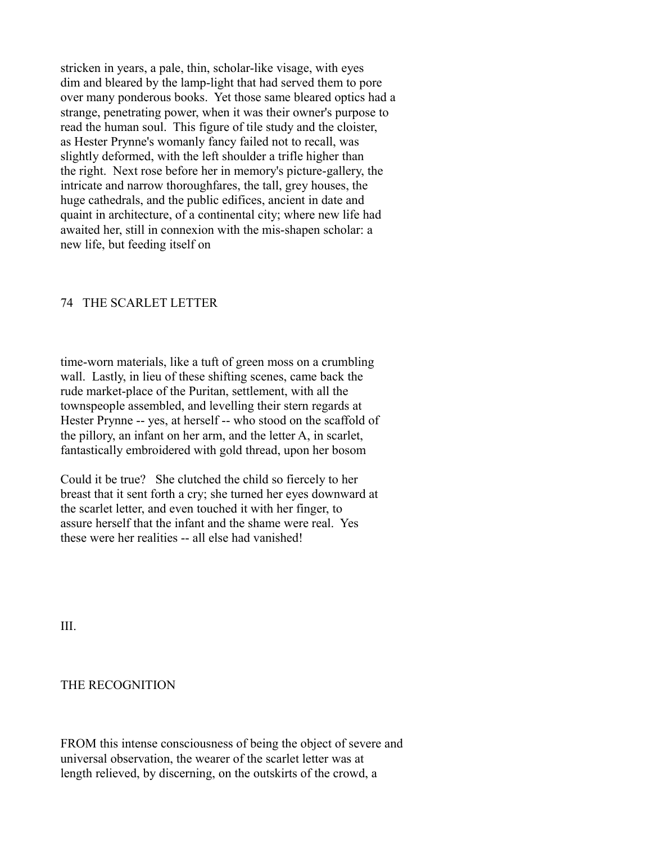stricken in years, a pale, thin, scholar-like visage, with eyes dim and bleared by the lamp-light that had served them to pore over many ponderous books. Yet those same bleared optics had a strange, penetrating power, when it was their owner's purpose to read the human soul. This figure of tile study and the cloister, as Hester Prynne's womanly fancy failed not to recall, was slightly deformed, with the left shoulder a trifle higher than the right. Next rose before her in memory's picture-gallery, the intricate and narrow thoroughfares, the tall, grey houses, the huge cathedrals, and the public edifices, ancient in date and quaint in architecture, of a continental city; where new life had awaited her, still in connexion with the mis-shapen scholar: a new life, but feeding itself on

### 74 THE SCARLET LETTER

time-worn materials, like a tuft of green moss on a crumbling wall. Lastly, in lieu of these shifting scenes, came back the rude market-place of the Puritan, settlement, with all the townspeople assembled, and levelling their stern regards at Hester Prynne -- yes, at herself -- who stood on the scaffold of the pillory, an infant on her arm, and the letter A, in scarlet, fantastically embroidered with gold thread, upon her bosom

Could it be true? She clutched the child so fiercely to her breast that it sent forth a cry; she turned her eyes downward at the scarlet letter, and even touched it with her finger, to assure herself that the infant and the shame were real. Yes these were her realities -- all else had vanished!

III.

# THE RECOGNITION

FROM this intense consciousness of being the object of severe and universal observation, the wearer of the scarlet letter was at length relieved, by discerning, on the outskirts of the crowd, a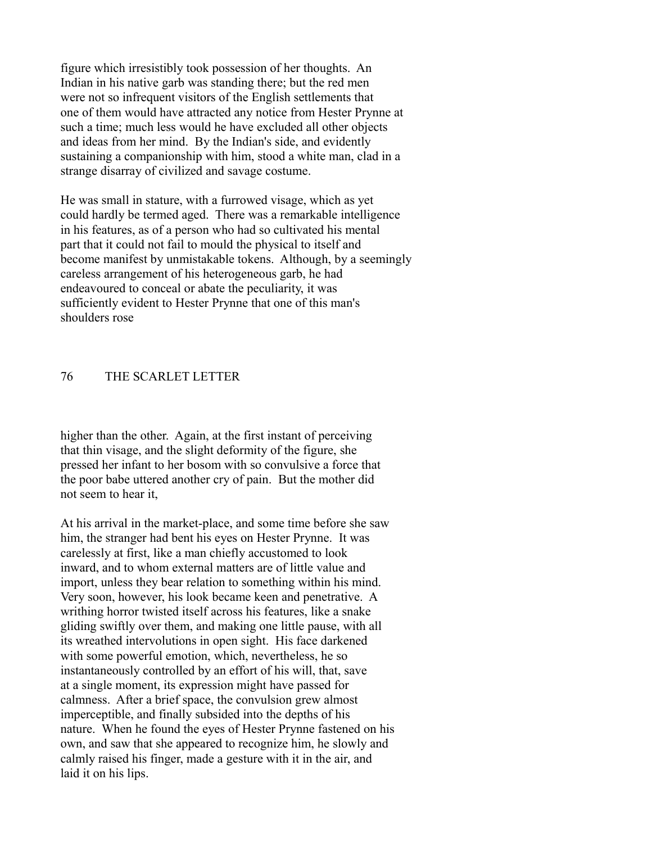figure which irresistibly took possession of her thoughts. An Indian in his native garb was standing there; but the red men were not so infrequent visitors of the English settlements that one of them would have attracted any notice from Hester Prynne at such a time; much less would he have excluded all other objects and ideas from her mind. By the Indian's side, and evidently sustaining a companionship with him, stood a white man, clad in a strange disarray of civilized and savage costume.

He was small in stature, with a furrowed visage, which as yet could hardly be termed aged. There was a remarkable intelligence in his features, as of a person who had so cultivated his mental part that it could not fail to mould the physical to itself and become manifest by unmistakable tokens. Although, by a seemingly careless arrangement of his heterogeneous garb, he had endeavoured to conceal or abate the peculiarity, it was sufficiently evident to Hester Prynne that one of this man's shoulders rose

# 76 THE SCARLET LETTER

higher than the other. Again, at the first instant of perceiving that thin visage, and the slight deformity of the figure, she pressed her infant to her bosom with so convulsive a force that the poor babe uttered another cry of pain. But the mother did not seem to hear it,

At his arrival in the market-place, and some time before she saw him, the stranger had bent his eyes on Hester Prynne. It was carelessly at first, like a man chiefly accustomed to look inward, and to whom external matters are of little value and import, unless they bear relation to something within his mind. Very soon, however, his look became keen and penetrative. A writhing horror twisted itself across his features, like a snake gliding swiftly over them, and making one little pause, with all its wreathed intervolutions in open sight. His face darkened with some powerful emotion, which, nevertheless, he so instantaneously controlled by an effort of his will, that, save at a single moment, its expression might have passed for calmness. After a brief space, the convulsion grew almost imperceptible, and finally subsided into the depths of his nature. When he found the eyes of Hester Prynne fastened on his own, and saw that she appeared to recognize him, he slowly and calmly raised his finger, made a gesture with it in the air, and laid it on his lips.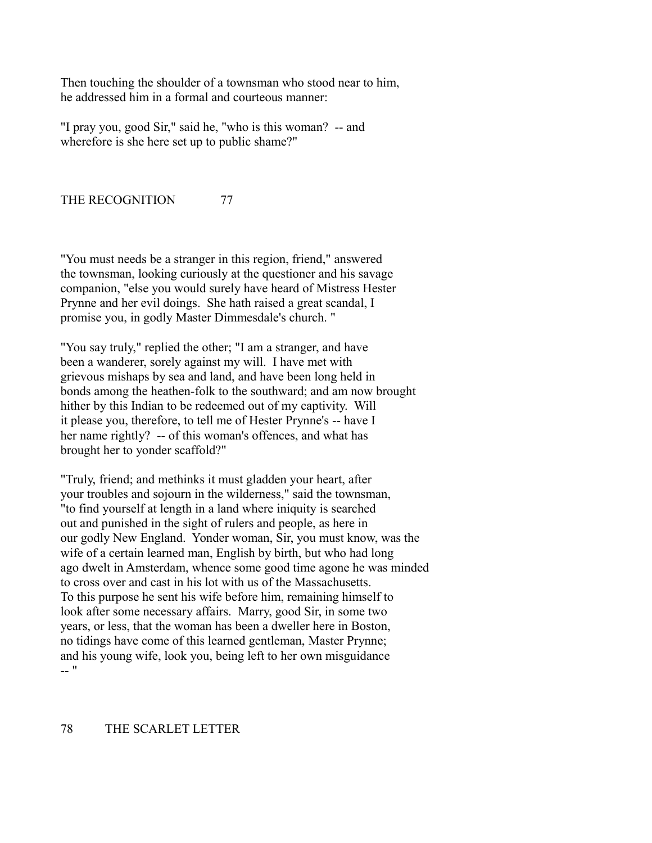Then touching the shoulder of a townsman who stood near to him, he addressed him in a formal and courteous manner:

"I pray you, good Sir," said he, "who is this woman? -- and wherefore is she here set up to public shame?"

THE RECOGNITION 77

"You must needs be a stranger in this region, friend," answered the townsman, looking curiously at the questioner and his savage companion, "else you would surely have heard of Mistress Hester Prynne and her evil doings. She hath raised a great scandal, I promise you, in godly Master Dimmesdale's church. "

"You say truly," replied the other; "I am a stranger, and have been a wanderer, sorely against my will. I have met with grievous mishaps by sea and land, and have been long held in bonds among the heathen-folk to the southward; and am now brought hither by this Indian to be redeemed out of my captivity. Will it please you, therefore, to tell me of Hester Prynne's -- have I her name rightly? -- of this woman's offences, and what has brought her to yonder scaffold?"

"Truly, friend; and methinks it must gladden your heart, after your troubles and sojourn in the wilderness," said the townsman, "to find yourself at length in a land where iniquity is searched out and punished in the sight of rulers and people, as here in our godly New England. Yonder woman, Sir, you must know, was the wife of a certain learned man, English by birth, but who had long ago dwelt in Amsterdam, whence some good time agone he was minded to cross over and cast in his lot with us of the Massachusetts. To this purpose he sent his wife before him, remaining himself to look after some necessary affairs. Marry, good Sir, in some two years, or less, that the woman has been a dweller here in Boston, no tidings have come of this learned gentleman, Master Prynne; and his young wife, look you, being left to her own misguidance -- "

# 78 THE SCARLET LETTER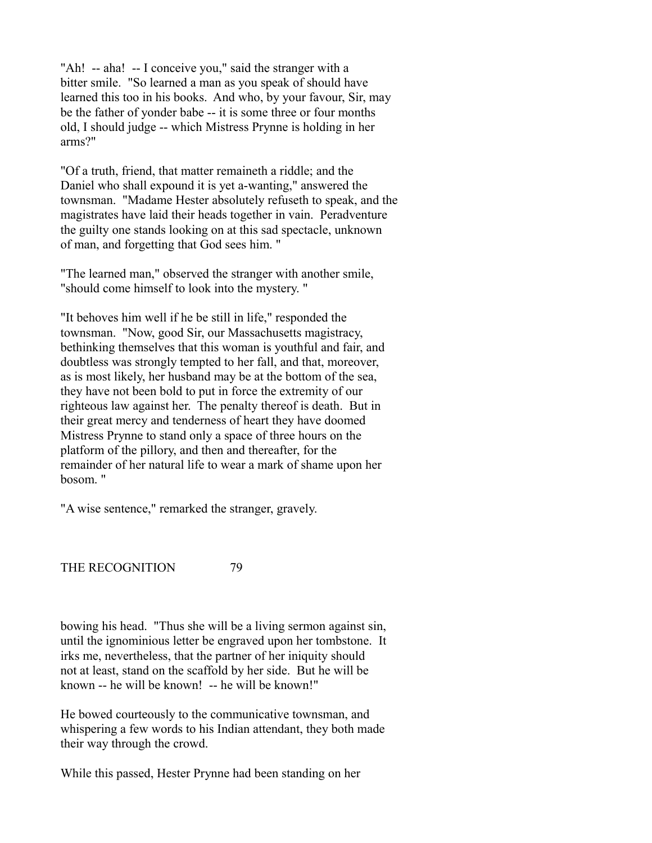"Ah! -- aha! -- I conceive you," said the stranger with a bitter smile. "So learned a man as you speak of should have learned this too in his books. And who, by your favour, Sir, may be the father of yonder babe -- it is some three or four months old, I should judge -- which Mistress Prynne is holding in her arms?"

"Of a truth, friend, that matter remaineth a riddle; and the Daniel who shall expound it is yet a-wanting," answered the townsman. "Madame Hester absolutely refuseth to speak, and the magistrates have laid their heads together in vain. Peradventure the guilty one stands looking on at this sad spectacle, unknown of man, and forgetting that God sees him. "

"The learned man," observed the stranger with another smile, "should come himself to look into the mystery. "

"It behoves him well if he be still in life," responded the townsman. "Now, good Sir, our Massachusetts magistracy, bethinking themselves that this woman is youthful and fair, and doubtless was strongly tempted to her fall, and that, moreover, as is most likely, her husband may be at the bottom of the sea, they have not been bold to put in force the extremity of our righteous law against her. The penalty thereof is death. But in their great mercy and tenderness of heart they have doomed Mistress Prynne to stand only a space of three hours on the platform of the pillory, and then and thereafter, for the remainder of her natural life to wear a mark of shame upon her bosom. "

"A wise sentence," remarked the stranger, gravely.

THE RECOGNITION 79

bowing his head. "Thus she will be a living sermon against sin, until the ignominious letter be engraved upon her tombstone. It irks me, nevertheless, that the partner of her iniquity should not at least, stand on the scaffold by her side. But he will be known -- he will be known! -- he will be known!"

He bowed courteously to the communicative townsman, and whispering a few words to his Indian attendant, they both made their way through the crowd.

While this passed, Hester Prynne had been standing on her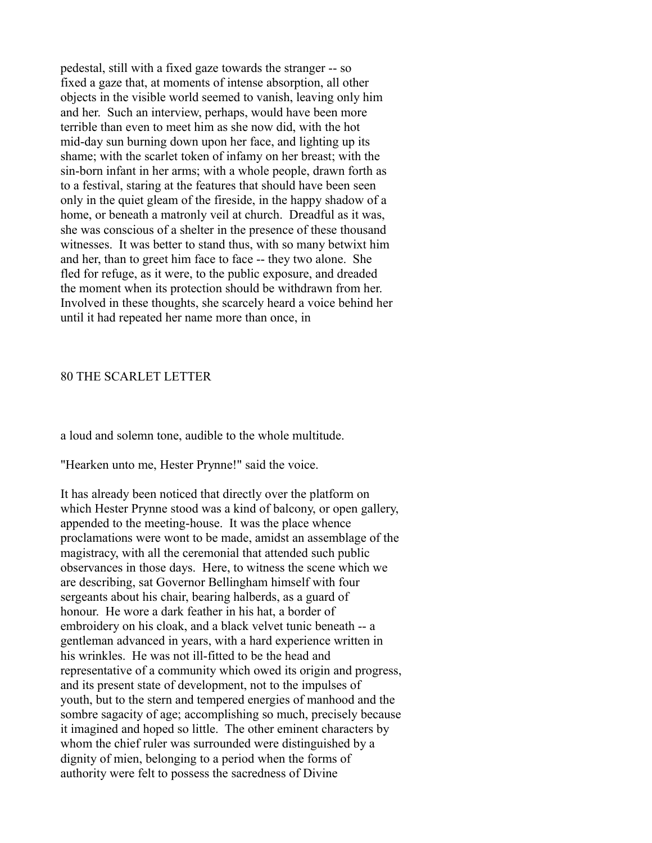pedestal, still with a fixed gaze towards the stranger -- so fixed a gaze that, at moments of intense absorption, all other objects in the visible world seemed to vanish, leaving only him and her. Such an interview, perhaps, would have been more terrible than even to meet him as she now did, with the hot mid-day sun burning down upon her face, and lighting up its shame; with the scarlet token of infamy on her breast; with the sin-born infant in her arms; with a whole people, drawn forth as to a festival, staring at the features that should have been seen only in the quiet gleam of the fireside, in the happy shadow of a home, or beneath a matronly veil at church. Dreadful as it was, she was conscious of a shelter in the presence of these thousand witnesses. It was better to stand thus, with so many betwixt him and her, than to greet him face to face -- they two alone. She fled for refuge, as it were, to the public exposure, and dreaded the moment when its protection should be withdrawn from her. Involved in these thoughts, she scarcely heard a voice behind her until it had repeated her name more than once, in

# 80 THE SCARLET LETTER

a loud and solemn tone, audible to the whole multitude.

"Hearken unto me, Hester Prynne!" said the voice.

It has already been noticed that directly over the platform on which Hester Prynne stood was a kind of balcony, or open gallery, appended to the meeting-house. It was the place whence proclamations were wont to be made, amidst an assemblage of the magistracy, with all the ceremonial that attended such public observances in those days. Here, to witness the scene which we are describing, sat Governor Bellingham himself with four sergeants about his chair, bearing halberds, as a guard of honour. He wore a dark feather in his hat, a border of embroidery on his cloak, and a black velvet tunic beneath -- a gentleman advanced in years, with a hard experience written in his wrinkles. He was not ill-fitted to be the head and representative of a community which owed its origin and progress, and its present state of development, not to the impulses of youth, but to the stern and tempered energies of manhood and the sombre sagacity of age; accomplishing so much, precisely because it imagined and hoped so little. The other eminent characters by whom the chief ruler was surrounded were distinguished by a dignity of mien, belonging to a period when the forms of authority were felt to possess the sacredness of Divine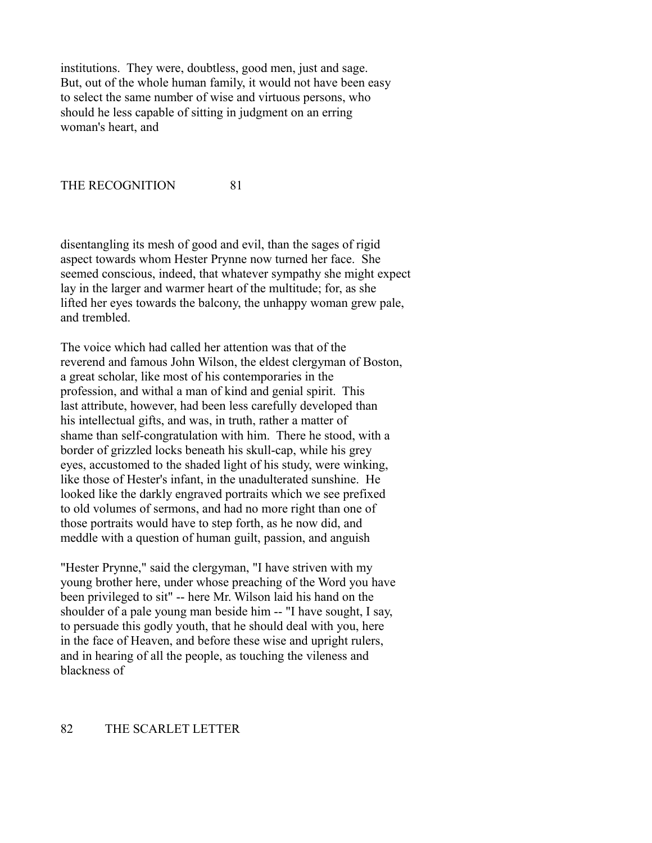institutions. They were, doubtless, good men, just and sage. But, out of the whole human family, it would not have been easy to select the same number of wise and virtuous persons, who should he less capable of sitting in judgment on an erring woman's heart, and

THE RECOGNITION 81

disentangling its mesh of good and evil, than the sages of rigid aspect towards whom Hester Prynne now turned her face. She seemed conscious, indeed, that whatever sympathy she might expect lay in the larger and warmer heart of the multitude; for, as she lifted her eyes towards the balcony, the unhappy woman grew pale, and trembled.

The voice which had called her attention was that of the reverend and famous John Wilson, the eldest clergyman of Boston, a great scholar, like most of his contemporaries in the profession, and withal a man of kind and genial spirit. This last attribute, however, had been less carefully developed than his intellectual gifts, and was, in truth, rather a matter of shame than self-congratulation with him. There he stood, with a border of grizzled locks beneath his skull-cap, while his grey eyes, accustomed to the shaded light of his study, were winking, like those of Hester's infant, in the unadulterated sunshine. He looked like the darkly engraved portraits which we see prefixed to old volumes of sermons, and had no more right than one of those portraits would have to step forth, as he now did, and meddle with a question of human guilt, passion, and anguish

"Hester Prynne," said the clergyman, "I have striven with my young brother here, under whose preaching of the Word you have been privileged to sit" -- here Mr. Wilson laid his hand on the shoulder of a pale young man beside him -- "I have sought, I say, to persuade this godly youth, that he should deal with you, here in the face of Heaven, and before these wise and upright rulers, and in hearing of all the people, as touching the vileness and blackness of

# 82 THE SCARLET LETTER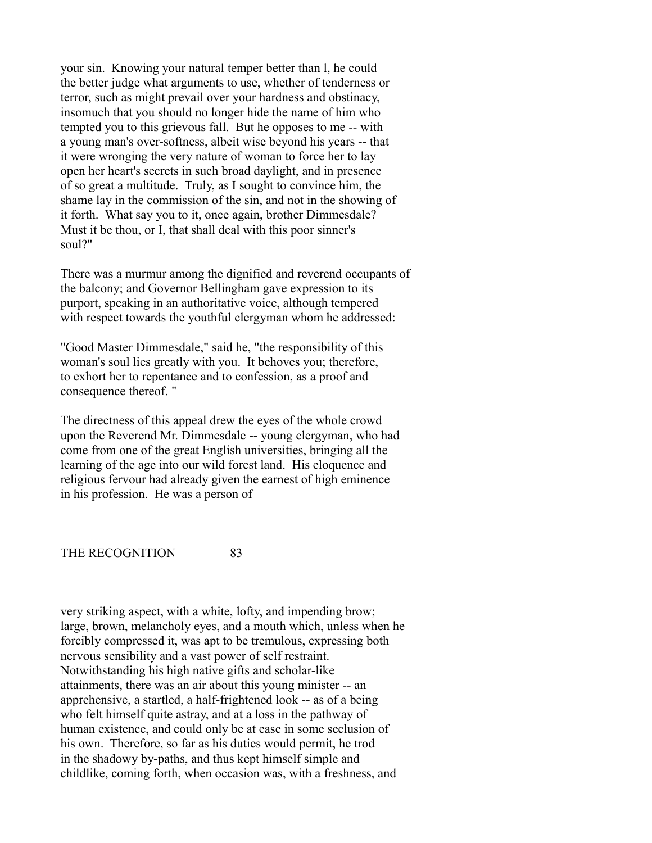your sin. Knowing your natural temper better than l, he could the better judge what arguments to use, whether of tenderness or terror, such as might prevail over your hardness and obstinacy, insomuch that you should no longer hide the name of him who tempted you to this grievous fall. But he opposes to me -- with a young man's over-softness, albeit wise beyond his years -- that it were wronging the very nature of woman to force her to lay open her heart's secrets in such broad daylight, and in presence of so great a multitude. Truly, as I sought to convince him, the shame lay in the commission of the sin, and not in the showing of it forth. What say you to it, once again, brother Dimmesdale? Must it be thou, or I, that shall deal with this poor sinner's soul?"

There was a murmur among the dignified and reverend occupants of the balcony; and Governor Bellingham gave expression to its purport, speaking in an authoritative voice, although tempered with respect towards the youthful clergyman whom he addressed:

"Good Master Dimmesdale," said he, "the responsibility of this woman's soul lies greatly with you. It behoves you; therefore, to exhort her to repentance and to confession, as a proof and consequence thereof. "

The directness of this appeal drew the eyes of the whole crowd upon the Reverend Mr. Dimmesdale -- young clergyman, who had come from one of the great English universities, bringing all the learning of the age into our wild forest land. His eloquence and religious fervour had already given the earnest of high eminence in his profession. He was a person of

THE RECOGNITION 83

very striking aspect, with a white, lofty, and impending brow; large, brown, melancholy eyes, and a mouth which, unless when he forcibly compressed it, was apt to be tremulous, expressing both nervous sensibility and a vast power of self restraint. Notwithstanding his high native gifts and scholar-like attainments, there was an air about this young minister -- an apprehensive, a startled, a half-frightened look -- as of a being who felt himself quite astray, and at a loss in the pathway of human existence, and could only be at ease in some seclusion of his own. Therefore, so far as his duties would permit, he trod in the shadowy by-paths, and thus kept himself simple and childlike, coming forth, when occasion was, with a freshness, and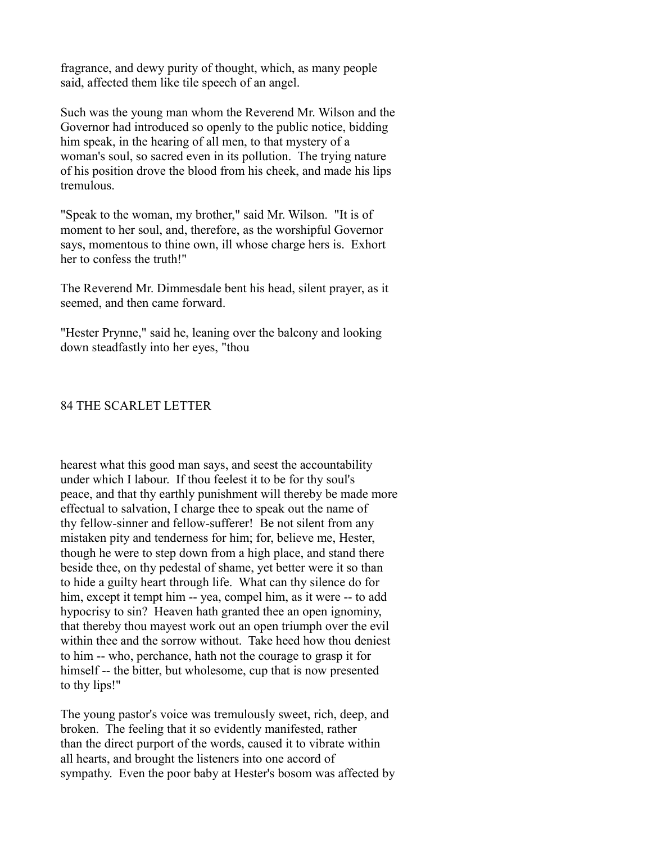fragrance, and dewy purity of thought, which, as many people said, affected them like tile speech of an angel.

Such was the young man whom the Reverend Mr. Wilson and the Governor had introduced so openly to the public notice, bidding him speak, in the hearing of all men, to that mystery of a woman's soul, so sacred even in its pollution. The trying nature of his position drove the blood from his cheek, and made his lips tremulous.

"Speak to the woman, my brother," said Mr. Wilson. "It is of moment to her soul, and, therefore, as the worshipful Governor says, momentous to thine own, ill whose charge hers is. Exhort her to confess the truth!"

The Reverend Mr. Dimmesdale bent his head, silent prayer, as it seemed, and then came forward.

"Hester Prynne," said he, leaning over the balcony and looking down steadfastly into her eyes, "thou

### 84 THE SCARLET LETTER

hearest what this good man says, and seest the accountability under which I labour. If thou feelest it to be for thy soul's peace, and that thy earthly punishment will thereby be made more effectual to salvation, I charge thee to speak out the name of thy fellow-sinner and fellow-sufferer! Be not silent from any mistaken pity and tenderness for him; for, believe me, Hester, though he were to step down from a high place, and stand there beside thee, on thy pedestal of shame, yet better were it so than to hide a guilty heart through life. What can thy silence do for him, except it tempt him -- yea, compel him, as it were -- to add hypocrisy to sin? Heaven hath granted thee an open ignominy, that thereby thou mayest work out an open triumph over the evil within thee and the sorrow without. Take heed how thou deniest to him -- who, perchance, hath not the courage to grasp it for himself -- the bitter, but wholesome, cup that is now presented to thy lips!"

The young pastor's voice was tremulously sweet, rich, deep, and broken. The feeling that it so evidently manifested, rather than the direct purport of the words, caused it to vibrate within all hearts, and brought the listeners into one accord of sympathy. Even the poor baby at Hester's bosom was affected by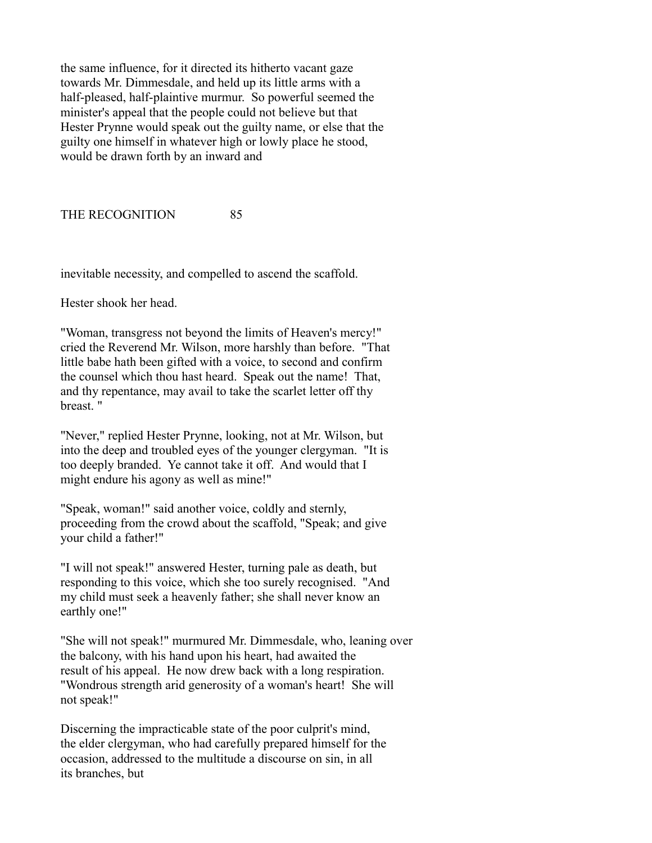the same influence, for it directed its hitherto vacant gaze towards Mr. Dimmesdale, and held up its little arms with a half-pleased, half-plaintive murmur. So powerful seemed the minister's appeal that the people could not believe but that Hester Prynne would speak out the guilty name, or else that the guilty one himself in whatever high or lowly place he stood, would be drawn forth by an inward and

THE RECOGNITION 85

inevitable necessity, and compelled to ascend the scaffold.

Hester shook her head.

"Woman, transgress not beyond the limits of Heaven's mercy!" cried the Reverend Mr. Wilson, more harshly than before. "That little babe hath been gifted with a voice, to second and confirm the counsel which thou hast heard. Speak out the name! That, and thy repentance, may avail to take the scarlet letter off thy breast. "

"Never," replied Hester Prynne, looking, not at Mr. Wilson, but into the deep and troubled eyes of the younger clergyman. "It is too deeply branded. Ye cannot take it off. And would that I might endure his agony as well as mine!"

"Speak, woman!" said another voice, coldly and sternly, proceeding from the crowd about the scaffold, "Speak; and give your child a father!"

"I will not speak!" answered Hester, turning pale as death, but responding to this voice, which she too surely recognised. "And my child must seek a heavenly father; she shall never know an earthly one!"

"She will not speak!" murmured Mr. Dimmesdale, who, leaning over the balcony, with his hand upon his heart, had awaited the result of his appeal. He now drew back with a long respiration. "Wondrous strength arid generosity of a woman's heart! She will not speak!"

Discerning the impracticable state of the poor culprit's mind, the elder clergyman, who had carefully prepared himself for the occasion, addressed to the multitude a discourse on sin, in all its branches, but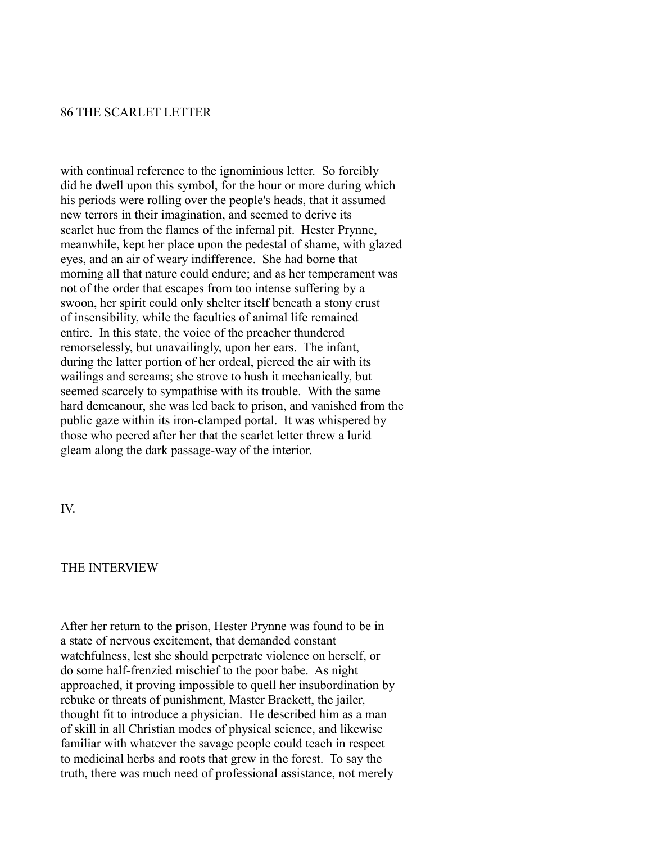# 86 THE SCARLET LETTER

with continual reference to the ignominious letter. So forcibly did he dwell upon this symbol, for the hour or more during which his periods were rolling over the people's heads, that it assumed new terrors in their imagination, and seemed to derive its scarlet hue from the flames of the infernal pit. Hester Prynne, meanwhile, kept her place upon the pedestal of shame, with glazed eyes, and an air of weary indifference. She had borne that morning all that nature could endure; and as her temperament was not of the order that escapes from too intense suffering by a swoon, her spirit could only shelter itself beneath a stony crust of insensibility, while the faculties of animal life remained entire. In this state, the voice of the preacher thundered remorselessly, but unavailingly, upon her ears. The infant, during the latter portion of her ordeal, pierced the air with its wailings and screams; she strove to hush it mechanically, but seemed scarcely to sympathise with its trouble. With the same hard demeanour, she was led back to prison, and vanished from the public gaze within its iron-clamped portal. It was whispered by those who peered after her that the scarlet letter threw a lurid gleam along the dark passage-way of the interior.

IV.

#### THE INTERVIEW

After her return to the prison, Hester Prynne was found to be in a state of nervous excitement, that demanded constant watchfulness, lest she should perpetrate violence on herself, or do some half-frenzied mischief to the poor babe. As night approached, it proving impossible to quell her insubordination by rebuke or threats of punishment, Master Brackett, the jailer, thought fit to introduce a physician. He described him as a man of skill in all Christian modes of physical science, and likewise familiar with whatever the savage people could teach in respect to medicinal herbs and roots that grew in the forest. To say the truth, there was much need of professional assistance, not merely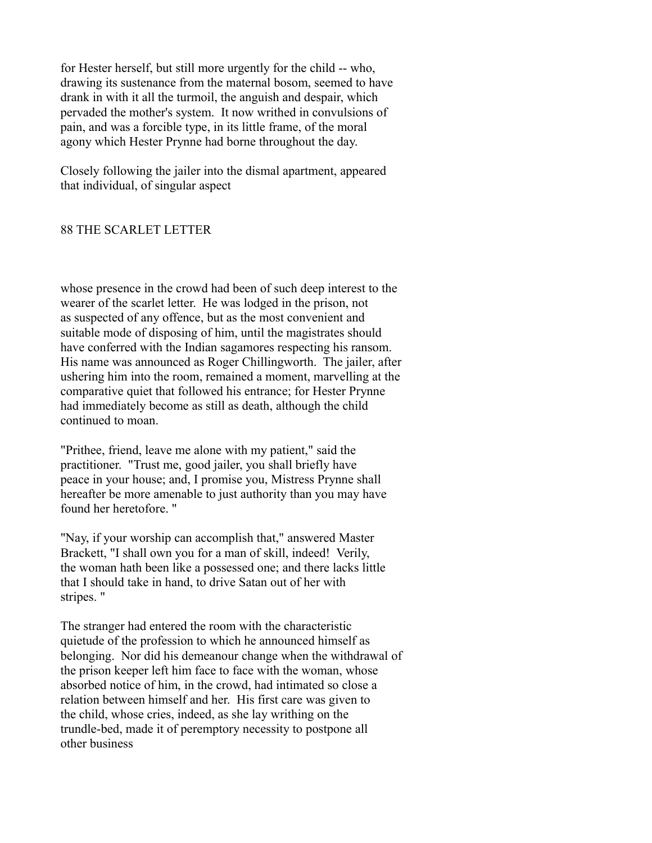for Hester herself, but still more urgently for the child -- who, drawing its sustenance from the maternal bosom, seemed to have drank in with it all the turmoil, the anguish and despair, which pervaded the mother's system. It now writhed in convulsions of pain, and was a forcible type, in its little frame, of the moral agony which Hester Prynne had borne throughout the day.

Closely following the jailer into the dismal apartment, appeared that individual, of singular aspect

# 88 THE SCARLET LETTER

whose presence in the crowd had been of such deep interest to the wearer of the scarlet letter. He was lodged in the prison, not as suspected of any offence, but as the most convenient and suitable mode of disposing of him, until the magistrates should have conferred with the Indian sagamores respecting his ransom. His name was announced as Roger Chillingworth. The jailer, after ushering him into the room, remained a moment, marvelling at the comparative quiet that followed his entrance; for Hester Prynne had immediately become as still as death, although the child continued to moan.

"Prithee, friend, leave me alone with my patient," said the practitioner. "Trust me, good jailer, you shall briefly have peace in your house; and, I promise you, Mistress Prynne shall hereafter be more amenable to just authority than you may have found her heretofore. "

"Nay, if your worship can accomplish that," answered Master Brackett, "I shall own you for a man of skill, indeed! Verily, the woman hath been like a possessed one; and there lacks little that I should take in hand, to drive Satan out of her with stripes. "

The stranger had entered the room with the characteristic quietude of the profession to which he announced himself as belonging. Nor did his demeanour change when the withdrawal of the prison keeper left him face to face with the woman, whose absorbed notice of him, in the crowd, had intimated so close a relation between himself and her. His first care was given to the child, whose cries, indeed, as she lay writhing on the trundle-bed, made it of peremptory necessity to postpone all other business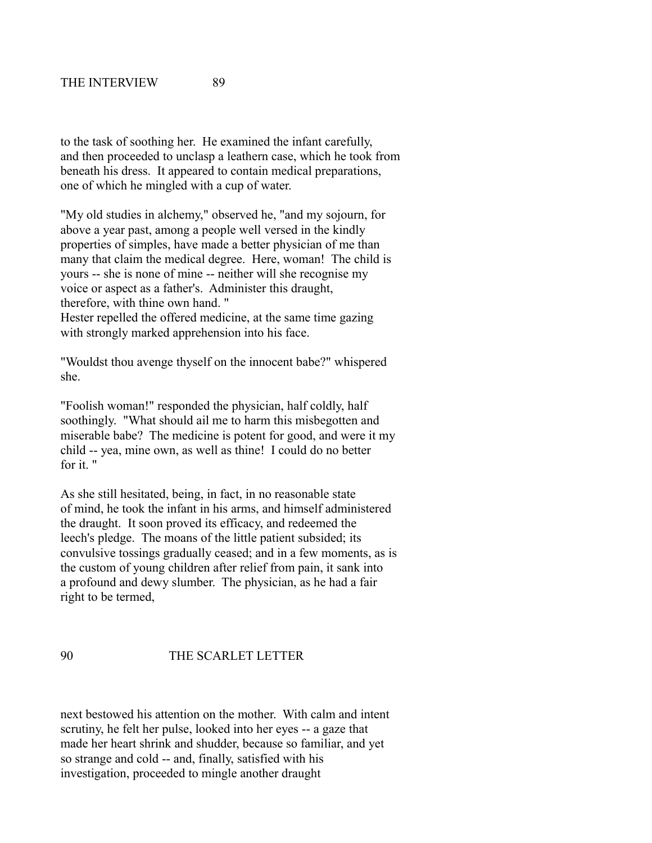to the task of soothing her. He examined the infant carefully, and then proceeded to unclasp a leathern case, which he took from beneath his dress. It appeared to contain medical preparations, one of which he mingled with a cup of water.

"My old studies in alchemy," observed he, "and my sojourn, for above a year past, among a people well versed in the kindly properties of simples, have made a better physician of me than many that claim the medical degree. Here, woman! The child is yours -- she is none of mine -- neither will she recognise my voice or aspect as a father's. Administer this draught, therefore, with thine own hand. " Hester repelled the offered medicine, at the same time gazing with strongly marked apprehension into his face.

"Wouldst thou avenge thyself on the innocent babe?" whispered she.

"Foolish woman!" responded the physician, half coldly, half soothingly. "What should ail me to harm this misbegotten and miserable babe? The medicine is potent for good, and were it my child -- yea, mine own, as well as thine! I could do no better for it.  $"$ 

As she still hesitated, being, in fact, in no reasonable state of mind, he took the infant in his arms, and himself administered the draught. It soon proved its efficacy, and redeemed the leech's pledge. The moans of the little patient subsided; its convulsive tossings gradually ceased; and in a few moments, as is the custom of young children after relief from pain, it sank into a profound and dewy slumber. The physician, as he had a fair right to be termed,

# 90 THE SCARLET LETTER

next bestowed his attention on the mother. With calm and intent scrutiny, he felt her pulse, looked into her eyes -- a gaze that made her heart shrink and shudder, because so familiar, and yet so strange and cold -- and, finally, satisfied with his investigation, proceeded to mingle another draught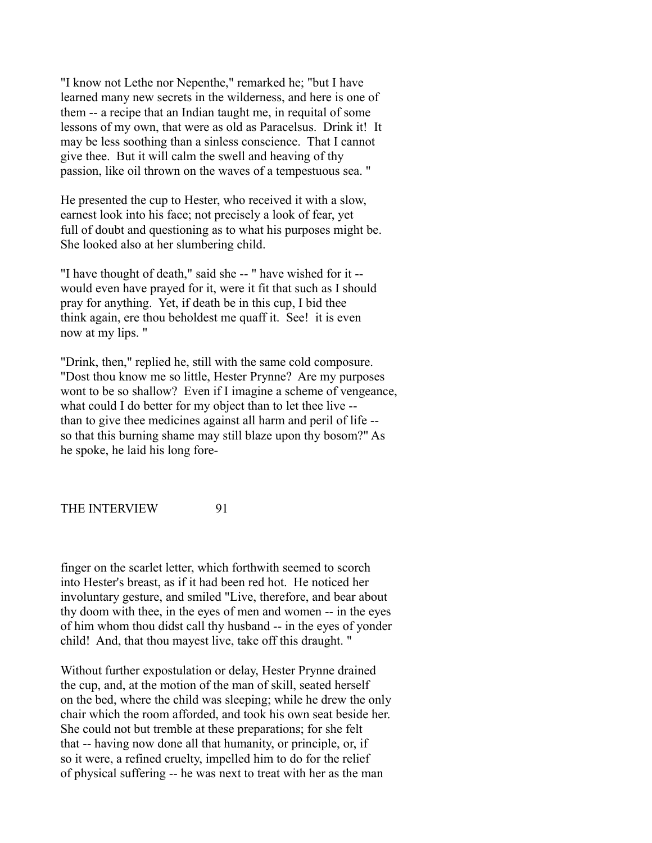"I know not Lethe nor Nepenthe," remarked he; "but I have learned many new secrets in the wilderness, and here is one of them -- a recipe that an Indian taught me, in requital of some lessons of my own, that were as old as Paracelsus. Drink it! It may be less soothing than a sinless conscience. That I cannot give thee. But it will calm the swell and heaving of thy passion, like oil thrown on the waves of a tempestuous sea. "

He presented the cup to Hester, who received it with a slow, earnest look into his face; not precisely a look of fear, yet full of doubt and questioning as to what his purposes might be. She looked also at her slumbering child.

"I have thought of death," said she -- " have wished for it - would even have prayed for it, were it fit that such as I should pray for anything. Yet, if death be in this cup, I bid thee think again, ere thou beholdest me quaff it. See! it is even now at my lips. "

"Drink, then," replied he, still with the same cold composure. "Dost thou know me so little, Hester Prynne? Are my purposes wont to be so shallow? Even if I imagine a scheme of vengeance, what could I do better for my object than to let thee live - than to give thee medicines against all harm and peril of life - so that this burning shame may still blaze upon thy bosom?" As he spoke, he laid his long fore-

THE INTERVIEW 91

finger on the scarlet letter, which forthwith seemed to scorch into Hester's breast, as if it had been red hot. He noticed her involuntary gesture, and smiled "Live, therefore, and bear about thy doom with thee, in the eyes of men and women -- in the eyes of him whom thou didst call thy husband -- in the eyes of yonder child! And, that thou mayest live, take off this draught. "

Without further expostulation or delay, Hester Prynne drained the cup, and, at the motion of the man of skill, seated herself on the bed, where the child was sleeping; while he drew the only chair which the room afforded, and took his own seat beside her. She could not but tremble at these preparations; for she felt that -- having now done all that humanity, or principle, or, if so it were, a refined cruelty, impelled him to do for the relief of physical suffering -- he was next to treat with her as the man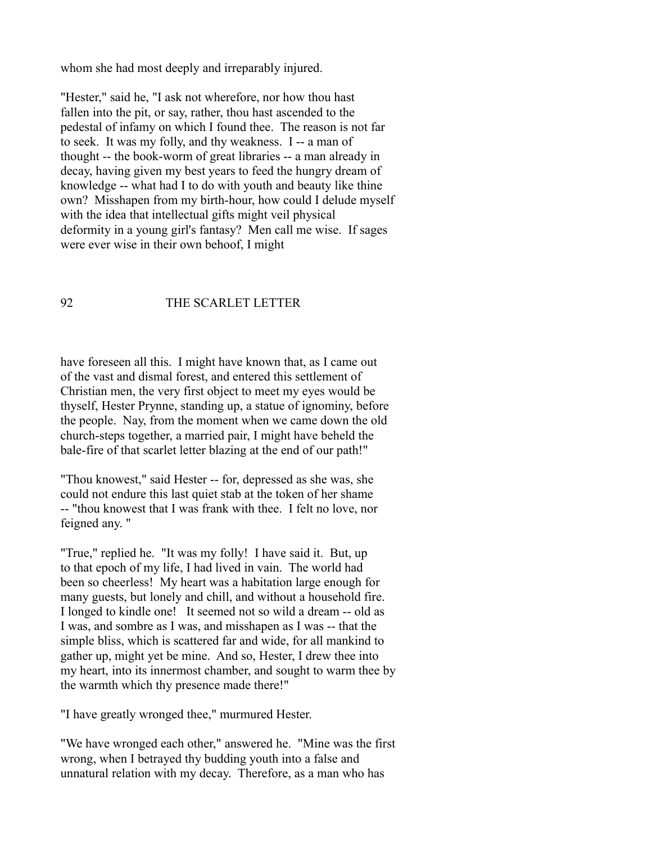whom she had most deeply and irreparably injured.

"Hester," said he, "I ask not wherefore, nor how thou hast fallen into the pit, or say, rather, thou hast ascended to the pedestal of infamy on which I found thee. The reason is not far to seek. It was my folly, and thy weakness. I -- a man of thought -- the book-worm of great libraries -- a man already in decay, having given my best years to feed the hungry dream of knowledge -- what had I to do with youth and beauty like thine own? Misshapen from my birth-hour, how could I delude myself with the idea that intellectual gifts might veil physical deformity in a young girl's fantasy? Men call me wise. If sages were ever wise in their own behoof, I might

# 92 THE SCARLET LETTER

have foreseen all this. I might have known that, as I came out of the vast and dismal forest, and entered this settlement of Christian men, the very first object to meet my eyes would be thyself, Hester Prynne, standing up, a statue of ignominy, before the people. Nay, from the moment when we came down the old church-steps together, a married pair, I might have beheld the bale-fire of that scarlet letter blazing at the end of our path!"

"Thou knowest," said Hester -- for, depressed as she was, she could not endure this last quiet stab at the token of her shame -- "thou knowest that I was frank with thee. I felt no love, nor feigned any. "

"True," replied he. "It was my folly! I have said it. But, up to that epoch of my life, I had lived in vain. The world had been so cheerless! My heart was a habitation large enough for many guests, but lonely and chill, and without a household fire. I longed to kindle one! It seemed not so wild a dream -- old as I was, and sombre as I was, and misshapen as I was -- that the simple bliss, which is scattered far and wide, for all mankind to gather up, might yet be mine. And so, Hester, I drew thee into my heart, into its innermost chamber, and sought to warm thee by the warmth which thy presence made there!"

"I have greatly wronged thee," murmured Hester.

"We have wronged each other," answered he. "Mine was the first wrong, when I betrayed thy budding youth into a false and unnatural relation with my decay. Therefore, as a man who has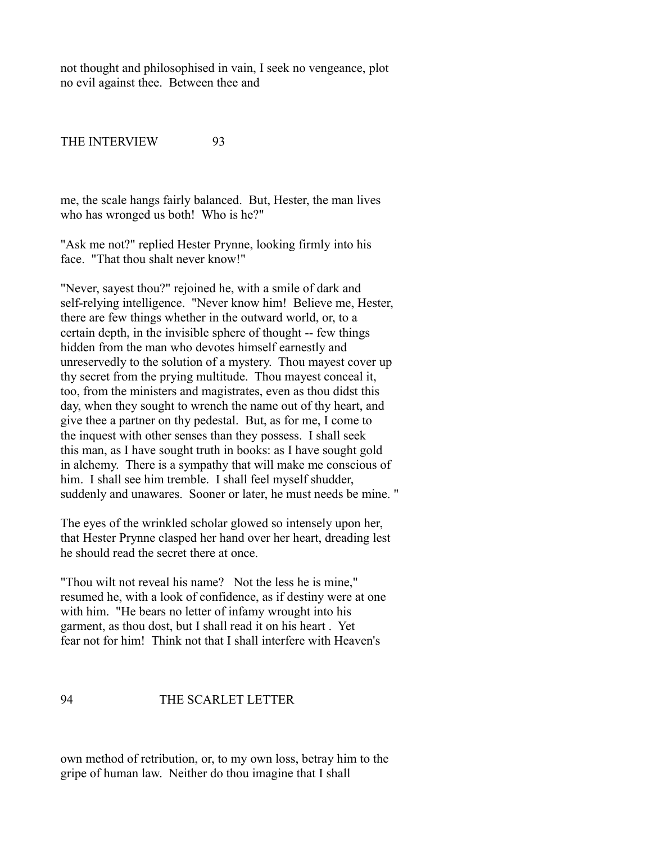not thought and philosophised in vain, I seek no vengeance, plot no evil against thee. Between thee and

THE INTERVIEW 93

me, the scale hangs fairly balanced. But, Hester, the man lives who has wronged us both! Who is he?"

"Ask me not?" replied Hester Prynne, looking firmly into his face. "That thou shalt never know!"

"Never, sayest thou?" rejoined he, with a smile of dark and self-relying intelligence. "Never know him! Believe me, Hester, there are few things whether in the outward world, or, to a certain depth, in the invisible sphere of thought -- few things hidden from the man who devotes himself earnestly and unreservedly to the solution of a mystery. Thou mayest cover up thy secret from the prying multitude. Thou mayest conceal it, too, from the ministers and magistrates, even as thou didst this day, when they sought to wrench the name out of thy heart, and give thee a partner on thy pedestal. But, as for me, I come to the inquest with other senses than they possess. I shall seek this man, as I have sought truth in books: as I have sought gold in alchemy. There is a sympathy that will make me conscious of him. I shall see him tremble. I shall feel myself shudder, suddenly and unawares. Sooner or later, he must needs be mine. "

The eyes of the wrinkled scholar glowed so intensely upon her, that Hester Prynne clasped her hand over her heart, dreading lest he should read the secret there at once.

"Thou wilt not reveal his name? Not the less he is mine," resumed he, with a look of confidence, as if destiny were at one with him. "He bears no letter of infamy wrought into his garment, as thou dost, but I shall read it on his heart . Yet fear not for him! Think not that I shall interfere with Heaven's

### 94 THE SCARLET LETTER

own method of retribution, or, to my own loss, betray him to the gripe of human law. Neither do thou imagine that I shall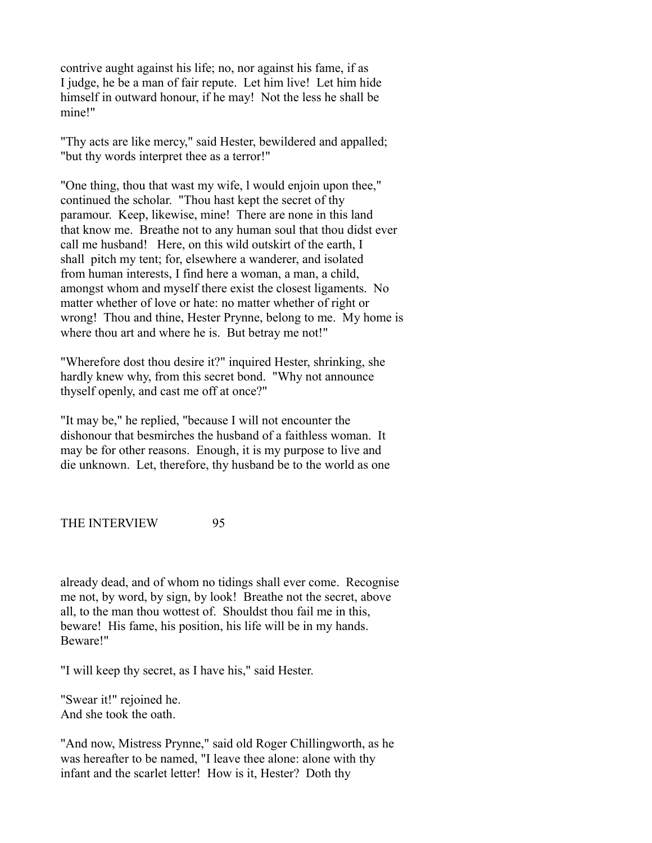contrive aught against his life; no, nor against his fame, if as I judge, he be a man of fair repute. Let him live! Let him hide himself in outward honour, if he may! Not the less he shall be mine!"

"Thy acts are like mercy," said Hester, bewildered and appalled; "but thy words interpret thee as a terror!"

"One thing, thou that wast my wife, l would enjoin upon thee," continued the scholar. "Thou hast kept the secret of thy paramour. Keep, likewise, mine! There are none in this land that know me. Breathe not to any human soul that thou didst ever call me husband! Here, on this wild outskirt of the earth, I shall pitch my tent; for, elsewhere a wanderer, and isolated from human interests, I find here a woman, a man, a child, amongst whom and myself there exist the closest ligaments. No matter whether of love or hate: no matter whether of right or wrong! Thou and thine, Hester Prynne, belong to me. My home is where thou art and where he is. But betray me not!"

"Wherefore dost thou desire it?" inquired Hester, shrinking, she hardly knew why, from this secret bond. "Why not announce thyself openly, and cast me off at once?"

"It may be," he replied, "because I will not encounter the dishonour that besmirches the husband of a faithless woman. It may be for other reasons. Enough, it is my purpose to live and die unknown. Let, therefore, thy husband be to the world as one

THE INTERVIEW 95

already dead, and of whom no tidings shall ever come. Recognise me not, by word, by sign, by look! Breathe not the secret, above all, to the man thou wottest of. Shouldst thou fail me in this, beware! His fame, his position, his life will be in my hands. Beware!"

"I will keep thy secret, as I have his," said Hester.

"Swear it!" rejoined he. And she took the oath.

"And now, Mistress Prynne," said old Roger Chillingworth, as he was hereafter to be named, "I leave thee alone: alone with thy infant and the scarlet letter! How is it, Hester? Doth thy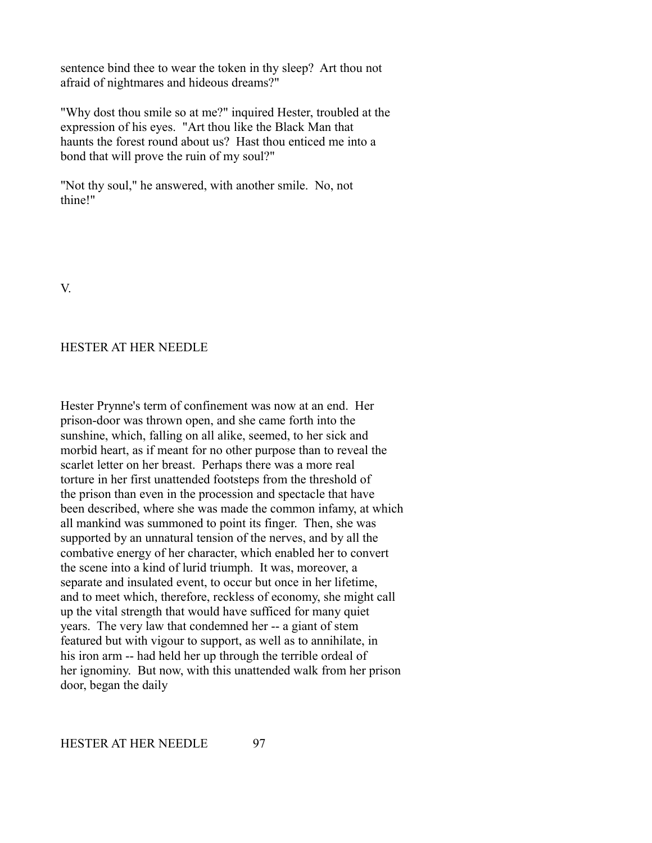sentence bind thee to wear the token in thy sleep? Art thou not afraid of nightmares and hideous dreams?"

"Why dost thou smile so at me?" inquired Hester, troubled at the expression of his eyes. "Art thou like the Black Man that haunts the forest round about us? Hast thou enticed me into a bond that will prove the ruin of my soul?"

"Not thy soul," he answered, with another smile. No, not thine!"

V.

# HESTER AT HER NEEDLE

Hester Prynne's term of confinement was now at an end. Her prison-door was thrown open, and she came forth into the sunshine, which, falling on all alike, seemed, to her sick and morbid heart, as if meant for no other purpose than to reveal the scarlet letter on her breast. Perhaps there was a more real torture in her first unattended footsteps from the threshold of the prison than even in the procession and spectacle that have been described, where she was made the common infamy, at which all mankind was summoned to point its finger. Then, she was supported by an unnatural tension of the nerves, and by all the combative energy of her character, which enabled her to convert the scene into a kind of lurid triumph. It was, moreover, a separate and insulated event, to occur but once in her lifetime, and to meet which, therefore, reckless of economy, she might call up the vital strength that would have sufficed for many quiet years. The very law that condemned her -- a giant of stem featured but with vigour to support, as well as to annihilate, in his iron arm -- had held her up through the terrible ordeal of her ignominy. But now, with this unattended walk from her prison door, began the daily

HESTER AT HER NEEDLE 97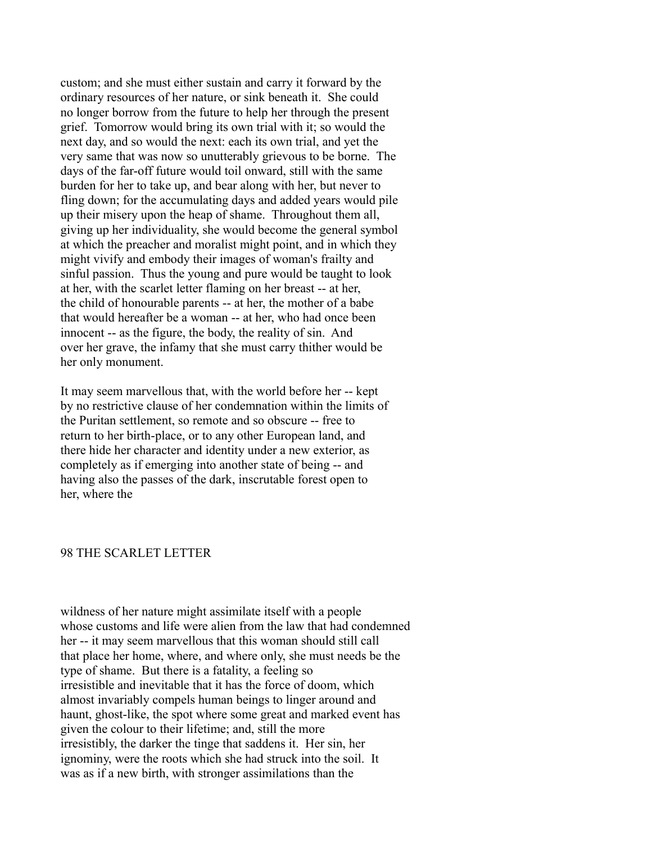custom; and she must either sustain and carry it forward by the ordinary resources of her nature, or sink beneath it. She could no longer borrow from the future to help her through the present grief. Tomorrow would bring its own trial with it; so would the next day, and so would the next: each its own trial, and yet the very same that was now so unutterably grievous to be borne. The days of the far-off future would toil onward, still with the same burden for her to take up, and bear along with her, but never to fling down; for the accumulating days and added years would pile up their misery upon the heap of shame. Throughout them all, giving up her individuality, she would become the general symbol at which the preacher and moralist might point, and in which they might vivify and embody their images of woman's frailty and sinful passion. Thus the young and pure would be taught to look at her, with the scarlet letter flaming on her breast -- at her, the child of honourable parents -- at her, the mother of a babe that would hereafter be a woman -- at her, who had once been innocent -- as the figure, the body, the reality of sin. And over her grave, the infamy that she must carry thither would be her only monument.

It may seem marvellous that, with the world before her -- kept by no restrictive clause of her condemnation within the limits of the Puritan settlement, so remote and so obscure -- free to return to her birth-place, or to any other European land, and there hide her character and identity under a new exterior, as completely as if emerging into another state of being -- and having also the passes of the dark, inscrutable forest open to her, where the

## 98 THE SCARLET LETTER

wildness of her nature might assimilate itself with a people whose customs and life were alien from the law that had condemned her -- it may seem marvellous that this woman should still call that place her home, where, and where only, she must needs be the type of shame. But there is a fatality, a feeling so irresistible and inevitable that it has the force of doom, which almost invariably compels human beings to linger around and haunt, ghost-like, the spot where some great and marked event has given the colour to their lifetime; and, still the more irresistibly, the darker the tinge that saddens it. Her sin, her ignominy, were the roots which she had struck into the soil. It was as if a new birth, with stronger assimilations than the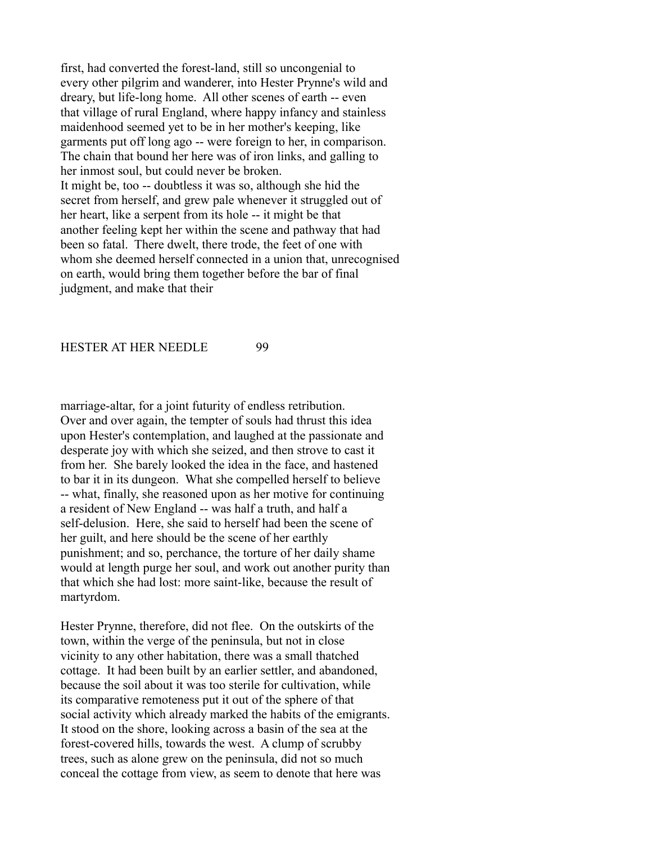first, had converted the forest-land, still so uncongenial to every other pilgrim and wanderer, into Hester Prynne's wild and dreary, but life-long home. All other scenes of earth -- even that village of rural England, where happy infancy and stainless maidenhood seemed yet to be in her mother's keeping, like garments put off long ago -- were foreign to her, in comparison. The chain that bound her here was of iron links, and galling to her inmost soul, but could never be broken. It might be, too -- doubtless it was so, although she hid the secret from herself, and grew pale whenever it struggled out of her heart, like a serpent from its hole -- it might be that another feeling kept her within the scene and pathway that had been so fatal. There dwelt, there trode, the feet of one with whom she deemed herself connected in a union that, unrecognised on earth, would bring them together before the bar of final judgment, and make that their

## HESTER AT HER NEEDLE 99

marriage-altar, for a joint futurity of endless retribution. Over and over again, the tempter of souls had thrust this idea upon Hester's contemplation, and laughed at the passionate and desperate joy with which she seized, and then strove to cast it from her. She barely looked the idea in the face, and hastened to bar it in its dungeon. What she compelled herself to believe -- what, finally, she reasoned upon as her motive for continuing a resident of New England -- was half a truth, and half a self-delusion. Here, she said to herself had been the scene of her guilt, and here should be the scene of her earthly punishment; and so, perchance, the torture of her daily shame would at length purge her soul, and work out another purity than that which she had lost: more saint-like, because the result of martyrdom.

Hester Prynne, therefore, did not flee. On the outskirts of the town, within the verge of the peninsula, but not in close vicinity to any other habitation, there was a small thatched cottage. It had been built by an earlier settler, and abandoned, because the soil about it was too sterile for cultivation, while its comparative remoteness put it out of the sphere of that social activity which already marked the habits of the emigrants. It stood on the shore, looking across a basin of the sea at the forest-covered hills, towards the west. A clump of scrubby trees, such as alone grew on the peninsula, did not so much conceal the cottage from view, as seem to denote that here was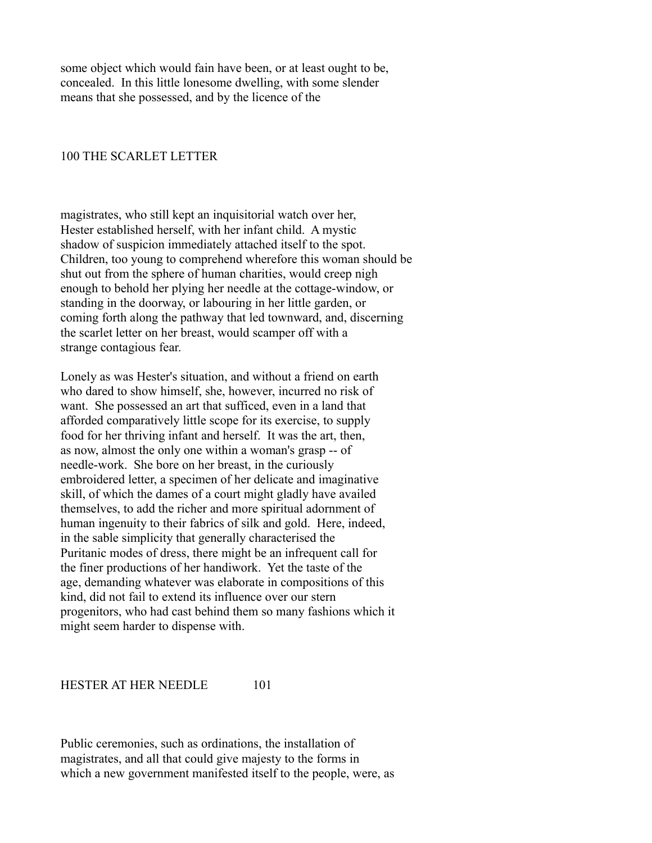some object which would fain have been, or at least ought to be, concealed. In this little lonesome dwelling, with some slender means that she possessed, and by the licence of the

### 100 THE SCARLET LETTER

magistrates, who still kept an inquisitorial watch over her, Hester established herself, with her infant child. A mystic shadow of suspicion immediately attached itself to the spot. Children, too young to comprehend wherefore this woman should be shut out from the sphere of human charities, would creep nigh enough to behold her plying her needle at the cottage-window, or standing in the doorway, or labouring in her little garden, or coming forth along the pathway that led townward, and, discerning the scarlet letter on her breast, would scamper off with a strange contagious fear.

Lonely as was Hester's situation, and without a friend on earth who dared to show himself, she, however, incurred no risk of want. She possessed an art that sufficed, even in a land that afforded comparatively little scope for its exercise, to supply food for her thriving infant and herself. It was the art, then, as now, almost the only one within a woman's grasp -- of needle-work. She bore on her breast, in the curiously embroidered letter, a specimen of her delicate and imaginative skill, of which the dames of a court might gladly have availed themselves, to add the richer and more spiritual adornment of human ingenuity to their fabrics of silk and gold. Here, indeed, in the sable simplicity that generally characterised the Puritanic modes of dress, there might be an infrequent call for the finer productions of her handiwork. Yet the taste of the age, demanding whatever was elaborate in compositions of this kind, did not fail to extend its influence over our stern progenitors, who had cast behind them so many fashions which it might seem harder to dispense with.

HESTER AT HER NEEDLE 101

Public ceremonies, such as ordinations, the installation of magistrates, and all that could give majesty to the forms in which a new government manifested itself to the people, were, as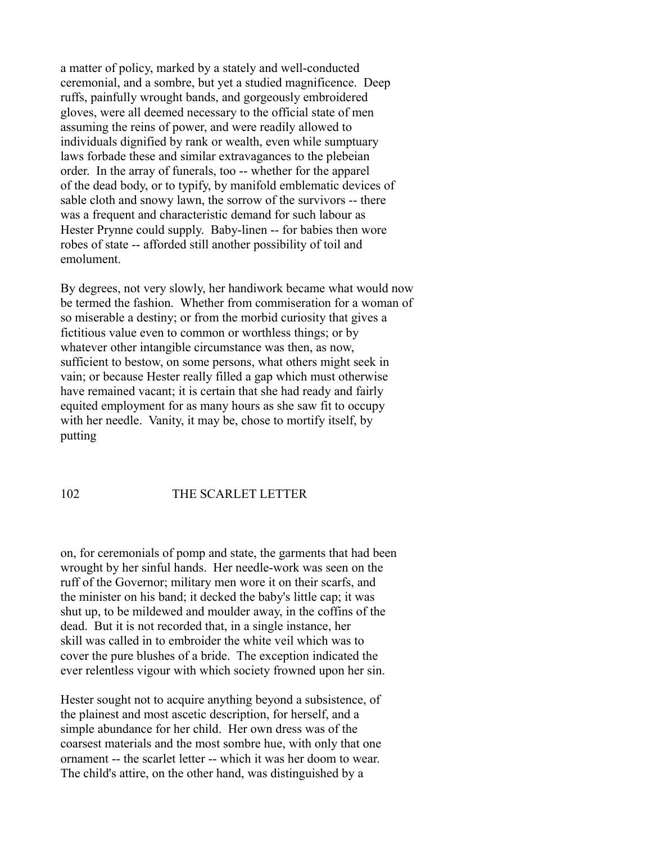a matter of policy, marked by a stately and well-conducted ceremonial, and a sombre, but yet a studied magnificence. Deep ruffs, painfully wrought bands, and gorgeously embroidered gloves, were all deemed necessary to the official state of men assuming the reins of power, and were readily allowed to individuals dignified by rank or wealth, even while sumptuary laws forbade these and similar extravagances to the plebeian order. In the array of funerals, too -- whether for the apparel of the dead body, or to typify, by manifold emblematic devices of sable cloth and snowy lawn, the sorrow of the survivors -- there was a frequent and characteristic demand for such labour as Hester Prynne could supply. Baby-linen -- for babies then wore robes of state -- afforded still another possibility of toil and emolument.

By degrees, not very slowly, her handiwork became what would now be termed the fashion. Whether from commiseration for a woman of so miserable a destiny; or from the morbid curiosity that gives a fictitious value even to common or worthless things; or by whatever other intangible circumstance was then, as now, sufficient to bestow, on some persons, what others might seek in vain; or because Hester really filled a gap which must otherwise have remained vacant; it is certain that she had ready and fairly equited employment for as many hours as she saw fit to occupy with her needle. Vanity, it may be, chose to mortify itself, by putting

# 102 THE SCARLET LETTER

on, for ceremonials of pomp and state, the garments that had been wrought by her sinful hands. Her needle-work was seen on the ruff of the Governor; military men wore it on their scarfs, and the minister on his band; it decked the baby's little cap; it was shut up, to be mildewed and moulder away, in the coffins of the dead. But it is not recorded that, in a single instance, her skill was called in to embroider the white veil which was to cover the pure blushes of a bride. The exception indicated the ever relentless vigour with which society frowned upon her sin.

Hester sought not to acquire anything beyond a subsistence, of the plainest and most ascetic description, for herself, and a simple abundance for her child. Her own dress was of the coarsest materials and the most sombre hue, with only that one ornament -- the scarlet letter -- which it was her doom to wear. The child's attire, on the other hand, was distinguished by a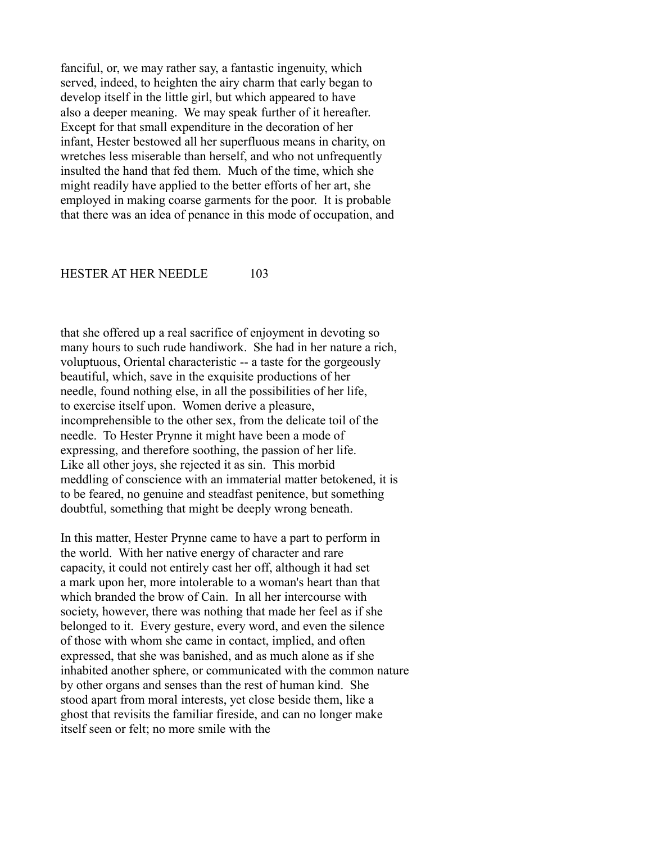fanciful, or, we may rather say, a fantastic ingenuity, which served, indeed, to heighten the airy charm that early began to develop itself in the little girl, but which appeared to have also a deeper meaning. We may speak further of it hereafter. Except for that small expenditure in the decoration of her infant, Hester bestowed all her superfluous means in charity, on wretches less miserable than herself, and who not unfrequently insulted the hand that fed them. Much of the time, which she might readily have applied to the better efforts of her art, she employed in making coarse garments for the poor. It is probable that there was an idea of penance in this mode of occupation, and

#### HESTER AT HER NEEDLE 103

that she offered up a real sacrifice of enjoyment in devoting so many hours to such rude handiwork. She had in her nature a rich, voluptuous, Oriental characteristic -- a taste for the gorgeously beautiful, which, save in the exquisite productions of her needle, found nothing else, in all the possibilities of her life, to exercise itself upon. Women derive a pleasure, incomprehensible to the other sex, from the delicate toil of the needle. To Hester Prynne it might have been a mode of expressing, and therefore soothing, the passion of her life. Like all other joys, she rejected it as sin. This morbid meddling of conscience with an immaterial matter betokened, it is to be feared, no genuine and steadfast penitence, but something doubtful, something that might be deeply wrong beneath.

In this matter, Hester Prynne came to have a part to perform in the world. With her native energy of character and rare capacity, it could not entirely cast her off, although it had set a mark upon her, more intolerable to a woman's heart than that which branded the brow of Cain. In all her intercourse with society, however, there was nothing that made her feel as if she belonged to it. Every gesture, every word, and even the silence of those with whom she came in contact, implied, and often expressed, that she was banished, and as much alone as if she inhabited another sphere, or communicated with the common nature by other organs and senses than the rest of human kind. She stood apart from moral interests, yet close beside them, like a ghost that revisits the familiar fireside, and can no longer make itself seen or felt; no more smile with the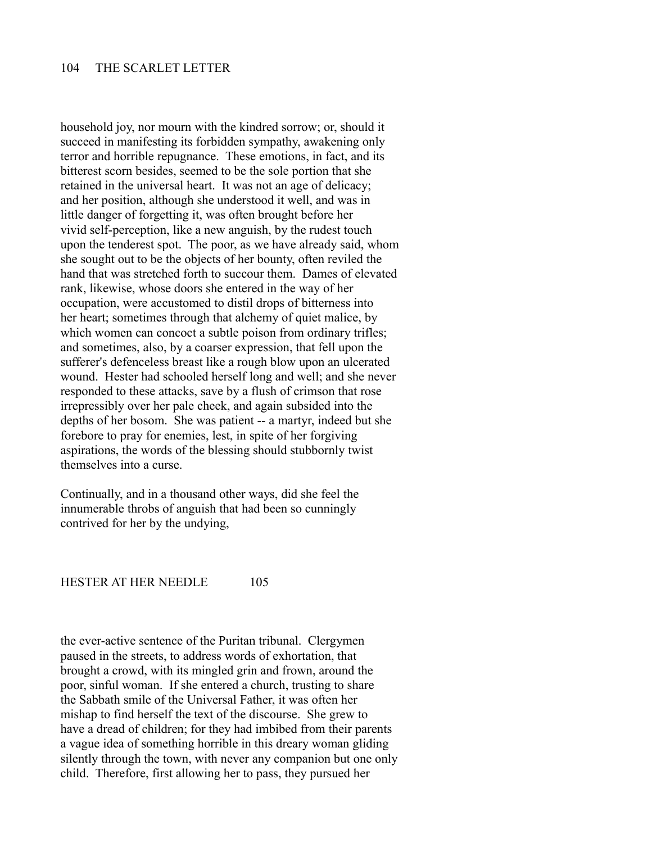household joy, nor mourn with the kindred sorrow; or, should it succeed in manifesting its forbidden sympathy, awakening only terror and horrible repugnance. These emotions, in fact, and its bitterest scorn besides, seemed to be the sole portion that she retained in the universal heart. It was not an age of delicacy; and her position, although she understood it well, and was in little danger of forgetting it, was often brought before her vivid self-perception, like a new anguish, by the rudest touch upon the tenderest spot. The poor, as we have already said, whom she sought out to be the objects of her bounty, often reviled the hand that was stretched forth to succour them. Dames of elevated rank, likewise, whose doors she entered in the way of her occupation, were accustomed to distil drops of bitterness into her heart; sometimes through that alchemy of quiet malice, by which women can concoct a subtle poison from ordinary trifles; and sometimes, also, by a coarser expression, that fell upon the sufferer's defenceless breast like a rough blow upon an ulcerated wound. Hester had schooled herself long and well; and she never responded to these attacks, save by a flush of crimson that rose irrepressibly over her pale cheek, and again subsided into the depths of her bosom. She was patient -- a martyr, indeed but she forebore to pray for enemies, lest, in spite of her forgiving aspirations, the words of the blessing should stubbornly twist themselves into a curse.

Continually, and in a thousand other ways, did she feel the innumerable throbs of anguish that had been so cunningly contrived for her by the undying,

#### HESTER AT HER NEEDLE 105

the ever-active sentence of the Puritan tribunal. Clergymen paused in the streets, to address words of exhortation, that brought a crowd, with its mingled grin and frown, around the poor, sinful woman. If she entered a church, trusting to share the Sabbath smile of the Universal Father, it was often her mishap to find herself the text of the discourse. She grew to have a dread of children; for they had imbibed from their parents a vague idea of something horrible in this dreary woman gliding silently through the town, with never any companion but one only child. Therefore, first allowing her to pass, they pursued her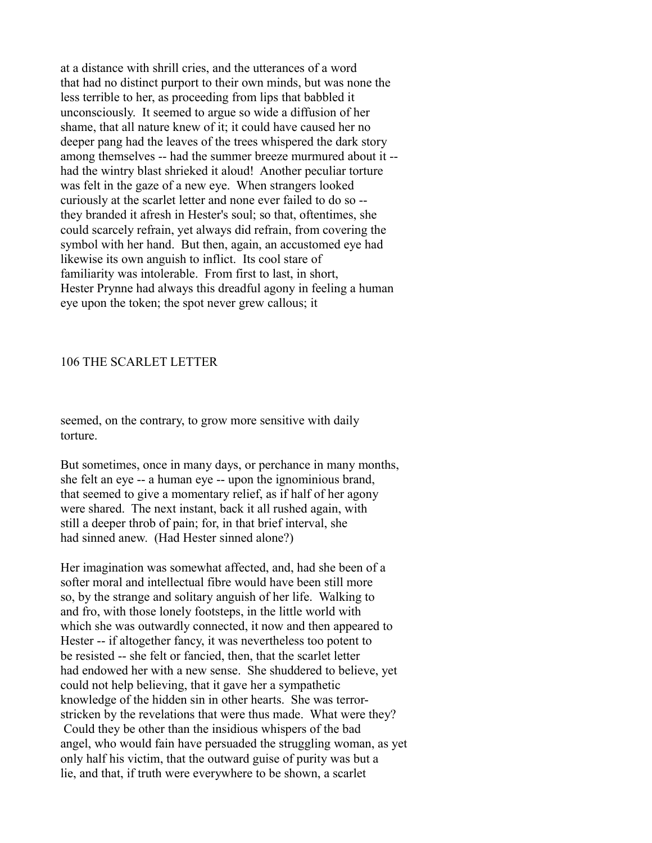at a distance with shrill cries, and the utterances of a word that had no distinct purport to their own minds, but was none the less terrible to her, as proceeding from lips that babbled it unconsciously. It seemed to argue so wide a diffusion of her shame, that all nature knew of it; it could have caused her no deeper pang had the leaves of the trees whispered the dark story among themselves -- had the summer breeze murmured about it - had the wintry blast shrieked it aloud! Another peculiar torture was felt in the gaze of a new eye. When strangers looked curiously at the scarlet letter and none ever failed to do so - they branded it afresh in Hester's soul; so that, oftentimes, she could scarcely refrain, yet always did refrain, from covering the symbol with her hand. But then, again, an accustomed eye had likewise its own anguish to inflict. Its cool stare of familiarity was intolerable. From first to last, in short, Hester Prynne had always this dreadful agony in feeling a human eye upon the token; the spot never grew callous; it

### 106 THE SCARLET LETTER

seemed, on the contrary, to grow more sensitive with daily torture.

But sometimes, once in many days, or perchance in many months, she felt an eye -- a human eye -- upon the ignominious brand, that seemed to give a momentary relief, as if half of her agony were shared. The next instant, back it all rushed again, with still a deeper throb of pain; for, in that brief interval, she had sinned anew. (Had Hester sinned alone?)

Her imagination was somewhat affected, and, had she been of a softer moral and intellectual fibre would have been still more so, by the strange and solitary anguish of her life. Walking to and fro, with those lonely footsteps, in the little world with which she was outwardly connected, it now and then appeared to Hester -- if altogether fancy, it was nevertheless too potent to be resisted -- she felt or fancied, then, that the scarlet letter had endowed her with a new sense. She shuddered to believe, yet could not help believing, that it gave her a sympathetic knowledge of the hidden sin in other hearts. She was terrorstricken by the revelations that were thus made. What were they? Could they be other than the insidious whispers of the bad angel, who would fain have persuaded the struggling woman, as yet only half his victim, that the outward guise of purity was but a lie, and that, if truth were everywhere to be shown, a scarlet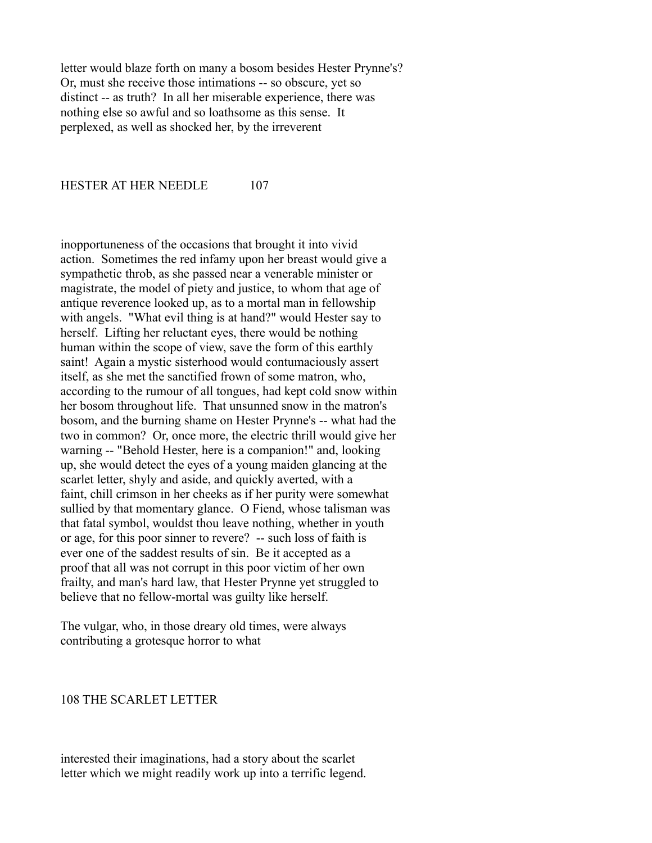letter would blaze forth on many a bosom besides Hester Prynne's? Or, must she receive those intimations -- so obscure, yet so distinct -- as truth? In all her miserable experience, there was nothing else so awful and so loathsome as this sense. It perplexed, as well as shocked her, by the irreverent

#### HESTER AT HER NEEDLE 107

inopportuneness of the occasions that brought it into vivid action. Sometimes the red infamy upon her breast would give a sympathetic throb, as she passed near a venerable minister or magistrate, the model of piety and justice, to whom that age of antique reverence looked up, as to a mortal man in fellowship with angels. "What evil thing is at hand?" would Hester say to herself. Lifting her reluctant eyes, there would be nothing human within the scope of view, save the form of this earthly saint! Again a mystic sisterhood would contumaciously assert itself, as she met the sanctified frown of some matron, who, according to the rumour of all tongues, had kept cold snow within her bosom throughout life. That unsunned snow in the matron's bosom, and the burning shame on Hester Prynne's -- what had the two in common? Or, once more, the electric thrill would give her warning -- "Behold Hester, here is a companion!" and, looking up, she would detect the eyes of a young maiden glancing at the scarlet letter, shyly and aside, and quickly averted, with a faint, chill crimson in her cheeks as if her purity were somewhat sullied by that momentary glance. O Fiend, whose talisman was that fatal symbol, wouldst thou leave nothing, whether in youth or age, for this poor sinner to revere? -- such loss of faith is ever one of the saddest results of sin. Be it accepted as a proof that all was not corrupt in this poor victim of her own frailty, and man's hard law, that Hester Prynne yet struggled to believe that no fellow-mortal was guilty like herself.

The vulgar, who, in those dreary old times, were always contributing a grotesque horror to what

#### 108 THE SCARLET LETTER

interested their imaginations, had a story about the scarlet letter which we might readily work up into a terrific legend.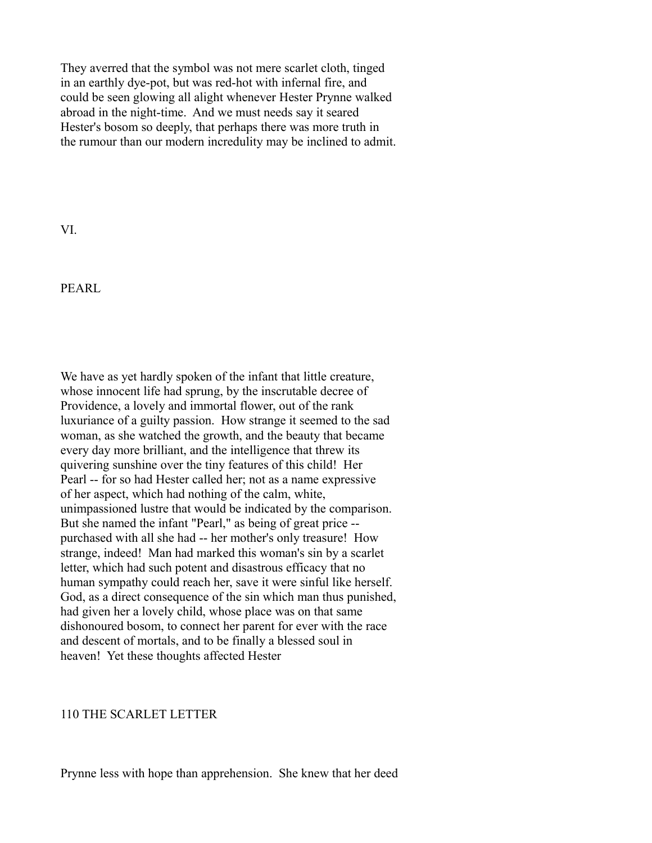They averred that the symbol was not mere scarlet cloth, tinged in an earthly dye-pot, but was red-hot with infernal fire, and could be seen glowing all alight whenever Hester Prynne walked abroad in the night-time. And we must needs say it seared Hester's bosom so deeply, that perhaps there was more truth in the rumour than our modern incredulity may be inclined to admit.

VI.

PEARL

We have as yet hardly spoken of the infant that little creature, whose innocent life had sprung, by the inscrutable decree of Providence, a lovely and immortal flower, out of the rank luxuriance of a guilty passion. How strange it seemed to the sad woman, as she watched the growth, and the beauty that became every day more brilliant, and the intelligence that threw its quivering sunshine over the tiny features of this child! Her Pearl -- for so had Hester called her; not as a name expressive of her aspect, which had nothing of the calm, white, unimpassioned lustre that would be indicated by the comparison. But she named the infant "Pearl," as being of great price - purchased with all she had -- her mother's only treasure! How strange, indeed! Man had marked this woman's sin by a scarlet letter, which had such potent and disastrous efficacy that no human sympathy could reach her, save it were sinful like herself. God, as a direct consequence of the sin which man thus punished, had given her a lovely child, whose place was on that same dishonoured bosom, to connect her parent for ever with the race and descent of mortals, and to be finally a blessed soul in heaven! Yet these thoughts affected Hester

## 110 THE SCARLET LETTER

Prynne less with hope than apprehension. She knew that her deed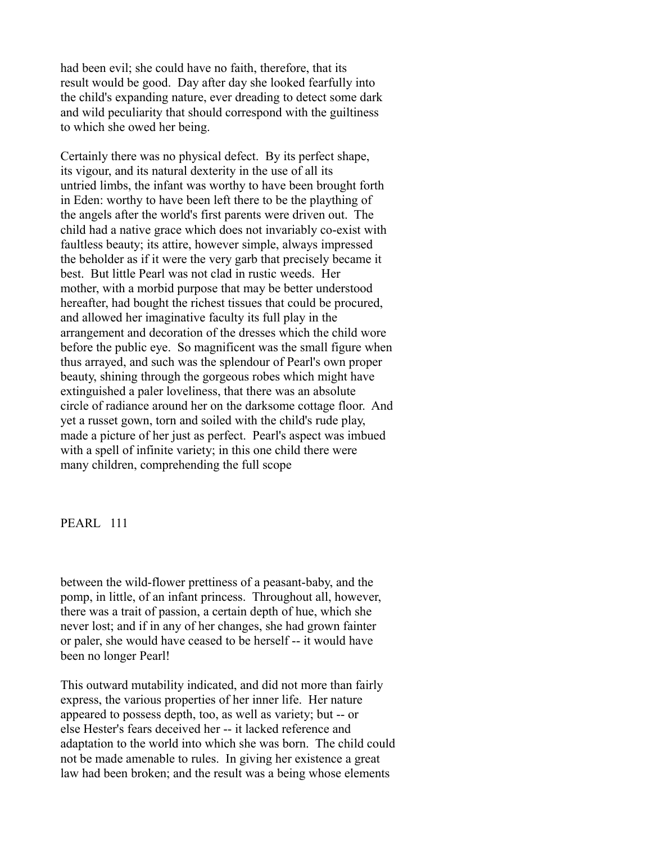had been evil; she could have no faith, therefore, that its result would be good. Day after day she looked fearfully into the child's expanding nature, ever dreading to detect some dark and wild peculiarity that should correspond with the guiltiness to which she owed her being.

Certainly there was no physical defect. By its perfect shape, its vigour, and its natural dexterity in the use of all its untried limbs, the infant was worthy to have been brought forth in Eden: worthy to have been left there to be the plaything of the angels after the world's first parents were driven out. The child had a native grace which does not invariably co-exist with faultless beauty; its attire, however simple, always impressed the beholder as if it were the very garb that precisely became it best. But little Pearl was not clad in rustic weeds. Her mother, with a morbid purpose that may be better understood hereafter, had bought the richest tissues that could be procured, and allowed her imaginative faculty its full play in the arrangement and decoration of the dresses which the child wore before the public eye. So magnificent was the small figure when thus arrayed, and such was the splendour of Pearl's own proper beauty, shining through the gorgeous robes which might have extinguished a paler loveliness, that there was an absolute circle of radiance around her on the darksome cottage floor. And yet a russet gown, torn and soiled with the child's rude play, made a picture of her just as perfect. Pearl's aspect was imbued with a spell of infinite variety; in this one child there were many children, comprehending the full scope

PEARL<sub>111</sub>

between the wild-flower prettiness of a peasant-baby, and the pomp, in little, of an infant princess. Throughout all, however, there was a trait of passion, a certain depth of hue, which she never lost; and if in any of her changes, she had grown fainter or paler, she would have ceased to be herself -- it would have been no longer Pearl!

This outward mutability indicated, and did not more than fairly express, the various properties of her inner life. Her nature appeared to possess depth, too, as well as variety; but -- or else Hester's fears deceived her -- it lacked reference and adaptation to the world into which she was born. The child could not be made amenable to rules. In giving her existence a great law had been broken; and the result was a being whose elements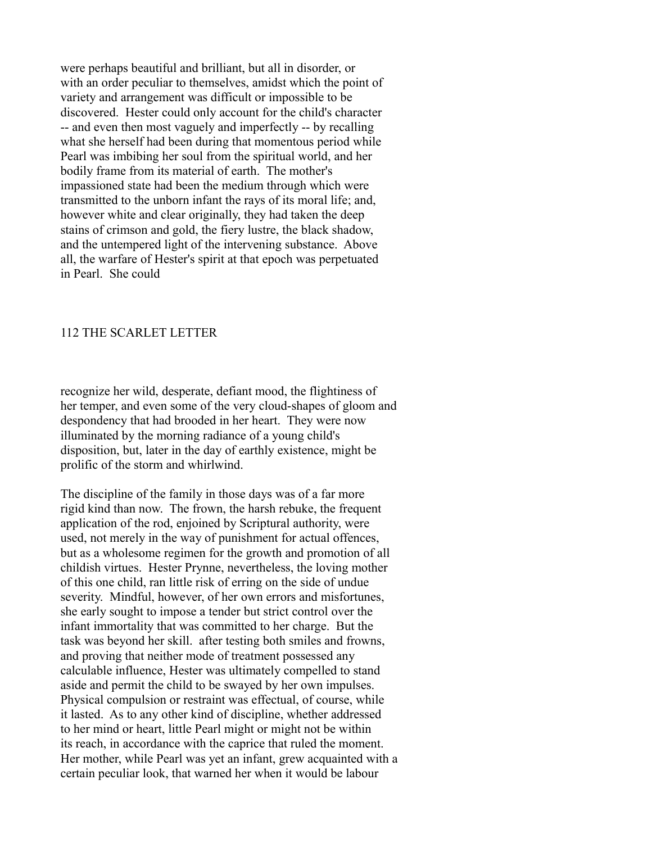were perhaps beautiful and brilliant, but all in disorder, or with an order peculiar to themselves, amidst which the point of variety and arrangement was difficult or impossible to be discovered. Hester could only account for the child's character -- and even then most vaguely and imperfectly -- by recalling what she herself had been during that momentous period while Pearl was imbibing her soul from the spiritual world, and her bodily frame from its material of earth. The mother's impassioned state had been the medium through which were transmitted to the unborn infant the rays of its moral life; and, however white and clear originally, they had taken the deep stains of crimson and gold, the fiery lustre, the black shadow, and the untempered light of the intervening substance. Above all, the warfare of Hester's spirit at that epoch was perpetuated in Pearl. She could

### 112 THE SCARLET LETTER

recognize her wild, desperate, defiant mood, the flightiness of her temper, and even some of the very cloud-shapes of gloom and despondency that had brooded in her heart. They were now illuminated by the morning radiance of a young child's disposition, but, later in the day of earthly existence, might be prolific of the storm and whirlwind.

The discipline of the family in those days was of a far more rigid kind than now. The frown, the harsh rebuke, the frequent application of the rod, enjoined by Scriptural authority, were used, not merely in the way of punishment for actual offences, but as a wholesome regimen for the growth and promotion of all childish virtues. Hester Prynne, nevertheless, the loving mother of this one child, ran little risk of erring on the side of undue severity. Mindful, however, of her own errors and misfortunes, she early sought to impose a tender but strict control over the infant immortality that was committed to her charge. But the task was beyond her skill. after testing both smiles and frowns, and proving that neither mode of treatment possessed any calculable influence, Hester was ultimately compelled to stand aside and permit the child to be swayed by her own impulses. Physical compulsion or restraint was effectual, of course, while it lasted. As to any other kind of discipline, whether addressed to her mind or heart, little Pearl might or might not be within its reach, in accordance with the caprice that ruled the moment. Her mother, while Pearl was yet an infant, grew acquainted with a certain peculiar look, that warned her when it would be labour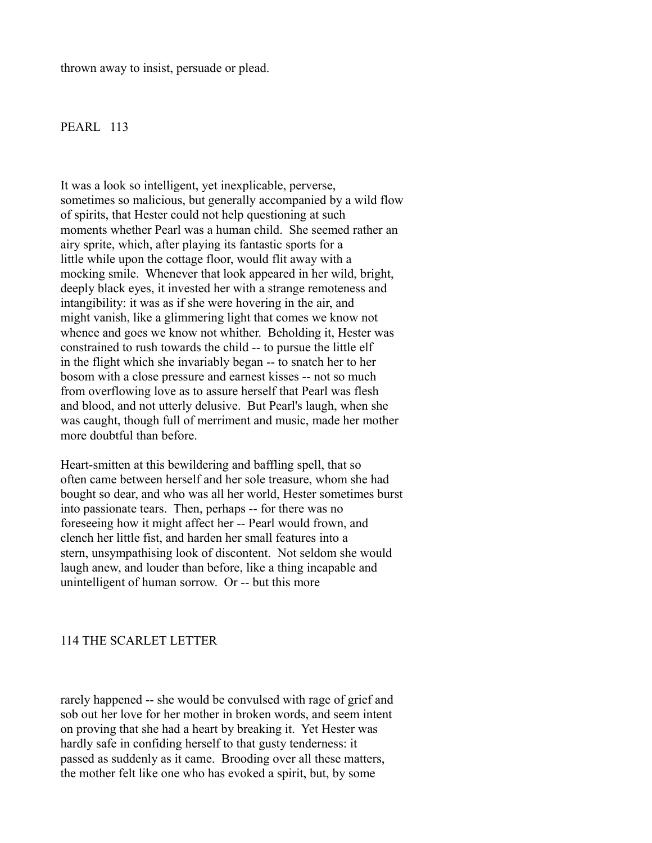thrown away to insist, persuade or plead.

#### PEARL 113

It was a look so intelligent, yet inexplicable, perverse, sometimes so malicious, but generally accompanied by a wild flow of spirits, that Hester could not help questioning at such moments whether Pearl was a human child. She seemed rather an airy sprite, which, after playing its fantastic sports for a little while upon the cottage floor, would flit away with a mocking smile. Whenever that look appeared in her wild, bright, deeply black eyes, it invested her with a strange remoteness and intangibility: it was as if she were hovering in the air, and might vanish, like a glimmering light that comes we know not whence and goes we know not whither. Beholding it, Hester was constrained to rush towards the child -- to pursue the little elf in the flight which she invariably began -- to snatch her to her bosom with a close pressure and earnest kisses -- not so much from overflowing love as to assure herself that Pearl was flesh and blood, and not utterly delusive. But Pearl's laugh, when she was caught, though full of merriment and music, made her mother more doubtful than before.

Heart-smitten at this bewildering and baffling spell, that so often came between herself and her sole treasure, whom she had bought so dear, and who was all her world, Hester sometimes burst into passionate tears. Then, perhaps -- for there was no foreseeing how it might affect her -- Pearl would frown, and clench her little fist, and harden her small features into a stern, unsympathising look of discontent. Not seldom she would laugh anew, and louder than before, like a thing incapable and unintelligent of human sorrow. Or -- but this more

## 114 THE SCARLET LETTER

rarely happened -- she would be convulsed with rage of grief and sob out her love for her mother in broken words, and seem intent on proving that she had a heart by breaking it. Yet Hester was hardly safe in confiding herself to that gusty tenderness: it passed as suddenly as it came. Brooding over all these matters, the mother felt like one who has evoked a spirit, but, by some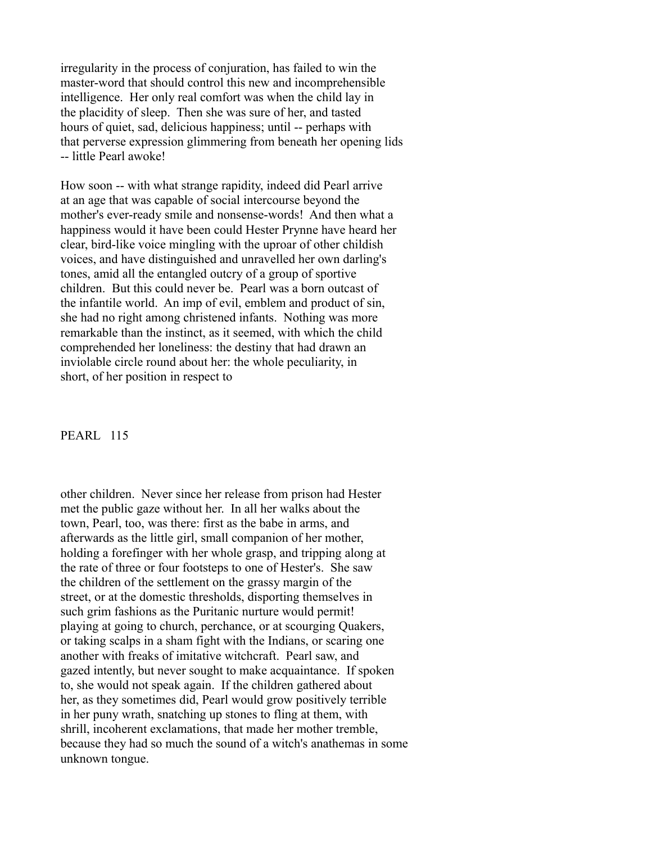irregularity in the process of conjuration, has failed to win the master-word that should control this new and incomprehensible intelligence. Her only real comfort was when the child lay in the placidity of sleep. Then she was sure of her, and tasted hours of quiet, sad, delicious happiness; until -- perhaps with that perverse expression glimmering from beneath her opening lids -- little Pearl awoke!

How soon -- with what strange rapidity, indeed did Pearl arrive at an age that was capable of social intercourse beyond the mother's ever-ready smile and nonsense-words! And then what a happiness would it have been could Hester Prynne have heard her clear, bird-like voice mingling with the uproar of other childish voices, and have distinguished and unravelled her own darling's tones, amid all the entangled outcry of a group of sportive children. But this could never be. Pearl was a born outcast of the infantile world. An imp of evil, emblem and product of sin, she had no right among christened infants. Nothing was more remarkable than the instinct, as it seemed, with which the child comprehended her loneliness: the destiny that had drawn an inviolable circle round about her: the whole peculiarity, in short, of her position in respect to

### PEARL 115

other children. Never since her release from prison had Hester met the public gaze without her. In all her walks about the town, Pearl, too, was there: first as the babe in arms, and afterwards as the little girl, small companion of her mother, holding a forefinger with her whole grasp, and tripping along at the rate of three or four footsteps to one of Hester's. She saw the children of the settlement on the grassy margin of the street, or at the domestic thresholds, disporting themselves in such grim fashions as the Puritanic nurture would permit! playing at going to church, perchance, or at scourging Quakers, or taking scalps in a sham fight with the Indians, or scaring one another with freaks of imitative witchcraft. Pearl saw, and gazed intently, but never sought to make acquaintance. If spoken to, she would not speak again. If the children gathered about her, as they sometimes did, Pearl would grow positively terrible in her puny wrath, snatching up stones to fling at them, with shrill, incoherent exclamations, that made her mother tremble, because they had so much the sound of a witch's anathemas in some unknown tongue.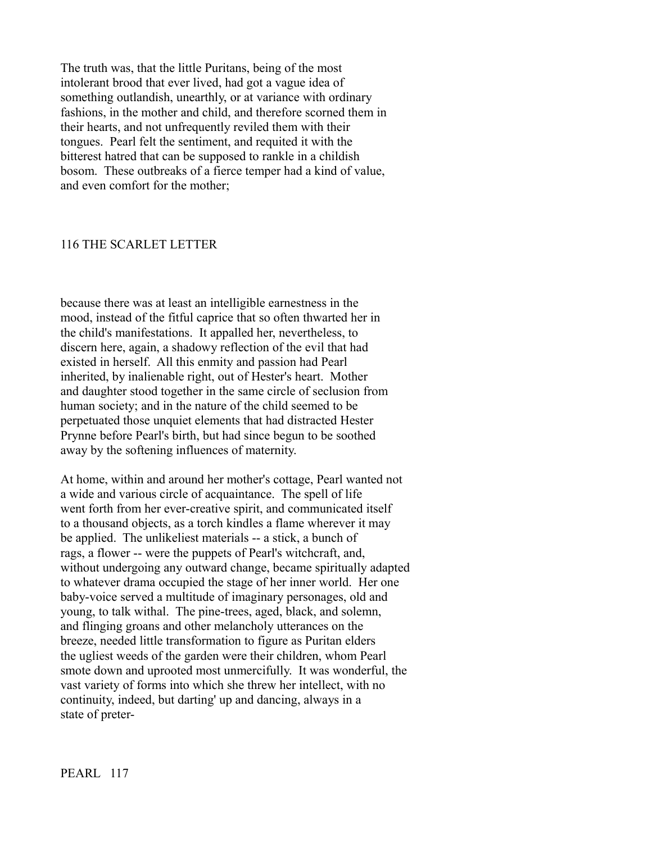The truth was, that the little Puritans, being of the most intolerant brood that ever lived, had got a vague idea of something outlandish, unearthly, or at variance with ordinary fashions, in the mother and child, and therefore scorned them in their hearts, and not unfrequently reviled them with their tongues. Pearl felt the sentiment, and requited it with the bitterest hatred that can be supposed to rankle in a childish bosom. These outbreaks of a fierce temper had a kind of value, and even comfort for the mother;

#### 116 THE SCARLET LETTER

because there was at least an intelligible earnestness in the mood, instead of the fitful caprice that so often thwarted her in the child's manifestations. It appalled her, nevertheless, to discern here, again, a shadowy reflection of the evil that had existed in herself. All this enmity and passion had Pearl inherited, by inalienable right, out of Hester's heart. Mother and daughter stood together in the same circle of seclusion from human society; and in the nature of the child seemed to be perpetuated those unquiet elements that had distracted Hester Prynne before Pearl's birth, but had since begun to be soothed away by the softening influences of maternity.

At home, within and around her mother's cottage, Pearl wanted not a wide and various circle of acquaintance. The spell of life went forth from her ever-creative spirit, and communicated itself to a thousand objects, as a torch kindles a flame wherever it may be applied. The unlikeliest materials -- a stick, a bunch of rags, a flower -- were the puppets of Pearl's witchcraft, and, without undergoing any outward change, became spiritually adapted to whatever drama occupied the stage of her inner world. Her one baby-voice served a multitude of imaginary personages, old and young, to talk withal. The pine-trees, aged, black, and solemn, and flinging groans and other melancholy utterances on the breeze, needed little transformation to figure as Puritan elders the ugliest weeds of the garden were their children, whom Pearl smote down and uprooted most unmercifully. It was wonderful, the vast variety of forms into which she threw her intellect, with no continuity, indeed, but darting' up and dancing, always in a state of preter-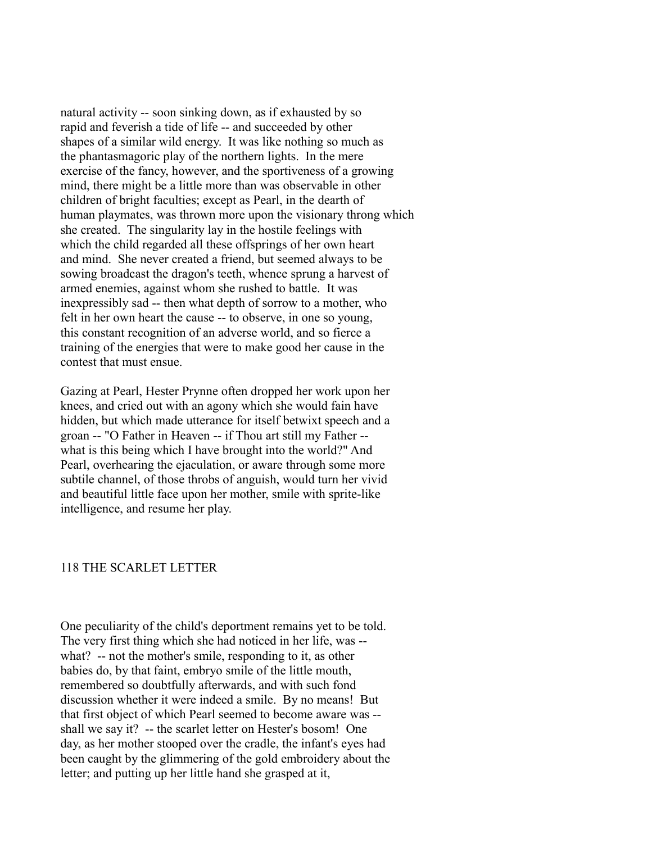natural activity -- soon sinking down, as if exhausted by so rapid and feverish a tide of life -- and succeeded by other shapes of a similar wild energy. It was like nothing so much as the phantasmagoric play of the northern lights. In the mere exercise of the fancy, however, and the sportiveness of a growing mind, there might be a little more than was observable in other children of bright faculties; except as Pearl, in the dearth of human playmates, was thrown more upon the visionary throng which she created. The singularity lay in the hostile feelings with which the child regarded all these offsprings of her own heart and mind. She never created a friend, but seemed always to be sowing broadcast the dragon's teeth, whence sprung a harvest of armed enemies, against whom she rushed to battle. It was inexpressibly sad -- then what depth of sorrow to a mother, who felt in her own heart the cause -- to observe, in one so young, this constant recognition of an adverse world, and so fierce a training of the energies that were to make good her cause in the contest that must ensue.

Gazing at Pearl, Hester Prynne often dropped her work upon her knees, and cried out with an agony which she would fain have hidden, but which made utterance for itself betwixt speech and a groan -- "O Father in Heaven -- if Thou art still my Father - what is this being which I have brought into the world?" And Pearl, overhearing the ejaculation, or aware through some more subtile channel, of those throbs of anguish, would turn her vivid and beautiful little face upon her mother, smile with sprite-like intelligence, and resume her play.

#### 118 THE SCARLET LETTER

One peculiarity of the child's deportment remains yet to be told. The very first thing which she had noticed in her life, was - what? -- not the mother's smile, responding to it, as other babies do, by that faint, embryo smile of the little mouth, remembered so doubtfully afterwards, and with such fond discussion whether it were indeed a smile. By no means! But that first object of which Pearl seemed to become aware was - shall we say it? -- the scarlet letter on Hester's bosom! One day, as her mother stooped over the cradle, the infant's eyes had been caught by the glimmering of the gold embroidery about the letter; and putting up her little hand she grasped at it,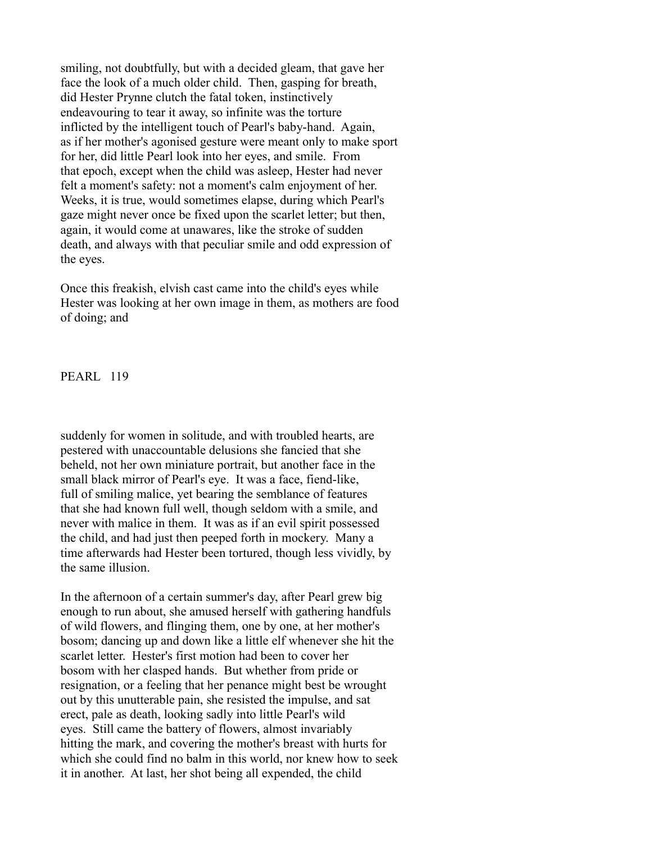smiling, not doubtfully, but with a decided gleam, that gave her face the look of a much older child. Then, gasping for breath, did Hester Prynne clutch the fatal token, instinctively endeavouring to tear it away, so infinite was the torture inflicted by the intelligent touch of Pearl's baby-hand. Again, as if her mother's agonised gesture were meant only to make sport for her, did little Pearl look into her eyes, and smile. From that epoch, except when the child was asleep, Hester had never felt a moment's safety: not a moment's calm enjoyment of her. Weeks, it is true, would sometimes elapse, during which Pearl's gaze might never once be fixed upon the scarlet letter; but then, again, it would come at unawares, like the stroke of sudden death, and always with that peculiar smile and odd expression of the eyes.

Once this freakish, elvish cast came into the child's eyes while Hester was looking at her own image in them, as mothers are food of doing; and

**PEARL 119** 

suddenly for women in solitude, and with troubled hearts, are pestered with unaccountable delusions she fancied that she beheld, not her own miniature portrait, but another face in the small black mirror of Pearl's eye. It was a face, fiend-like, full of smiling malice, yet bearing the semblance of features that she had known full well, though seldom with a smile, and never with malice in them. It was as if an evil spirit possessed the child, and had just then peeped forth in mockery. Many a time afterwards had Hester been tortured, though less vividly, by the same illusion.

In the afternoon of a certain summer's day, after Pearl grew big enough to run about, she amused herself with gathering handfuls of wild flowers, and flinging them, one by one, at her mother's bosom; dancing up and down like a little elf whenever she hit the scarlet letter. Hester's first motion had been to cover her bosom with her clasped hands. But whether from pride or resignation, or a feeling that her penance might best be wrought out by this unutterable pain, she resisted the impulse, and sat erect, pale as death, looking sadly into little Pearl's wild eyes. Still came the battery of flowers, almost invariably hitting the mark, and covering the mother's breast with hurts for which she could find no balm in this world, nor knew how to seek it in another. At last, her shot being all expended, the child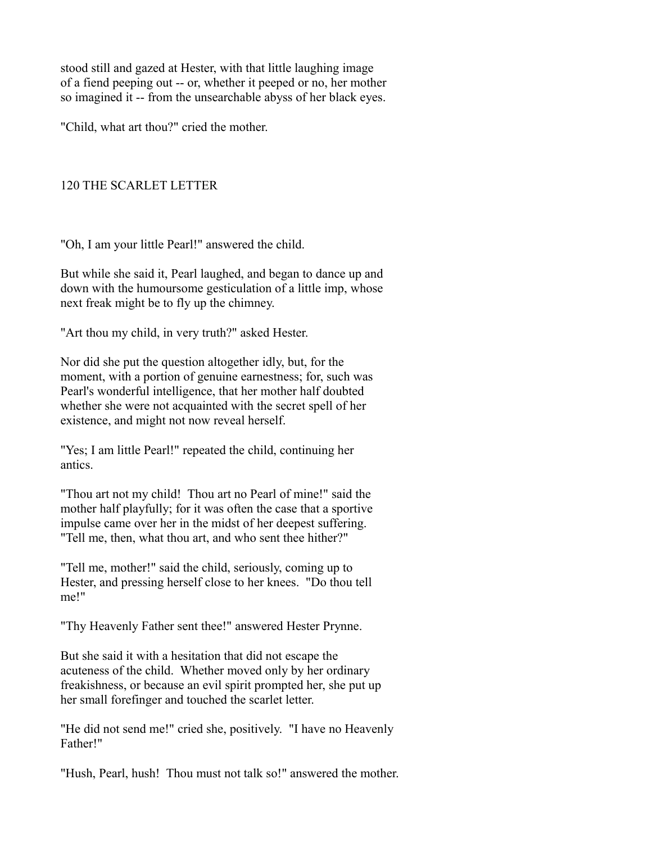stood still and gazed at Hester, with that little laughing image of a fiend peeping out -- or, whether it peeped or no, her mother so imagined it -- from the unsearchable abyss of her black eyes.

"Child, what art thou?" cried the mother.

# 120 THE SCARLET LETTER

"Oh, I am your little Pearl!" answered the child.

But while she said it, Pearl laughed, and began to dance up and down with the humoursome gesticulation of a little imp, whose next freak might be to fly up the chimney.

"Art thou my child, in very truth?" asked Hester.

Nor did she put the question altogether idly, but, for the moment, with a portion of genuine earnestness; for, such was Pearl's wonderful intelligence, that her mother half doubted whether she were not acquainted with the secret spell of her existence, and might not now reveal herself.

"Yes; I am little Pearl!" repeated the child, continuing her antics.

"Thou art not my child! Thou art no Pearl of mine!" said the mother half playfully; for it was often the case that a sportive impulse came over her in the midst of her deepest suffering. "Tell me, then, what thou art, and who sent thee hither?"

"Tell me, mother!" said the child, seriously, coming up to Hester, and pressing herself close to her knees. "Do thou tell me!"

"Thy Heavenly Father sent thee!" answered Hester Prynne.

But she said it with a hesitation that did not escape the acuteness of the child. Whether moved only by her ordinary freakishness, or because an evil spirit prompted her, she put up her small forefinger and touched the scarlet letter.

"He did not send me!" cried she, positively. "I have no Heavenly Father!"

"Hush, Pearl, hush! Thou must not talk so!" answered the mother.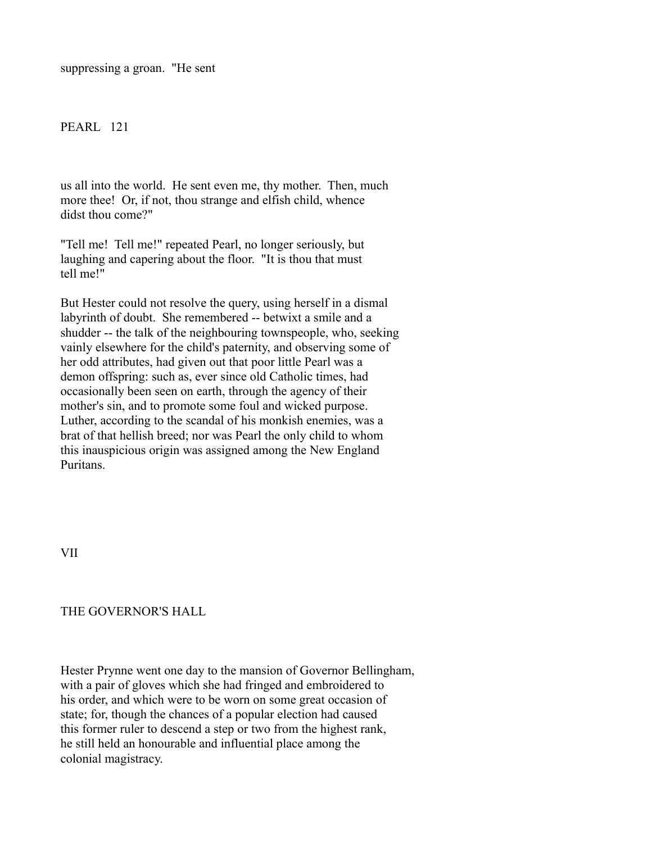suppressing a groan. "He sent

## PEARL 121

us all into the world. He sent even me, thy mother. Then, much more thee! Or, if not, thou strange and elfish child, whence didst thou come?"

"Tell me! Tell me!" repeated Pearl, no longer seriously, but laughing and capering about the floor. "It is thou that must tell me!"

But Hester could not resolve the query, using herself in a dismal labyrinth of doubt. She remembered -- betwixt a smile and a shudder -- the talk of the neighbouring townspeople, who, seeking vainly elsewhere for the child's paternity, and observing some of her odd attributes, had given out that poor little Pearl was a demon offspring: such as, ever since old Catholic times, had occasionally been seen on earth, through the agency of their mother's sin, and to promote some foul and wicked purpose. Luther, according to the scandal of his monkish enemies, was a brat of that hellish breed; nor was Pearl the only child to whom this inauspicious origin was assigned among the New England Puritans.

VII

### THE GOVERNOR'S HALL

Hester Prynne went one day to the mansion of Governor Bellingham, with a pair of gloves which she had fringed and embroidered to his order, and which were to be worn on some great occasion of state; for, though the chances of a popular election had caused this former ruler to descend a step or two from the highest rank, he still held an honourable and influential place among the colonial magistracy.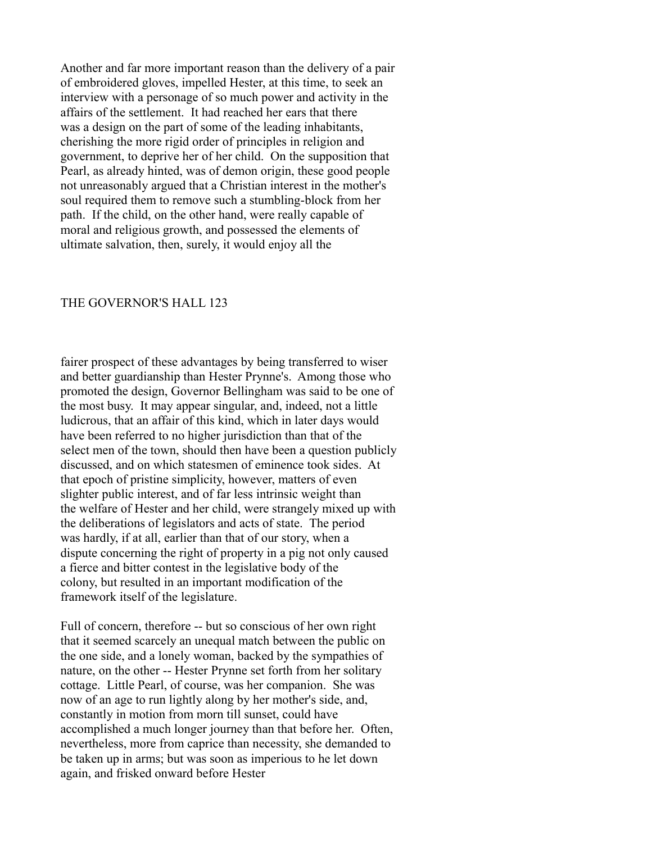Another and far more important reason than the delivery of a pair of embroidered gloves, impelled Hester, at this time, to seek an interview with a personage of so much power and activity in the affairs of the settlement. It had reached her ears that there was a design on the part of some of the leading inhabitants, cherishing the more rigid order of principles in religion and government, to deprive her of her child. On the supposition that Pearl, as already hinted, was of demon origin, these good people not unreasonably argued that a Christian interest in the mother's soul required them to remove such a stumbling-block from her path. If the child, on the other hand, were really capable of moral and religious growth, and possessed the elements of ultimate salvation, then, surely, it would enjoy all the

#### THE GOVERNOR'S HALL 123

fairer prospect of these advantages by being transferred to wiser and better guardianship than Hester Prynne's. Among those who promoted the design, Governor Bellingham was said to be one of the most busy. It may appear singular, and, indeed, not a little ludicrous, that an affair of this kind, which in later days would have been referred to no higher jurisdiction than that of the select men of the town, should then have been a question publicly discussed, and on which statesmen of eminence took sides. At that epoch of pristine simplicity, however, matters of even slighter public interest, and of far less intrinsic weight than the welfare of Hester and her child, were strangely mixed up with the deliberations of legislators and acts of state. The period was hardly, if at all, earlier than that of our story, when a dispute concerning the right of property in a pig not only caused a fierce and bitter contest in the legislative body of the colony, but resulted in an important modification of the framework itself of the legislature.

Full of concern, therefore -- but so conscious of her own right that it seemed scarcely an unequal match between the public on the one side, and a lonely woman, backed by the sympathies of nature, on the other -- Hester Prynne set forth from her solitary cottage. Little Pearl, of course, was her companion. She was now of an age to run lightly along by her mother's side, and, constantly in motion from morn till sunset, could have accomplished a much longer journey than that before her. Often, nevertheless, more from caprice than necessity, she demanded to be taken up in arms; but was soon as imperious to he let down again, and frisked onward before Hester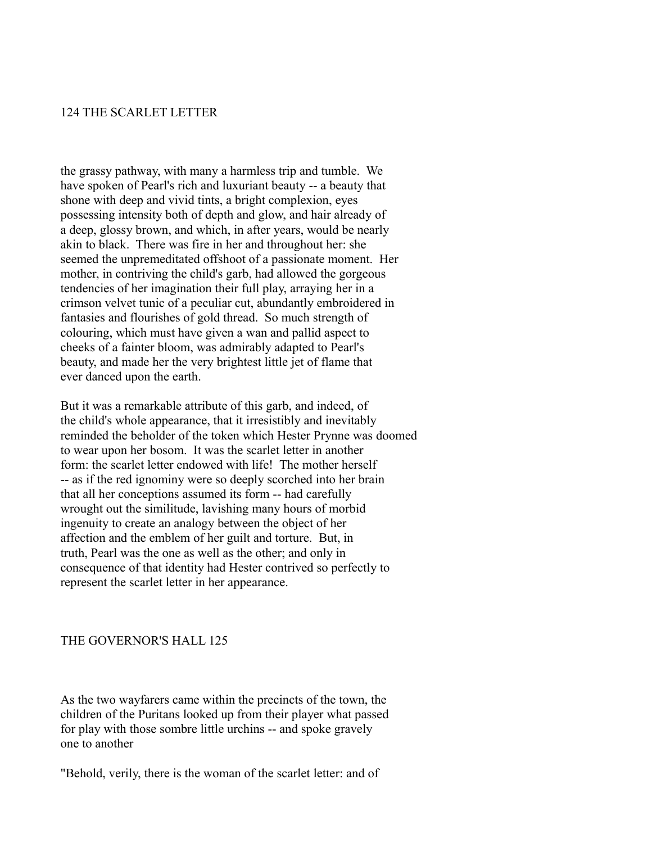### 124 THE SCARLET LETTER

the grassy pathway, with many a harmless trip and tumble. We have spoken of Pearl's rich and luxuriant beauty -- a beauty that shone with deep and vivid tints, a bright complexion, eyes possessing intensity both of depth and glow, and hair already of a deep, glossy brown, and which, in after years, would be nearly akin to black. There was fire in her and throughout her: she seemed the unpremeditated offshoot of a passionate moment. Her mother, in contriving the child's garb, had allowed the gorgeous tendencies of her imagination their full play, arraying her in a crimson velvet tunic of a peculiar cut, abundantly embroidered in fantasies and flourishes of gold thread. So much strength of colouring, which must have given a wan and pallid aspect to cheeks of a fainter bloom, was admirably adapted to Pearl's beauty, and made her the very brightest little jet of flame that ever danced upon the earth.

But it was a remarkable attribute of this garb, and indeed, of the child's whole appearance, that it irresistibly and inevitably reminded the beholder of the token which Hester Prynne was doomed to wear upon her bosom. It was the scarlet letter in another form: the scarlet letter endowed with life! The mother herself -- as if the red ignominy were so deeply scorched into her brain that all her conceptions assumed its form -- had carefully wrought out the similitude, lavishing many hours of morbid ingenuity to create an analogy between the object of her affection and the emblem of her guilt and torture. But, in truth, Pearl was the one as well as the other; and only in consequence of that identity had Hester contrived so perfectly to represent the scarlet letter in her appearance.

### THE GOVERNOR'S HALL 125

As the two wayfarers came within the precincts of the town, the children of the Puritans looked up from their player what passed for play with those sombre little urchins -- and spoke gravely one to another

"Behold, verily, there is the woman of the scarlet letter: and of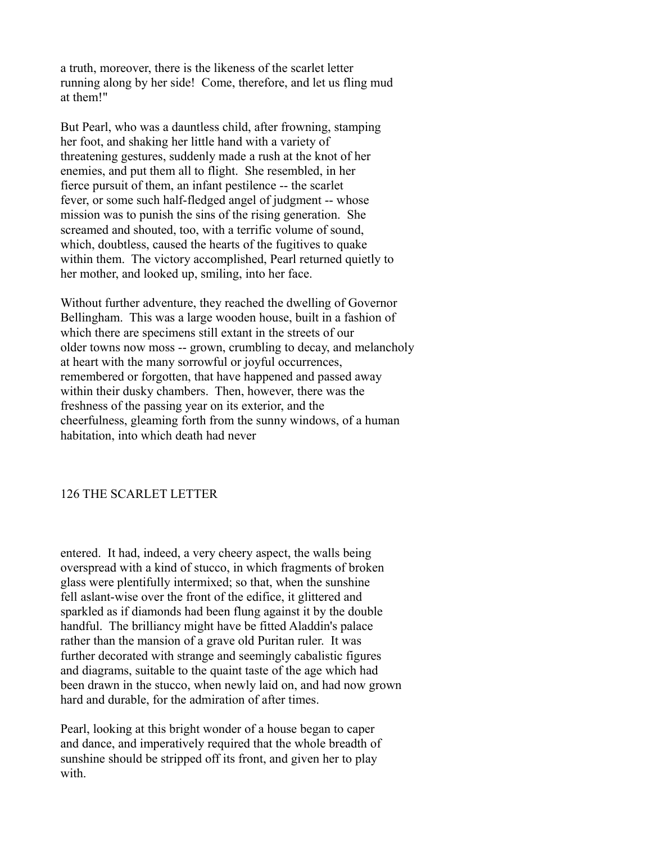a truth, moreover, there is the likeness of the scarlet letter running along by her side! Come, therefore, and let us fling mud at them!"

But Pearl, who was a dauntless child, after frowning, stamping her foot, and shaking her little hand with a variety of threatening gestures, suddenly made a rush at the knot of her enemies, and put them all to flight. She resembled, in her fierce pursuit of them, an infant pestilence -- the scarlet fever, or some such half-fledged angel of judgment -- whose mission was to punish the sins of the rising generation. She screamed and shouted, too, with a terrific volume of sound, which, doubtless, caused the hearts of the fugitives to quake within them. The victory accomplished, Pearl returned quietly to her mother, and looked up, smiling, into her face.

Without further adventure, they reached the dwelling of Governor Bellingham. This was a large wooden house, built in a fashion of which there are specimens still extant in the streets of our older towns now moss -- grown, crumbling to decay, and melancholy at heart with the many sorrowful or joyful occurrences, remembered or forgotten, that have happened and passed away within their dusky chambers. Then, however, there was the freshness of the passing year on its exterior, and the cheerfulness, gleaming forth from the sunny windows, of a human habitation, into which death had never

### 126 THE SCARLET LETTER

entered. It had, indeed, a very cheery aspect, the walls being overspread with a kind of stucco, in which fragments of broken glass were plentifully intermixed; so that, when the sunshine fell aslant-wise over the front of the edifice, it glittered and sparkled as if diamonds had been flung against it by the double handful. The brilliancy might have be fitted Aladdin's palace rather than the mansion of a grave old Puritan ruler. It was further decorated with strange and seemingly cabalistic figures and diagrams, suitable to the quaint taste of the age which had been drawn in the stucco, when newly laid on, and had now grown hard and durable, for the admiration of after times.

Pearl, looking at this bright wonder of a house began to caper and dance, and imperatively required that the whole breadth of sunshine should be stripped off its front, and given her to play with.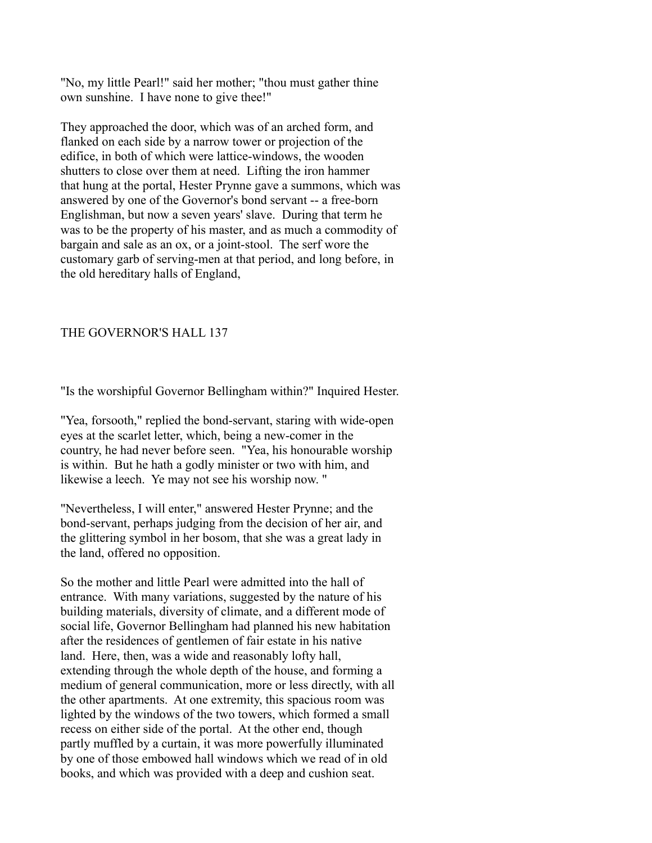"No, my little Pearl!" said her mother; "thou must gather thine own sunshine. I have none to give thee!"

They approached the door, which was of an arched form, and flanked on each side by a narrow tower or projection of the edifice, in both of which were lattice-windows, the wooden shutters to close over them at need. Lifting the iron hammer that hung at the portal, Hester Prynne gave a summons, which was answered by one of the Governor's bond servant -- a free-born Englishman, but now a seven years' slave. During that term he was to be the property of his master, and as much a commodity of bargain and sale as an ox, or a joint-stool. The serf wore the customary garb of serving-men at that period, and long before, in the old hereditary halls of England,

### THE GOVERNOR'S HALL 137

"Is the worshipful Governor Bellingham within?" Inquired Hester.

"Yea, forsooth," replied the bond-servant, staring with wide-open eyes at the scarlet letter, which, being a new-comer in the country, he had never before seen. "Yea, his honourable worship is within. But he hath a godly minister or two with him, and likewise a leech. Ye may not see his worship now. "

"Nevertheless, I will enter," answered Hester Prynne; and the bond-servant, perhaps judging from the decision of her air, and the glittering symbol in her bosom, that she was a great lady in the land, offered no opposition.

So the mother and little Pearl were admitted into the hall of entrance. With many variations, suggested by the nature of his building materials, diversity of climate, and a different mode of social life, Governor Bellingham had planned his new habitation after the residences of gentlemen of fair estate in his native land. Here, then, was a wide and reasonably lofty hall, extending through the whole depth of the house, and forming a medium of general communication, more or less directly, with all the other apartments. At one extremity, this spacious room was lighted by the windows of the two towers, which formed a small recess on either side of the portal. At the other end, though partly muffled by a curtain, it was more powerfully illuminated by one of those embowed hall windows which we read of in old books, and which was provided with a deep and cushion seat.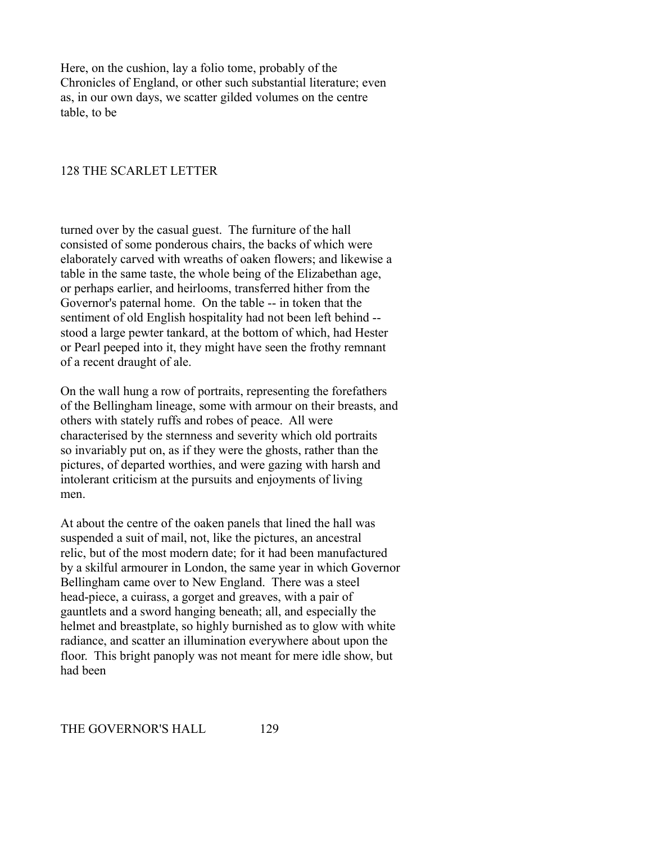Here, on the cushion, lay a folio tome, probably of the Chronicles of England, or other such substantial literature; even as, in our own days, we scatter gilded volumes on the centre table, to be

## 128 THE SCARLET LETTER

turned over by the casual guest. The furniture of the hall consisted of some ponderous chairs, the backs of which were elaborately carved with wreaths of oaken flowers; and likewise a table in the same taste, the whole being of the Elizabethan age, or perhaps earlier, and heirlooms, transferred hither from the Governor's paternal home. On the table -- in token that the sentiment of old English hospitality had not been left behind - stood a large pewter tankard, at the bottom of which, had Hester or Pearl peeped into it, they might have seen the frothy remnant of a recent draught of ale.

On the wall hung a row of portraits, representing the forefathers of the Bellingham lineage, some with armour on their breasts, and others with stately ruffs and robes of peace. All were characterised by the sternness and severity which old portraits so invariably put on, as if they were the ghosts, rather than the pictures, of departed worthies, and were gazing with harsh and intolerant criticism at the pursuits and enjoyments of living men.

At about the centre of the oaken panels that lined the hall was suspended a suit of mail, not, like the pictures, an ancestral relic, but of the most modern date; for it had been manufactured by a skilful armourer in London, the same year in which Governor Bellingham came over to New England. There was a steel head-piece, a cuirass, a gorget and greaves, with a pair of gauntlets and a sword hanging beneath; all, and especially the helmet and breastplate, so highly burnished as to glow with white radiance, and scatter an illumination everywhere about upon the floor. This bright panoply was not meant for mere idle show, but had been

THE GOVERNOR'S HALL 129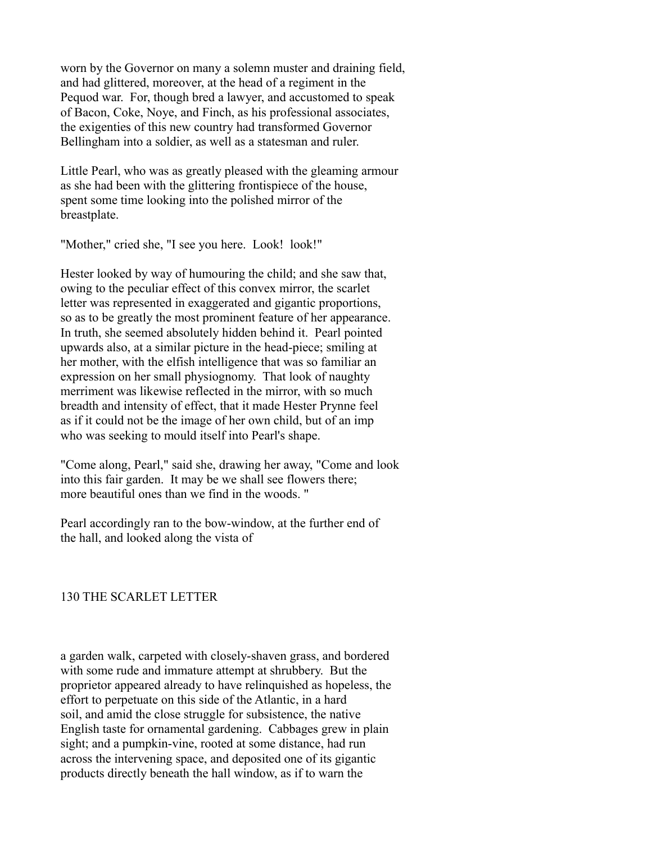worn by the Governor on many a solemn muster and draining field, and had glittered, moreover, at the head of a regiment in the Pequod war. For, though bred a lawyer, and accustomed to speak of Bacon, Coke, Noye, and Finch, as his professional associates, the exigenties of this new country had transformed Governor Bellingham into a soldier, as well as a statesman and ruler.

Little Pearl, who was as greatly pleased with the gleaming armour as she had been with the glittering frontispiece of the house, spent some time looking into the polished mirror of the breastplate.

"Mother," cried she, "I see you here. Look! look!"

Hester looked by way of humouring the child; and she saw that, owing to the peculiar effect of this convex mirror, the scarlet letter was represented in exaggerated and gigantic proportions, so as to be greatly the most prominent feature of her appearance. In truth, she seemed absolutely hidden behind it. Pearl pointed upwards also, at a similar picture in the head-piece; smiling at her mother, with the elfish intelligence that was so familiar an expression on her small physiognomy. That look of naughty merriment was likewise reflected in the mirror, with so much breadth and intensity of effect, that it made Hester Prynne feel as if it could not be the image of her own child, but of an imp who was seeking to mould itself into Pearl's shape.

"Come along, Pearl," said she, drawing her away, "Come and look into this fair garden. It may be we shall see flowers there; more beautiful ones than we find in the woods. "

Pearl accordingly ran to the bow-window, at the further end of the hall, and looked along the vista of

## 130 THE SCARLET LETTER

a garden walk, carpeted with closely-shaven grass, and bordered with some rude and immature attempt at shrubbery. But the proprietor appeared already to have relinquished as hopeless, the effort to perpetuate on this side of the Atlantic, in a hard soil, and amid the close struggle for subsistence, the native English taste for ornamental gardening. Cabbages grew in plain sight; and a pumpkin-vine, rooted at some distance, had run across the intervening space, and deposited one of its gigantic products directly beneath the hall window, as if to warn the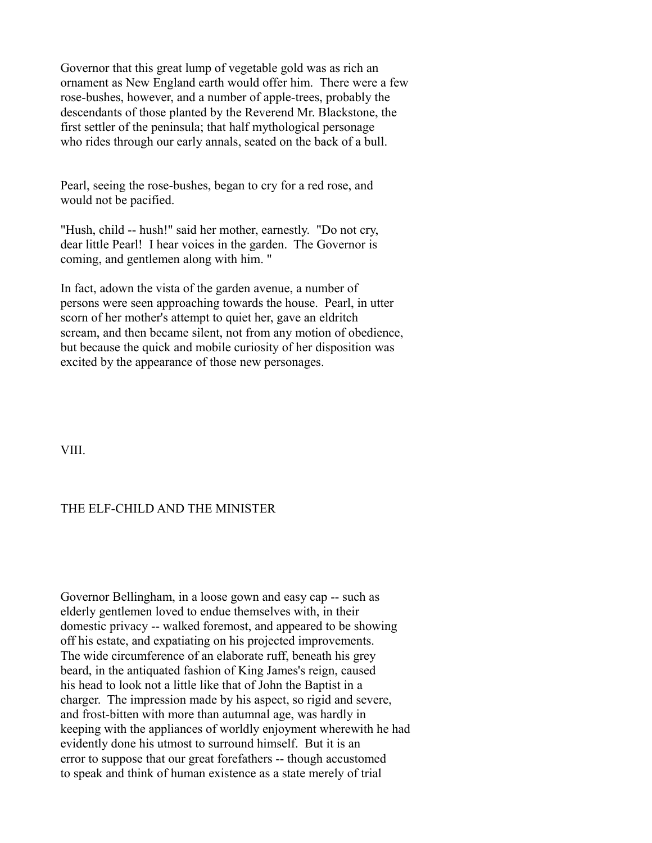Governor that this great lump of vegetable gold was as rich an ornament as New England earth would offer him. There were a few rose-bushes, however, and a number of apple-trees, probably the descendants of those planted by the Reverend Mr. Blackstone, the first settler of the peninsula; that half mythological personage who rides through our early annals, seated on the back of a bull.

Pearl, seeing the rose-bushes, began to cry for a red rose, and would not be pacified.

"Hush, child -- hush!" said her mother, earnestly. "Do not cry, dear little Pearl! I hear voices in the garden. The Governor is coming, and gentlemen along with him. "

In fact, adown the vista of the garden avenue, a number of persons were seen approaching towards the house. Pearl, in utter scorn of her mother's attempt to quiet her, gave an eldritch scream, and then became silent, not from any motion of obedience, but because the quick and mobile curiosity of her disposition was excited by the appearance of those new personages.

VIII.

## THE ELF-CHILD AND THE MINISTER

Governor Bellingham, in a loose gown and easy cap -- such as elderly gentlemen loved to endue themselves with, in their domestic privacy -- walked foremost, and appeared to be showing off his estate, and expatiating on his projected improvements. The wide circumference of an elaborate ruff, beneath his grey beard, in the antiquated fashion of King James's reign, caused his head to look not a little like that of John the Baptist in a charger. The impression made by his aspect, so rigid and severe, and frost-bitten with more than autumnal age, was hardly in keeping with the appliances of worldly enjoyment wherewith he had evidently done his utmost to surround himself. But it is an error to suppose that our great forefathers -- though accustomed to speak and think of human existence as a state merely of trial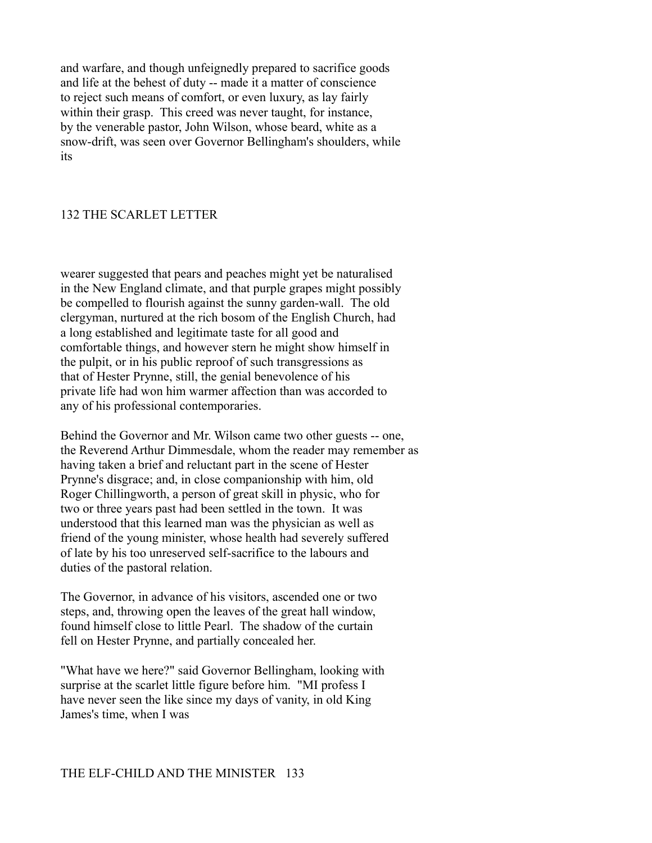and warfare, and though unfeignedly prepared to sacrifice goods and life at the behest of duty -- made it a matter of conscience to reject such means of comfort, or even luxury, as lay fairly within their grasp. This creed was never taught, for instance, by the venerable pastor, John Wilson, whose beard, white as a snow-drift, was seen over Governor Bellingham's shoulders, while its

### 132 THE SCARLET LETTER

wearer suggested that pears and peaches might yet be naturalised in the New England climate, and that purple grapes might possibly be compelled to flourish against the sunny garden-wall. The old clergyman, nurtured at the rich bosom of the English Church, had a long established and legitimate taste for all good and comfortable things, and however stern he might show himself in the pulpit, or in his public reproof of such transgressions as that of Hester Prynne, still, the genial benevolence of his private life had won him warmer affection than was accorded to any of his professional contemporaries.

Behind the Governor and Mr. Wilson came two other guests -- one, the Reverend Arthur Dimmesdale, whom the reader may remember as having taken a brief and reluctant part in the scene of Hester Prynne's disgrace; and, in close companionship with him, old Roger Chillingworth, a person of great skill in physic, who for two or three years past had been settled in the town. It was understood that this learned man was the physician as well as friend of the young minister, whose health had severely suffered of late by his too unreserved self-sacrifice to the labours and duties of the pastoral relation.

The Governor, in advance of his visitors, ascended one or two steps, and, throwing open the leaves of the great hall window, found himself close to little Pearl. The shadow of the curtain fell on Hester Prynne, and partially concealed her.

"What have we here?" said Governor Bellingham, looking with surprise at the scarlet little figure before him. "MI profess I have never seen the like since my days of vanity, in old King James's time, when I was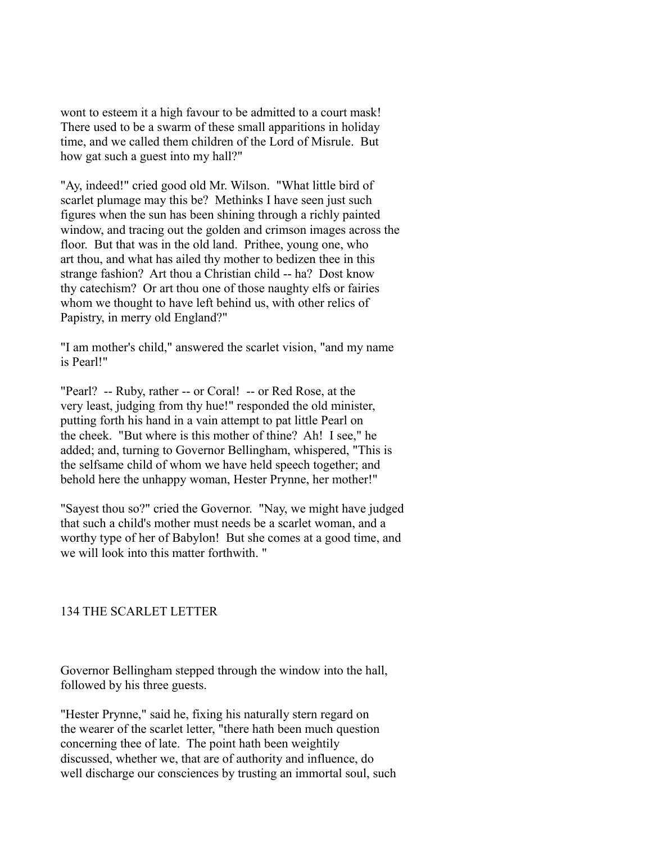wont to esteem it a high favour to be admitted to a court mask! There used to be a swarm of these small apparitions in holiday time, and we called them children of the Lord of Misrule. But how gat such a guest into my hall?"

"Ay, indeed!" cried good old Mr. Wilson. "What little bird of scarlet plumage may this be? Methinks I have seen just such figures when the sun has been shining through a richly painted window, and tracing out the golden and crimson images across the floor. But that was in the old land. Prithee, young one, who art thou, and what has ailed thy mother to bedizen thee in this strange fashion? Art thou a Christian child -- ha? Dost know thy catechism? Or art thou one of those naughty elfs or fairies whom we thought to have left behind us, with other relics of Papistry, in merry old England?"

"I am mother's child," answered the scarlet vision, "and my name is Pearl!"

"Pearl? -- Ruby, rather -- or Coral! -- or Red Rose, at the very least, judging from thy hue!" responded the old minister, putting forth his hand in a vain attempt to pat little Pearl on the cheek. "But where is this mother of thine? Ah! I see," he added; and, turning to Governor Bellingham, whispered, "This is the selfsame child of whom we have held speech together; and behold here the unhappy woman, Hester Prynne, her mother!"

"Sayest thou so?" cried the Governor. "Nay, we might have judged that such a child's mother must needs be a scarlet woman, and a worthy type of her of Babylon! But she comes at a good time, and we will look into this matter forthwith. "

## 134 THE SCARLET LETTER

Governor Bellingham stepped through the window into the hall, followed by his three guests.

"Hester Prynne," said he, fixing his naturally stern regard on the wearer of the scarlet letter, "there hath been much question concerning thee of late. The point hath been weightily discussed, whether we, that are of authority and influence, do well discharge our consciences by trusting an immortal soul, such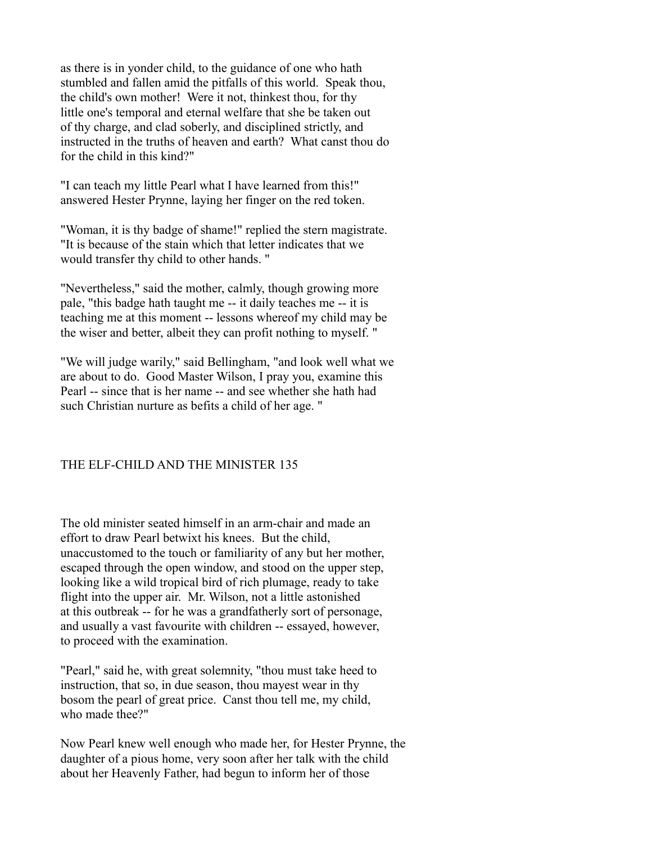as there is in yonder child, to the guidance of one who hath stumbled and fallen amid the pitfalls of this world. Speak thou, the child's own mother! Were it not, thinkest thou, for thy little one's temporal and eternal welfare that she be taken out of thy charge, and clad soberly, and disciplined strictly, and instructed in the truths of heaven and earth? What canst thou do for the child in this kind?"

"I can teach my little Pearl what I have learned from this!" answered Hester Prynne, laying her finger on the red token.

"Woman, it is thy badge of shame!" replied the stern magistrate. "It is because of the stain which that letter indicates that we would transfer thy child to other hands. "

"Nevertheless," said the mother, calmly, though growing more pale, "this badge hath taught me -- it daily teaches me -- it is teaching me at this moment -- lessons whereof my child may be the wiser and better, albeit they can profit nothing to myself. "

"We will judge warily," said Bellingham, "and look well what we are about to do. Good Master Wilson, I pray you, examine this Pearl -- since that is her name -- and see whether she hath had such Christian nurture as befits a child of her age. "

# THE ELF-CHILD AND THE MINISTER 135

The old minister seated himself in an arm-chair and made an effort to draw Pearl betwixt his knees. But the child, unaccustomed to the touch or familiarity of any but her mother, escaped through the open window, and stood on the upper step, looking like a wild tropical bird of rich plumage, ready to take flight into the upper air. Mr. Wilson, not a little astonished at this outbreak -- for he was a grandfatherly sort of personage, and usually a vast favourite with children -- essayed, however, to proceed with the examination.

"Pearl," said he, with great solemnity, "thou must take heed to instruction, that so, in due season, thou mayest wear in thy bosom the pearl of great price. Canst thou tell me, my child, who made thee?"

Now Pearl knew well enough who made her, for Hester Prynne, the daughter of a pious home, very soon after her talk with the child about her Heavenly Father, had begun to inform her of those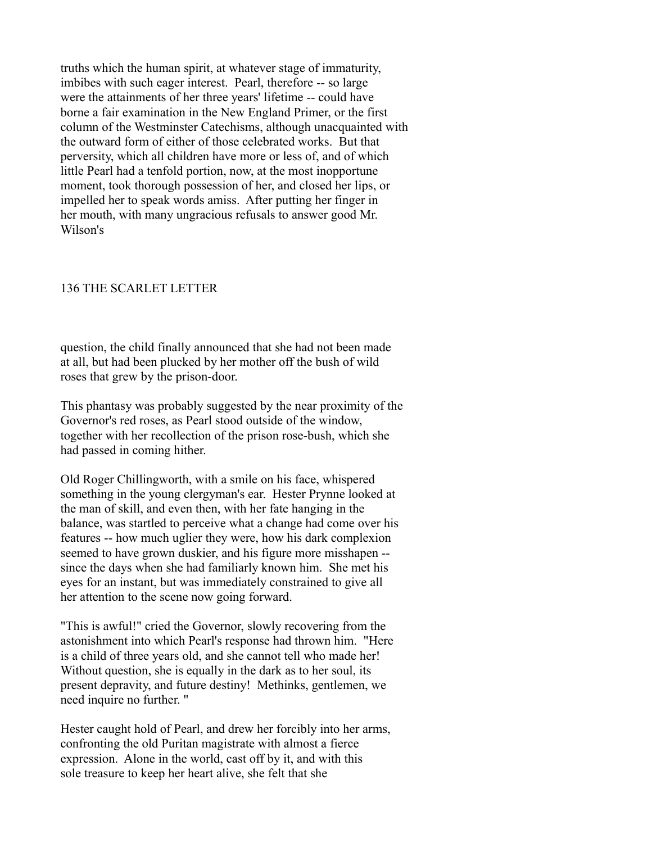truths which the human spirit, at whatever stage of immaturity, imbibes with such eager interest. Pearl, therefore -- so large were the attainments of her three years' lifetime -- could have borne a fair examination in the New England Primer, or the first column of the Westminster Catechisms, although unacquainted with the outward form of either of those celebrated works. But that perversity, which all children have more or less of, and of which little Pearl had a tenfold portion, now, at the most inopportune moment, took thorough possession of her, and closed her lips, or impelled her to speak words amiss. After putting her finger in her mouth, with many ungracious refusals to answer good Mr. Wilson's

### 136 THE SCARLET LETTER

question, the child finally announced that she had not been made at all, but had been plucked by her mother off the bush of wild roses that grew by the prison-door.

This phantasy was probably suggested by the near proximity of the Governor's red roses, as Pearl stood outside of the window, together with her recollection of the prison rose-bush, which she had passed in coming hither.

Old Roger Chillingworth, with a smile on his face, whispered something in the young clergyman's ear. Hester Prynne looked at the man of skill, and even then, with her fate hanging in the balance, was startled to perceive what a change had come over his features -- how much uglier they were, how his dark complexion seemed to have grown duskier, and his figure more misshapen - since the days when she had familiarly known him. She met his eyes for an instant, but was immediately constrained to give all her attention to the scene now going forward.

"This is awful!" cried the Governor, slowly recovering from the astonishment into which Pearl's response had thrown him. "Here is a child of three years old, and she cannot tell who made her! Without question, she is equally in the dark as to her soul, its present depravity, and future destiny! Methinks, gentlemen, we need inquire no further. "

Hester caught hold of Pearl, and drew her forcibly into her arms, confronting the old Puritan magistrate with almost a fierce expression. Alone in the world, cast off by it, and with this sole treasure to keep her heart alive, she felt that she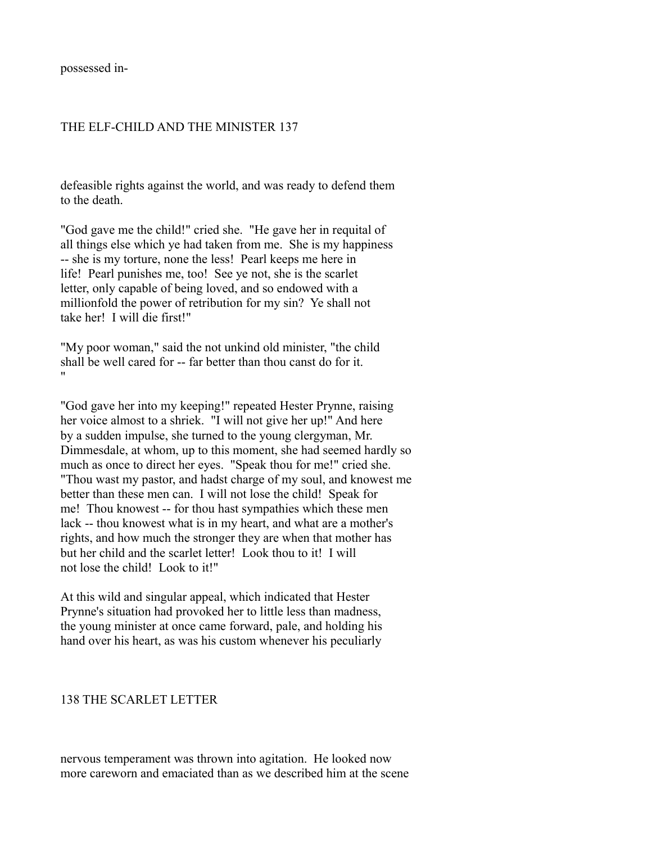possessed in-

## THE ELF-CHILD AND THE MINISTER 137

defeasible rights against the world, and was ready to defend them to the death

"God gave me the child!" cried she. "He gave her in requital of all things else which ye had taken from me. She is my happiness -- she is my torture, none the less! Pearl keeps me here in life! Pearl punishes me, too! See ye not, she is the scarlet letter, only capable of being loved, and so endowed with a millionfold the power of retribution for my sin? Ye shall not take her! I will die first!"

"My poor woman," said the not unkind old minister, "the child shall be well cared for -- far better than thou canst do for it. "

"God gave her into my keeping!" repeated Hester Prynne, raising her voice almost to a shriek. "I will not give her up!" And here by a sudden impulse, she turned to the young clergyman, Mr. Dimmesdale, at whom, up to this moment, she had seemed hardly so much as once to direct her eyes. "Speak thou for me!" cried she. "Thou wast my pastor, and hadst charge of my soul, and knowest me better than these men can. I will not lose the child! Speak for me! Thou knowest -- for thou hast sympathies which these men lack -- thou knowest what is in my heart, and what are a mother's rights, and how much the stronger they are when that mother has but her child and the scarlet letter! Look thou to it! I will not lose the child! Look to it!"

At this wild and singular appeal, which indicated that Hester Prynne's situation had provoked her to little less than madness, the young minister at once came forward, pale, and holding his hand over his heart, as was his custom whenever his peculiarly

#### 138 THE SCARLET LETTER

nervous temperament was thrown into agitation. He looked now more careworn and emaciated than as we described him at the scene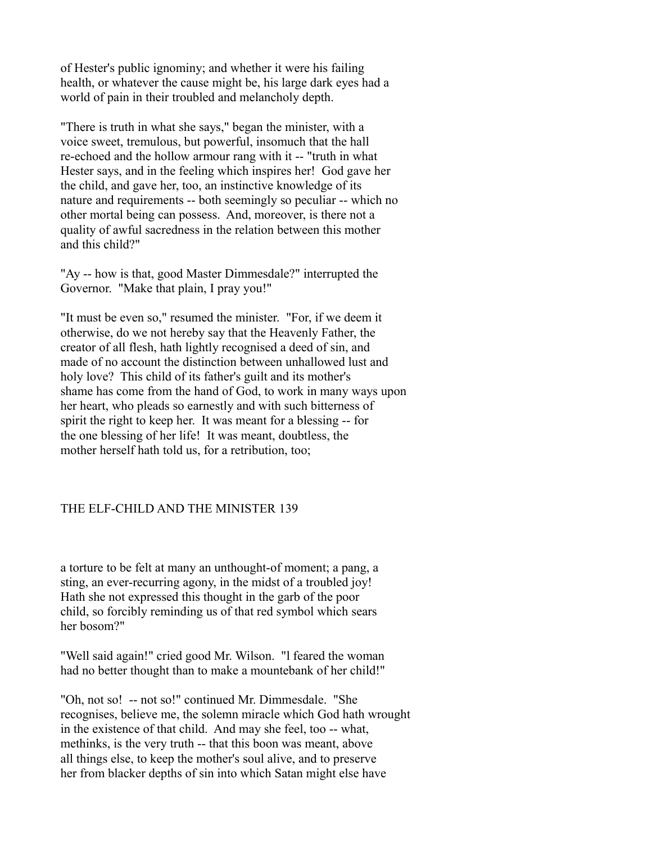of Hester's public ignominy; and whether it were his failing health, or whatever the cause might be, his large dark eyes had a world of pain in their troubled and melancholy depth.

"There is truth in what she says," began the minister, with a voice sweet, tremulous, but powerful, insomuch that the hall re-echoed and the hollow armour rang with it -- "truth in what Hester says, and in the feeling which inspires her! God gave her the child, and gave her, too, an instinctive knowledge of its nature and requirements -- both seemingly so peculiar -- which no other mortal being can possess. And, moreover, is there not a quality of awful sacredness in the relation between this mother and this child?"

"Ay -- how is that, good Master Dimmesdale?" interrupted the Governor. "Make that plain, I pray you!"

"It must be even so," resumed the minister. "For, if we deem it otherwise, do we not hereby say that the Heavenly Father, the creator of all flesh, hath lightly recognised a deed of sin, and made of no account the distinction between unhallowed lust and holy love? This child of its father's guilt and its mother's shame has come from the hand of God, to work in many ways upon her heart, who pleads so earnestly and with such bitterness of spirit the right to keep her. It was meant for a blessing -- for the one blessing of her life! It was meant, doubtless, the mother herself hath told us, for a retribution, too;

## THE ELF-CHILD AND THE MINISTER 139

a torture to be felt at many an unthought-of moment; a pang, a sting, an ever-recurring agony, in the midst of a troubled joy! Hath she not expressed this thought in the garb of the poor child, so forcibly reminding us of that red symbol which sears her bosom?"

"Well said again!" cried good Mr. Wilson. "l feared the woman had no better thought than to make a mountebank of her child!"

"Oh, not so! -- not so!" continued Mr. Dimmesdale. "She recognises, believe me, the solemn miracle which God hath wrought in the existence of that child. And may she feel, too -- what, methinks, is the very truth -- that this boon was meant, above all things else, to keep the mother's soul alive, and to preserve her from blacker depths of sin into which Satan might else have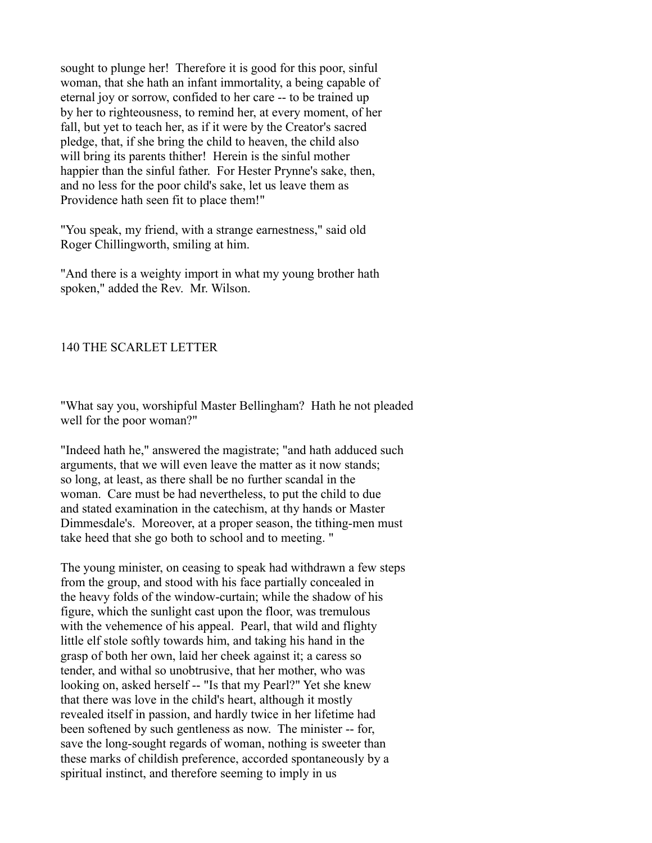sought to plunge her! Therefore it is good for this poor, sinful woman, that she hath an infant immortality, a being capable of eternal joy or sorrow, confided to her care -- to be trained up by her to righteousness, to remind her, at every moment, of her fall, but yet to teach her, as if it were by the Creator's sacred pledge, that, if she bring the child to heaven, the child also will bring its parents thither! Herein is the sinful mother happier than the sinful father. For Hester Prynne's sake, then, and no less for the poor child's sake, let us leave them as Providence hath seen fit to place them!"

"You speak, my friend, with a strange earnestness," said old Roger Chillingworth, smiling at him.

"And there is a weighty import in what my young brother hath spoken," added the Rev. Mr. Wilson.

### 140 THE SCARLET LETTER

"What say you, worshipful Master Bellingham? Hath he not pleaded well for the poor woman?"

"Indeed hath he," answered the magistrate; "and hath adduced such arguments, that we will even leave the matter as it now stands; so long, at least, as there shall be no further scandal in the woman. Care must be had nevertheless, to put the child to due and stated examination in the catechism, at thy hands or Master Dimmesdale's. Moreover, at a proper season, the tithing-men must take heed that she go both to school and to meeting. "

The young minister, on ceasing to speak had withdrawn a few steps from the group, and stood with his face partially concealed in the heavy folds of the window-curtain; while the shadow of his figure, which the sunlight cast upon the floor, was tremulous with the vehemence of his appeal. Pearl, that wild and flighty little elf stole softly towards him, and taking his hand in the grasp of both her own, laid her cheek against it; a caress so tender, and withal so unobtrusive, that her mother, who was looking on, asked herself -- "Is that my Pearl?" Yet she knew that there was love in the child's heart, although it mostly revealed itself in passion, and hardly twice in her lifetime had been softened by such gentleness as now. The minister -- for, save the long-sought regards of woman, nothing is sweeter than these marks of childish preference, accorded spontaneously by a spiritual instinct, and therefore seeming to imply in us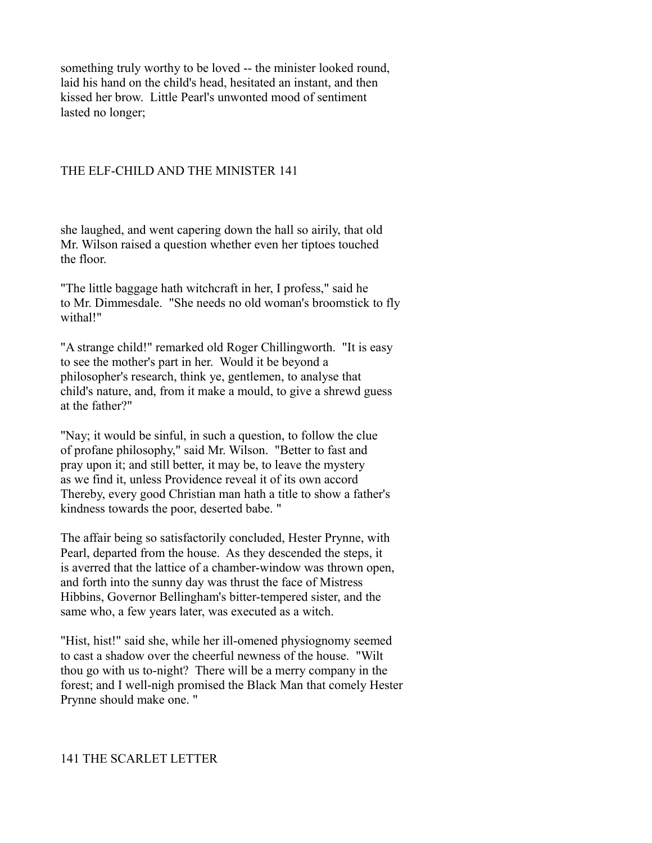something truly worthy to be loved -- the minister looked round, laid his hand on the child's head, hesitated an instant, and then kissed her brow. Little Pearl's unwonted mood of sentiment lasted no longer;

## THE ELF-CHILD AND THE MINISTER 141

she laughed, and went capering down the hall so airily, that old Mr. Wilson raised a question whether even her tiptoes touched the floor.

"The little baggage hath witchcraft in her, I profess," said he to Mr. Dimmesdale. "She needs no old woman's broomstick to fly withal!"

"A strange child!" remarked old Roger Chillingworth. "It is easy to see the mother's part in her. Would it be beyond a philosopher's research, think ye, gentlemen, to analyse that child's nature, and, from it make a mould, to give a shrewd guess at the father?"

"Nay; it would be sinful, in such a question, to follow the clue of profane philosophy," said Mr. Wilson. "Better to fast and pray upon it; and still better, it may be, to leave the mystery as we find it, unless Providence reveal it of its own accord Thereby, every good Christian man hath a title to show a father's kindness towards the poor, deserted babe. "

The affair being so satisfactorily concluded, Hester Prynne, with Pearl, departed from the house. As they descended the steps, it is averred that the lattice of a chamber-window was thrown open, and forth into the sunny day was thrust the face of Mistress Hibbins, Governor Bellingham's bitter-tempered sister, and the same who, a few years later, was executed as a witch.

"Hist, hist!" said she, while her ill-omened physiognomy seemed to cast a shadow over the cheerful newness of the house. "Wilt thou go with us to-night? There will be a merry company in the forest; and I well-nigh promised the Black Man that comely Hester Prynne should make one. "

### 141 THE SCARLET LETTER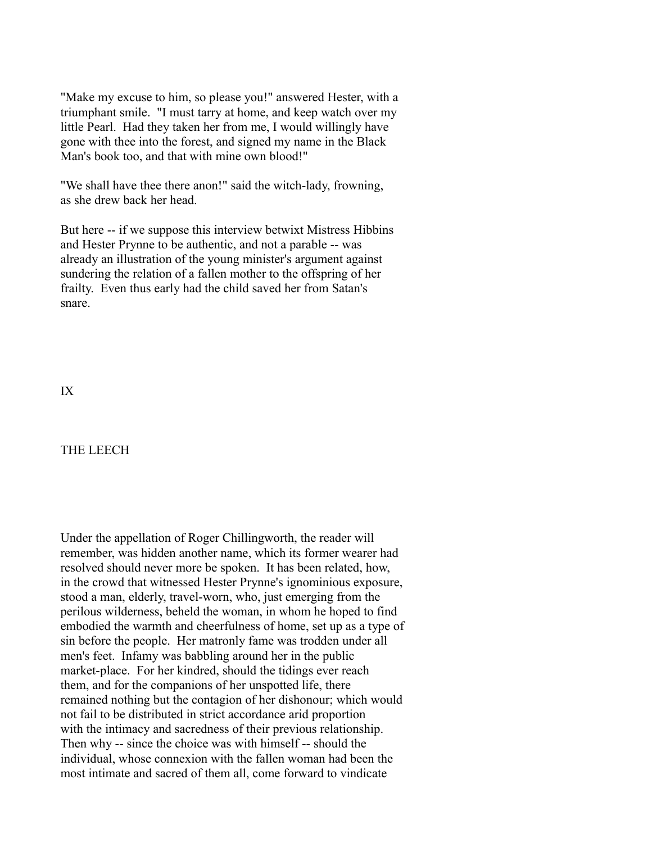"Make my excuse to him, so please you!" answered Hester, with a triumphant smile. "I must tarry at home, and keep watch over my little Pearl. Had they taken her from me, I would willingly have gone with thee into the forest, and signed my name in the Black Man's book too, and that with mine own blood!"

"We shall have thee there anon!" said the witch-lady, frowning, as she drew back her head.

But here -- if we suppose this interview betwixt Mistress Hibbins and Hester Prynne to be authentic, and not a parable -- was already an illustration of the young minister's argument against sundering the relation of a fallen mother to the offspring of her frailty. Even thus early had the child saved her from Satan's snare.

IX

## THE LEECH

Under the appellation of Roger Chillingworth, the reader will remember, was hidden another name, which its former wearer had resolved should never more be spoken. It has been related, how, in the crowd that witnessed Hester Prynne's ignominious exposure, stood a man, elderly, travel-worn, who, just emerging from the perilous wilderness, beheld the woman, in whom he hoped to find embodied the warmth and cheerfulness of home, set up as a type of sin before the people. Her matronly fame was trodden under all men's feet. Infamy was babbling around her in the public market-place. For her kindred, should the tidings ever reach them, and for the companions of her unspotted life, there remained nothing but the contagion of her dishonour; which would not fail to be distributed in strict accordance arid proportion with the intimacy and sacredness of their previous relationship. Then why -- since the choice was with himself -- should the individual, whose connexion with the fallen woman had been the most intimate and sacred of them all, come forward to vindicate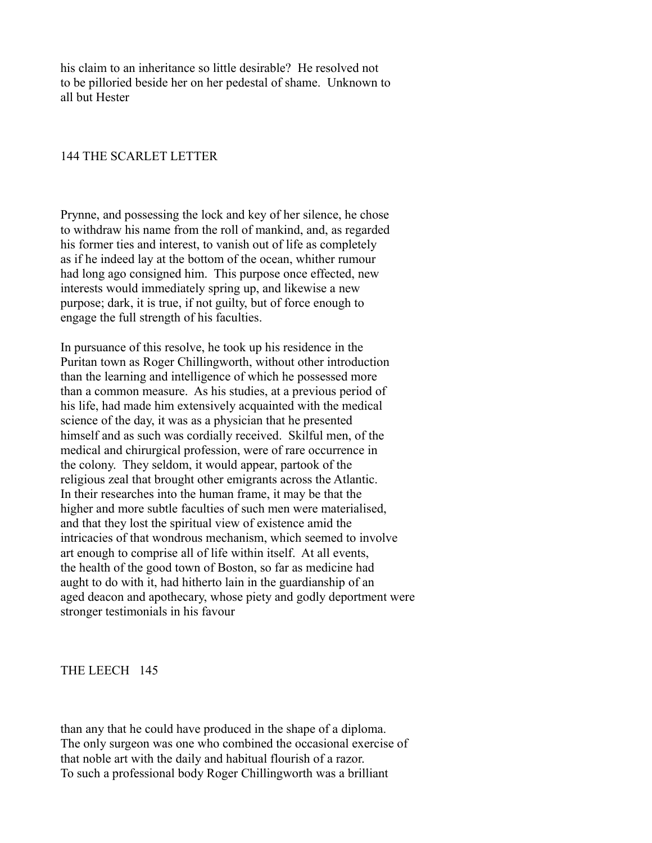his claim to an inheritance so little desirable? He resolved not to be pilloried beside her on her pedestal of shame. Unknown to all but Hester

#### 144 THE SCARLET LETTER

Prynne, and possessing the lock and key of her silence, he chose to withdraw his name from the roll of mankind, and, as regarded his former ties and interest, to vanish out of life as completely as if he indeed lay at the bottom of the ocean, whither rumour had long ago consigned him. This purpose once effected, new interests would immediately spring up, and likewise a new purpose; dark, it is true, if not guilty, but of force enough to engage the full strength of his faculties.

In pursuance of this resolve, he took up his residence in the Puritan town as Roger Chillingworth, without other introduction than the learning and intelligence of which he possessed more than a common measure. As his studies, at a previous period of his life, had made him extensively acquainted with the medical science of the day, it was as a physician that he presented himself and as such was cordially received. Skilful men, of the medical and chirurgical profession, were of rare occurrence in the colony. They seldom, it would appear, partook of the religious zeal that brought other emigrants across the Atlantic. In their researches into the human frame, it may be that the higher and more subtle faculties of such men were materialised, and that they lost the spiritual view of existence amid the intricacies of that wondrous mechanism, which seemed to involve art enough to comprise all of life within itself. At all events, the health of the good town of Boston, so far as medicine had aught to do with it, had hitherto lain in the guardianship of an aged deacon and apothecary, whose piety and godly deportment were stronger testimonials in his favour

THE LEECH 145

than any that he could have produced in the shape of a diploma. The only surgeon was one who combined the occasional exercise of that noble art with the daily and habitual flourish of a razor. To such a professional body Roger Chillingworth was a brilliant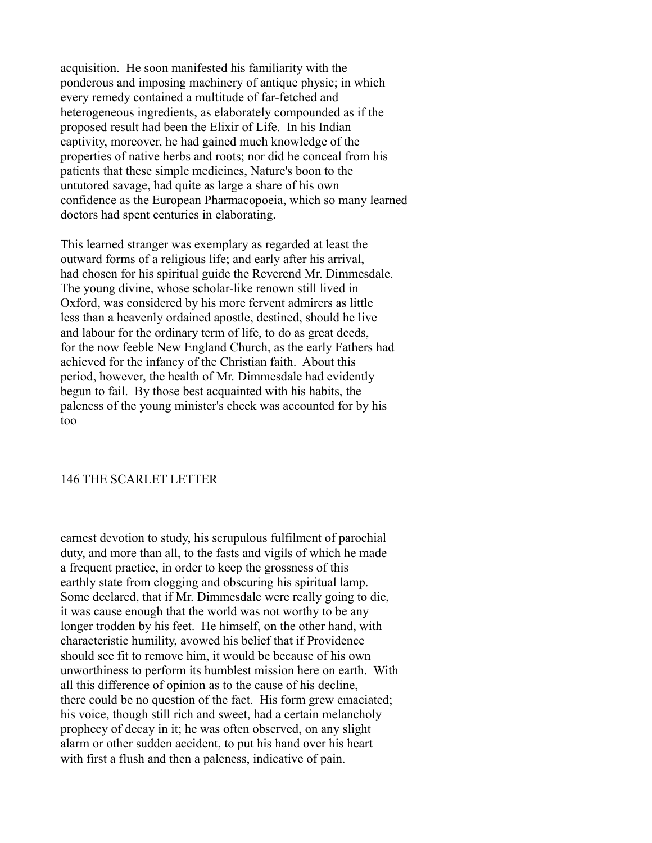acquisition. He soon manifested his familiarity with the ponderous and imposing machinery of antique physic; in which every remedy contained a multitude of far-fetched and heterogeneous ingredients, as elaborately compounded as if the proposed result had been the Elixir of Life. In his Indian captivity, moreover, he had gained much knowledge of the properties of native herbs and roots; nor did he conceal from his patients that these simple medicines, Nature's boon to the untutored savage, had quite as large a share of his own confidence as the European Pharmacopoeia, which so many learned doctors had spent centuries in elaborating.

This learned stranger was exemplary as regarded at least the outward forms of a religious life; and early after his arrival, had chosen for his spiritual guide the Reverend Mr. Dimmesdale. The young divine, whose scholar-like renown still lived in Oxford, was considered by his more fervent admirers as little less than a heavenly ordained apostle, destined, should he live and labour for the ordinary term of life, to do as great deeds, for the now feeble New England Church, as the early Fathers had achieved for the infancy of the Christian faith. About this period, however, the health of Mr. Dimmesdale had evidently begun to fail. By those best acquainted with his habits, the paleness of the young minister's cheek was accounted for by his too

### 146 THE SCARLET LETTER

earnest devotion to study, his scrupulous fulfilment of parochial duty, and more than all, to the fasts and vigils of which he made a frequent practice, in order to keep the grossness of this earthly state from clogging and obscuring his spiritual lamp. Some declared, that if Mr. Dimmesdale were really going to die, it was cause enough that the world was not worthy to be any longer trodden by his feet. He himself, on the other hand, with characteristic humility, avowed his belief that if Providence should see fit to remove him, it would be because of his own unworthiness to perform its humblest mission here on earth. With all this difference of opinion as to the cause of his decline, there could be no question of the fact. His form grew emaciated; his voice, though still rich and sweet, had a certain melancholy prophecy of decay in it; he was often observed, on any slight alarm or other sudden accident, to put his hand over his heart with first a flush and then a paleness, indicative of pain.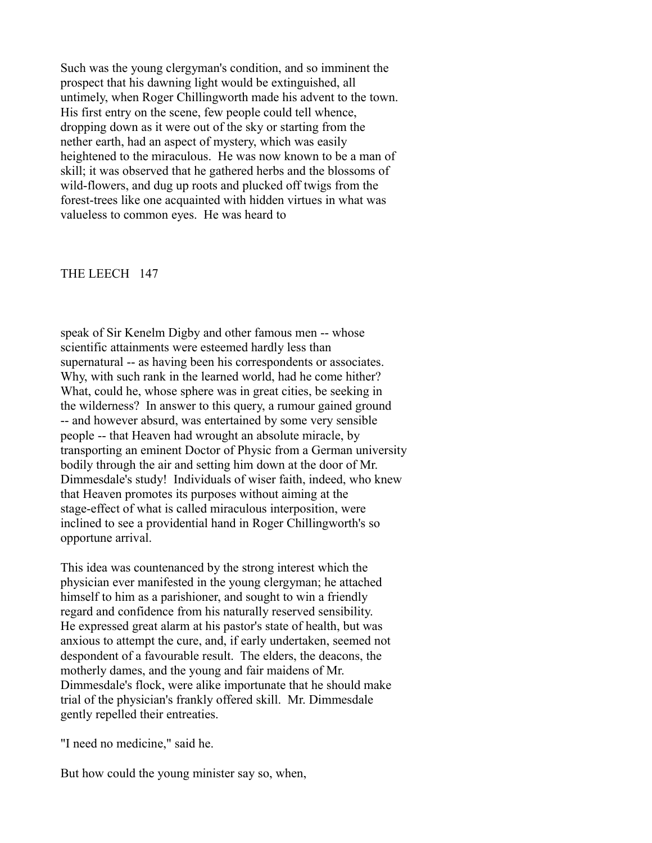Such was the young clergyman's condition, and so imminent the prospect that his dawning light would be extinguished, all untimely, when Roger Chillingworth made his advent to the town. His first entry on the scene, few people could tell whence, dropping down as it were out of the sky or starting from the nether earth, had an aspect of mystery, which was easily heightened to the miraculous. He was now known to be a man of skill; it was observed that he gathered herbs and the blossoms of wild-flowers, and dug up roots and plucked off twigs from the forest-trees like one acquainted with hidden virtues in what was valueless to common eyes. He was heard to

#### THE LEECH 147

speak of Sir Kenelm Digby and other famous men -- whose scientific attainments were esteemed hardly less than supernatural -- as having been his correspondents or associates. Why, with such rank in the learned world, had he come hither? What, could he, whose sphere was in great cities, be seeking in the wilderness? In answer to this query, a rumour gained ground -- and however absurd, was entertained by some very sensible people -- that Heaven had wrought an absolute miracle, by transporting an eminent Doctor of Physic from a German university bodily through the air and setting him down at the door of Mr. Dimmesdale's study! Individuals of wiser faith, indeed, who knew that Heaven promotes its purposes without aiming at the stage-effect of what is called miraculous interposition, were inclined to see a providential hand in Roger Chillingworth's so opportune arrival.

This idea was countenanced by the strong interest which the physician ever manifested in the young clergyman; he attached himself to him as a parishioner, and sought to win a friendly regard and confidence from his naturally reserved sensibility. He expressed great alarm at his pastor's state of health, but was anxious to attempt the cure, and, if early undertaken, seemed not despondent of a favourable result. The elders, the deacons, the motherly dames, and the young and fair maidens of Mr. Dimmesdale's flock, were alike importunate that he should make trial of the physician's frankly offered skill. Mr. Dimmesdale gently repelled their entreaties.

"I need no medicine," said he.

But how could the young minister say so, when,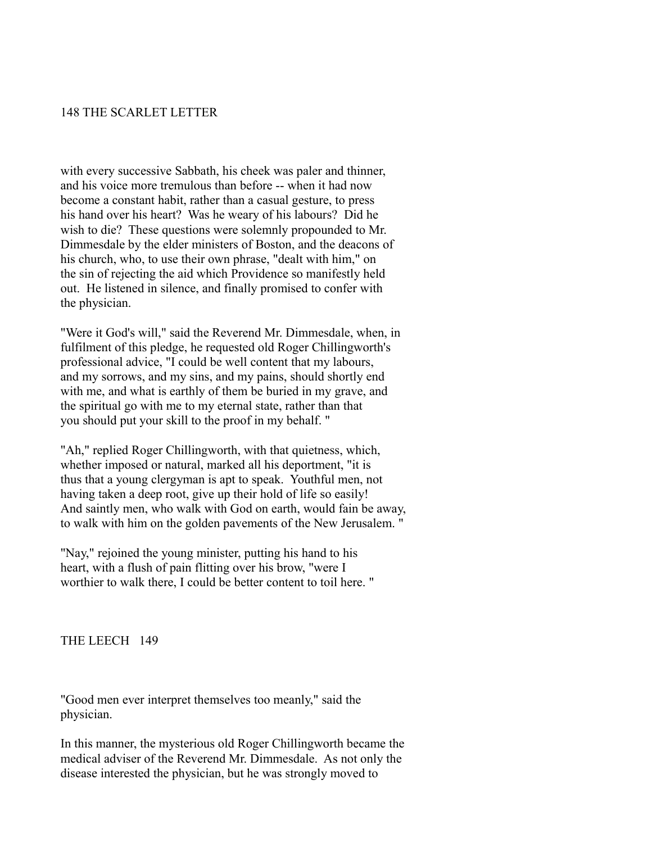### 148 THE SCARLET LETTER

with every successive Sabbath, his cheek was paler and thinner, and his voice more tremulous than before -- when it had now become a constant habit, rather than a casual gesture, to press his hand over his heart? Was he weary of his labours? Did he wish to die? These questions were solemnly propounded to Mr. Dimmesdale by the elder ministers of Boston, and the deacons of his church, who, to use their own phrase, "dealt with him," on the sin of rejecting the aid which Providence so manifestly held out. He listened in silence, and finally promised to confer with the physician.

"Were it God's will," said the Reverend Mr. Dimmesdale, when, in fulfilment of this pledge, he requested old Roger Chillingworth's professional advice, "I could be well content that my labours, and my sorrows, and my sins, and my pains, should shortly end with me, and what is earthly of them be buried in my grave, and the spiritual go with me to my eternal state, rather than that you should put your skill to the proof in my behalf. "

"Ah," replied Roger Chillingworth, with that quietness, which, whether imposed or natural, marked all his deportment, "it is thus that a young clergyman is apt to speak. Youthful men, not having taken a deep root, give up their hold of life so easily! And saintly men, who walk with God on earth, would fain be away, to walk with him on the golden pavements of the New Jerusalem. "

"Nay," rejoined the young minister, putting his hand to his heart, with a flush of pain flitting over his brow, "were I worthier to walk there, I could be better content to toil here. "

THE LEECH 149

"Good men ever interpret themselves too meanly," said the physician.

In this manner, the mysterious old Roger Chillingworth became the medical adviser of the Reverend Mr. Dimmesdale. As not only the disease interested the physician, but he was strongly moved to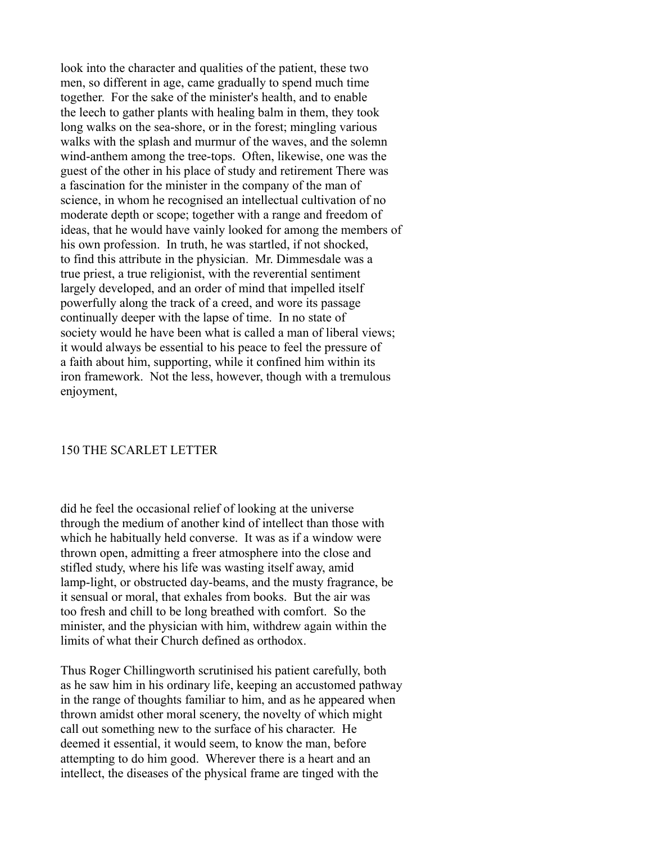look into the character and qualities of the patient, these two men, so different in age, came gradually to spend much time together. For the sake of the minister's health, and to enable the leech to gather plants with healing balm in them, they took long walks on the sea-shore, or in the forest; mingling various walks with the splash and murmur of the waves, and the solemn wind-anthem among the tree-tops. Often, likewise, one was the guest of the other in his place of study and retirement There was a fascination for the minister in the company of the man of science, in whom he recognised an intellectual cultivation of no moderate depth or scope; together with a range and freedom of ideas, that he would have vainly looked for among the members of his own profession. In truth, he was startled, if not shocked, to find this attribute in the physician. Mr. Dimmesdale was a true priest, a true religionist, with the reverential sentiment largely developed, and an order of mind that impelled itself powerfully along the track of a creed, and wore its passage continually deeper with the lapse of time. In no state of society would he have been what is called a man of liberal views; it would always be essential to his peace to feel the pressure of a faith about him, supporting, while it confined him within its iron framework. Not the less, however, though with a tremulous enjoyment,

### 150 THE SCARLET LETTER

did he feel the occasional relief of looking at the universe through the medium of another kind of intellect than those with which he habitually held converse. It was as if a window were thrown open, admitting a freer atmosphere into the close and stifled study, where his life was wasting itself away, amid lamp-light, or obstructed day-beams, and the musty fragrance, be it sensual or moral, that exhales from books. But the air was too fresh and chill to be long breathed with comfort. So the minister, and the physician with him, withdrew again within the limits of what their Church defined as orthodox.

Thus Roger Chillingworth scrutinised his patient carefully, both as he saw him in his ordinary life, keeping an accustomed pathway in the range of thoughts familiar to him, and as he appeared when thrown amidst other moral scenery, the novelty of which might call out something new to the surface of his character. He deemed it essential, it would seem, to know the man, before attempting to do him good. Wherever there is a heart and an intellect, the diseases of the physical frame are tinged with the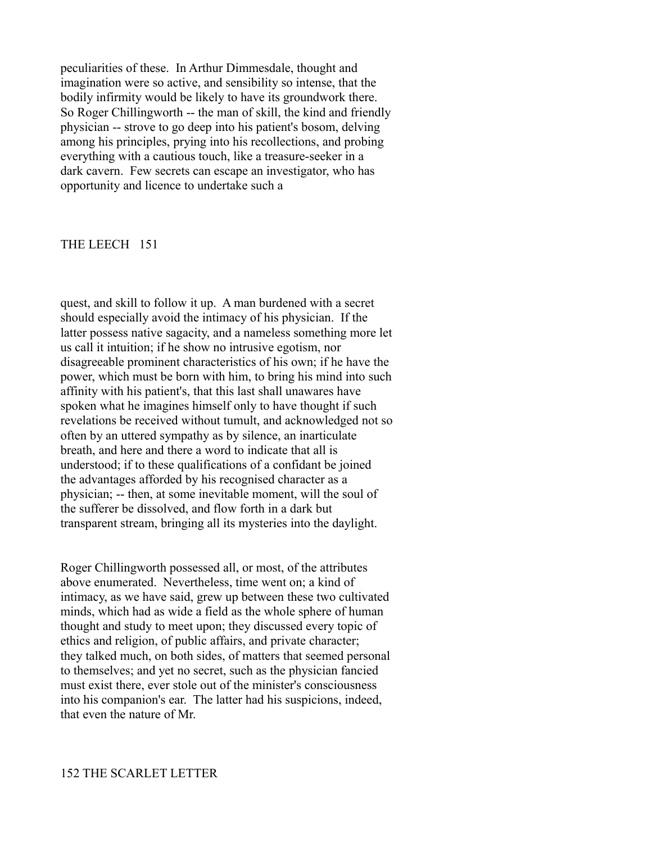peculiarities of these. In Arthur Dimmesdale, thought and imagination were so active, and sensibility so intense, that the bodily infirmity would be likely to have its groundwork there. So Roger Chillingworth -- the man of skill, the kind and friendly physician -- strove to go deep into his patient's bosom, delving among his principles, prying into his recollections, and probing everything with a cautious touch, like a treasure-seeker in a dark cavern. Few secrets can escape an investigator, who has opportunity and licence to undertake such a

#### THE LEECH 151

quest, and skill to follow it up. A man burdened with a secret should especially avoid the intimacy of his physician. If the latter possess native sagacity, and a nameless something more let us call it intuition; if he show no intrusive egotism, nor disagreeable prominent characteristics of his own; if he have the power, which must be born with him, to bring his mind into such affinity with his patient's, that this last shall unawares have spoken what he imagines himself only to have thought if such revelations be received without tumult, and acknowledged not so often by an uttered sympathy as by silence, an inarticulate breath, and here and there a word to indicate that all is understood; if to these qualifications of a confidant be joined the advantages afforded by his recognised character as a physician; -- then, at some inevitable moment, will the soul of the sufferer be dissolved, and flow forth in a dark but transparent stream, bringing all its mysteries into the daylight.

Roger Chillingworth possessed all, or most, of the attributes above enumerated. Nevertheless, time went on; a kind of intimacy, as we have said, grew up between these two cultivated minds, which had as wide a field as the whole sphere of human thought and study to meet upon; they discussed every topic of ethics and religion, of public affairs, and private character; they talked much, on both sides, of matters that seemed personal to themselves; and yet no secret, such as the physician fancied must exist there, ever stole out of the minister's consciousness into his companion's ear. The latter had his suspicions, indeed, that even the nature of Mr.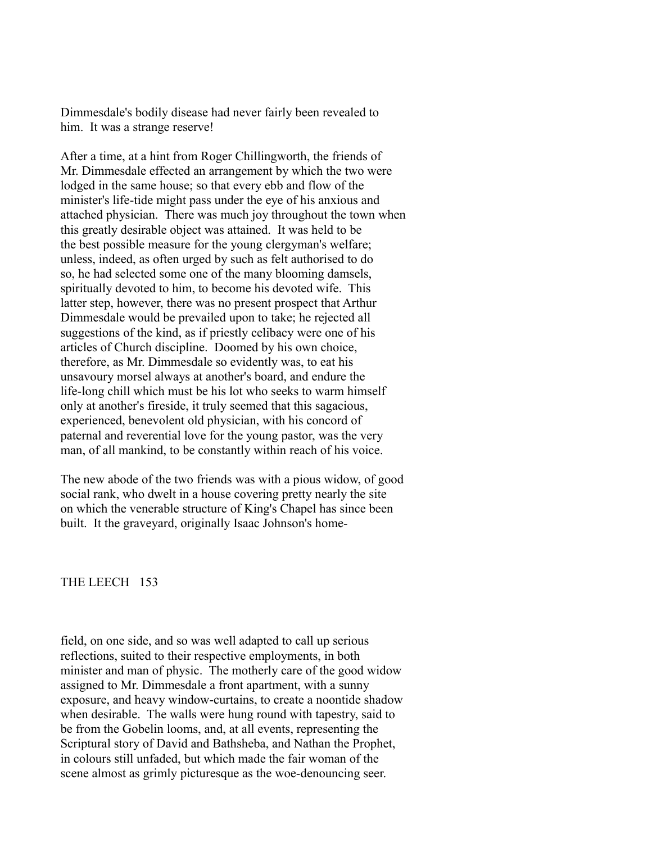Dimmesdale's bodily disease had never fairly been revealed to him. It was a strange reserve!

After a time, at a hint from Roger Chillingworth, the friends of Mr. Dimmesdale effected an arrangement by which the two were lodged in the same house; so that every ebb and flow of the minister's life-tide might pass under the eye of his anxious and attached physician. There was much joy throughout the town when this greatly desirable object was attained. It was held to be the best possible measure for the young clergyman's welfare; unless, indeed, as often urged by such as felt authorised to do so, he had selected some one of the many blooming damsels, spiritually devoted to him, to become his devoted wife. This latter step, however, there was no present prospect that Arthur Dimmesdale would be prevailed upon to take; he rejected all suggestions of the kind, as if priestly celibacy were one of his articles of Church discipline. Doomed by his own choice, therefore, as Mr. Dimmesdale so evidently was, to eat his unsavoury morsel always at another's board, and endure the life-long chill which must be his lot who seeks to warm himself only at another's fireside, it truly seemed that this sagacious, experienced, benevolent old physician, with his concord of paternal and reverential love for the young pastor, was the very man, of all mankind, to be constantly within reach of his voice.

The new abode of the two friends was with a pious widow, of good social rank, who dwelt in a house covering pretty nearly the site on which the venerable structure of King's Chapel has since been built. It the graveyard, originally Isaac Johnson's home-

### THE LEECH 153

field, on one side, and so was well adapted to call up serious reflections, suited to their respective employments, in both minister and man of physic. The motherly care of the good widow assigned to Mr. Dimmesdale a front apartment, with a sunny exposure, and heavy window-curtains, to create a noontide shadow when desirable. The walls were hung round with tapestry, said to be from the Gobelin looms, and, at all events, representing the Scriptural story of David and Bathsheba, and Nathan the Prophet, in colours still unfaded, but which made the fair woman of the scene almost as grimly picturesque as the woe-denouncing seer.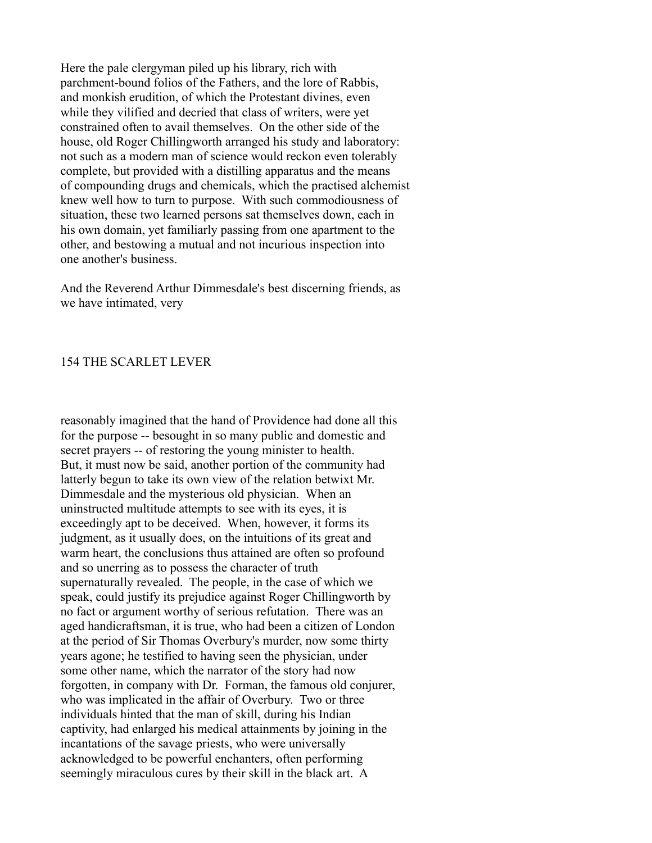Here the pale clergyman piled up his library, rich with parchment-bound folios of the Fathers, and the lore of Rabbis, and monkish erudition, of which the Protestant divines, even while they vilified and decried that class of writers, were yet constrained often to avail themselves. On the other side of the house, old Roger Chillingworth arranged his study and laboratory: not such as a modern man of science would reckon even tolerably complete, but provided with a distilling apparatus and the means of compounding drugs and chemicals, which the practised alchemist knew well how to turn to purpose. With such commodiousness of situation, these two learned persons sat themselves down, each in his own domain, yet familiarly passing from one apartment to the other, and bestowing a mutual and not incurious inspection into one another's business.

And the Reverend Arthur Dimmesdale's best discerning friends, as we have intimated, very

### 154 THE SCARLET LEVER

reasonably imagined that the hand of Providence had done all this for the purpose -- besought in so many public and domestic and secret prayers -- of restoring the young minister to health. But, it must now be said, another portion of the community had latterly begun to take its own view of the relation betwixt Mr. Dimmesdale and the mysterious old physician. When an uninstructed multitude attempts to see with its eyes, it is exceedingly apt to be deceived. When, however, it forms its judgment, as it usually does, on the intuitions of its great and warm heart, the conclusions thus attained are often so profound and so unerring as to possess the character of truth supernaturally revealed. The people, in the case of which we speak, could justify its prejudice against Roger Chillingworth by no fact or argument worthy of serious refutation. There was an aged handicraftsman, it is true, who had been a citizen of London at the period of Sir Thomas Overbury's murder, now some thirty years agone; he testified to having seen the physician, under some other name, which the narrator of the story had now forgotten, in company with Dr. Forman, the famous old conjurer, who was implicated in the affair of Overbury. Two or three individuals hinted that the man of skill, during his Indian captivity, had enlarged his medical attainments by joining in the incantations of the savage priests, who were universally acknowledged to be powerful enchanters, often performing seemingly miraculous cures by their skill in the black art. A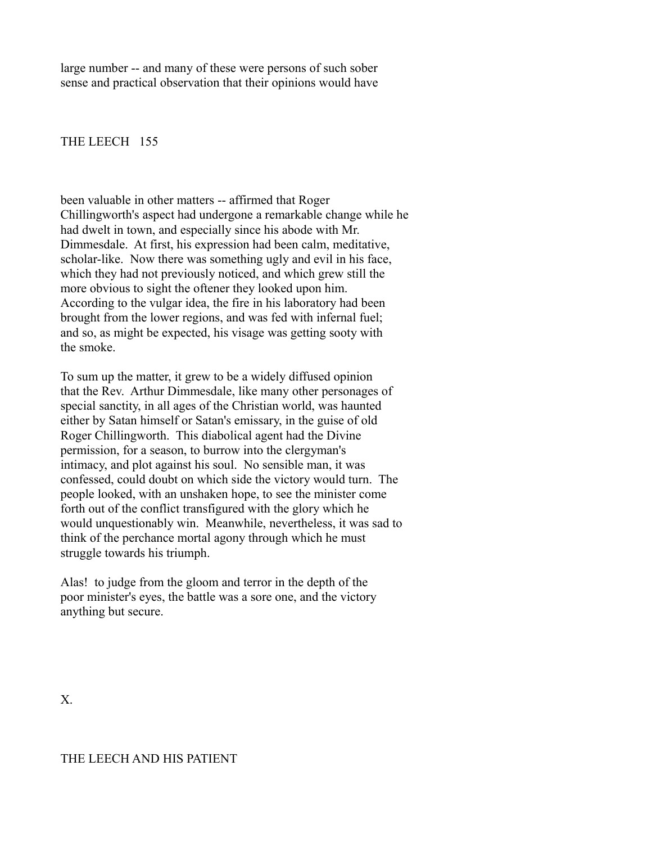large number -- and many of these were persons of such sober sense and practical observation that their opinions would have

### THE LEECH 155

been valuable in other matters -- affirmed that Roger Chillingworth's aspect had undergone a remarkable change while he had dwelt in town, and especially since his abode with Mr. Dimmesdale. At first, his expression had been calm, meditative, scholar-like. Now there was something ugly and evil in his face, which they had not previously noticed, and which grew still the more obvious to sight the oftener they looked upon him. According to the vulgar idea, the fire in his laboratory had been brought from the lower regions, and was fed with infernal fuel; and so, as might be expected, his visage was getting sooty with the smoke.

To sum up the matter, it grew to be a widely diffused opinion that the Rev. Arthur Dimmesdale, like many other personages of special sanctity, in all ages of the Christian world, was haunted either by Satan himself or Satan's emissary, in the guise of old Roger Chillingworth. This diabolical agent had the Divine permission, for a season, to burrow into the clergyman's intimacy, and plot against his soul. No sensible man, it was confessed, could doubt on which side the victory would turn. The people looked, with an unshaken hope, to see the minister come forth out of the conflict transfigured with the glory which he would unquestionably win. Meanwhile, nevertheless, it was sad to think of the perchance mortal agony through which he must struggle towards his triumph.

Alas! to judge from the gloom and terror in the depth of the poor minister's eyes, the battle was a sore one, and the victory anything but secure.

X.

### THE LEECH AND HIS PATIENT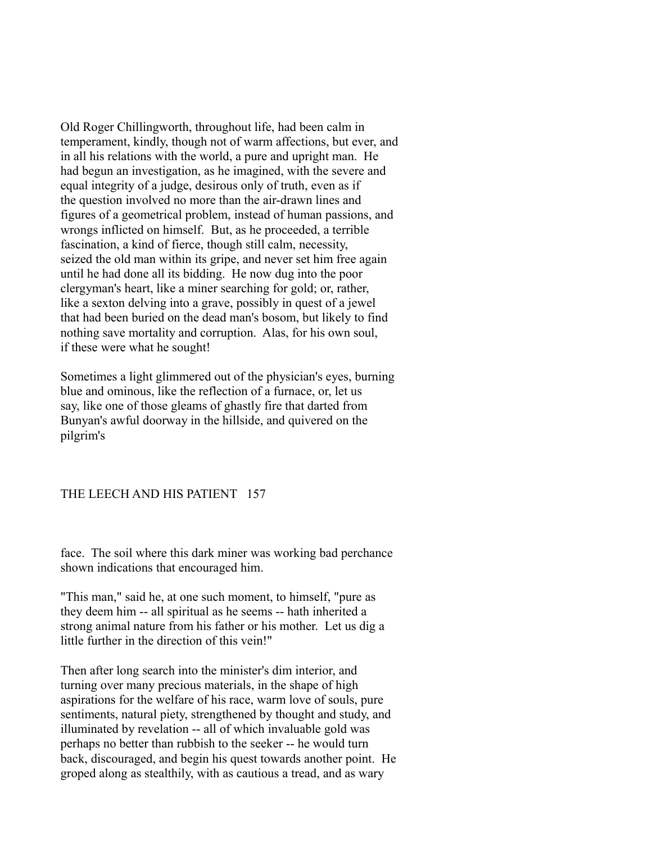Old Roger Chillingworth, throughout life, had been calm in temperament, kindly, though not of warm affections, but ever, and in all his relations with the world, a pure and upright man. He had begun an investigation, as he imagined, with the severe and equal integrity of a judge, desirous only of truth, even as if the question involved no more than the air-drawn lines and figures of a geometrical problem, instead of human passions, and wrongs inflicted on himself. But, as he proceeded, a terrible fascination, a kind of fierce, though still calm, necessity, seized the old man within its gripe, and never set him free again until he had done all its bidding. He now dug into the poor clergyman's heart, like a miner searching for gold; or, rather, like a sexton delving into a grave, possibly in quest of a jewel that had been buried on the dead man's bosom, but likely to find nothing save mortality and corruption. Alas, for his own soul, if these were what he sought!

Sometimes a light glimmered out of the physician's eyes, burning blue and ominous, like the reflection of a furnace, or, let us say, like one of those gleams of ghastly fire that darted from Bunyan's awful doorway in the hillside, and quivered on the pilgrim's

## THE LEECH AND HIS PATIENT 157

face. The soil where this dark miner was working bad perchance shown indications that encouraged him.

"This man," said he, at one such moment, to himself, "pure as they deem him -- all spiritual as he seems -- hath inherited a strong animal nature from his father or his mother. Let us dig a little further in the direction of this vein!"

Then after long search into the minister's dim interior, and turning over many precious materials, in the shape of high aspirations for the welfare of his race, warm love of souls, pure sentiments, natural piety, strengthened by thought and study, and illuminated by revelation -- all of which invaluable gold was perhaps no better than rubbish to the seeker -- he would turn back, discouraged, and begin his quest towards another point. He groped along as stealthily, with as cautious a tread, and as wary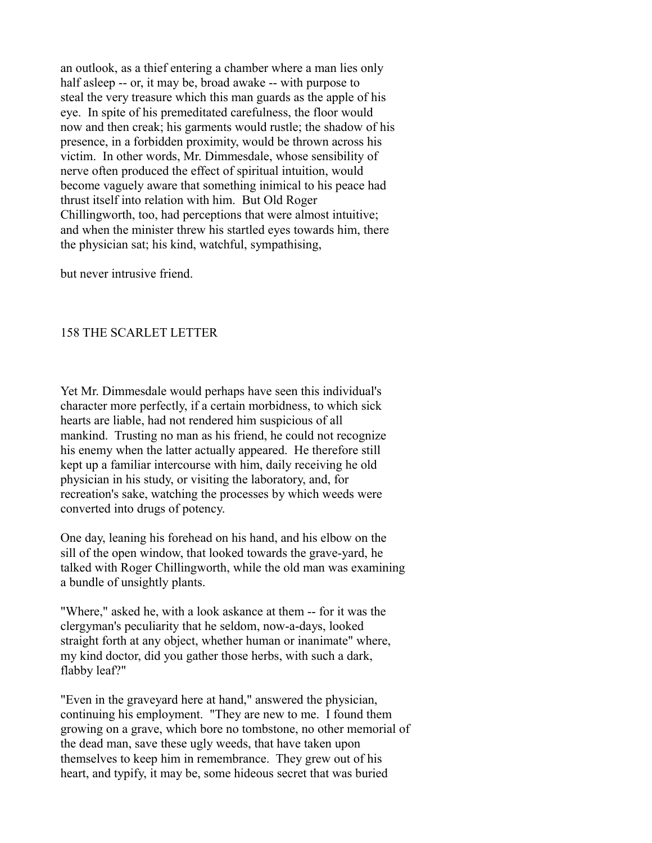an outlook, as a thief entering a chamber where a man lies only half asleep -- or, it may be, broad awake -- with purpose to steal the very treasure which this man guards as the apple of his eye. In spite of his premeditated carefulness, the floor would now and then creak; his garments would rustle; the shadow of his presence, in a forbidden proximity, would be thrown across his victim. In other words, Mr. Dimmesdale, whose sensibility of nerve often produced the effect of spiritual intuition, would become vaguely aware that something inimical to his peace had thrust itself into relation with him. But Old Roger Chillingworth, too, had perceptions that were almost intuitive; and when the minister threw his startled eyes towards him, there the physician sat; his kind, watchful, sympathising,

but never intrusive friend.

### 158 THE SCARLET LETTER

Yet Mr. Dimmesdale would perhaps have seen this individual's character more perfectly, if a certain morbidness, to which sick hearts are liable, had not rendered him suspicious of all mankind. Trusting no man as his friend, he could not recognize his enemy when the latter actually appeared. He therefore still kept up a familiar intercourse with him, daily receiving he old physician in his study, or visiting the laboratory, and, for recreation's sake, watching the processes by which weeds were converted into drugs of potency.

One day, leaning his forehead on his hand, and his elbow on the sill of the open window, that looked towards the grave-yard, he talked with Roger Chillingworth, while the old man was examining a bundle of unsightly plants.

"Where," asked he, with a look askance at them -- for it was the clergyman's peculiarity that he seldom, now-a-days, looked straight forth at any object, whether human or inanimate" where, my kind doctor, did you gather those herbs, with such a dark, flabby leaf?"

"Even in the graveyard here at hand," answered the physician, continuing his employment. "They are new to me. I found them growing on a grave, which bore no tombstone, no other memorial of the dead man, save these ugly weeds, that have taken upon themselves to keep him in remembrance. They grew out of his heart, and typify, it may be, some hideous secret that was buried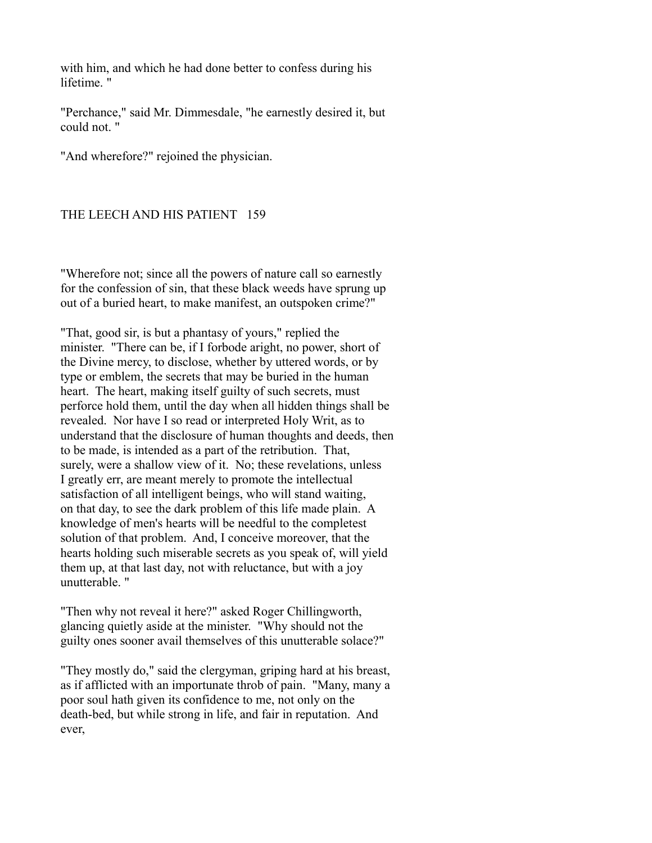with him, and which he had done better to confess during his lifetime. "

"Perchance," said Mr. Dimmesdale, "he earnestly desired it, but could not. "

"And wherefore?" rejoined the physician.

### THE LEECH AND HIS PATIENT 159

"Wherefore not; since all the powers of nature call so earnestly for the confession of sin, that these black weeds have sprung up out of a buried heart, to make manifest, an outspoken crime?"

"That, good sir, is but a phantasy of yours," replied the minister. "There can be, if I forbode aright, no power, short of the Divine mercy, to disclose, whether by uttered words, or by type or emblem, the secrets that may be buried in the human heart. The heart, making itself guilty of such secrets, must perforce hold them, until the day when all hidden things shall be revealed. Nor have I so read or interpreted Holy Writ, as to understand that the disclosure of human thoughts and deeds, then to be made, is intended as a part of the retribution. That, surely, were a shallow view of it. No; these revelations, unless I greatly err, are meant merely to promote the intellectual satisfaction of all intelligent beings, who will stand waiting, on that day, to see the dark problem of this life made plain. A knowledge of men's hearts will be needful to the completest solution of that problem. And, I conceive moreover, that the hearts holding such miserable secrets as you speak of, will yield them up, at that last day, not with reluctance, but with a joy unutterable. "

"Then why not reveal it here?" asked Roger Chillingworth, glancing quietly aside at the minister. "Why should not the guilty ones sooner avail themselves of this unutterable solace?"

"They mostly do," said the clergyman, griping hard at his breast, as if afflicted with an importunate throb of pain. "Many, many a poor soul hath given its confidence to me, not only on the death-bed, but while strong in life, and fair in reputation. And ever,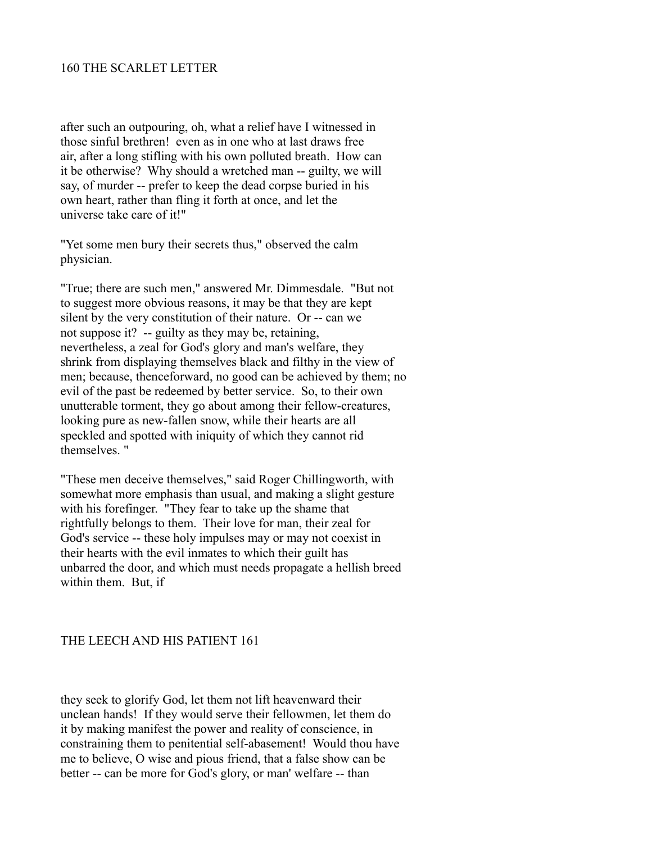### 160 THE SCARLET LETTER

after such an outpouring, oh, what a relief have I witnessed in those sinful brethren! even as in one who at last draws free air, after a long stifling with his own polluted breath. How can it be otherwise? Why should a wretched man -- guilty, we will say, of murder -- prefer to keep the dead corpse buried in his own heart, rather than fling it forth at once, and let the universe take care of it!"

"Yet some men bury their secrets thus," observed the calm physician.

"True; there are such men," answered Mr. Dimmesdale. "But not to suggest more obvious reasons, it may be that they are kept silent by the very constitution of their nature. Or -- can we not suppose it? -- guilty as they may be, retaining, nevertheless, a zeal for God's glory and man's welfare, they shrink from displaying themselves black and filthy in the view of men; because, thenceforward, no good can be achieved by them; no evil of the past be redeemed by better service. So, to their own unutterable torment, they go about among their fellow-creatures, looking pure as new-fallen snow, while their hearts are all speckled and spotted with iniquity of which they cannot rid themselves. "

"These men deceive themselves," said Roger Chillingworth, with somewhat more emphasis than usual, and making a slight gesture with his forefinger. "They fear to take up the shame that rightfully belongs to them. Their love for man, their zeal for God's service -- these holy impulses may or may not coexist in their hearts with the evil inmates to which their guilt has unbarred the door, and which must needs propagate a hellish breed within them. But, if

## THE LEECH AND HIS PATIENT 161

they seek to glorify God, let them not lift heavenward their unclean hands! If they would serve their fellowmen, let them do it by making manifest the power and reality of conscience, in constraining them to penitential self-abasement! Would thou have me to believe, O wise and pious friend, that a false show can be better -- can be more for God's glory, or man' welfare -- than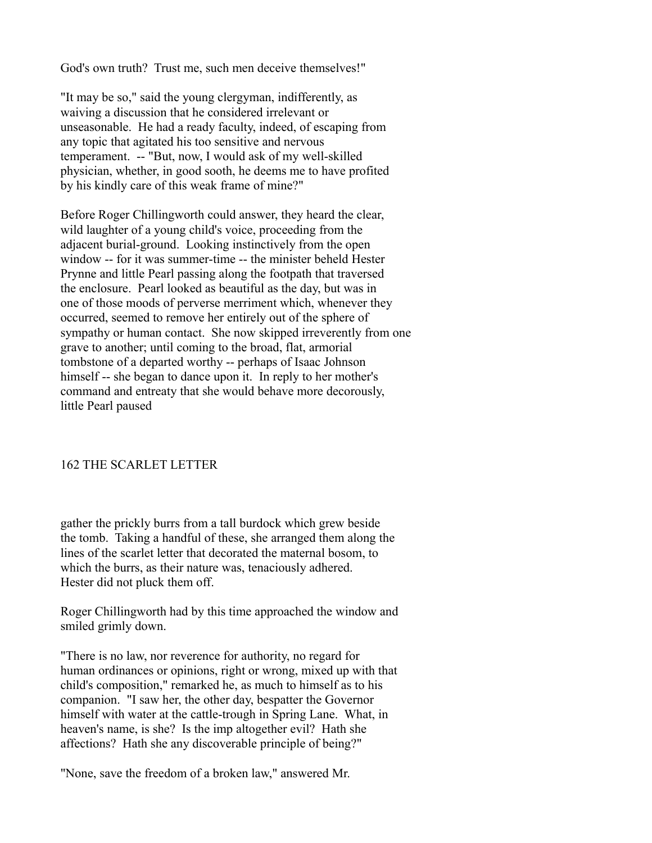God's own truth? Trust me, such men deceive themselves!"

"It may be so," said the young clergyman, indifferently, as waiving a discussion that he considered irrelevant or unseasonable. He had a ready faculty, indeed, of escaping from any topic that agitated his too sensitive and nervous temperament. -- "But, now, I would ask of my well-skilled physician, whether, in good sooth, he deems me to have profited by his kindly care of this weak frame of mine?"

Before Roger Chillingworth could answer, they heard the clear, wild laughter of a young child's voice, proceeding from the adjacent burial-ground. Looking instinctively from the open window -- for it was summer-time -- the minister beheld Hester Prynne and little Pearl passing along the footpath that traversed the enclosure. Pearl looked as beautiful as the day, but was in one of those moods of perverse merriment which, whenever they occurred, seemed to remove her entirely out of the sphere of sympathy or human contact. She now skipped irreverently from one grave to another; until coming to the broad, flat, armorial tombstone of a departed worthy -- perhaps of Isaac Johnson himself -- she began to dance upon it. In reply to her mother's command and entreaty that she would behave more decorously, little Pearl paused

## 162 THE SCARLET LETTER

gather the prickly burrs from a tall burdock which grew beside the tomb. Taking a handful of these, she arranged them along the lines of the scarlet letter that decorated the maternal bosom, to which the burrs, as their nature was, tenaciously adhered. Hester did not pluck them off.

Roger Chillingworth had by this time approached the window and smiled grimly down.

"There is no law, nor reverence for authority, no regard for human ordinances or opinions, right or wrong, mixed up with that child's composition," remarked he, as much to himself as to his companion. "I saw her, the other day, bespatter the Governor himself with water at the cattle-trough in Spring Lane. What, in heaven's name, is she? Is the imp altogether evil? Hath she affections? Hath she any discoverable principle of being?"

"None, save the freedom of a broken law," answered Mr.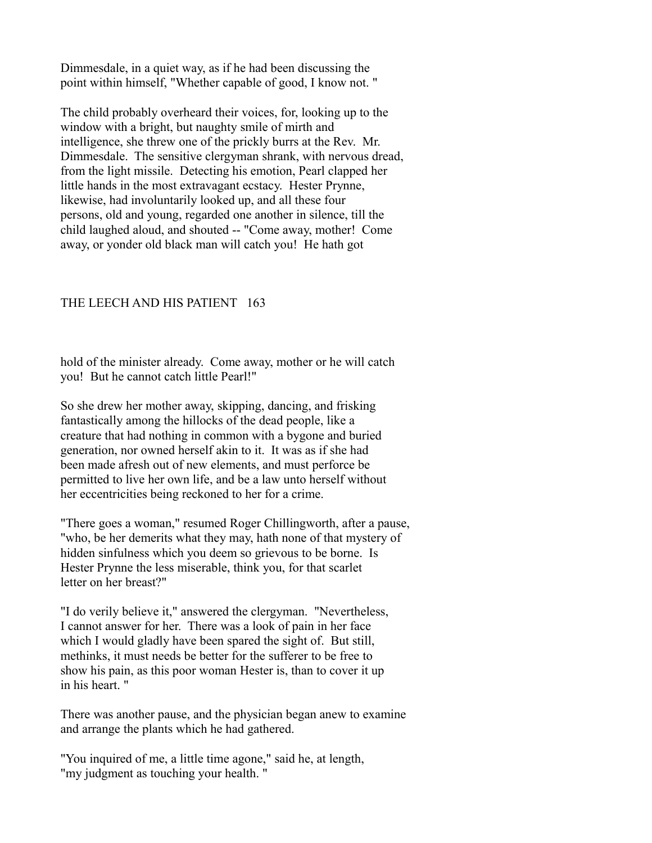Dimmesdale, in a quiet way, as if he had been discussing the point within himself, "Whether capable of good, I know not. "

The child probably overheard their voices, for, looking up to the window with a bright, but naughty smile of mirth and intelligence, she threw one of the prickly burrs at the Rev. Mr. Dimmesdale. The sensitive clergyman shrank, with nervous dread, from the light missile. Detecting his emotion, Pearl clapped her little hands in the most extravagant ecstacy. Hester Prynne, likewise, had involuntarily looked up, and all these four persons, old and young, regarded one another in silence, till the child laughed aloud, and shouted -- "Come away, mother! Come away, or yonder old black man will catch you! He hath got

### THE LEECH AND HIS PATIENT 163

hold of the minister already. Come away, mother or he will catch you! But he cannot catch little Pearl!"

So she drew her mother away, skipping, dancing, and frisking fantastically among the hillocks of the dead people, like a creature that had nothing in common with a bygone and buried generation, nor owned herself akin to it. It was as if she had been made afresh out of new elements, and must perforce be permitted to live her own life, and be a law unto herself without her eccentricities being reckoned to her for a crime.

"There goes a woman," resumed Roger Chillingworth, after a pause, "who, be her demerits what they may, hath none of that mystery of hidden sinfulness which you deem so grievous to be borne. Is Hester Prynne the less miserable, think you, for that scarlet letter on her breast?"

"I do verily believe it," answered the clergyman. "Nevertheless, I cannot answer for her. There was a look of pain in her face which I would gladly have been spared the sight of. But still, methinks, it must needs be better for the sufferer to be free to show his pain, as this poor woman Hester is, than to cover it up in his heart. "

There was another pause, and the physician began anew to examine and arrange the plants which he had gathered.

"You inquired of me, a little time agone," said he, at length, "my judgment as touching your health. "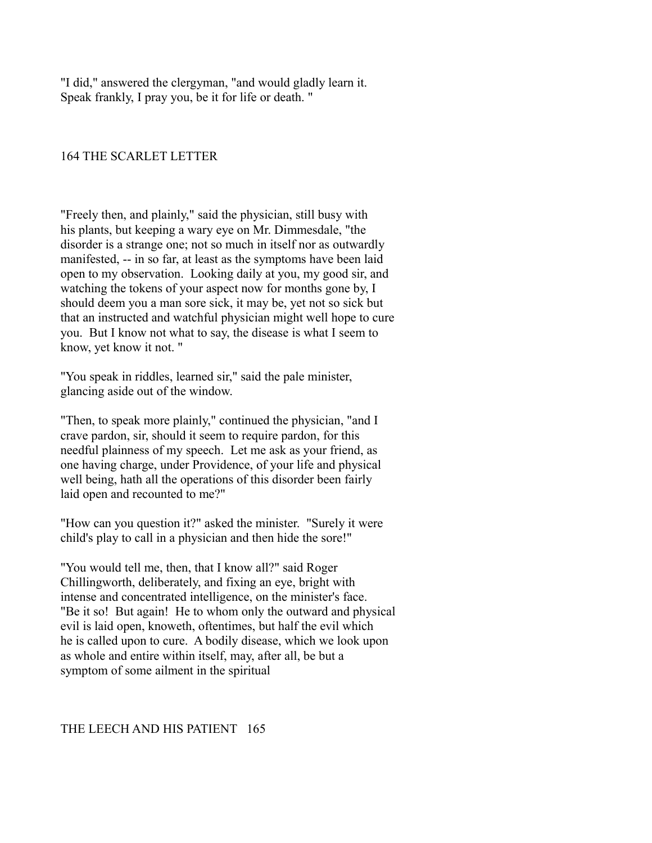"I did," answered the clergyman, "and would gladly learn it. Speak frankly, I pray you, be it for life or death. "

# 164 THE SCARLET LETTER

"Freely then, and plainly," said the physician, still busy with his plants, but keeping a wary eye on Mr. Dimmesdale, "the disorder is a strange one; not so much in itself nor as outwardly manifested, -- in so far, at least as the symptoms have been laid open to my observation. Looking daily at you, my good sir, and watching the tokens of your aspect now for months gone by, I should deem you a man sore sick, it may be, yet not so sick but that an instructed and watchful physician might well hope to cure you. But I know not what to say, the disease is what I seem to know, yet know it not. "

"You speak in riddles, learned sir," said the pale minister, glancing aside out of the window.

"Then, to speak more plainly," continued the physician, "and I crave pardon, sir, should it seem to require pardon, for this needful plainness of my speech. Let me ask as your friend, as one having charge, under Providence, of your life and physical well being, hath all the operations of this disorder been fairly laid open and recounted to me?"

"How can you question it?" asked the minister. "Surely it were child's play to call in a physician and then hide the sore!"

"You would tell me, then, that I know all?" said Roger Chillingworth, deliberately, and fixing an eye, bright with intense and concentrated intelligence, on the minister's face. "Be it so! But again! He to whom only the outward and physical evil is laid open, knoweth, oftentimes, but half the evil which he is called upon to cure. A bodily disease, which we look upon as whole and entire within itself, may, after all, be but a symptom of some ailment in the spiritual

## THE LEECH AND HIS PATIENT 165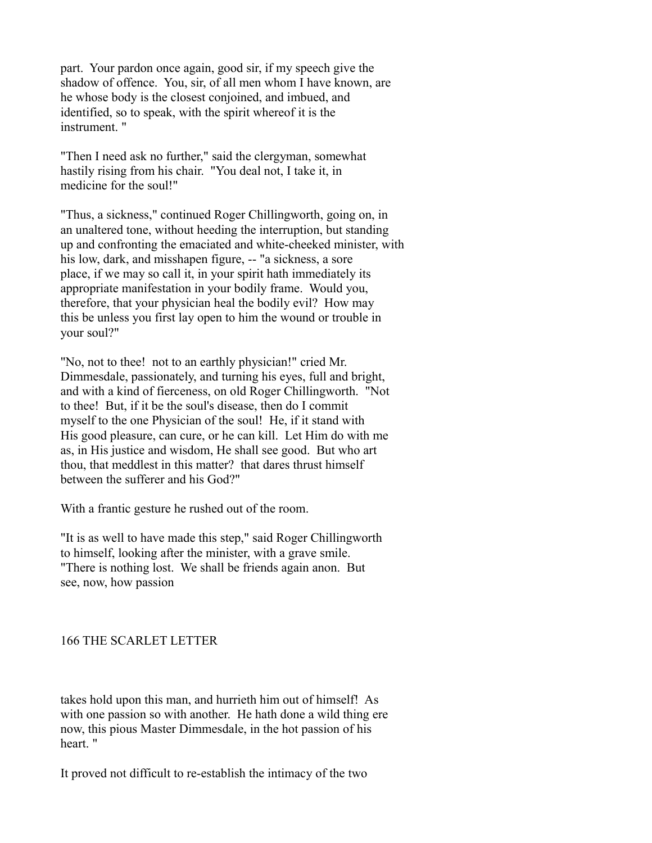part. Your pardon once again, good sir, if my speech give the shadow of offence. You, sir, of all men whom I have known, are he whose body is the closest conjoined, and imbued, and identified, so to speak, with the spirit whereof it is the instrument. "

"Then I need ask no further," said the clergyman, somewhat hastily rising from his chair. "You deal not, I take it, in medicine for the soul!"

"Thus, a sickness," continued Roger Chillingworth, going on, in an unaltered tone, without heeding the interruption, but standing up and confronting the emaciated and white-cheeked minister, with his low, dark, and misshapen figure, -- "a sickness, a sore place, if we may so call it, in your spirit hath immediately its appropriate manifestation in your bodily frame. Would you, therefore, that your physician heal the bodily evil? How may this be unless you first lay open to him the wound or trouble in your soul?"

"No, not to thee! not to an earthly physician!" cried Mr. Dimmesdale, passionately, and turning his eyes, full and bright, and with a kind of fierceness, on old Roger Chillingworth. "Not to thee! But, if it be the soul's disease, then do I commit myself to the one Physician of the soul! He, if it stand with His good pleasure, can cure, or he can kill. Let Him do with me as, in His justice and wisdom, He shall see good. But who art thou, that meddlest in this matter? that dares thrust himself between the sufferer and his God?"

With a frantic gesture he rushed out of the room.

"It is as well to have made this step," said Roger Chillingworth to himself, looking after the minister, with a grave smile. "There is nothing lost. We shall be friends again anon. But see, now, how passion

# 166 THE SCARLET LETTER

takes hold upon this man, and hurrieth him out of himself! As with one passion so with another. He hath done a wild thing ere now, this pious Master Dimmesdale, in the hot passion of his heart. "

It proved not difficult to re-establish the intimacy of the two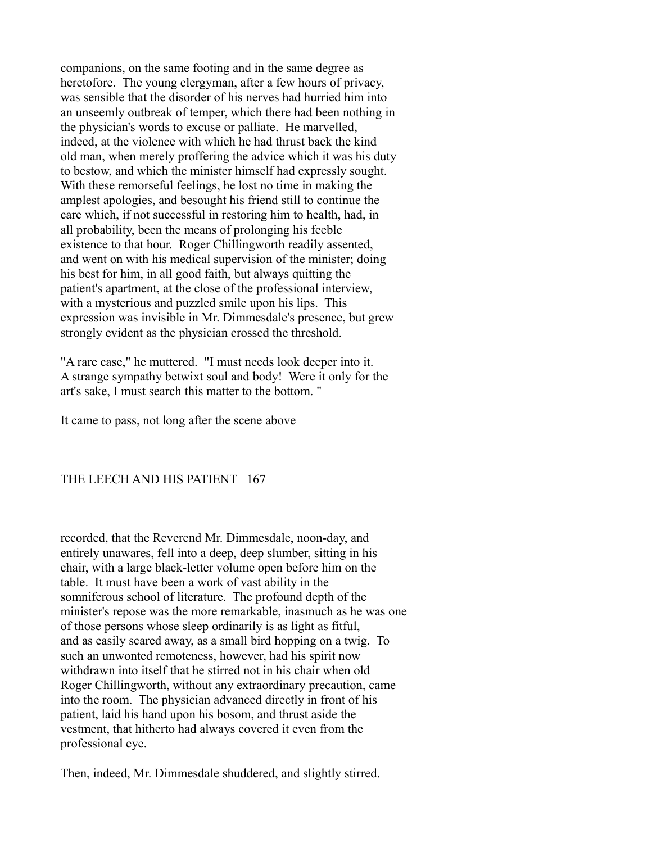companions, on the same footing and in the same degree as heretofore. The young clergyman, after a few hours of privacy, was sensible that the disorder of his nerves had hurried him into an unseemly outbreak of temper, which there had been nothing in the physician's words to excuse or palliate. He marvelled, indeed, at the violence with which he had thrust back the kind old man, when merely proffering the advice which it was his duty to bestow, and which the minister himself had expressly sought. With these remorseful feelings, he lost no time in making the amplest apologies, and besought his friend still to continue the care which, if not successful in restoring him to health, had, in all probability, been the means of prolonging his feeble existence to that hour. Roger Chillingworth readily assented, and went on with his medical supervision of the minister; doing his best for him, in all good faith, but always quitting the patient's apartment, at the close of the professional interview, with a mysterious and puzzled smile upon his lips. This expression was invisible in Mr. Dimmesdale's presence, but grew strongly evident as the physician crossed the threshold.

"A rare case," he muttered. "I must needs look deeper into it. A strange sympathy betwixt soul and body! Were it only for the art's sake, I must search this matter to the bottom. "

It came to pass, not long after the scene above

## THE LEECH AND HIS PATIENT 167

recorded, that the Reverend Mr. Dimmesdale, noon-day, and entirely unawares, fell into a deep, deep slumber, sitting in his chair, with a large black-letter volume open before him on the table. It must have been a work of vast ability in the somniferous school of literature. The profound depth of the minister's repose was the more remarkable, inasmuch as he was one of those persons whose sleep ordinarily is as light as fitful, and as easily scared away, as a small bird hopping on a twig. To such an unwonted remoteness, however, had his spirit now withdrawn into itself that he stirred not in his chair when old Roger Chillingworth, without any extraordinary precaution, came into the room. The physician advanced directly in front of his patient, laid his hand upon his bosom, and thrust aside the vestment, that hitherto had always covered it even from the professional eye.

Then, indeed, Mr. Dimmesdale shuddered, and slightly stirred.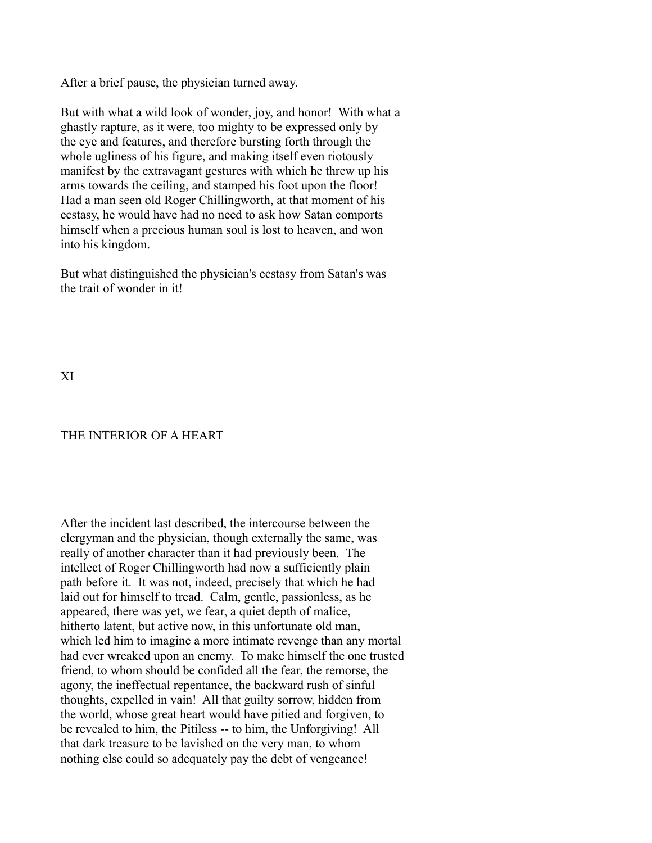After a brief pause, the physician turned away.

But with what a wild look of wonder, joy, and honor! With what a ghastly rapture, as it were, too mighty to be expressed only by the eye and features, and therefore bursting forth through the whole ugliness of his figure, and making itself even riotously manifest by the extravagant gestures with which he threw up his arms towards the ceiling, and stamped his foot upon the floor! Had a man seen old Roger Chillingworth, at that moment of his ecstasy, he would have had no need to ask how Satan comports himself when a precious human soul is lost to heaven, and won into his kingdom.

But what distinguished the physician's ecstasy from Satan's was the trait of wonder in it!

XI

## THE INTERIOR OF A HEART

After the incident last described, the intercourse between the clergyman and the physician, though externally the same, was really of another character than it had previously been. The intellect of Roger Chillingworth had now a sufficiently plain path before it. It was not, indeed, precisely that which he had laid out for himself to tread. Calm, gentle, passionless, as he appeared, there was yet, we fear, a quiet depth of malice, hitherto latent, but active now, in this unfortunate old man, which led him to imagine a more intimate revenge than any mortal had ever wreaked upon an enemy. To make himself the one trusted friend, to whom should be confided all the fear, the remorse, the agony, the ineffectual repentance, the backward rush of sinful thoughts, expelled in vain! All that guilty sorrow, hidden from the world, whose great heart would have pitied and forgiven, to be revealed to him, the Pitiless -- to him, the Unforgiving! All that dark treasure to be lavished on the very man, to whom nothing else could so adequately pay the debt of vengeance!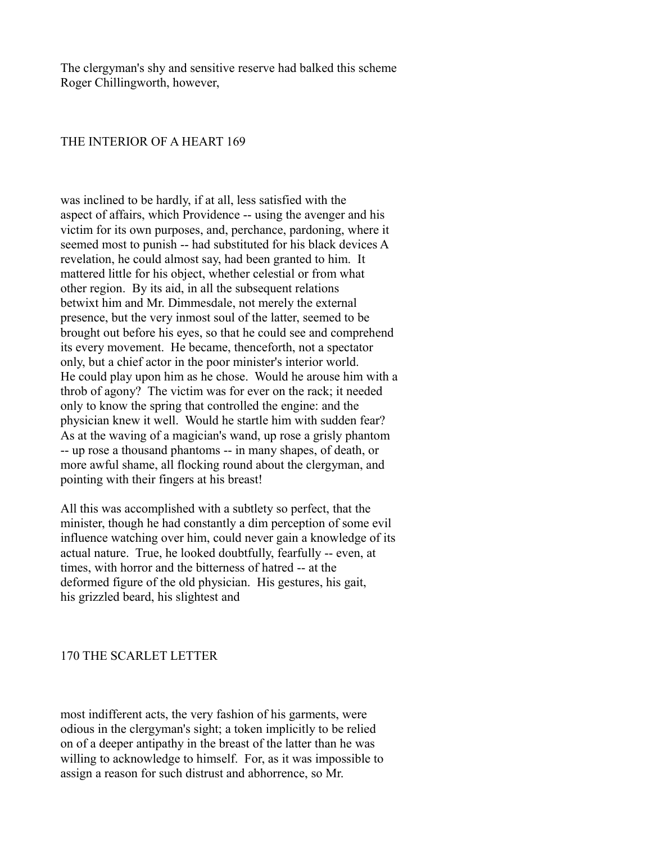The clergyman's shy and sensitive reserve had balked this scheme Roger Chillingworth, however,

### THE INTERIOR OF A HEART 169

was inclined to be hardly, if at all, less satisfied with the aspect of affairs, which Providence -- using the avenger and his victim for its own purposes, and, perchance, pardoning, where it seemed most to punish -- had substituted for his black devices A revelation, he could almost say, had been granted to him. It mattered little for his object, whether celestial or from what other region. By its aid, in all the subsequent relations betwixt him and Mr. Dimmesdale, not merely the external presence, but the very inmost soul of the latter, seemed to be brought out before his eyes, so that he could see and comprehend its every movement. He became, thenceforth, not a spectator only, but a chief actor in the poor minister's interior world. He could play upon him as he chose. Would he arouse him with a throb of agony? The victim was for ever on the rack; it needed only to know the spring that controlled the engine: and the physician knew it well. Would he startle him with sudden fear? As at the waving of a magician's wand, up rose a grisly phantom -- up rose a thousand phantoms -- in many shapes, of death, or more awful shame, all flocking round about the clergyman, and pointing with their fingers at his breast!

All this was accomplished with a subtlety so perfect, that the minister, though he had constantly a dim perception of some evil influence watching over him, could never gain a knowledge of its actual nature. True, he looked doubtfully, fearfully -- even, at times, with horror and the bitterness of hatred -- at the deformed figure of the old physician. His gestures, his gait, his grizzled beard, his slightest and

### 170 THE SCARLET LETTER

most indifferent acts, the very fashion of his garments, were odious in the clergyman's sight; a token implicitly to be relied on of a deeper antipathy in the breast of the latter than he was willing to acknowledge to himself. For, as it was impossible to assign a reason for such distrust and abhorrence, so Mr.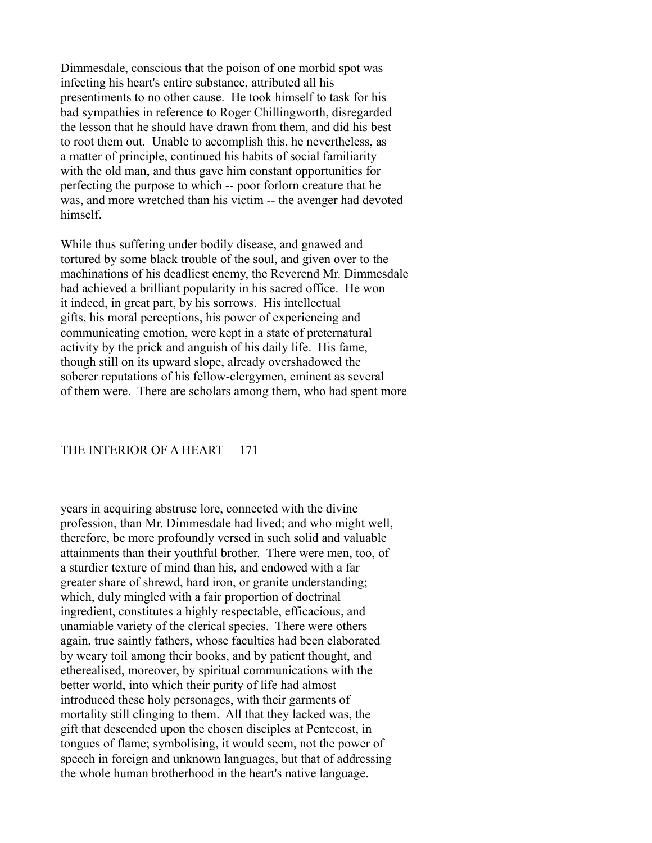Dimmesdale, conscious that the poison of one morbid spot was infecting his heart's entire substance, attributed all his presentiments to no other cause. He took himself to task for his bad sympathies in reference to Roger Chillingworth, disregarded the lesson that he should have drawn from them, and did his best to root them out. Unable to accomplish this, he nevertheless, as a matter of principle, continued his habits of social familiarity with the old man, and thus gave him constant opportunities for perfecting the purpose to which -- poor forlorn creature that he was, and more wretched than his victim -- the avenger had devoted himself.

While thus suffering under bodily disease, and gnawed and tortured by some black trouble of the soul, and given over to the machinations of his deadliest enemy, the Reverend Mr. Dimmesdale had achieved a brilliant popularity in his sacred office. He won it indeed, in great part, by his sorrows. His intellectual gifts, his moral perceptions, his power of experiencing and communicating emotion, were kept in a state of preternatural activity by the prick and anguish of his daily life. His fame, though still on its upward slope, already overshadowed the soberer reputations of his fellow-clergymen, eminent as several of them were. There are scholars among them, who had spent more

### THE INTERIOR OF A HEART 171

years in acquiring abstruse lore, connected with the divine profession, than Mr. Dimmesdale had lived; and who might well, therefore, be more profoundly versed in such solid and valuable attainments than their youthful brother. There were men, too, of a sturdier texture of mind than his, and endowed with a far greater share of shrewd, hard iron, or granite understanding; which, duly mingled with a fair proportion of doctrinal ingredient, constitutes a highly respectable, efficacious, and unamiable variety of the clerical species. There were others again, true saintly fathers, whose faculties had been elaborated by weary toil among their books, and by patient thought, and etherealised, moreover, by spiritual communications with the better world, into which their purity of life had almost introduced these holy personages, with their garments of mortality still clinging to them. All that they lacked was, the gift that descended upon the chosen disciples at Pentecost, in tongues of flame; symbolising, it would seem, not the power of speech in foreign and unknown languages, but that of addressing the whole human brotherhood in the heart's native language.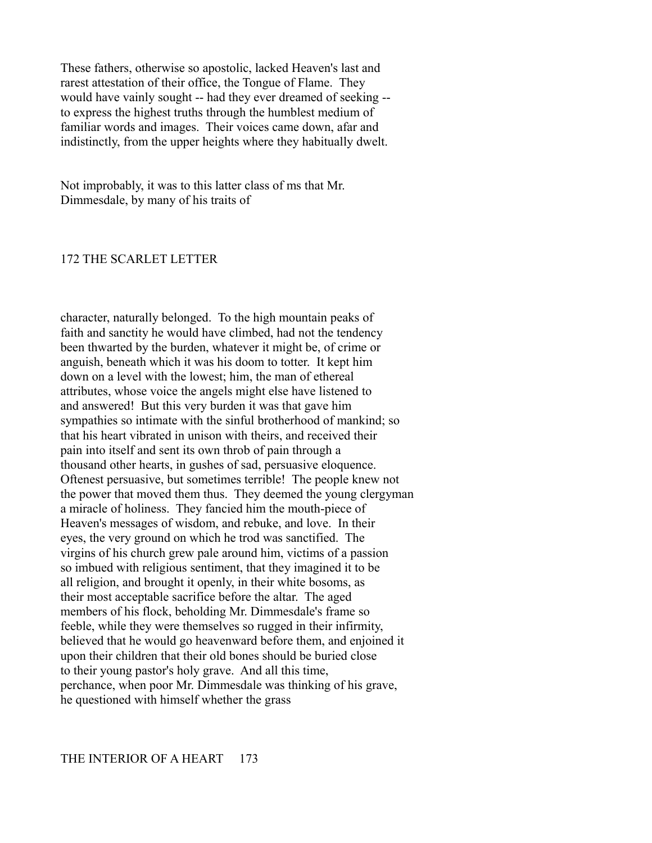These fathers, otherwise so apostolic, lacked Heaven's last and rarest attestation of their office, the Tongue of Flame. They would have vainly sought -- had they ever dreamed of seeking - to express the highest truths through the humblest medium of familiar words and images. Their voices came down, afar and indistinctly, from the upper heights where they habitually dwelt.

Not improbably, it was to this latter class of ms that Mr. Dimmesdale, by many of his traits of

#### 172 THE SCARLET LETTER

character, naturally belonged. To the high mountain peaks of faith and sanctity he would have climbed, had not the tendency been thwarted by the burden, whatever it might be, of crime or anguish, beneath which it was his doom to totter. It kept him down on a level with the lowest; him, the man of ethereal attributes, whose voice the angels might else have listened to and answered! But this very burden it was that gave him sympathies so intimate with the sinful brotherhood of mankind; so that his heart vibrated in unison with theirs, and received their pain into itself and sent its own throb of pain through a thousand other hearts, in gushes of sad, persuasive eloquence. Oftenest persuasive, but sometimes terrible! The people knew not the power that moved them thus. They deemed the young clergyman a miracle of holiness. They fancied him the mouth-piece of Heaven's messages of wisdom, and rebuke, and love. In their eyes, the very ground on which he trod was sanctified. The virgins of his church grew pale around him, victims of a passion so imbued with religious sentiment, that they imagined it to be all religion, and brought it openly, in their white bosoms, as their most acceptable sacrifice before the altar. The aged members of his flock, beholding Mr. Dimmesdale's frame so feeble, while they were themselves so rugged in their infirmity, believed that he would go heavenward before them, and enjoined it upon their children that their old bones should be buried close to their young pastor's holy grave. And all this time, perchance, when poor Mr. Dimmesdale was thinking of his grave, he questioned with himself whether the grass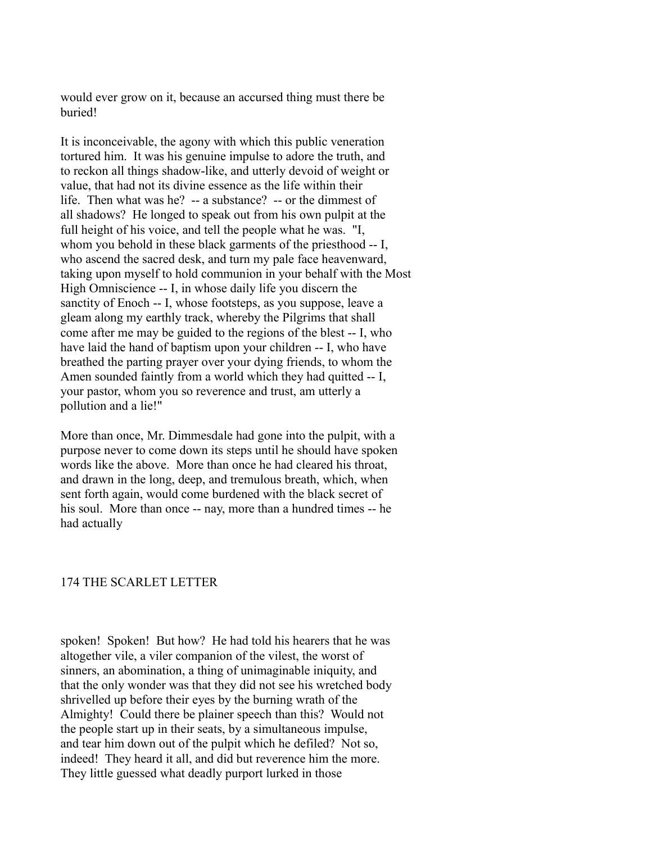would ever grow on it, because an accursed thing must there be buried!

It is inconceivable, the agony with which this public veneration tortured him. It was his genuine impulse to adore the truth, and to reckon all things shadow-like, and utterly devoid of weight or value, that had not its divine essence as the life within their life. Then what was he? -- a substance? -- or the dimmest of all shadows? He longed to speak out from his own pulpit at the full height of his voice, and tell the people what he was. "I, whom you behold in these black garments of the priesthood -- I, who ascend the sacred desk, and turn my pale face heavenward, taking upon myself to hold communion in your behalf with the Most High Omniscience -- I, in whose daily life you discern the sanctity of Enoch -- I, whose footsteps, as you suppose, leave a gleam along my earthly track, whereby the Pilgrims that shall come after me may be guided to the regions of the blest -- I, who have laid the hand of baptism upon your children -- I, who have breathed the parting prayer over your dying friends, to whom the Amen sounded faintly from a world which they had quitted -- I, your pastor, whom you so reverence and trust, am utterly a pollution and a lie!"

More than once, Mr. Dimmesdale had gone into the pulpit, with a purpose never to come down its steps until he should have spoken words like the above. More than once he had cleared his throat, and drawn in the long, deep, and tremulous breath, which, when sent forth again, would come burdened with the black secret of his soul. More than once -- nay, more than a hundred times -- he had actually

#### 174 THE SCARLET LETTER

spoken! Spoken! But how? He had told his hearers that he was altogether vile, a viler companion of the vilest, the worst of sinners, an abomination, a thing of unimaginable iniquity, and that the only wonder was that they did not see his wretched body shrivelled up before their eyes by the burning wrath of the Almighty! Could there be plainer speech than this? Would not the people start up in their seats, by a simultaneous impulse, and tear him down out of the pulpit which he defiled? Not so, indeed! They heard it all, and did but reverence him the more. They little guessed what deadly purport lurked in those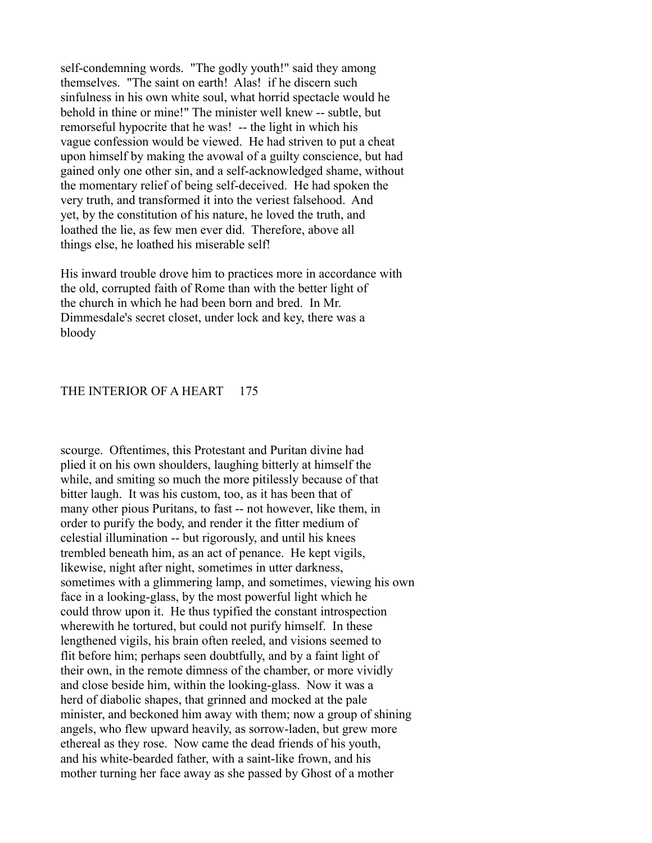self-condemning words. "The godly youth!" said they among themselves. "The saint on earth! Alas! if he discern such sinfulness in his own white soul, what horrid spectacle would he behold in thine or mine!" The minister well knew -- subtle, but remorseful hypocrite that he was! -- the light in which his vague confession would be viewed. He had striven to put a cheat upon himself by making the avowal of a guilty conscience, but had gained only one other sin, and a self-acknowledged shame, without the momentary relief of being self-deceived. He had spoken the very truth, and transformed it into the veriest falsehood. And yet, by the constitution of his nature, he loved the truth, and loathed the lie, as few men ever did. Therefore, above all things else, he loathed his miserable self!

His inward trouble drove him to practices more in accordance with the old, corrupted faith of Rome than with the better light of the church in which he had been born and bred. In Mr. Dimmesdale's secret closet, under lock and key, there was a bloody

#### THE INTERIOR OF A HEART 175

scourge. Oftentimes, this Protestant and Puritan divine had plied it on his own shoulders, laughing bitterly at himself the while, and smiting so much the more pitilessly because of that bitter laugh. It was his custom, too, as it has been that of many other pious Puritans, to fast -- not however, like them, in order to purify the body, and render it the fitter medium of celestial illumination -- but rigorously, and until his knees trembled beneath him, as an act of penance. He kept vigils, likewise, night after night, sometimes in utter darkness, sometimes with a glimmering lamp, and sometimes, viewing his own face in a looking-glass, by the most powerful light which he could throw upon it. He thus typified the constant introspection wherewith he tortured, but could not purify himself. In these lengthened vigils, his brain often reeled, and visions seemed to flit before him; perhaps seen doubtfully, and by a faint light of their own, in the remote dimness of the chamber, or more vividly and close beside him, within the looking-glass. Now it was a herd of diabolic shapes, that grinned and mocked at the pale minister, and beckoned him away with them; now a group of shining angels, who flew upward heavily, as sorrow-laden, but grew more ethereal as they rose. Now came the dead friends of his youth, and his white-bearded father, with a saint-like frown, and his mother turning her face away as she passed by Ghost of a mother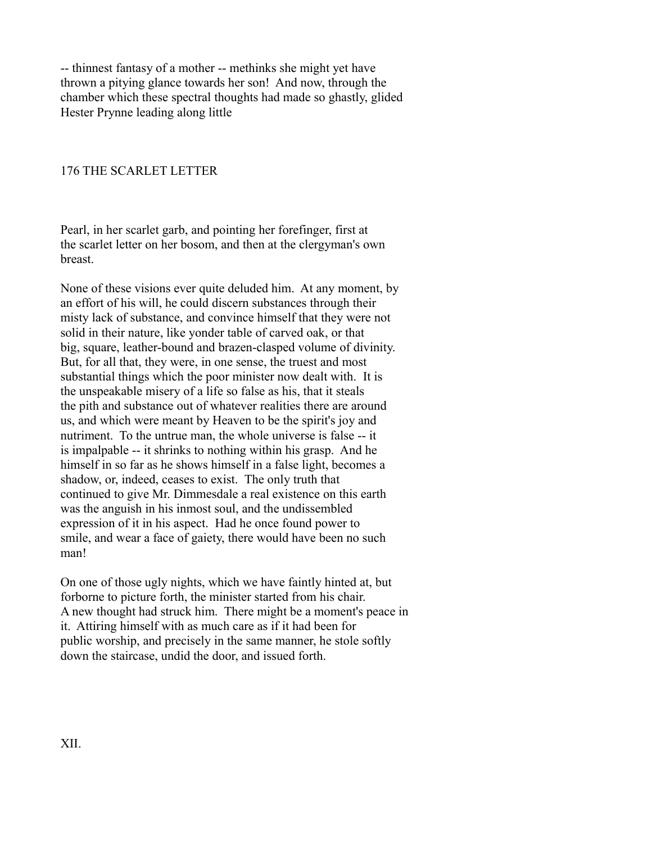-- thinnest fantasy of a mother -- methinks she might yet have thrown a pitying glance towards her son! And now, through the chamber which these spectral thoughts had made so ghastly, glided Hester Prynne leading along little

## 176 THE SCARLET LETTER

Pearl, in her scarlet garb, and pointing her forefinger, first at the scarlet letter on her bosom, and then at the clergyman's own breast.

None of these visions ever quite deluded him. At any moment, by an effort of his will, he could discern substances through their misty lack of substance, and convince himself that they were not solid in their nature, like yonder table of carved oak, or that big, square, leather-bound and brazen-clasped volume of divinity. But, for all that, they were, in one sense, the truest and most substantial things which the poor minister now dealt with. It is the unspeakable misery of a life so false as his, that it steals the pith and substance out of whatever realities there are around us, and which were meant by Heaven to be the spirit's joy and nutriment. To the untrue man, the whole universe is false -- it is impalpable -- it shrinks to nothing within his grasp. And he himself in so far as he shows himself in a false light, becomes a shadow, or, indeed, ceases to exist. The only truth that continued to give Mr. Dimmesdale a real existence on this earth was the anguish in his inmost soul, and the undissembled expression of it in his aspect. Had he once found power to smile, and wear a face of gaiety, there would have been no such man!

On one of those ugly nights, which we have faintly hinted at, but forborne to picture forth, the minister started from his chair. A new thought had struck him. There might be a moment's peace in it. Attiring himself with as much care as if it had been for public worship, and precisely in the same manner, he stole softly down the staircase, undid the door, and issued forth.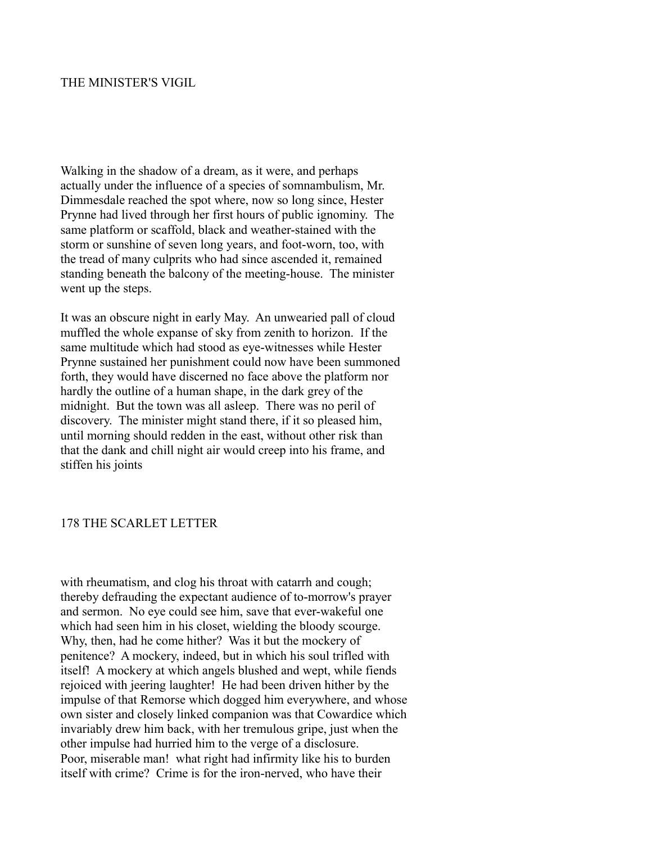## THE MINISTER'S VIGIL

Walking in the shadow of a dream, as it were, and perhaps actually under the influence of a species of somnambulism, Mr. Dimmesdale reached the spot where, now so long since, Hester Prynne had lived through her first hours of public ignominy. The same platform or scaffold, black and weather-stained with the storm or sunshine of seven long years, and foot-worn, too, with the tread of many culprits who had since ascended it, remained standing beneath the balcony of the meeting-house. The minister went up the steps.

It was an obscure night in early May. An unwearied pall of cloud muffled the whole expanse of sky from zenith to horizon. If the same multitude which had stood as eye-witnesses while Hester Prynne sustained her punishment could now have been summoned forth, they would have discerned no face above the platform nor hardly the outline of a human shape, in the dark grey of the midnight. But the town was all asleep. There was no peril of discovery. The minister might stand there, if it so pleased him, until morning should redden in the east, without other risk than that the dank and chill night air would creep into his frame, and stiffen his joints

#### 178 THE SCARLET LETTER

with rheumatism, and clog his throat with catarrh and cough; thereby defrauding the expectant audience of to-morrow's prayer and sermon. No eye could see him, save that ever-wakeful one which had seen him in his closet, wielding the bloody scourge. Why, then, had he come hither? Was it but the mockery of penitence? A mockery, indeed, but in which his soul trifled with itself! A mockery at which angels blushed and wept, while fiends rejoiced with jeering laughter! He had been driven hither by the impulse of that Remorse which dogged him everywhere, and whose own sister and closely linked companion was that Cowardice which invariably drew him back, with her tremulous gripe, just when the other impulse had hurried him to the verge of a disclosure. Poor, miserable man! what right had infirmity like his to burden itself with crime? Crime is for the iron-nerved, who have their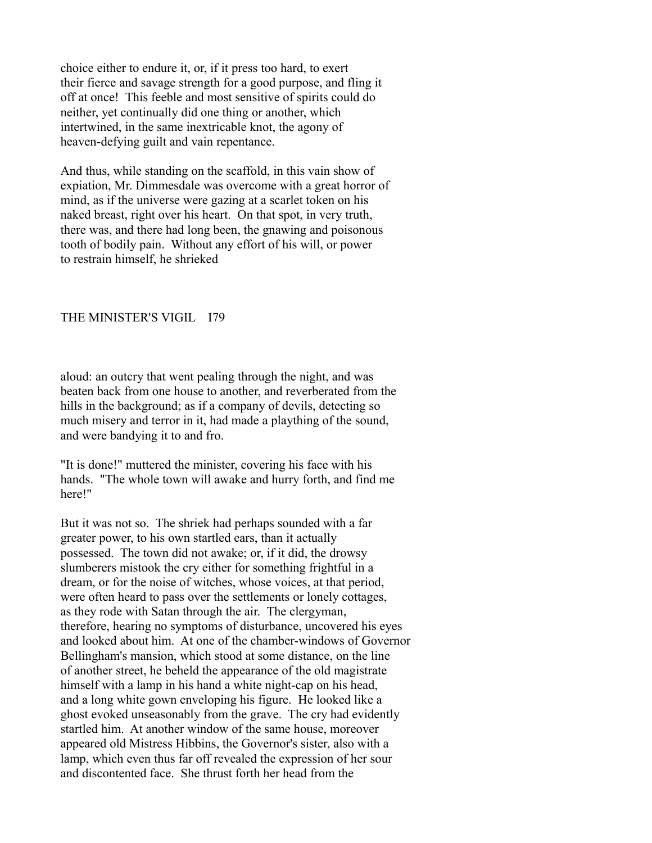choice either to endure it, or, if it press too hard, to exert their fierce and savage strength for a good purpose, and fling it off at once! This feeble and most sensitive of spirits could do neither, yet continually did one thing or another, which intertwined, in the same inextricable knot, the agony of heaven-defying guilt and vain repentance.

And thus, while standing on the scaffold, in this vain show of expiation, Mr. Dimmesdale was overcome with a great horror of mind, as if the universe were gazing at a scarlet token on his naked breast, right over his heart. On that spot, in very truth, there was, and there had long been, the gnawing and poisonous tooth of bodily pain. Without any effort of his will, or power to restrain himself, he shrieked

#### THE MINISTER'S VIGIL I79

aloud: an outcry that went pealing through the night, and was beaten back from one house to another, and reverberated from the hills in the background; as if a company of devils, detecting so much misery and terror in it, had made a plaything of the sound, and were bandying it to and fro.

"It is done!" muttered the minister, covering his face with his hands. "The whole town will awake and hurry forth, and find me here!"

But it was not so. The shriek had perhaps sounded with a far greater power, to his own startled ears, than it actually possessed. The town did not awake; or, if it did, the drowsy slumberers mistook the cry either for something frightful in a dream, or for the noise of witches, whose voices, at that period, were often heard to pass over the settlements or lonely cottages, as they rode with Satan through the air. The clergyman, therefore, hearing no symptoms of disturbance, uncovered his eyes and looked about him. At one of the chamber-windows of Governor Bellingham's mansion, which stood at some distance, on the line of another street, he beheld the appearance of the old magistrate himself with a lamp in his hand a white night-cap on his head, and a long white gown enveloping his figure. He looked like a ghost evoked unseasonably from the grave. The cry had evidently startled him. At another window of the same house, moreover appeared old Mistress Hibbins, the Governor's sister, also with a lamp, which even thus far off revealed the expression of her sour and discontented face. She thrust forth her head from the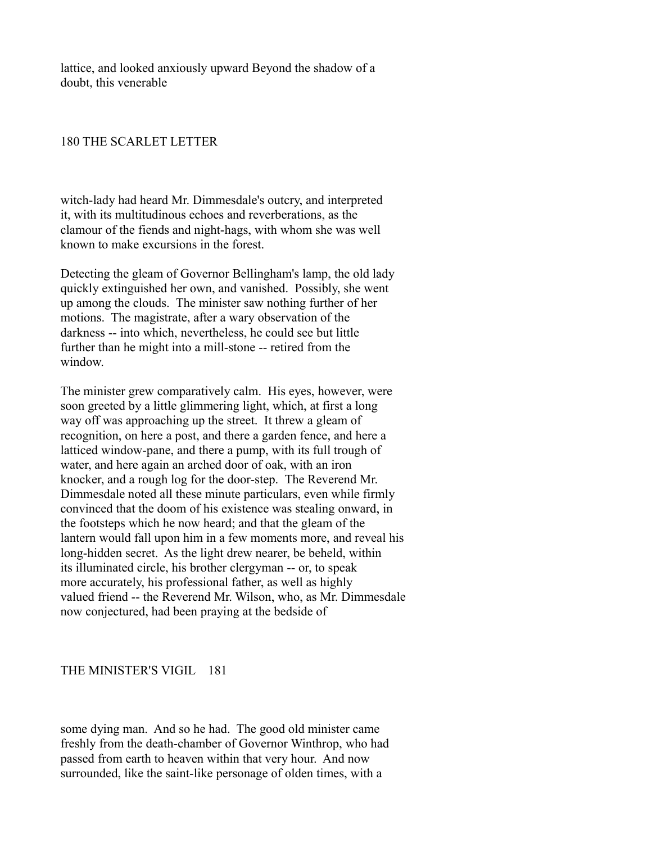lattice, and looked anxiously upward Beyond the shadow of a doubt, this venerable

## 180 THE SCARLET LETTER

witch-lady had heard Mr. Dimmesdale's outcry, and interpreted it, with its multitudinous echoes and reverberations, as the clamour of the fiends and night-hags, with whom she was well known to make excursions in the forest.

Detecting the gleam of Governor Bellingham's lamp, the old lady quickly extinguished her own, and vanished. Possibly, she went up among the clouds. The minister saw nothing further of her motions. The magistrate, after a wary observation of the darkness -- into which, nevertheless, he could see but little further than he might into a mill-stone -- retired from the window.

The minister grew comparatively calm. His eyes, however, were soon greeted by a little glimmering light, which, at first a long way off was approaching up the street. It threw a gleam of recognition, on here a post, and there a garden fence, and here a latticed window-pane, and there a pump, with its full trough of water, and here again an arched door of oak, with an iron knocker, and a rough log for the door-step. The Reverend Mr. Dimmesdale noted all these minute particulars, even while firmly convinced that the doom of his existence was stealing onward, in the footsteps which he now heard; and that the gleam of the lantern would fall upon him in a few moments more, and reveal his long-hidden secret. As the light drew nearer, be beheld, within its illuminated circle, his brother clergyman -- or, to speak more accurately, his professional father, as well as highly valued friend -- the Reverend Mr. Wilson, who, as Mr. Dimmesdale now conjectured, had been praying at the bedside of

#### THE MINISTER'S VIGIL 181

some dying man. And so he had. The good old minister came freshly from the death-chamber of Governor Winthrop, who had passed from earth to heaven within that very hour. And now surrounded, like the saint-like personage of olden times, with a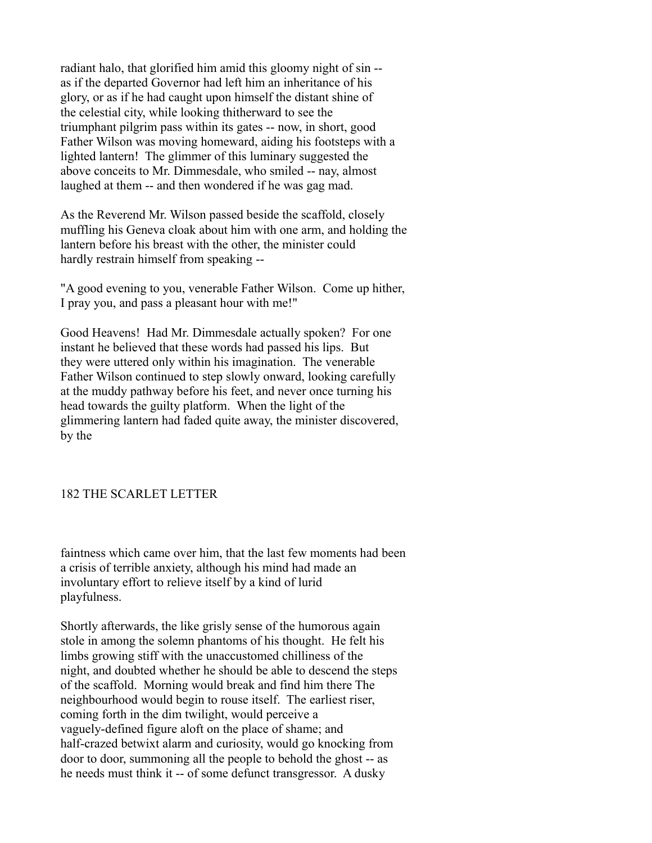radiant halo, that glorified him amid this gloomy night of sin - as if the departed Governor had left him an inheritance of his glory, or as if he had caught upon himself the distant shine of the celestial city, while looking thitherward to see the triumphant pilgrim pass within its gates -- now, in short, good Father Wilson was moving homeward, aiding his footsteps with a lighted lantern! The glimmer of this luminary suggested the above conceits to Mr. Dimmesdale, who smiled -- nay, almost laughed at them -- and then wondered if he was gag mad.

As the Reverend Mr. Wilson passed beside the scaffold, closely muffling his Geneva cloak about him with one arm, and holding the lantern before his breast with the other, the minister could hardly restrain himself from speaking --

"A good evening to you, venerable Father Wilson. Come up hither, I pray you, and pass a pleasant hour with me!"

Good Heavens! Had Mr. Dimmesdale actually spoken? For one instant he believed that these words had passed his lips. But they were uttered only within his imagination. The venerable Father Wilson continued to step slowly onward, looking carefully at the muddy pathway before his feet, and never once turning his head towards the guilty platform. When the light of the glimmering lantern had faded quite away, the minister discovered, by the

### 182 THE SCARLET LETTER

faintness which came over him, that the last few moments had been a crisis of terrible anxiety, although his mind had made an involuntary effort to relieve itself by a kind of lurid playfulness.

Shortly afterwards, the like grisly sense of the humorous again stole in among the solemn phantoms of his thought. He felt his limbs growing stiff with the unaccustomed chilliness of the night, and doubted whether he should be able to descend the steps of the scaffold. Morning would break and find him there The neighbourhood would begin to rouse itself. The earliest riser, coming forth in the dim twilight, would perceive a vaguely-defined figure aloft on the place of shame; and half-crazed betwixt alarm and curiosity, would go knocking from door to door, summoning all the people to behold the ghost -- as he needs must think it -- of some defunct transgressor. A dusky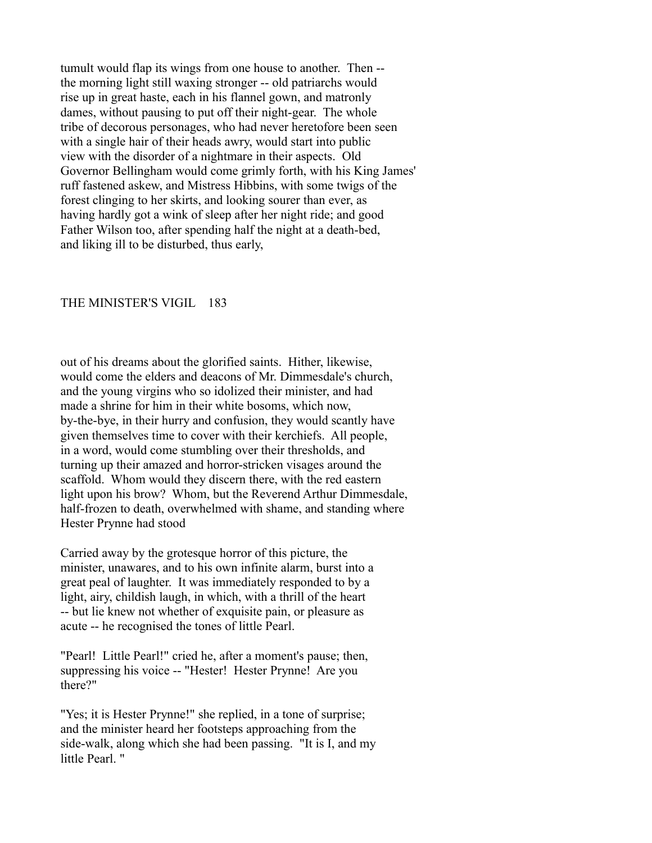tumult would flap its wings from one house to another. Then - the morning light still waxing stronger -- old patriarchs would rise up in great haste, each in his flannel gown, and matronly dames, without pausing to put off their night-gear. The whole tribe of decorous personages, who had never heretofore been seen with a single hair of their heads awry, would start into public view with the disorder of a nightmare in their aspects. Old Governor Bellingham would come grimly forth, with his King James' ruff fastened askew, and Mistress Hibbins, with some twigs of the forest clinging to her skirts, and looking sourer than ever, as having hardly got a wink of sleep after her night ride; and good Father Wilson too, after spending half the night at a death-bed, and liking ill to be disturbed, thus early,

#### THE MINISTER'S VIGIL 183

out of his dreams about the glorified saints. Hither, likewise, would come the elders and deacons of Mr. Dimmesdale's church, and the young virgins who so idolized their minister, and had made a shrine for him in their white bosoms, which now, by-the-bye, in their hurry and confusion, they would scantly have given themselves time to cover with their kerchiefs. All people, in a word, would come stumbling over their thresholds, and turning up their amazed and horror-stricken visages around the scaffold. Whom would they discern there, with the red eastern light upon his brow? Whom, but the Reverend Arthur Dimmesdale, half-frozen to death, overwhelmed with shame, and standing where Hester Prynne had stood

Carried away by the grotesque horror of this picture, the minister, unawares, and to his own infinite alarm, burst into a great peal of laughter. It was immediately responded to by a light, airy, childish laugh, in which, with a thrill of the heart -- but lie knew not whether of exquisite pain, or pleasure as acute -- he recognised the tones of little Pearl.

"Pearl! Little Pearl!" cried he, after a moment's pause; then, suppressing his voice -- "Hester! Hester Prynne! Are you there?"

"Yes; it is Hester Prynne!" she replied, in a tone of surprise; and the minister heard her footsteps approaching from the side-walk, along which she had been passing. "It is I, and my little Pearl. "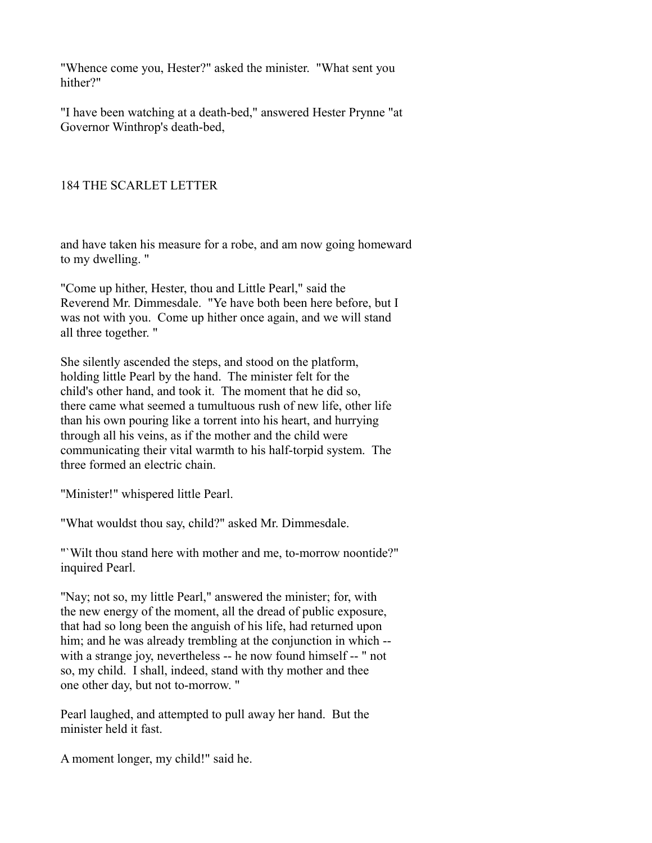"Whence come you, Hester?" asked the minister. "What sent you hither?"

"I have been watching at a death-bed," answered Hester Prynne "at Governor Winthrop's death-bed,

## 184 THE SCARLET LETTER

and have taken his measure for a robe, and am now going homeward to my dwelling. "

"Come up hither, Hester, thou and Little Pearl," said the Reverend Mr. Dimmesdale. "Ye have both been here before, but I was not with you. Come up hither once again, and we will stand all three together. "

She silently ascended the steps, and stood on the platform, holding little Pearl by the hand. The minister felt for the child's other hand, and took it. The moment that he did so, there came what seemed a tumultuous rush of new life, other life than his own pouring like a torrent into his heart, and hurrying through all his veins, as if the mother and the child were communicating their vital warmth to his half-torpid system. The three formed an electric chain.

"Minister!" whispered little Pearl.

"What wouldst thou say, child?" asked Mr. Dimmesdale.

"`Wilt thou stand here with mother and me, to-morrow noontide?" inquired Pearl.

"Nay; not so, my little Pearl," answered the minister; for, with the new energy of the moment, all the dread of public exposure, that had so long been the anguish of his life, had returned upon him; and he was already trembling at the conjunction in which -with a strange joy, nevertheless -- he now found himself -- " not so, my child. I shall, indeed, stand with thy mother and thee one other day, but not to-morrow. "

Pearl laughed, and attempted to pull away her hand. But the minister held it fast.

A moment longer, my child!" said he.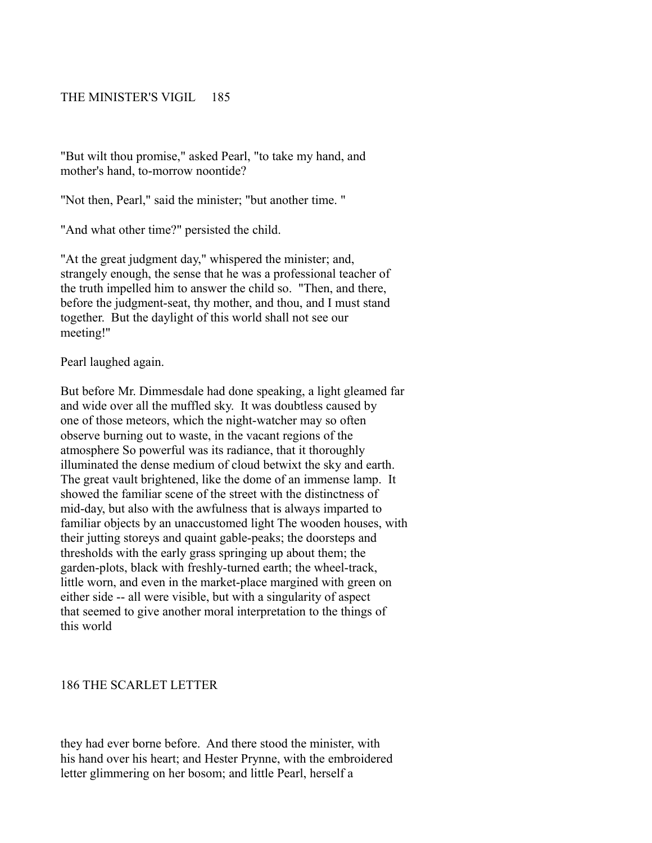### THE MINISTER'S VIGIL 185

"But wilt thou promise," asked Pearl, "to take my hand, and mother's hand, to-morrow noontide?

"Not then, Pearl," said the minister; "but another time. "

"And what other time?" persisted the child.

"At the great judgment day," whispered the minister; and, strangely enough, the sense that he was a professional teacher of the truth impelled him to answer the child so. "Then, and there, before the judgment-seat, thy mother, and thou, and I must stand together. But the daylight of this world shall not see our meeting!''

Pearl laughed again.

But before Mr. Dimmesdale had done speaking, a light gleamed far and wide over all the muffled sky. It was doubtless caused by one of those meteors, which the night-watcher may so often observe burning out to waste, in the vacant regions of the atmosphere So powerful was its radiance, that it thoroughly illuminated the dense medium of cloud betwixt the sky and earth. The great vault brightened, like the dome of an immense lamp. It showed the familiar scene of the street with the distinctness of mid-day, but also with the awfulness that is always imparted to familiar objects by an unaccustomed light The wooden houses, with their jutting storeys and quaint gable-peaks; the doorsteps and thresholds with the early grass springing up about them; the garden-plots, black with freshly-turned earth; the wheel-track, little worn, and even in the market-place margined with green on either side -- all were visible, but with a singularity of aspect that seemed to give another moral interpretation to the things of this world

### 186 THE SCARLET LETTER

they had ever borne before. And there stood the minister, with his hand over his heart; and Hester Prynne, with the embroidered letter glimmering on her bosom; and little Pearl, herself a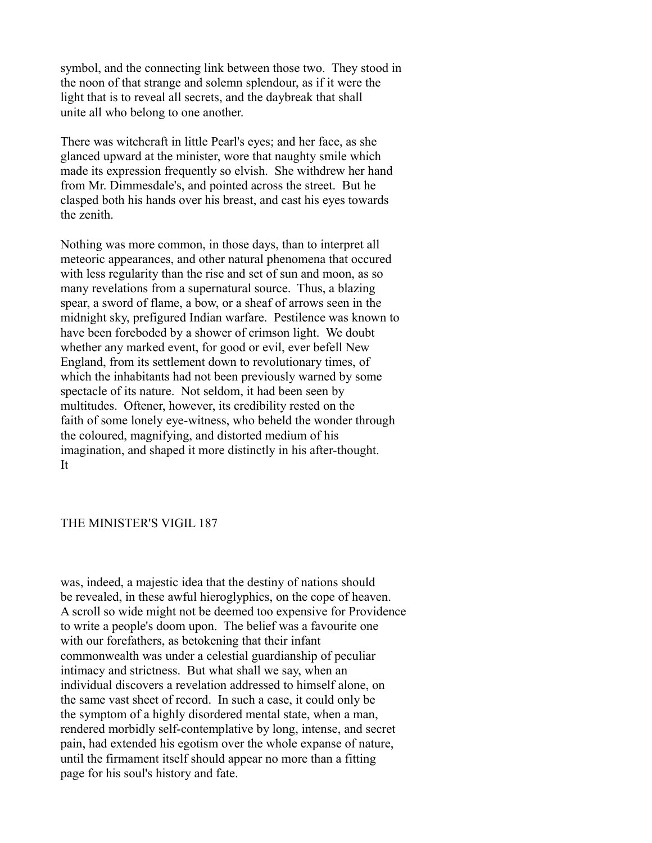symbol, and the connecting link between those two. They stood in the noon of that strange and solemn splendour, as if it were the light that is to reveal all secrets, and the daybreak that shall unite all who belong to one another.

There was witchcraft in little Pearl's eyes; and her face, as she glanced upward at the minister, wore that naughty smile which made its expression frequently so elvish. She withdrew her hand from Mr. Dimmesdale's, and pointed across the street. But he clasped both his hands over his breast, and cast his eyes towards the zenith.

Nothing was more common, in those days, than to interpret all meteoric appearances, and other natural phenomena that occured with less regularity than the rise and set of sun and moon, as so many revelations from a supernatural source. Thus, a blazing spear, a sword of flame, a bow, or a sheaf of arrows seen in the midnight sky, prefigured Indian warfare. Pestilence was known to have been foreboded by a shower of crimson light. We doubt whether any marked event, for good or evil, ever befell New England, from its settlement down to revolutionary times, of which the inhabitants had not been previously warned by some spectacle of its nature. Not seldom, it had been seen by multitudes. Oftener, however, its credibility rested on the faith of some lonely eye-witness, who beheld the wonder through the coloured, magnifying, and distorted medium of his imagination, and shaped it more distinctly in his after-thought. It

#### THE MINISTER'S VIGIL 187

was, indeed, a majestic idea that the destiny of nations should be revealed, in these awful hieroglyphics, on the cope of heaven. A scroll so wide might not be deemed too expensive for Providence to write a people's doom upon. The belief was a favourite one with our forefathers, as betokening that their infant commonwealth was under a celestial guardianship of peculiar intimacy and strictness. But what shall we say, when an individual discovers a revelation addressed to himself alone, on the same vast sheet of record. In such a case, it could only be the symptom of a highly disordered mental state, when a man, rendered morbidly self-contemplative by long, intense, and secret pain, had extended his egotism over the whole expanse of nature, until the firmament itself should appear no more than a fitting page for his soul's history and fate.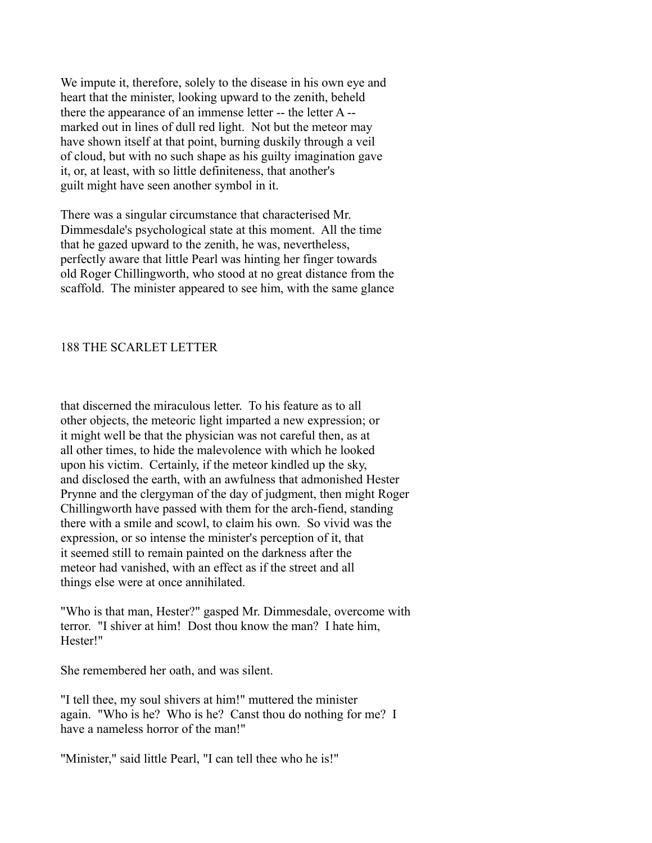We impute it, therefore, solely to the disease in his own eye and heart that the minister, looking upward to the zenith, beheld there the appearance of an immense letter -- the letter A - marked out in lines of dull red light. Not but the meteor may have shown itself at that point, burning duskily through a veil of cloud, but with no such shape as his guilty imagination gave it, or, at least, with so little definiteness, that another's guilt might have seen another symbol in it.

There was a singular circumstance that characterised Mr. Dimmesdale's psychological state at this moment. All the time that he gazed upward to the zenith, he was, nevertheless, perfectly aware that little Pearl was hinting her finger towards old Roger Chillingworth, who stood at no great distance from the scaffold. The minister appeared to see him, with the same glance

### 188 THE SCARLET LETTER

that discerned the miraculous letter. To his feature as to all other objects, the meteoric light imparted a new expression; or it might well be that the physician was not careful then, as at all other times, to hide the malevolence with which he looked upon his victim. Certainly, if the meteor kindled up the sky, and disclosed the earth, with an awfulness that admonished Hester Prynne and the clergyman of the day of judgment, then might Roger Chillingworth have passed with them for the arch-fiend, standing there with a smile and scowl, to claim his own. So vivid was the expression, or so intense the minister's perception of it, that it seemed still to remain painted on the darkness after the meteor had vanished, with an effect as if the street and all things else were at once annihilated.

"Who is that man, Hester?" gasped Mr. Dimmesdale, overcome with terror. "I shiver at him! Dost thou know the man? I hate him, Hester!"

She remembered her oath, and was silent.

"I tell thee, my soul shivers at him!" muttered the minister again. "Who is he? Who is he? Canst thou do nothing for me? I have a nameless horror of the man!"

"Minister," said little Pearl, "I can tell thee who he is!"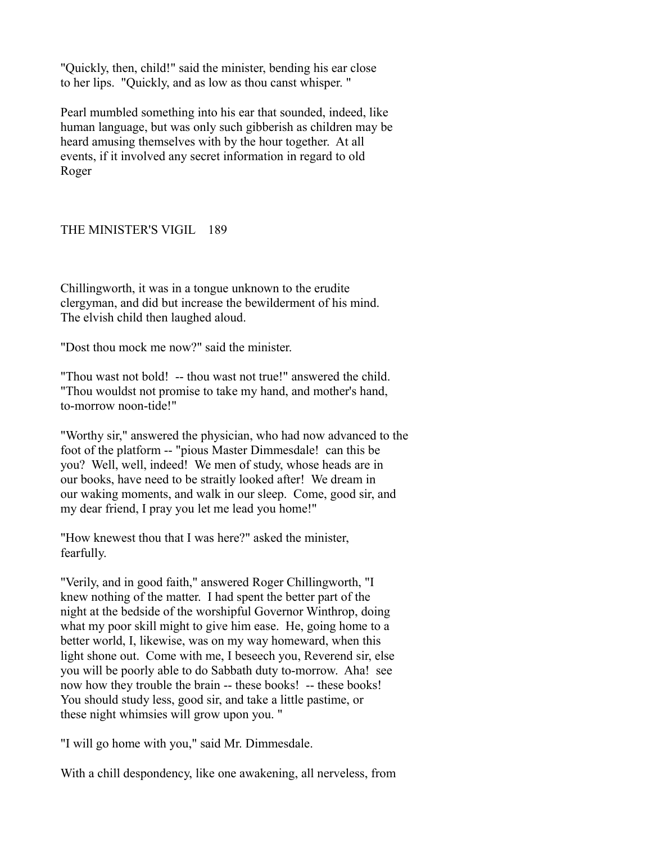"Quickly, then, child!" said the minister, bending his ear close to her lips. "Quickly, and as low as thou canst whisper. "

Pearl mumbled something into his ear that sounded, indeed, like human language, but was only such gibberish as children may be heard amusing themselves with by the hour together. At all events, if it involved any secret information in regard to old Roger

## THE MINISTER'S VIGIL 189

Chillingworth, it was in a tongue unknown to the erudite clergyman, and did but increase the bewilderment of his mind. The elvish child then laughed aloud.

"Dost thou mock me now?" said the minister.

"Thou wast not bold! -- thou wast not true!" answered the child. "Thou wouldst not promise to take my hand, and mother's hand, to-morrow noon-tide!"

"Worthy sir," answered the physician, who had now advanced to the foot of the platform -- "pious Master Dimmesdale! can this be you? Well, well, indeed! We men of study, whose heads are in our books, have need to be straitly looked after! We dream in our waking moments, and walk in our sleep. Come, good sir, and my dear friend, I pray you let me lead you home!"

"How knewest thou that I was here?" asked the minister, fearfully.

"Verily, and in good faith," answered Roger Chillingworth, "I knew nothing of the matter. I had spent the better part of the night at the bedside of the worshipful Governor Winthrop, doing what my poor skill might to give him ease. He, going home to a better world, I, likewise, was on my way homeward, when this light shone out. Come with me, I beseech you, Reverend sir, else you will be poorly able to do Sabbath duty to-morrow. Aha! see now how they trouble the brain -- these books! -- these books! You should study less, good sir, and take a little pastime, or these night whimsies will grow upon you. "

"I will go home with you," said Mr. Dimmesdale.

With a chill despondency, like one awakening, all nerveless, from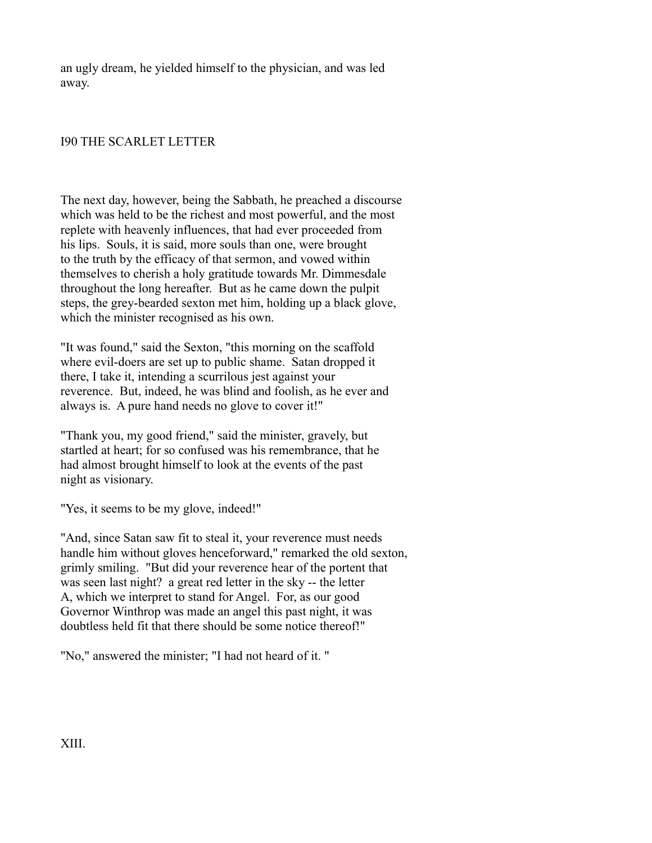an ugly dream, he yielded himself to the physician, and was led away.

## I90 THE SCARLET LETTER

The next day, however, being the Sabbath, he preached a discourse which was held to be the richest and most powerful, and the most replete with heavenly influences, that had ever proceeded from his lips. Souls, it is said, more souls than one, were brought to the truth by the efficacy of that sermon, and vowed within themselves to cherish a holy gratitude towards Mr. Dimmesdale throughout the long hereafter. But as he came down the pulpit steps, the grey-bearded sexton met him, holding up a black glove, which the minister recognised as his own.

"It was found," said the Sexton, "this morning on the scaffold where evil-doers are set up to public shame. Satan dropped it there, I take it, intending a scurrilous jest against your reverence. But, indeed, he was blind and foolish, as he ever and always is. A pure hand needs no glove to cover it!"

"Thank you, my good friend," said the minister, gravely, but startled at heart; for so confused was his remembrance, that he had almost brought himself to look at the events of the past night as visionary.

"Yes, it seems to be my glove, indeed!"

"And, since Satan saw fit to steal it, your reverence must needs handle him without gloves henceforward," remarked the old sexton, grimly smiling. "But did your reverence hear of the portent that was seen last night? a great red letter in the sky -- the letter A, which we interpret to stand for Angel. For, as our good Governor Winthrop was made an angel this past night, it was doubtless held fit that there should be some notice thereof!"

"No," answered the minister; "I had not heard of it. "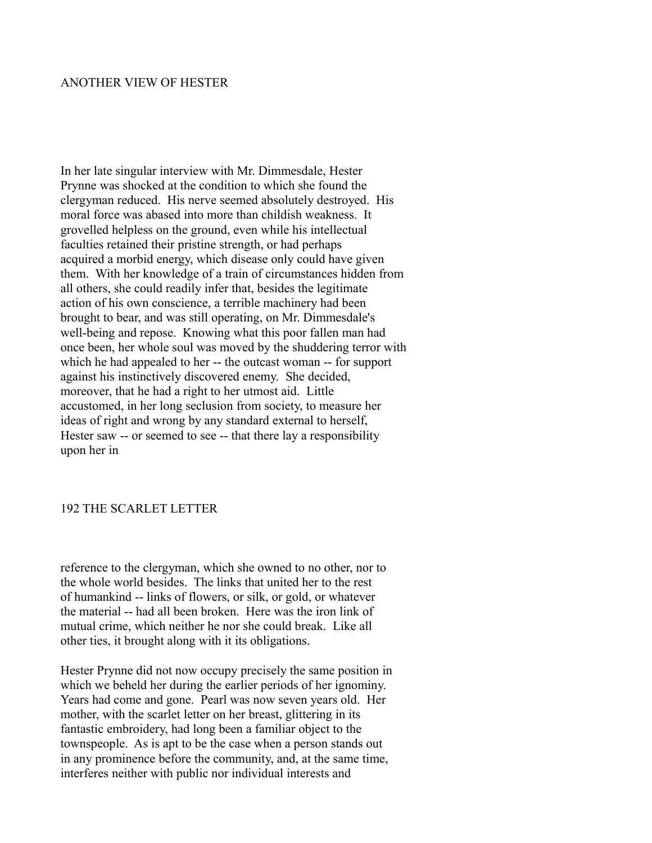# ANOTHER VIEW OF HESTER

In her late singular interview with Mr. Dimmesdale, Hester Prynne was shocked at the condition to which she found the clergyman reduced. His nerve seemed absolutely destroyed. His moral force was abased into more than childish weakness. It grovelled helpless on the ground, even while his intellectual faculties retained their pristine strength, or had perhaps acquired a morbid energy, which disease only could have given them. With her knowledge of a train of circumstances hidden from all others, she could readily infer that, besides the legitimate action of his own conscience, a terrible machinery had been brought to bear, and was still operating, on Mr. Dimmesdale's well-being and repose. Knowing what this poor fallen man had once been, her whole soul was moved by the shuddering terror with which he had appealed to her -- the outcast woman -- for support against his instinctively discovered enemy. She decided, moreover, that he had a right to her utmost aid. Little accustomed, in her long seclusion from society, to measure her ideas of right and wrong by any standard external to herself, Hester saw -- or seemed to see -- that there lay a responsibility upon her in

### 192 THE SCARLET LETTER

reference to the clergyman, which she owned to no other, nor to the whole world besides. The links that united her to the rest of humankind -- links of flowers, or silk, or gold, or whatever the material -- had all been broken. Here was the iron link of mutual crime, which neither he nor she could break. Like all other ties, it brought along with it its obligations.

Hester Prynne did not now occupy precisely the same position in which we beheld her during the earlier periods of her ignominy. Years had come and gone. Pearl was now seven years old. Her mother, with the scarlet letter on her breast, glittering in its fantastic embroidery, had long been a familiar object to the townspeople. As is apt to be the case when a person stands out in any prominence before the community, and, at the same time, interferes neither with public nor individual interests and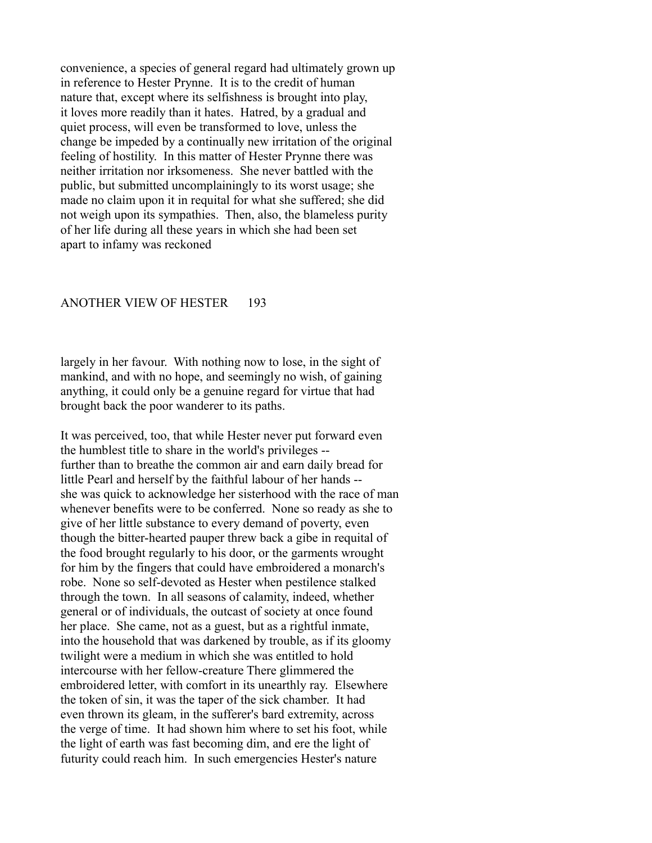convenience, a species of general regard had ultimately grown up in reference to Hester Prynne. It is to the credit of human nature that, except where its selfishness is brought into play, it loves more readily than it hates. Hatred, by a gradual and quiet process, will even be transformed to love, unless the change be impeded by a continually new irritation of the original feeling of hostility. In this matter of Hester Prynne there was neither irritation nor irksomeness. She never battled with the public, but submitted uncomplainingly to its worst usage; she made no claim upon it in requital for what she suffered; she did not weigh upon its sympathies. Then, also, the blameless purity of her life during all these years in which she had been set apart to infamy was reckoned

#### ANOTHER VIEW OF HESTER 193

largely in her favour. With nothing now to lose, in the sight of mankind, and with no hope, and seemingly no wish, of gaining anything, it could only be a genuine regard for virtue that had brought back the poor wanderer to its paths.

It was perceived, too, that while Hester never put forward even the humblest title to share in the world's privileges - further than to breathe the common air and earn daily bread for little Pearl and herself by the faithful labour of her hands - she was quick to acknowledge her sisterhood with the race of man whenever benefits were to be conferred. None so ready as she to give of her little substance to every demand of poverty, even though the bitter-hearted pauper threw back a gibe in requital of the food brought regularly to his door, or the garments wrought for him by the fingers that could have embroidered a monarch's robe. None so self-devoted as Hester when pestilence stalked through the town. In all seasons of calamity, indeed, whether general or of individuals, the outcast of society at once found her place. She came, not as a guest, but as a rightful inmate, into the household that was darkened by trouble, as if its gloomy twilight were a medium in which she was entitled to hold intercourse with her fellow-creature There glimmered the embroidered letter, with comfort in its unearthly ray. Elsewhere the token of sin, it was the taper of the sick chamber. It had even thrown its gleam, in the sufferer's bard extremity, across the verge of time. It had shown him where to set his foot, while the light of earth was fast becoming dim, and ere the light of futurity could reach him. In such emergencies Hester's nature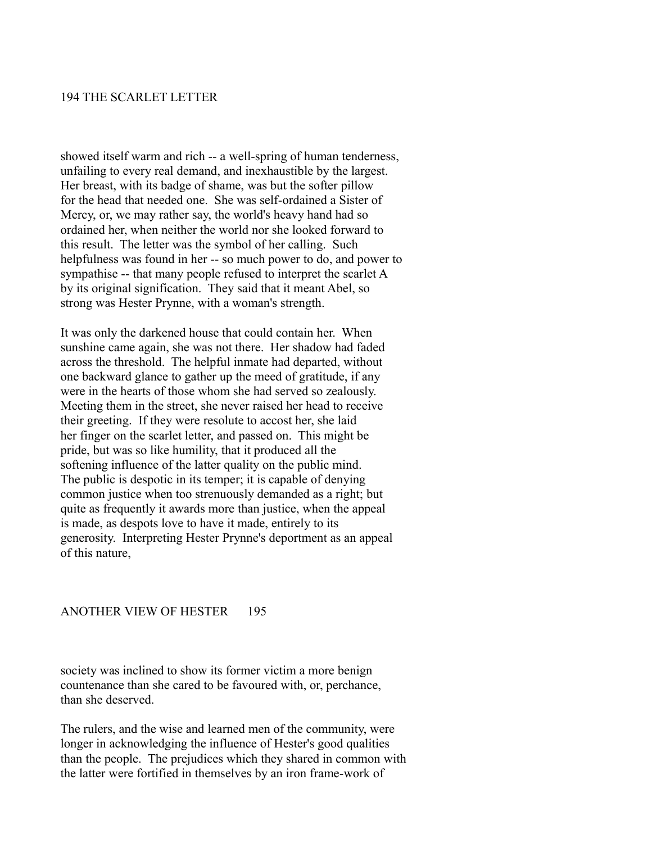#### 194 THE SCARLET LETTER

showed itself warm and rich -- a well-spring of human tenderness, unfailing to every real demand, and inexhaustible by the largest. Her breast, with its badge of shame, was but the softer pillow for the head that needed one. She was self-ordained a Sister of Mercy, or, we may rather say, the world's heavy hand had so ordained her, when neither the world nor she looked forward to this result. The letter was the symbol of her calling. Such helpfulness was found in her -- so much power to do, and power to sympathise -- that many people refused to interpret the scarlet A by its original signification. They said that it meant Abel, so strong was Hester Prynne, with a woman's strength.

It was only the darkened house that could contain her. When sunshine came again, she was not there. Her shadow had faded across the threshold. The helpful inmate had departed, without one backward glance to gather up the meed of gratitude, if any were in the hearts of those whom she had served so zealously. Meeting them in the street, she never raised her head to receive their greeting. If they were resolute to accost her, she laid her finger on the scarlet letter, and passed on. This might be pride, but was so like humility, that it produced all the softening influence of the latter quality on the public mind. The public is despotic in its temper; it is capable of denying common justice when too strenuously demanded as a right; but quite as frequently it awards more than justice, when the appeal is made, as despots love to have it made, entirely to its generosity. Interpreting Hester Prynne's deportment as an appeal of this nature,

#### ANOTHER VIEW OF HESTER 195

society was inclined to show its former victim a more benign countenance than she cared to be favoured with, or, perchance, than she deserved.

The rulers, and the wise and learned men of the community, were longer in acknowledging the influence of Hester's good qualities than the people. The prejudices which they shared in common with the latter were fortified in themselves by an iron frame-work of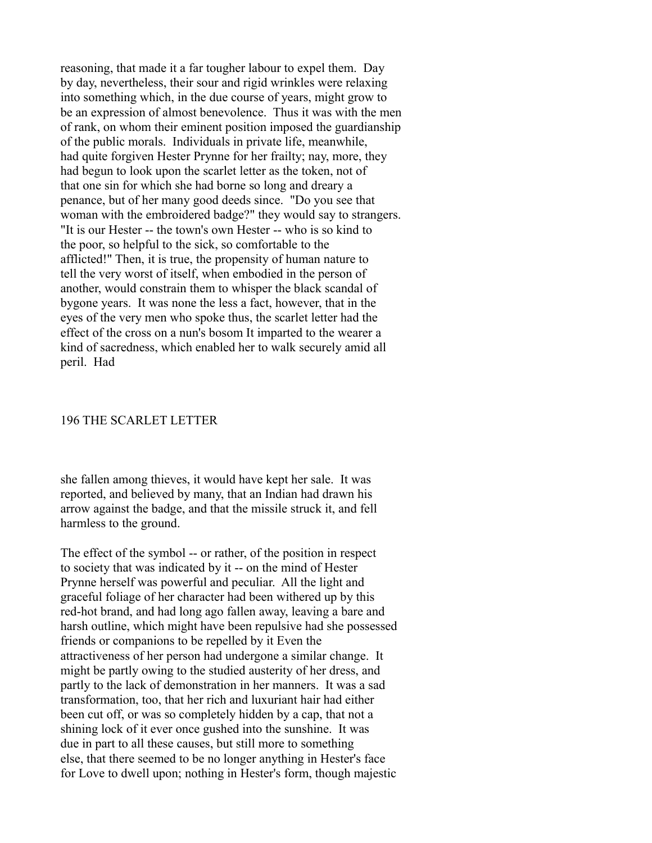reasoning, that made it a far tougher labour to expel them. Day by day, nevertheless, their sour and rigid wrinkles were relaxing into something which, in the due course of years, might grow to be an expression of almost benevolence. Thus it was with the men of rank, on whom their eminent position imposed the guardianship of the public morals. Individuals in private life, meanwhile, had quite forgiven Hester Prynne for her frailty; nay, more, they had begun to look upon the scarlet letter as the token, not of that one sin for which she had borne so long and dreary a penance, but of her many good deeds since. "Do you see that woman with the embroidered badge?" they would say to strangers. "It is our Hester -- the town's own Hester -- who is so kind to the poor, so helpful to the sick, so comfortable to the afflicted!" Then, it is true, the propensity of human nature to tell the very worst of itself, when embodied in the person of another, would constrain them to whisper the black scandal of bygone years. It was none the less a fact, however, that in the eyes of the very men who spoke thus, the scarlet letter had the effect of the cross on a nun's bosom It imparted to the wearer a kind of sacredness, which enabled her to walk securely amid all peril. Had

#### 196 THE SCARLET LETTER

she fallen among thieves, it would have kept her sale. It was reported, and believed by many, that an Indian had drawn his arrow against the badge, and that the missile struck it, and fell harmless to the ground.

The effect of the symbol -- or rather, of the position in respect to society that was indicated by it -- on the mind of Hester Prynne herself was powerful and peculiar. All the light and graceful foliage of her character had been withered up by this red-hot brand, and had long ago fallen away, leaving a bare and harsh outline, which might have been repulsive had she possessed friends or companions to be repelled by it Even the attractiveness of her person had undergone a similar change. It might be partly owing to the studied austerity of her dress, and partly to the lack of demonstration in her manners. It was a sad transformation, too, that her rich and luxuriant hair had either been cut off, or was so completely hidden by a cap, that not a shining lock of it ever once gushed into the sunshine. It was due in part to all these causes, but still more to something else, that there seemed to be no longer anything in Hester's face for Love to dwell upon; nothing in Hester's form, though majestic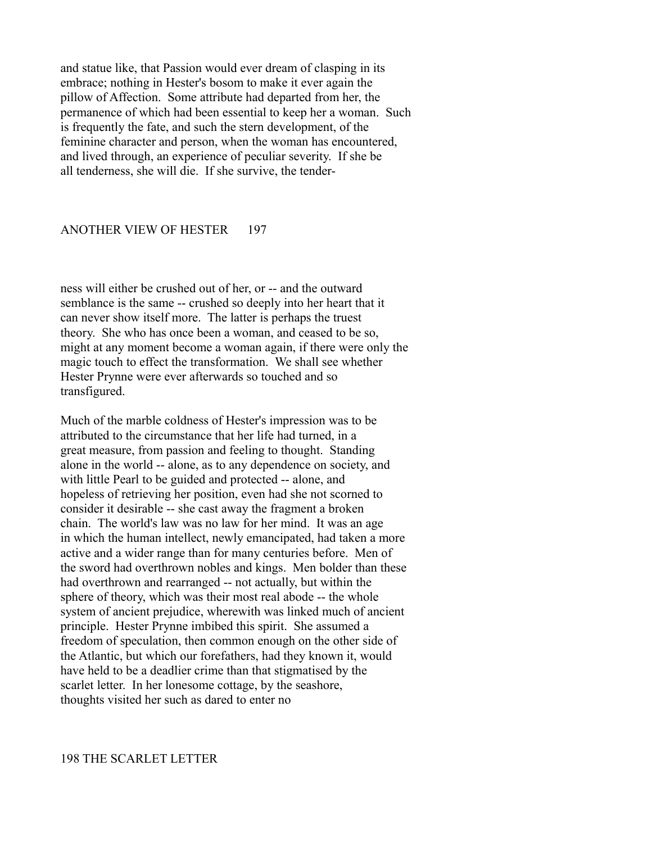and statue like, that Passion would ever dream of clasping in its embrace; nothing in Hester's bosom to make it ever again the pillow of Affection. Some attribute had departed from her, the permanence of which had been essential to keep her a woman. Such is frequently the fate, and such the stern development, of the feminine character and person, when the woman has encountered, and lived through, an experience of peculiar severity. If she be all tenderness, she will die. If she survive, the tender-

### ANOTHER VIEW OF HESTER 197

ness will either be crushed out of her, or -- and the outward semblance is the same -- crushed so deeply into her heart that it can never show itself more. The latter is perhaps the truest theory. She who has once been a woman, and ceased to be so, might at any moment become a woman again, if there were only the magic touch to effect the transformation. We shall see whether Hester Prynne were ever afterwards so touched and so transfigured.

Much of the marble coldness of Hester's impression was to be attributed to the circumstance that her life had turned, in a great measure, from passion and feeling to thought. Standing alone in the world -- alone, as to any dependence on society, and with little Pearl to be guided and protected -- alone, and hopeless of retrieving her position, even had she not scorned to consider it desirable -- she cast away the fragment a broken chain. The world's law was no law for her mind. It was an age in which the human intellect, newly emancipated, had taken a more active and a wider range than for many centuries before. Men of the sword had overthrown nobles and kings. Men bolder than these had overthrown and rearranged -- not actually, but within the sphere of theory, which was their most real abode -- the whole system of ancient prejudice, wherewith was linked much of ancient principle. Hester Prynne imbibed this spirit. She assumed a freedom of speculation, then common enough on the other side of the Atlantic, but which our forefathers, had they known it, would have held to be a deadlier crime than that stigmatised by the scarlet letter. In her lonesome cottage, by the seashore, thoughts visited her such as dared to enter no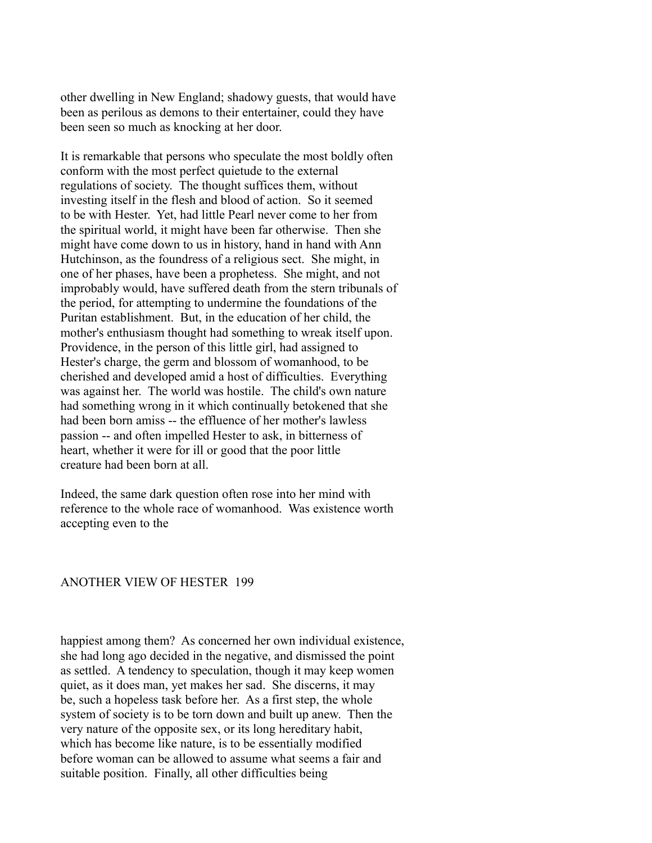other dwelling in New England; shadowy guests, that would have been as perilous as demons to their entertainer, could they have been seen so much as knocking at her door.

It is remarkable that persons who speculate the most boldly often conform with the most perfect quietude to the external regulations of society. The thought suffices them, without investing itself in the flesh and blood of action. So it seemed to be with Hester. Yet, had little Pearl never come to her from the spiritual world, it might have been far otherwise. Then she might have come down to us in history, hand in hand with Ann Hutchinson, as the foundress of a religious sect. She might, in one of her phases, have been a prophetess. She might, and not improbably would, have suffered death from the stern tribunals of the period, for attempting to undermine the foundations of the Puritan establishment. But, in the education of her child, the mother's enthusiasm thought had something to wreak itself upon. Providence, in the person of this little girl, had assigned to Hester's charge, the germ and blossom of womanhood, to be cherished and developed amid a host of difficulties. Everything was against her. The world was hostile. The child's own nature had something wrong in it which continually betokened that she had been born amiss -- the effluence of her mother's lawless passion -- and often impelled Hester to ask, in bitterness of heart, whether it were for ill or good that the poor little creature had been born at all.

Indeed, the same dark question often rose into her mind with reference to the whole race of womanhood. Was existence worth accepting even to the

#### ANOTHER VIEW OF HESTER 199

happiest among them? As concerned her own individual existence, she had long ago decided in the negative, and dismissed the point as settled. A tendency to speculation, though it may keep women quiet, as it does man, yet makes her sad. She discerns, it may be, such a hopeless task before her. As a first step, the whole system of society is to be torn down and built up anew. Then the very nature of the opposite sex, or its long hereditary habit, which has become like nature, is to be essentially modified before woman can be allowed to assume what seems a fair and suitable position. Finally, all other difficulties being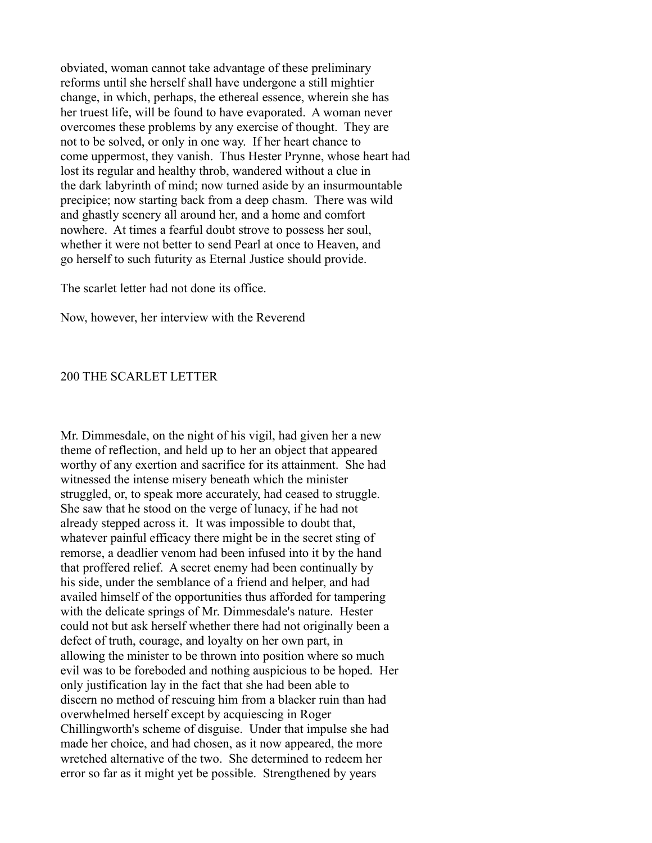obviated, woman cannot take advantage of these preliminary reforms until she herself shall have undergone a still mightier change, in which, perhaps, the ethereal essence, wherein she has her truest life, will be found to have evaporated. A woman never overcomes these problems by any exercise of thought. They are not to be solved, or only in one way. If her heart chance to come uppermost, they vanish. Thus Hester Prynne, whose heart had lost its regular and healthy throb, wandered without a clue in the dark labyrinth of mind; now turned aside by an insurmountable precipice; now starting back from a deep chasm. There was wild and ghastly scenery all around her, and a home and comfort nowhere. At times a fearful doubt strove to possess her soul, whether it were not better to send Pearl at once to Heaven, and go herself to such futurity as Eternal Justice should provide.

The scarlet letter had not done its office.

Now, however, her interview with the Reverend

#### 200 THE SCARLET LETTER

Mr. Dimmesdale, on the night of his vigil, had given her a new theme of reflection, and held up to her an object that appeared worthy of any exertion and sacrifice for its attainment. She had witnessed the intense misery beneath which the minister struggled, or, to speak more accurately, had ceased to struggle. She saw that he stood on the verge of lunacy, if he had not already stepped across it. It was impossible to doubt that, whatever painful efficacy there might be in the secret sting of remorse, a deadlier venom had been infused into it by the hand that proffered relief. A secret enemy had been continually by his side, under the semblance of a friend and helper, and had availed himself of the opportunities thus afforded for tampering with the delicate springs of Mr. Dimmesdale's nature. Hester could not but ask herself whether there had not originally been a defect of truth, courage, and loyalty on her own part, in allowing the minister to be thrown into position where so much evil was to be foreboded and nothing auspicious to be hoped. Her only justification lay in the fact that she had been able to discern no method of rescuing him from a blacker ruin than had overwhelmed herself except by acquiescing in Roger Chillingworth's scheme of disguise. Under that impulse she had made her choice, and had chosen, as it now appeared, the more wretched alternative of the two. She determined to redeem her error so far as it might yet be possible. Strengthened by years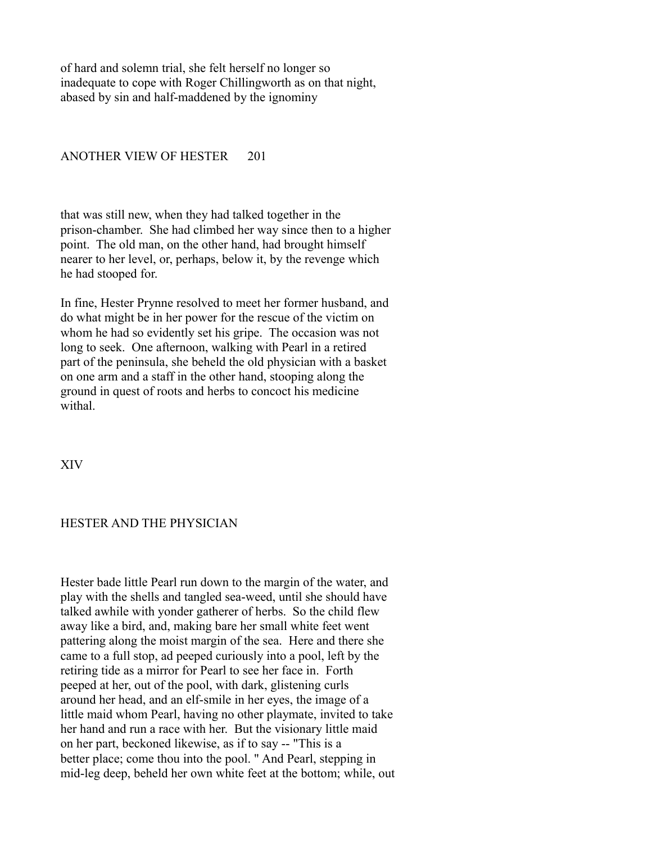of hard and solemn trial, she felt herself no longer so inadequate to cope with Roger Chillingworth as on that night, abased by sin and half-maddened by the ignominy

## ANOTHER VIEW OF HESTER 201

that was still new, when they had talked together in the prison-chamber. She had climbed her way since then to a higher point. The old man, on the other hand, had brought himself nearer to her level, or, perhaps, below it, by the revenge which he had stooped for.

In fine, Hester Prynne resolved to meet her former husband, and do what might be in her power for the rescue of the victim on whom he had so evidently set his gripe. The occasion was not long to seek. One afternoon, walking with Pearl in a retired part of the peninsula, she beheld the old physician with a basket on one arm and a staff in the other hand, stooping along the ground in quest of roots and herbs to concoct his medicine withal.

XIV

### HESTER AND THE PHYSICIAN

Hester bade little Pearl run down to the margin of the water, and play with the shells and tangled sea-weed, until she should have talked awhile with yonder gatherer of herbs. So the child flew away like a bird, and, making bare her small white feet went pattering along the moist margin of the sea. Here and there she came to a full stop, ad peeped curiously into a pool, left by the retiring tide as a mirror for Pearl to see her face in. Forth peeped at her, out of the pool, with dark, glistening curls around her head, and an elf-smile in her eyes, the image of a little maid whom Pearl, having no other playmate, invited to take her hand and run a race with her. But the visionary little maid on her part, beckoned likewise, as if to say -- "This is a better place; come thou into the pool. " And Pearl, stepping in mid-leg deep, beheld her own white feet at the bottom; while, out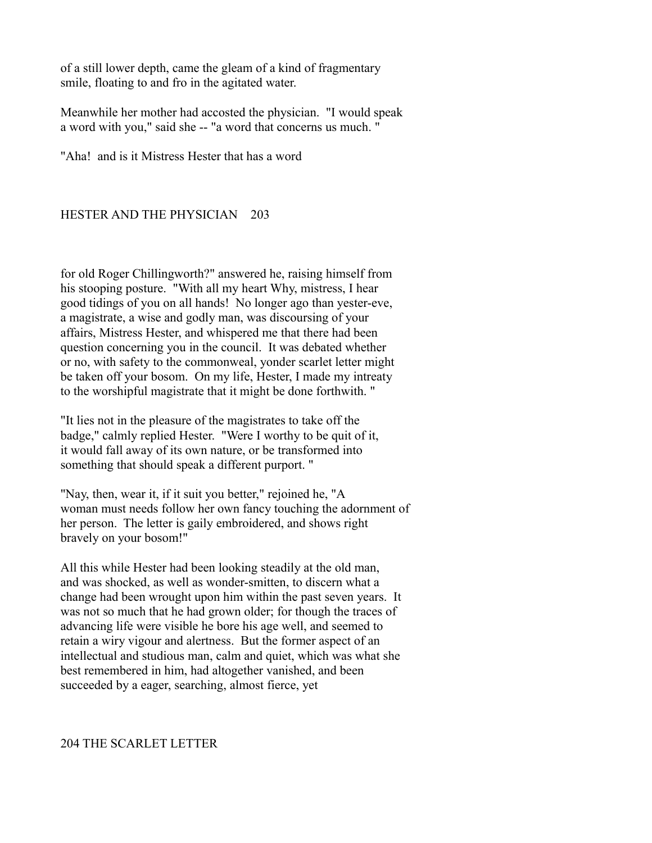of a still lower depth, came the gleam of a kind of fragmentary smile, floating to and fro in the agitated water.

Meanwhile her mother had accosted the physician. "I would speak a word with you," said she -- "a word that concerns us much. "

"Aha! and is it Mistress Hester that has a word

# HESTER AND THE PHYSICIAN 203

for old Roger Chillingworth?" answered he, raising himself from his stooping posture. "With all my heart Why, mistress, I hear good tidings of you on all hands! No longer ago than yester-eve, a magistrate, a wise and godly man, was discoursing of your affairs, Mistress Hester, and whispered me that there had been question concerning you in the council. It was debated whether or no, with safety to the commonweal, yonder scarlet letter might be taken off your bosom. On my life, Hester, I made my intreaty to the worshipful magistrate that it might be done forthwith. "

"It lies not in the pleasure of the magistrates to take off the badge," calmly replied Hester. "Were I worthy to be quit of it, it would fall away of its own nature, or be transformed into something that should speak a different purport. "

"Nay, then, wear it, if it suit you better," rejoined he, "A woman must needs follow her own fancy touching the adornment of her person. The letter is gaily embroidered, and shows right bravely on your bosom!"

All this while Hester had been looking steadily at the old man, and was shocked, as well as wonder-smitten, to discern what a change had been wrought upon him within the past seven years. It was not so much that he had grown older; for though the traces of advancing life were visible he bore his age well, and seemed to retain a wiry vigour and alertness. But the former aspect of an intellectual and studious man, calm and quiet, which was what she best remembered in him, had altogether vanished, and been succeeded by a eager, searching, almost fierce, yet

# 204 THE SCARLET LETTER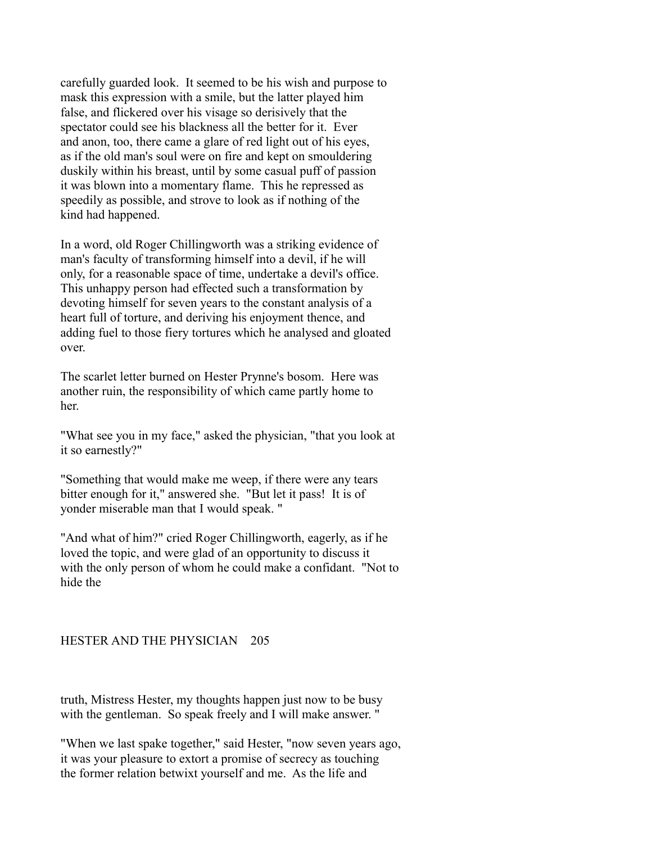carefully guarded look. It seemed to be his wish and purpose to mask this expression with a smile, but the latter played him false, and flickered over his visage so derisively that the spectator could see his blackness all the better for it. Ever and anon, too, there came a glare of red light out of his eyes, as if the old man's soul were on fire and kept on smouldering duskily within his breast, until by some casual puff of passion it was blown into a momentary flame. This he repressed as speedily as possible, and strove to look as if nothing of the kind had happened.

In a word, old Roger Chillingworth was a striking evidence of man's faculty of transforming himself into a devil, if he will only, for a reasonable space of time, undertake a devil's office. This unhappy person had effected such a transformation by devoting himself for seven years to the constant analysis of a heart full of torture, and deriving his enjoyment thence, and adding fuel to those fiery tortures which he analysed and gloated over.

The scarlet letter burned on Hester Prynne's bosom. Here was another ruin, the responsibility of which came partly home to her.

"What see you in my face," asked the physician, "that you look at it so earnestly?"

"Something that would make me weep, if there were any tears bitter enough for it," answered she. "But let it pass! It is of yonder miserable man that I would speak. "

"And what of him?" cried Roger Chillingworth, eagerly, as if he loved the topic, and were glad of an opportunity to discuss it with the only person of whom he could make a confidant. "Not to hide the

# HESTER AND THE PHYSICIAN 205

truth, Mistress Hester, my thoughts happen just now to be busy with the gentleman. So speak freely and I will make answer."

"When we last spake together," said Hester, "now seven years ago, it was your pleasure to extort a promise of secrecy as touching the former relation betwixt yourself and me. As the life and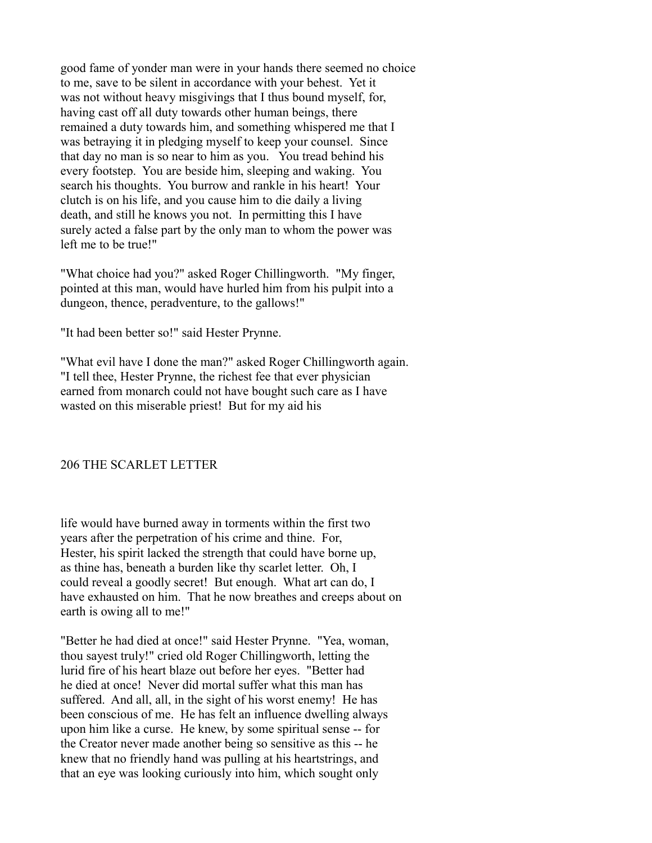good fame of yonder man were in your hands there seemed no choice to me, save to be silent in accordance with your behest. Yet it was not without heavy misgivings that I thus bound myself, for, having cast off all duty towards other human beings, there remained a duty towards him, and something whispered me that I was betraying it in pledging myself to keep your counsel. Since that day no man is so near to him as you. You tread behind his every footstep. You are beside him, sleeping and waking. You search his thoughts. You burrow and rankle in his heart! Your clutch is on his life, and you cause him to die daily a living death, and still he knows you not. In permitting this I have surely acted a false part by the only man to whom the power was left me to be true!"

"What choice had you?" asked Roger Chillingworth. "My finger, pointed at this man, would have hurled him from his pulpit into a dungeon, thence, peradventure, to the gallows!"

"It had been better so!" said Hester Prynne.

"What evil have I done the man?" asked Roger Chillingworth again. "I tell thee, Hester Prynne, the richest fee that ever physician earned from monarch could not have bought such care as I have wasted on this miserable priest! But for my aid his

### 206 THE SCARLET LETTER

life would have burned away in torments within the first two years after the perpetration of his crime and thine. For, Hester, his spirit lacked the strength that could have borne up, as thine has, beneath a burden like thy scarlet letter. Oh, I could reveal a goodly secret! But enough. What art can do, I have exhausted on him. That he now breathes and creeps about on earth is owing all to me!"

"Better he had died at once!" said Hester Prynne. "Yea, woman, thou sayest truly!" cried old Roger Chillingworth, letting the lurid fire of his heart blaze out before her eyes. "Better had he died at once! Never did mortal suffer what this man has suffered. And all, all, in the sight of his worst enemy! He has been conscious of me. He has felt an influence dwelling always upon him like a curse. He knew, by some spiritual sense -- for the Creator never made another being so sensitive as this -- he knew that no friendly hand was pulling at his heartstrings, and that an eye was looking curiously into him, which sought only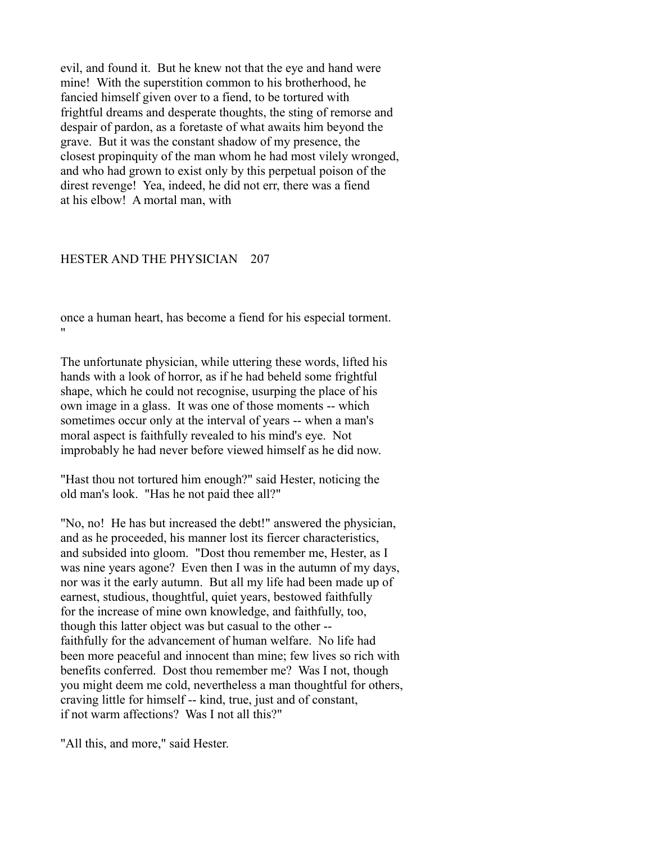evil, and found it. But he knew not that the eye and hand were mine! With the superstition common to his brotherhood, he fancied himself given over to a fiend, to be tortured with frightful dreams and desperate thoughts, the sting of remorse and despair of pardon, as a foretaste of what awaits him beyond the grave. But it was the constant shadow of my presence, the closest propinquity of the man whom he had most vilely wronged, and who had grown to exist only by this perpetual poison of the direst revenge! Yea, indeed, he did not err, there was a fiend at his elbow! A mortal man, with

### HESTER AND THE PHYSICIAN 207

once a human heart, has become a fiend for his especial torment. "

The unfortunate physician, while uttering these words, lifted his hands with a look of horror, as if he had beheld some frightful shape, which he could not recognise, usurping the place of his own image in a glass. It was one of those moments -- which sometimes occur only at the interval of years -- when a man's moral aspect is faithfully revealed to his mind's eye. Not improbably he had never before viewed himself as he did now.

"Hast thou not tortured him enough?" said Hester, noticing the old man's look. "Has he not paid thee all?"

"No, no! He has but increased the debt!" answered the physician, and as he proceeded, his manner lost its fiercer characteristics, and subsided into gloom. "Dost thou remember me, Hester, as I was nine years agone? Even then I was in the autumn of my days, nor was it the early autumn. But all my life had been made up of earnest, studious, thoughtful, quiet years, bestowed faithfully for the increase of mine own knowledge, and faithfully, too, though this latter object was but casual to the other - faithfully for the advancement of human welfare. No life had been more peaceful and innocent than mine; few lives so rich with benefits conferred. Dost thou remember me? Was I not, though you might deem me cold, nevertheless a man thoughtful for others, craving little for himself -- kind, true, just and of constant, if not warm affections? Was I not all this?"

"All this, and more," said Hester.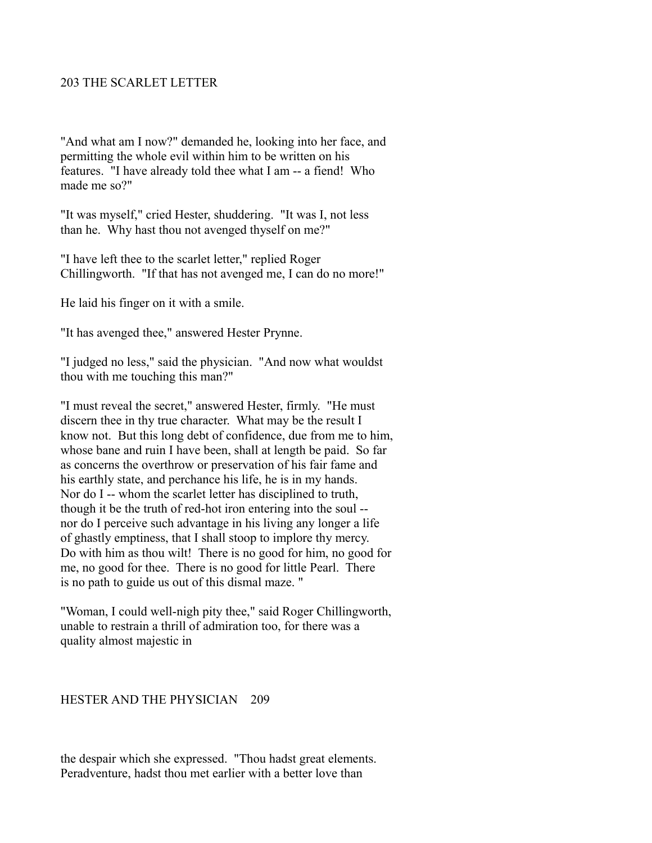# 203 THE SCARLET LETTER

"And what am I now?" demanded he, looking into her face, and permitting the whole evil within him to be written on his features. "I have already told thee what I am -- a fiend! Who made me so?"

"It was myself," cried Hester, shuddering. "It was I, not less than he. Why hast thou not avenged thyself on me?"

"I have left thee to the scarlet letter," replied Roger Chillingworth. "If that has not avenged me, I can do no more!"

He laid his finger on it with a smile.

"It has avenged thee," answered Hester Prynne.

"I judged no less," said the physician. "And now what wouldst thou with me touching this man?"

"I must reveal the secret," answered Hester, firmly. "He must discern thee in thy true character. What may be the result I know not. But this long debt of confidence, due from me to him, whose bane and ruin I have been, shall at length be paid. So far as concerns the overthrow or preservation of his fair fame and his earthly state, and perchance his life, he is in my hands. Nor do I -- whom the scarlet letter has disciplined to truth, though it be the truth of red-hot iron entering into the soul - nor do I perceive such advantage in his living any longer a life of ghastly emptiness, that I shall stoop to implore thy mercy. Do with him as thou wilt! There is no good for him, no good for me, no good for thee. There is no good for little Pearl. There is no path to guide us out of this dismal maze. "

"Woman, I could well-nigh pity thee," said Roger Chillingworth, unable to restrain a thrill of admiration too, for there was a quality almost majestic in

### HESTER AND THE PHYSICIAN 209

the despair which she expressed. "Thou hadst great elements. Peradventure, hadst thou met earlier with a better love than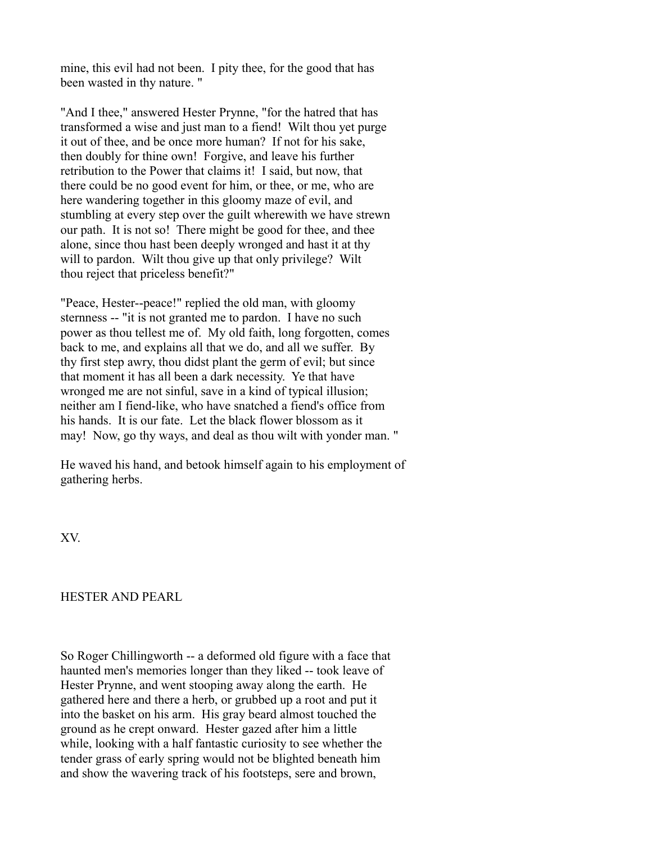mine, this evil had not been. I pity thee, for the good that has been wasted in thy nature. "

"And I thee," answered Hester Prynne, "for the hatred that has transformed a wise and just man to a fiend! Wilt thou yet purge it out of thee, and be once more human? If not for his sake, then doubly for thine own! Forgive, and leave his further retribution to the Power that claims it! I said, but now, that there could be no good event for him, or thee, or me, who are here wandering together in this gloomy maze of evil, and stumbling at every step over the guilt wherewith we have strewn our path. It is not so! There might be good for thee, and thee alone, since thou hast been deeply wronged and hast it at thy will to pardon. Wilt thou give up that only privilege? Wilt thou reject that priceless benefit?"

"Peace, Hester--peace!" replied the old man, with gloomy sternness -- "it is not granted me to pardon. I have no such power as thou tellest me of. My old faith, long forgotten, comes back to me, and explains all that we do, and all we suffer. By thy first step awry, thou didst plant the germ of evil; but since that moment it has all been a dark necessity. Ye that have wronged me are not sinful, save in a kind of typical illusion; neither am I fiend-like, who have snatched a fiend's office from his hands. It is our fate. Let the black flower blossom as it may! Now, go thy ways, and deal as thou wilt with yonder man. "

He waved his hand, and betook himself again to his employment of gathering herbs.

XV.

# HESTER AND PEARL

So Roger Chillingworth -- a deformed old figure with a face that haunted men's memories longer than they liked -- took leave of Hester Prynne, and went stooping away along the earth. He gathered here and there a herb, or grubbed up a root and put it into the basket on his arm. His gray beard almost touched the ground as he crept onward. Hester gazed after him a little while, looking with a half fantastic curiosity to see whether the tender grass of early spring would not be blighted beneath him and show the wavering track of his footsteps, sere and brown,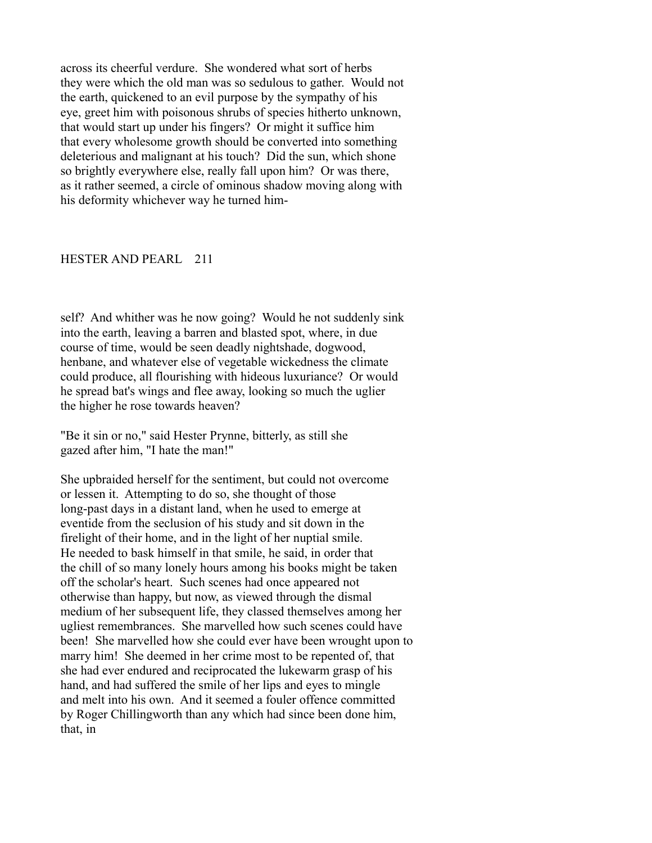across its cheerful verdure. She wondered what sort of herbs they were which the old man was so sedulous to gather. Would not the earth, quickened to an evil purpose by the sympathy of his eye, greet him with poisonous shrubs of species hitherto unknown, that would start up under his fingers? Or might it suffice him that every wholesome growth should be converted into something deleterious and malignant at his touch? Did the sun, which shone so brightly everywhere else, really fall upon him? Or was there, as it rather seemed, a circle of ominous shadow moving along with his deformity whichever way he turned him-

#### HESTER AND PEARL 211

self? And whither was he now going? Would he not suddenly sink into the earth, leaving a barren and blasted spot, where, in due course of time, would be seen deadly nightshade, dogwood, henbane, and whatever else of vegetable wickedness the climate could produce, all flourishing with hideous luxuriance? Or would he spread bat's wings and flee away, looking so much the uglier the higher he rose towards heaven?

"Be it sin or no," said Hester Prynne, bitterly, as still she gazed after him, "I hate the man!"

She upbraided herself for the sentiment, but could not overcome or lessen it. Attempting to do so, she thought of those long-past days in a distant land, when he used to emerge at eventide from the seclusion of his study and sit down in the firelight of their home, and in the light of her nuptial smile. He needed to bask himself in that smile, he said, in order that the chill of so many lonely hours among his books might be taken off the scholar's heart. Such scenes had once appeared not otherwise than happy, but now, as viewed through the dismal medium of her subsequent life, they classed themselves among her ugliest remembrances. She marvelled how such scenes could have been! She marvelled how she could ever have been wrought upon to marry him! She deemed in her crime most to be repented of, that she had ever endured and reciprocated the lukewarm grasp of his hand, and had suffered the smile of her lips and eyes to mingle and melt into his own. And it seemed a fouler offence committed by Roger Chillingworth than any which had since been done him, that, in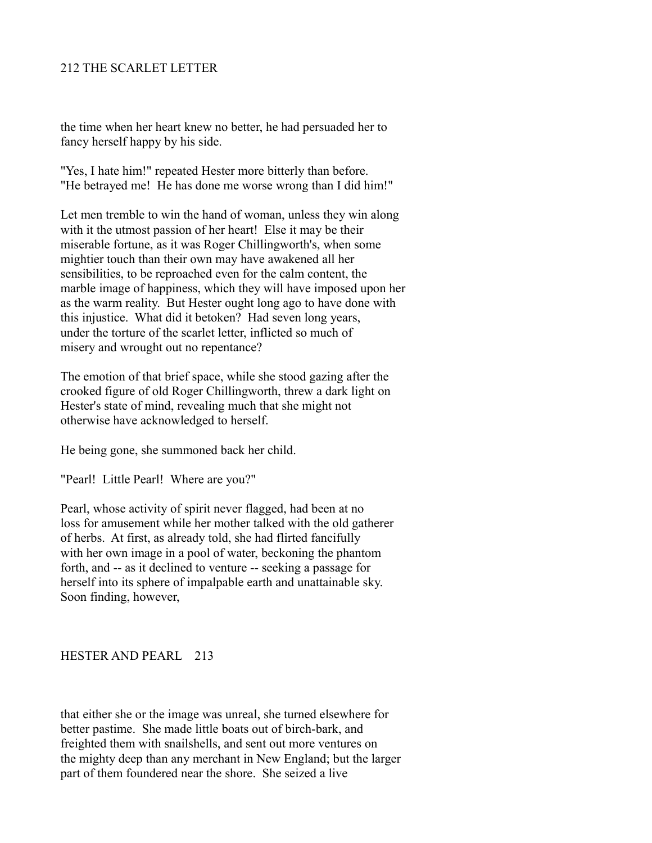# 212 THE SCARLET LETTER

the time when her heart knew no better, he had persuaded her to fancy herself happy by his side.

"Yes, I hate him!" repeated Hester more bitterly than before. "He betrayed me! He has done me worse wrong than I did him!"

Let men tremble to win the hand of woman, unless they win along with it the utmost passion of her heart! Else it may be their miserable fortune, as it was Roger Chillingworth's, when some mightier touch than their own may have awakened all her sensibilities, to be reproached even for the calm content, the marble image of happiness, which they will have imposed upon her as the warm reality. But Hester ought long ago to have done with this injustice. What did it betoken? Had seven long years, under the torture of the scarlet letter, inflicted so much of misery and wrought out no repentance?

The emotion of that brief space, while she stood gazing after the crooked figure of old Roger Chillingworth, threw a dark light on Hester's state of mind, revealing much that she might not otherwise have acknowledged to herself.

He being gone, she summoned back her child.

"Pearl! Little Pearl! Where are you?"

Pearl, whose activity of spirit never flagged, had been at no loss for amusement while her mother talked with the old gatherer of herbs. At first, as already told, she had flirted fancifully with her own image in a pool of water, beckoning the phantom forth, and -- as it declined to venture -- seeking a passage for herself into its sphere of impalpable earth and unattainable sky. Soon finding, however,

## HESTER AND PEARL 213

that either she or the image was unreal, she turned elsewhere for better pastime. She made little boats out of birch-bark, and freighted them with snailshells, and sent out more ventures on the mighty deep than any merchant in New England; but the larger part of them foundered near the shore. She seized a live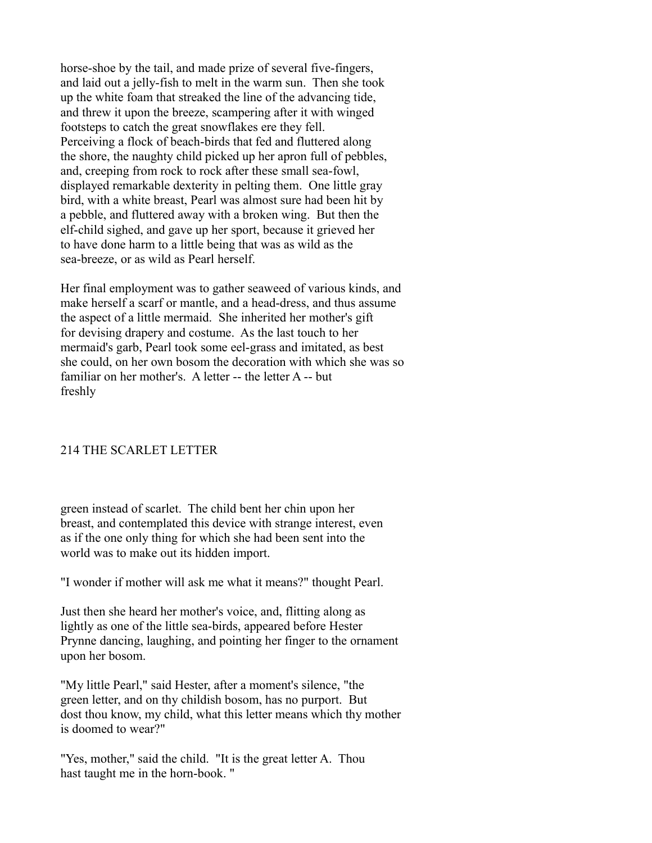horse-shoe by the tail, and made prize of several five-fingers, and laid out a jelly-fish to melt in the warm sun. Then she took up the white foam that streaked the line of the advancing tide, and threw it upon the breeze, scampering after it with winged footsteps to catch the great snowflakes ere they fell. Perceiving a flock of beach-birds that fed and fluttered along the shore, the naughty child picked up her apron full of pebbles, and, creeping from rock to rock after these small sea-fowl, displayed remarkable dexterity in pelting them. One little gray bird, with a white breast, Pearl was almost sure had been hit by a pebble, and fluttered away with a broken wing. But then the elf-child sighed, and gave up her sport, because it grieved her to have done harm to a little being that was as wild as the sea-breeze, or as wild as Pearl herself.

Her final employment was to gather seaweed of various kinds, and make herself a scarf or mantle, and a head-dress, and thus assume the aspect of a little mermaid. She inherited her mother's gift for devising drapery and costume. As the last touch to her mermaid's garb, Pearl took some eel-grass and imitated, as best she could, on her own bosom the decoration with which she was so familiar on her mother's. A letter -- the letter A -- but freshly

# 214 THE SCARLET LETTER

green instead of scarlet. The child bent her chin upon her breast, and contemplated this device with strange interest, even as if the one only thing for which she had been sent into the world was to make out its hidden import.

"I wonder if mother will ask me what it means?" thought Pearl.

Just then she heard her mother's voice, and, flitting along as lightly as one of the little sea-birds, appeared before Hester Prynne dancing, laughing, and pointing her finger to the ornament upon her bosom.

"My little Pearl," said Hester, after a moment's silence, "the green letter, and on thy childish bosom, has no purport. But dost thou know, my child, what this letter means which thy mother is doomed to wear?"

"Yes, mother," said the child. "It is the great letter A. Thou hast taught me in the horn-book. "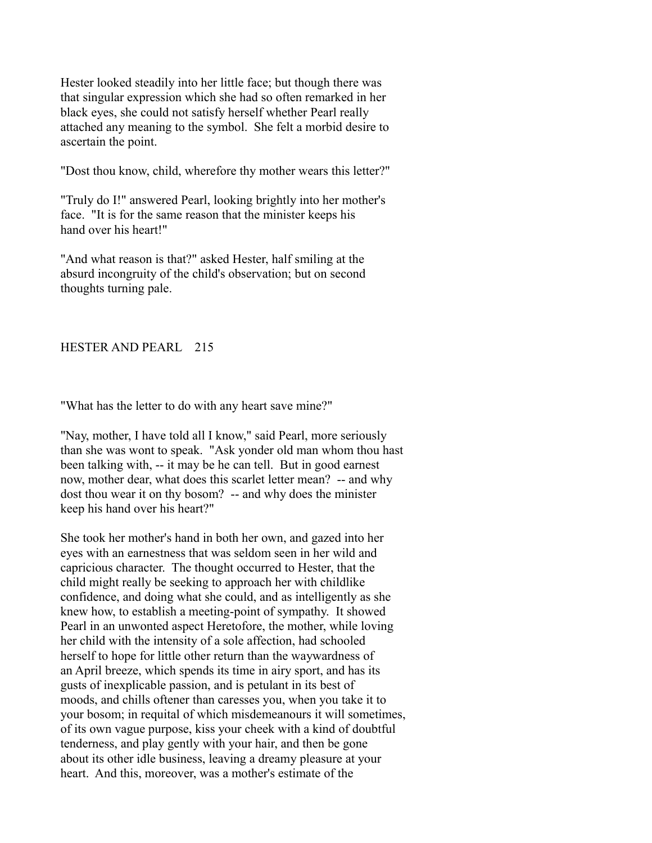Hester looked steadily into her little face; but though there was that singular expression which she had so often remarked in her black eyes, she could not satisfy herself whether Pearl really attached any meaning to the symbol. She felt a morbid desire to ascertain the point.

"Dost thou know, child, wherefore thy mother wears this letter?"

"Truly do I!" answered Pearl, looking brightly into her mother's face. "It is for the same reason that the minister keeps his hand over his heart!"

"And what reason is that?" asked Hester, half smiling at the absurd incongruity of the child's observation; but on second thoughts turning pale.

HESTER AND PEARL 215

"What has the letter to do with any heart save mine?"

"Nay, mother, I have told all I know," said Pearl, more seriously than she was wont to speak. "Ask yonder old man whom thou hast been talking with, -- it may be he can tell. But in good earnest now, mother dear, what does this scarlet letter mean? -- and why dost thou wear it on thy bosom? -- and why does the minister keep his hand over his heart?"

She took her mother's hand in both her own, and gazed into her eyes with an earnestness that was seldom seen in her wild and capricious character. The thought occurred to Hester, that the child might really be seeking to approach her with childlike confidence, and doing what she could, and as intelligently as she knew how, to establish a meeting-point of sympathy. It showed Pearl in an unwonted aspect Heretofore, the mother, while loving her child with the intensity of a sole affection, had schooled herself to hope for little other return than the waywardness of an April breeze, which spends its time in airy sport, and has its gusts of inexplicable passion, and is petulant in its best of moods, and chills oftener than caresses you, when you take it to your bosom; in requital of which misdemeanours it will sometimes, of its own vague purpose, kiss your cheek with a kind of doubtful tenderness, and play gently with your hair, and then be gone about its other idle business, leaving a dreamy pleasure at your heart. And this, moreover, was a mother's estimate of the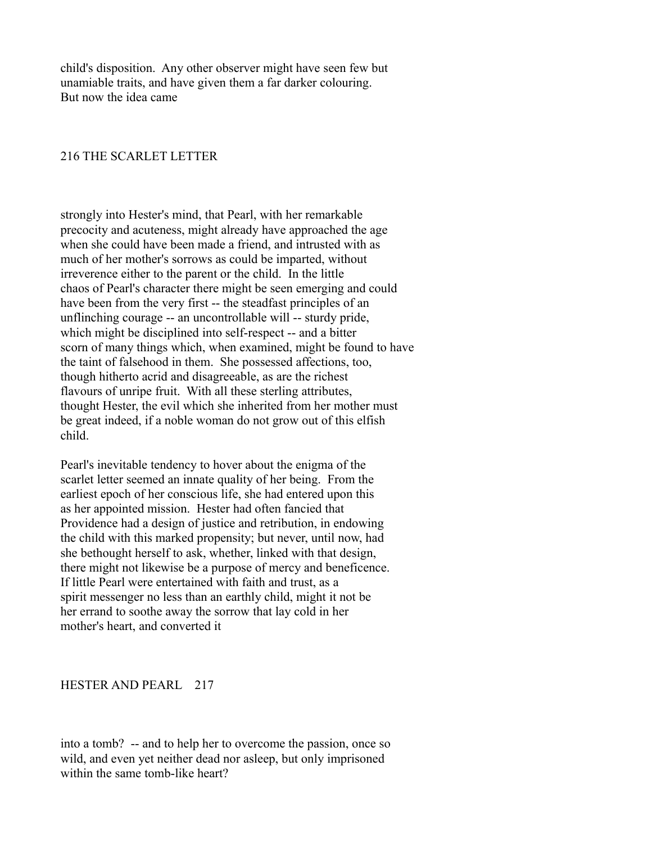child's disposition. Any other observer might have seen few but unamiable traits, and have given them a far darker colouring. But now the idea came

## 216 THE SCARLET LETTER

strongly into Hester's mind, that Pearl, with her remarkable precocity and acuteness, might already have approached the age when she could have been made a friend, and intrusted with as much of her mother's sorrows as could be imparted, without irreverence either to the parent or the child. In the little chaos of Pearl's character there might be seen emerging and could have been from the very first -- the steadfast principles of an unflinching courage -- an uncontrollable will -- sturdy pride, which might be disciplined into self-respect -- and a bitter scorn of many things which, when examined, might be found to have the taint of falsehood in them. She possessed affections, too, though hitherto acrid and disagreeable, as are the richest flavours of unripe fruit. With all these sterling attributes, thought Hester, the evil which she inherited from her mother must be great indeed, if a noble woman do not grow out of this elfish child.

Pearl's inevitable tendency to hover about the enigma of the scarlet letter seemed an innate quality of her being. From the earliest epoch of her conscious life, she had entered upon this as her appointed mission. Hester had often fancied that Providence had a design of justice and retribution, in endowing the child with this marked propensity; but never, until now, had she bethought herself to ask, whether, linked with that design, there might not likewise be a purpose of mercy and beneficence. If little Pearl were entertained with faith and trust, as a spirit messenger no less than an earthly child, might it not be her errand to soothe away the sorrow that lay cold in her mother's heart, and converted it

### HESTER AND PEARL 217

into a tomb? -- and to help her to overcome the passion, once so wild, and even yet neither dead nor asleep, but only imprisoned within the same tomb-like heart?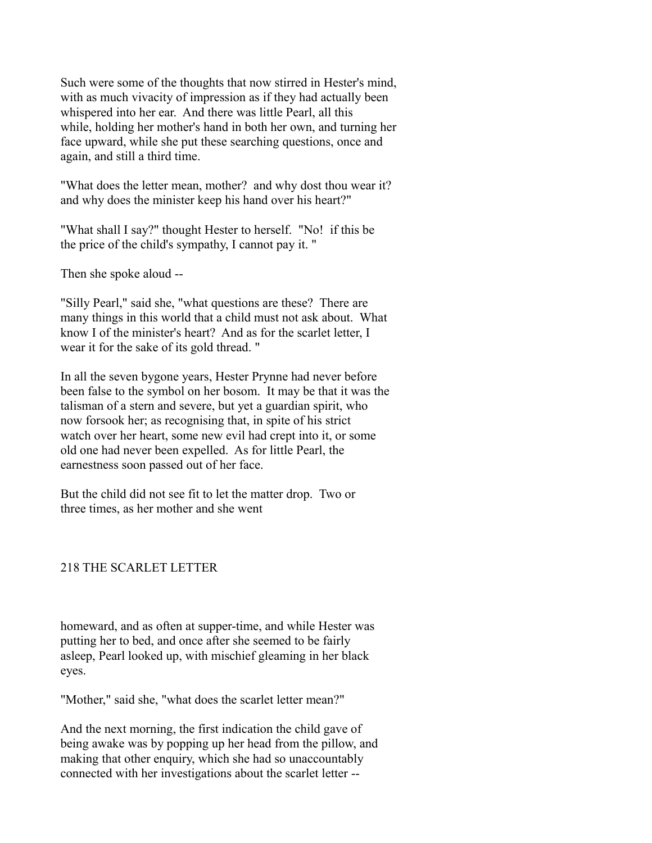Such were some of the thoughts that now stirred in Hester's mind, with as much vivacity of impression as if they had actually been whispered into her ear. And there was little Pearl, all this while, holding her mother's hand in both her own, and turning her face upward, while she put these searching questions, once and again, and still a third time.

"What does the letter mean, mother? and why dost thou wear it? and why does the minister keep his hand over his heart?"

"What shall I say?" thought Hester to herself. "No! if this be the price of the child's sympathy, I cannot pay it. "

Then she spoke aloud --

"Silly Pearl," said she, "what questions are these? There are many things in this world that a child must not ask about. What know I of the minister's heart? And as for the scarlet letter, I wear it for the sake of its gold thread. "

In all the seven bygone years, Hester Prynne had never before been false to the symbol on her bosom. It may be that it was the talisman of a stern and severe, but yet a guardian spirit, who now forsook her; as recognising that, in spite of his strict watch over her heart, some new evil had crept into it, or some old one had never been expelled. As for little Pearl, the earnestness soon passed out of her face.

But the child did not see fit to let the matter drop. Two or three times, as her mother and she went

# 218 THE SCARLET LETTER

homeward, and as often at supper-time, and while Hester was putting her to bed, and once after she seemed to be fairly asleep, Pearl looked up, with mischief gleaming in her black eyes.

"Mother," said she, "what does the scarlet letter mean?"

And the next morning, the first indication the child gave of being awake was by popping up her head from the pillow, and making that other enquiry, which she had so unaccountably connected with her investigations about the scarlet letter --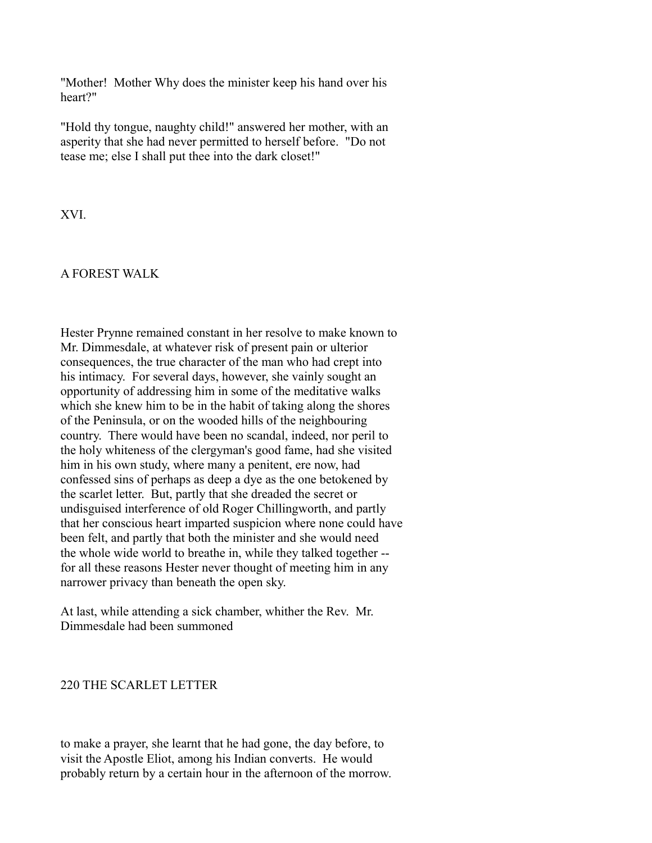"Mother! Mother Why does the minister keep his hand over his heart?"

"Hold thy tongue, naughty child!" answered her mother, with an asperity that she had never permitted to herself before. "Do not tease me; else I shall put thee into the dark closet!"

XVI.

# A FOREST WALK

Hester Prynne remained constant in her resolve to make known to Mr. Dimmesdale, at whatever risk of present pain or ulterior consequences, the true character of the man who had crept into his intimacy. For several days, however, she vainly sought an opportunity of addressing him in some of the meditative walks which she knew him to be in the habit of taking along the shores of the Peninsula, or on the wooded hills of the neighbouring country. There would have been no scandal, indeed, nor peril to the holy whiteness of the clergyman's good fame, had she visited him in his own study, where many a penitent, ere now, had confessed sins of perhaps as deep a dye as the one betokened by the scarlet letter. But, partly that she dreaded the secret or undisguised interference of old Roger Chillingworth, and partly that her conscious heart imparted suspicion where none could have been felt, and partly that both the minister and she would need the whole wide world to breathe in, while they talked together - for all these reasons Hester never thought of meeting him in any narrower privacy than beneath the open sky.

At last, while attending a sick chamber, whither the Rev. Mr. Dimmesdale had been summoned

## 220 THE SCARLET LETTER

to make a prayer, she learnt that he had gone, the day before, to visit the Apostle Eliot, among his Indian converts. He would probably return by a certain hour in the afternoon of the morrow.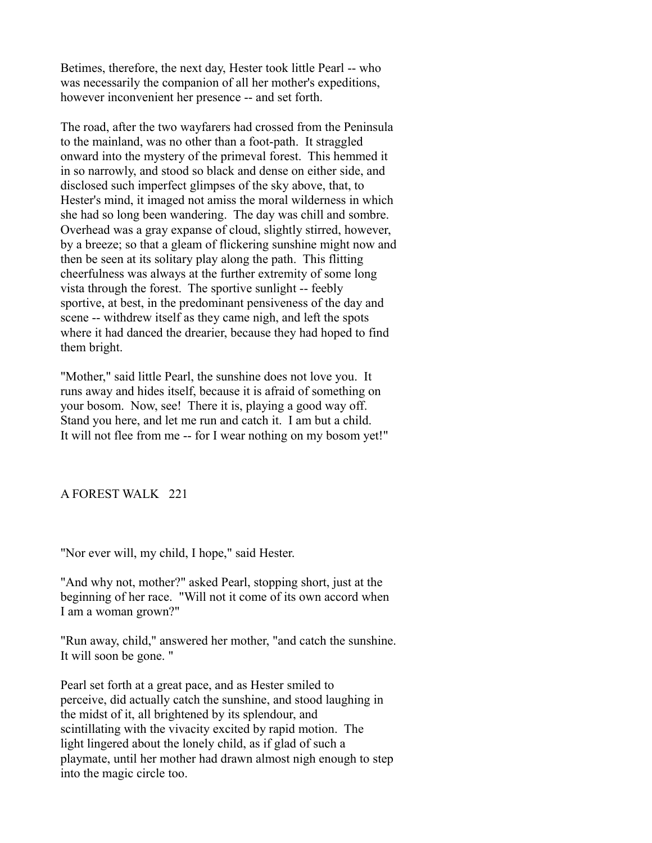Betimes, therefore, the next day, Hester took little Pearl -- who was necessarily the companion of all her mother's expeditions, however inconvenient her presence -- and set forth.

The road, after the two wayfarers had crossed from the Peninsula to the mainland, was no other than a foot-path. It straggled onward into the mystery of the primeval forest. This hemmed it in so narrowly, and stood so black and dense on either side, and disclosed such imperfect glimpses of the sky above, that, to Hester's mind, it imaged not amiss the moral wilderness in which she had so long been wandering. The day was chill and sombre. Overhead was a gray expanse of cloud, slightly stirred, however, by a breeze; so that a gleam of flickering sunshine might now and then be seen at its solitary play along the path. This flitting cheerfulness was always at the further extremity of some long vista through the forest. The sportive sunlight -- feebly sportive, at best, in the predominant pensiveness of the day and scene -- withdrew itself as they came nigh, and left the spots where it had danced the drearier, because they had hoped to find them bright.

"Mother," said little Pearl, the sunshine does not love you. It runs away and hides itself, because it is afraid of something on your bosom. Now, see! There it is, playing a good way off. Stand you here, and let me run and catch it. I am but a child. It will not flee from me -- for I wear nothing on my bosom yet!"

A FOREST WALK 221

"Nor ever will, my child, I hope," said Hester.

"And why not, mother?" asked Pearl, stopping short, just at the beginning of her race. "Will not it come of its own accord when I am a woman grown?"

"Run away, child," answered her mother, "and catch the sunshine. It will soon be gone. "

Pearl set forth at a great pace, and as Hester smiled to perceive, did actually catch the sunshine, and stood laughing in the midst of it, all brightened by its splendour, and scintillating with the vivacity excited by rapid motion. The light lingered about the lonely child, as if glad of such a playmate, until her mother had drawn almost nigh enough to step into the magic circle too.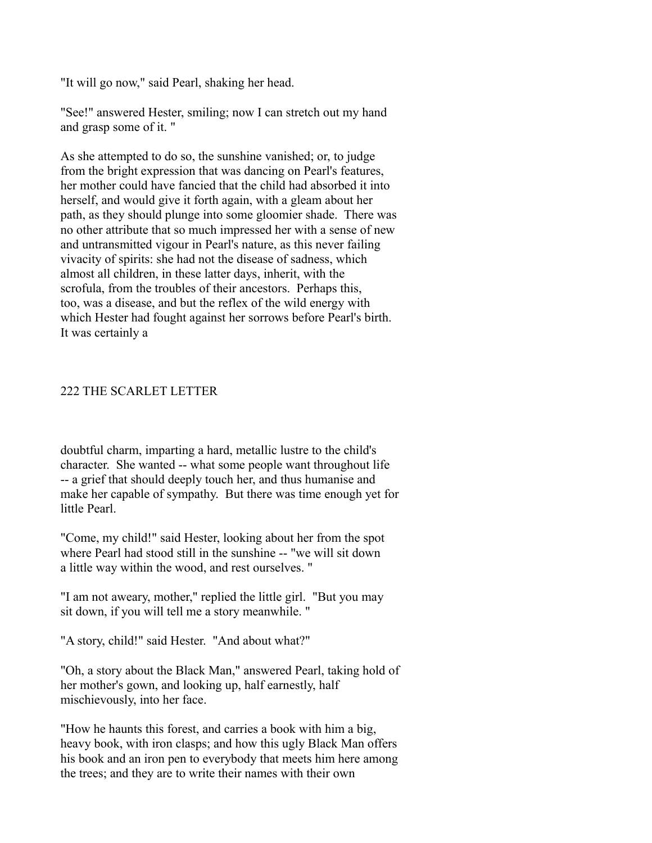"It will go now," said Pearl, shaking her head.

"See!" answered Hester, smiling; now I can stretch out my hand and grasp some of it. "

As she attempted to do so, the sunshine vanished; or, to judge from the bright expression that was dancing on Pearl's features, her mother could have fancied that the child had absorbed it into herself, and would give it forth again, with a gleam about her path, as they should plunge into some gloomier shade. There was no other attribute that so much impressed her with a sense of new and untransmitted vigour in Pearl's nature, as this never failing vivacity of spirits: she had not the disease of sadness, which almost all children, in these latter days, inherit, with the scrofula, from the troubles of their ancestors. Perhaps this, too, was a disease, and but the reflex of the wild energy with which Hester had fought against her sorrows before Pearl's birth. It was certainly a

# 222 THE SCARLET LETTER

doubtful charm, imparting a hard, metallic lustre to the child's character. She wanted -- what some people want throughout life -- a grief that should deeply touch her, and thus humanise and make her capable of sympathy. But there was time enough yet for little Pearl.

"Come, my child!" said Hester, looking about her from the spot where Pearl had stood still in the sunshine -- "we will sit down a little way within the wood, and rest ourselves. "

"I am not aweary, mother," replied the little girl. "But you may sit down, if you will tell me a story meanwhile. "

"A story, child!" said Hester. "And about what?"

"Oh, a story about the Black Man," answered Pearl, taking hold of her mother's gown, and looking up, half earnestly, half mischievously, into her face.

"How he haunts this forest, and carries a book with him a big, heavy book, with iron clasps; and how this ugly Black Man offers his book and an iron pen to everybody that meets him here among the trees; and they are to write their names with their own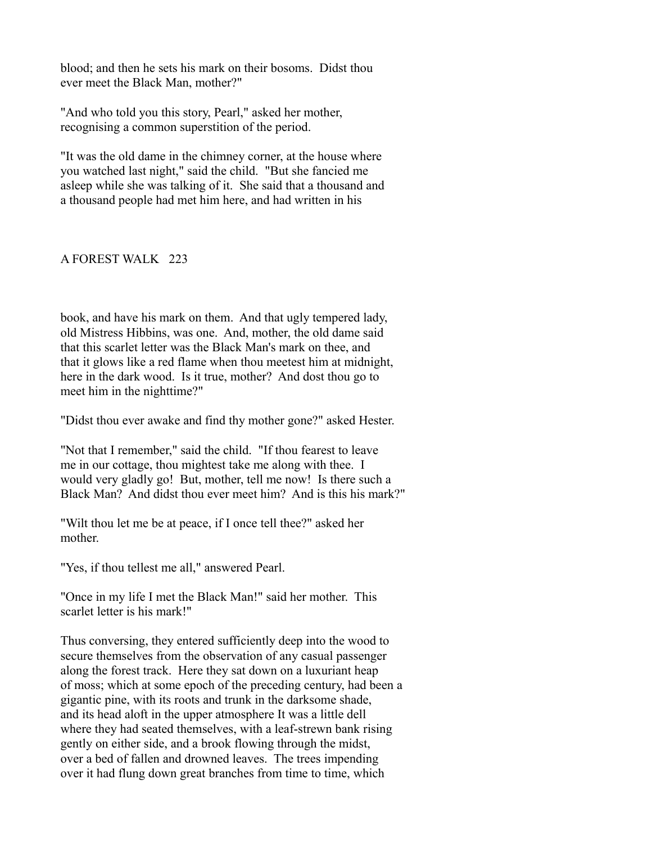blood; and then he sets his mark on their bosoms. Didst thou ever meet the Black Man, mother?"

"And who told you this story, Pearl," asked her mother, recognising a common superstition of the period.

"It was the old dame in the chimney corner, at the house where you watched last night," said the child. "But she fancied me asleep while she was talking of it. She said that a thousand and a thousand people had met him here, and had written in his

## A FOREST WALK 223

book, and have his mark on them. And that ugly tempered lady, old Mistress Hibbins, was one. And, mother, the old dame said that this scarlet letter was the Black Man's mark on thee, and that it glows like a red flame when thou meetest him at midnight, here in the dark wood. Is it true, mother? And dost thou go to meet him in the nighttime?"

"Didst thou ever awake and find thy mother gone?" asked Hester.

"Not that I remember," said the child. "If thou fearest to leave me in our cottage, thou mightest take me along with thee. I would very gladly go! But, mother, tell me now! Is there such a Black Man? And didst thou ever meet him? And is this his mark?"

"Wilt thou let me be at peace, if I once tell thee?" asked her mother.

"Yes, if thou tellest me all," answered Pearl.

"Once in my life I met the Black Man!" said her mother. This scarlet letter is his mark!"

Thus conversing, they entered sufficiently deep into the wood to secure themselves from the observation of any casual passenger along the forest track. Here they sat down on a luxuriant heap of moss; which at some epoch of the preceding century, had been a gigantic pine, with its roots and trunk in the darksome shade, and its head aloft in the upper atmosphere It was a little dell where they had seated themselves, with a leaf-strewn bank rising gently on either side, and a brook flowing through the midst, over a bed of fallen and drowned leaves. The trees impending over it had flung down great branches from time to time, which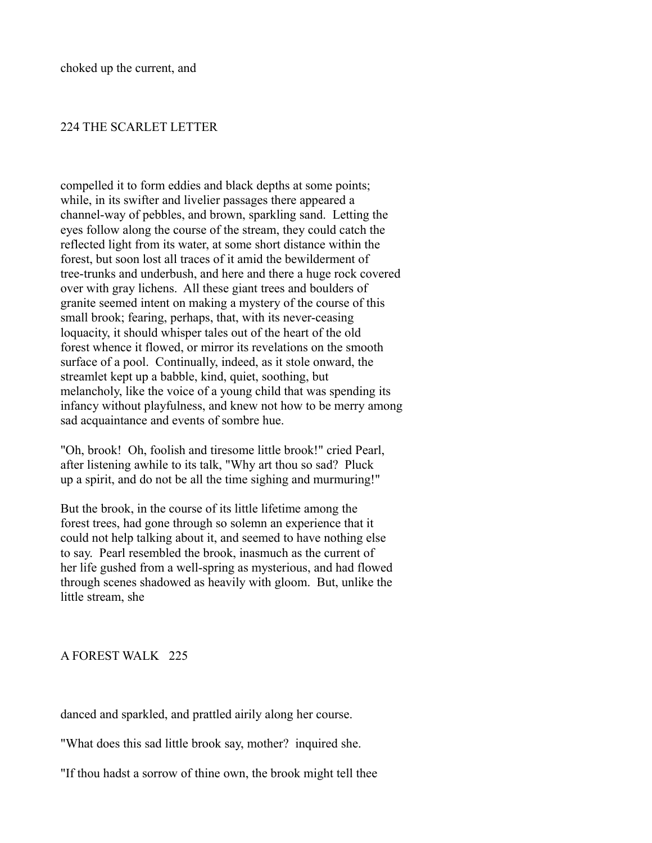## 224 THE SCARLET LETTER

compelled it to form eddies and black depths at some points; while, in its swifter and livelier passages there appeared a channel-way of pebbles, and brown, sparkling sand. Letting the eyes follow along the course of the stream, they could catch the reflected light from its water, at some short distance within the forest, but soon lost all traces of it amid the bewilderment of tree-trunks and underbush, and here and there a huge rock covered over with gray lichens. All these giant trees and boulders of granite seemed intent on making a mystery of the course of this small brook; fearing, perhaps, that, with its never-ceasing loquacity, it should whisper tales out of the heart of the old forest whence it flowed, or mirror its revelations on the smooth surface of a pool. Continually, indeed, as it stole onward, the streamlet kept up a babble, kind, quiet, soothing, but melancholy, like the voice of a young child that was spending its infancy without playfulness, and knew not how to be merry among sad acquaintance and events of sombre hue.

"Oh, brook! Oh, foolish and tiresome little brook!" cried Pearl, after listening awhile to its talk, "Why art thou so sad? Pluck up a spirit, and do not be all the time sighing and murmuring!"

But the brook, in the course of its little lifetime among the forest trees, had gone through so solemn an experience that it could not help talking about it, and seemed to have nothing else to say. Pearl resembled the brook, inasmuch as the current of her life gushed from a well-spring as mysterious, and had flowed through scenes shadowed as heavily with gloom. But, unlike the little stream, she

A FOREST WALK 225

danced and sparkled, and prattled airily along her course.

"What does this sad little brook say, mother? inquired she.

"If thou hadst a sorrow of thine own, the brook might tell thee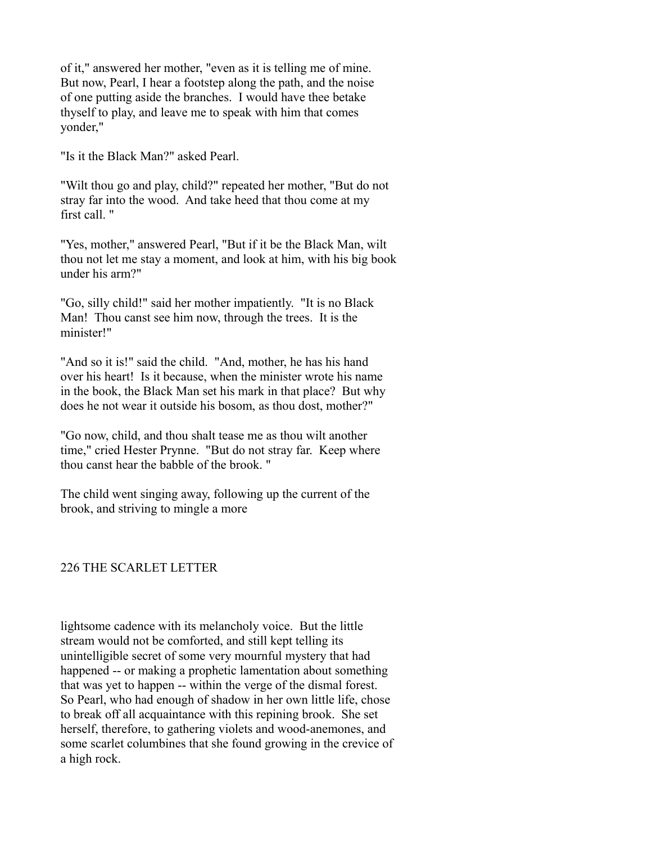of it," answered her mother, "even as it is telling me of mine. But now, Pearl, I hear a footstep along the path, and the noise of one putting aside the branches. I would have thee betake thyself to play, and leave me to speak with him that comes yonder,"

"Is it the Black Man?" asked Pearl.

"Wilt thou go and play, child?" repeated her mother, "But do not stray far into the wood. And take heed that thou come at my first call. "

"Yes, mother," answered Pearl, "But if it be the Black Man, wilt thou not let me stay a moment, and look at him, with his big book under his arm?"

"Go, silly child!" said her mother impatiently. "It is no Black Man! Thou canst see him now, through the trees. It is the minister!"

"And so it is!" said the child. "And, mother, he has his hand over his heart! Is it because, when the minister wrote his name in the book, the Black Man set his mark in that place? But why does he not wear it outside his bosom, as thou dost, mother?"

"Go now, child, and thou shalt tease me as thou wilt another time," cried Hester Prynne. "But do not stray far. Keep where thou canst hear the babble of the brook. "

The child went singing away, following up the current of the brook, and striving to mingle a more

# 226 THE SCARLET LETTER

lightsome cadence with its melancholy voice. But the little stream would not be comforted, and still kept telling its unintelligible secret of some very mournful mystery that had happened -- or making a prophetic lamentation about something that was yet to happen -- within the verge of the dismal forest. So Pearl, who had enough of shadow in her own little life, chose to break off all acquaintance with this repining brook. She set herself, therefore, to gathering violets and wood-anemones, and some scarlet columbines that she found growing in the crevice of a high rock.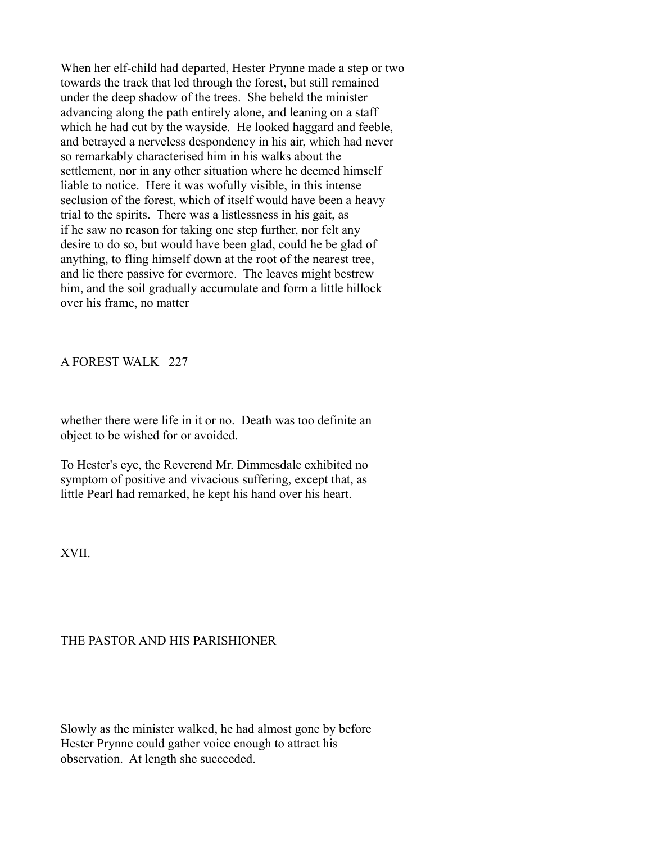When her elf-child had departed, Hester Prynne made a step or two towards the track that led through the forest, but still remained under the deep shadow of the trees. She beheld the minister advancing along the path entirely alone, and leaning on a staff which he had cut by the wayside. He looked haggard and feeble, and betrayed a nerveless despondency in his air, which had never so remarkably characterised him in his walks about the settlement, nor in any other situation where he deemed himself liable to notice. Here it was wofully visible, in this intense seclusion of the forest, which of itself would have been a heavy trial to the spirits. There was a listlessness in his gait, as if he saw no reason for taking one step further, nor felt any desire to do so, but would have been glad, could he be glad of anything, to fling himself down at the root of the nearest tree, and lie there passive for evermore. The leaves might bestrew him, and the soil gradually accumulate and form a little hillock over his frame, no matter

A FOREST WALK 227

whether there were life in it or no. Death was too definite an object to be wished for or avoided.

To Hester's eye, the Reverend Mr. Dimmesdale exhibited no symptom of positive and vivacious suffering, except that, as little Pearl had remarked, he kept his hand over his heart.

XVII.

# THE PASTOR AND HIS PARISHIONER

Slowly as the minister walked, he had almost gone by before Hester Prynne could gather voice enough to attract his observation. At length she succeeded.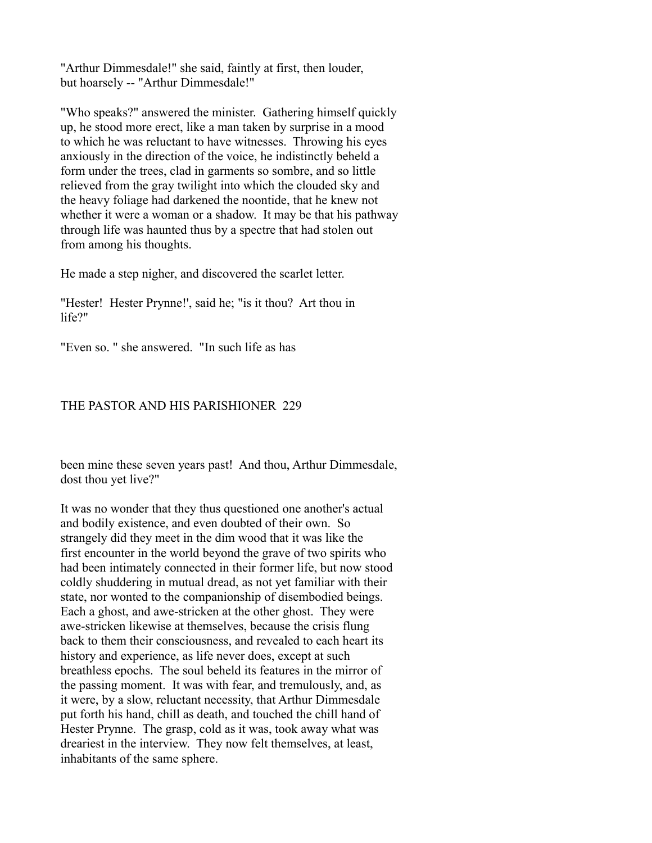"Arthur Dimmesdale!" she said, faintly at first, then louder, but hoarsely -- "Arthur Dimmesdale!"

"Who speaks?" answered the minister. Gathering himself quickly up, he stood more erect, like a man taken by surprise in a mood to which he was reluctant to have witnesses. Throwing his eyes anxiously in the direction of the voice, he indistinctly beheld a form under the trees, clad in garments so sombre, and so little relieved from the gray twilight into which the clouded sky and the heavy foliage had darkened the noontide, that he knew not whether it were a woman or a shadow. It may be that his pathway through life was haunted thus by a spectre that had stolen out from among his thoughts.

He made a step nigher, and discovered the scarlet letter.

"Hester! Hester Prynne!', said he; "is it thou? Art thou in life?"

"Even so. " she answered. "In such life as has

# THE PASTOR AND HIS PARISHIONER 229

been mine these seven years past! And thou, Arthur Dimmesdale, dost thou yet live?"

It was no wonder that they thus questioned one another's actual and bodily existence, and even doubted of their own. So strangely did they meet in the dim wood that it was like the first encounter in the world beyond the grave of two spirits who had been intimately connected in their former life, but now stood coldly shuddering in mutual dread, as not yet familiar with their state, nor wonted to the companionship of disembodied beings. Each a ghost, and awe-stricken at the other ghost. They were awe-stricken likewise at themselves, because the crisis flung back to them their consciousness, and revealed to each heart its history and experience, as life never does, except at such breathless epochs. The soul beheld its features in the mirror of the passing moment. It was with fear, and tremulously, and, as it were, by a slow, reluctant necessity, that Arthur Dimmesdale put forth his hand, chill as death, and touched the chill hand of Hester Prynne. The grasp, cold as it was, took away what was dreariest in the interview. They now felt themselves, at least, inhabitants of the same sphere.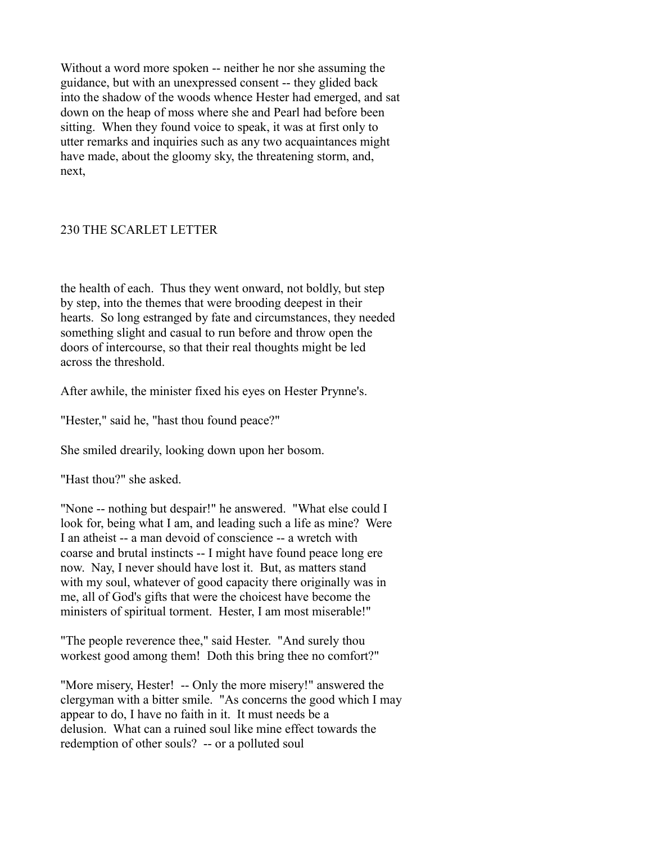Without a word more spoken -- neither he nor she assuming the guidance, but with an unexpressed consent -- they glided back into the shadow of the woods whence Hester had emerged, and sat down on the heap of moss where she and Pearl had before been sitting. When they found voice to speak, it was at first only to utter remarks and inquiries such as any two acquaintances might have made, about the gloomy sky, the threatening storm, and, next,

# 230 THE SCARLET LETTER

the health of each. Thus they went onward, not boldly, but step by step, into the themes that were brooding deepest in their hearts. So long estranged by fate and circumstances, they needed something slight and casual to run before and throw open the doors of intercourse, so that their real thoughts might be led across the threshold.

After awhile, the minister fixed his eyes on Hester Prynne's.

"Hester," said he, "hast thou found peace?"

She smiled drearily, looking down upon her bosom.

"Hast thou?" she asked.

"None -- nothing but despair!" he answered. "What else could I look for, being what I am, and leading such a life as mine? Were I an atheist -- a man devoid of conscience -- a wretch with coarse and brutal instincts -- I might have found peace long ere now. Nay, I never should have lost it. But, as matters stand with my soul, whatever of good capacity there originally was in me, all of God's gifts that were the choicest have become the ministers of spiritual torment. Hester, I am most miserable!"

"The people reverence thee," said Hester. "And surely thou workest good among them! Doth this bring thee no comfort?"

"More misery, Hester! -- Only the more misery!" answered the clergyman with a bitter smile. "As concerns the good which I may appear to do, I have no faith in it. It must needs be a delusion. What can a ruined soul like mine effect towards the redemption of other souls? -- or a polluted soul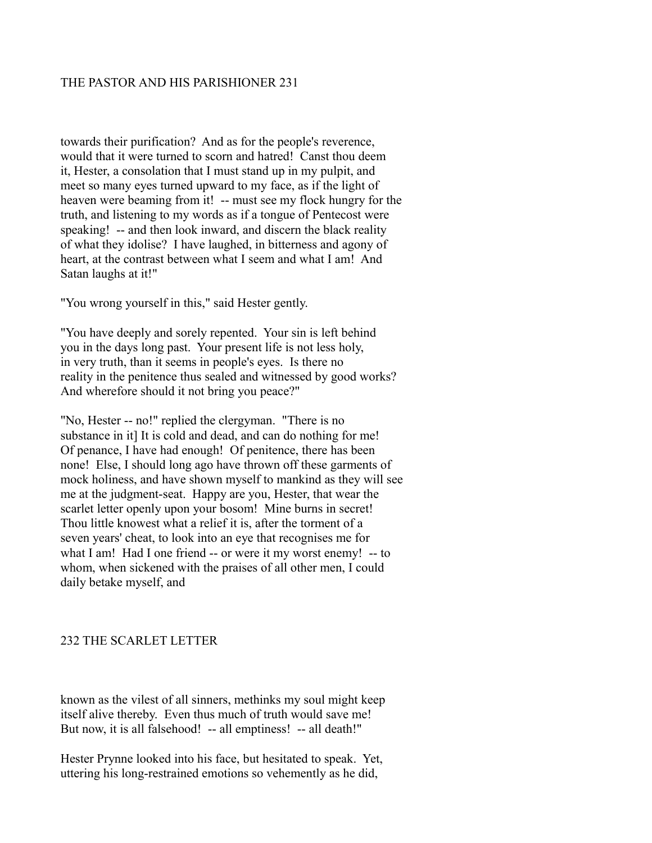# THE PASTOR AND HIS PARISHIONER 231

towards their purification? And as for the people's reverence, would that it were turned to scorn and hatred! Canst thou deem it, Hester, a consolation that I must stand up in my pulpit, and meet so many eyes turned upward to my face, as if the light of heaven were beaming from it! -- must see my flock hungry for the truth, and listening to my words as if a tongue of Pentecost were speaking! -- and then look inward, and discern the black reality of what they idolise? I have laughed, in bitterness and agony of heart, at the contrast between what I seem and what I am! And Satan laughs at it!"

"You wrong yourself in this," said Hester gently.

"You have deeply and sorely repented. Your sin is left behind you in the days long past. Your present life is not less holy, in very truth, than it seems in people's eyes. Is there no reality in the penitence thus sealed and witnessed by good works? And wherefore should it not bring you peace?"

"No, Hester -- no!" replied the clergyman. "There is no substance in it] It is cold and dead, and can do nothing for me! Of penance, I have had enough! Of penitence, there has been none! Else, I should long ago have thrown off these garments of mock holiness, and have shown myself to mankind as they will see me at the judgment-seat. Happy are you, Hester, that wear the scarlet letter openly upon your bosom! Mine burns in secret! Thou little knowest what a relief it is, after the torment of a seven years' cheat, to look into an eye that recognises me for what I am! Had I one friend -- or were it my worst enemy! -- to whom, when sickened with the praises of all other men, I could daily betake myself, and

# 232 THE SCARLET LETTER

known as the vilest of all sinners, methinks my soul might keep itself alive thereby. Even thus much of truth would save me! But now, it is all falsehood! -- all emptiness! -- all death!"

Hester Prynne looked into his face, but hesitated to speak. Yet, uttering his long-restrained emotions so vehemently as he did,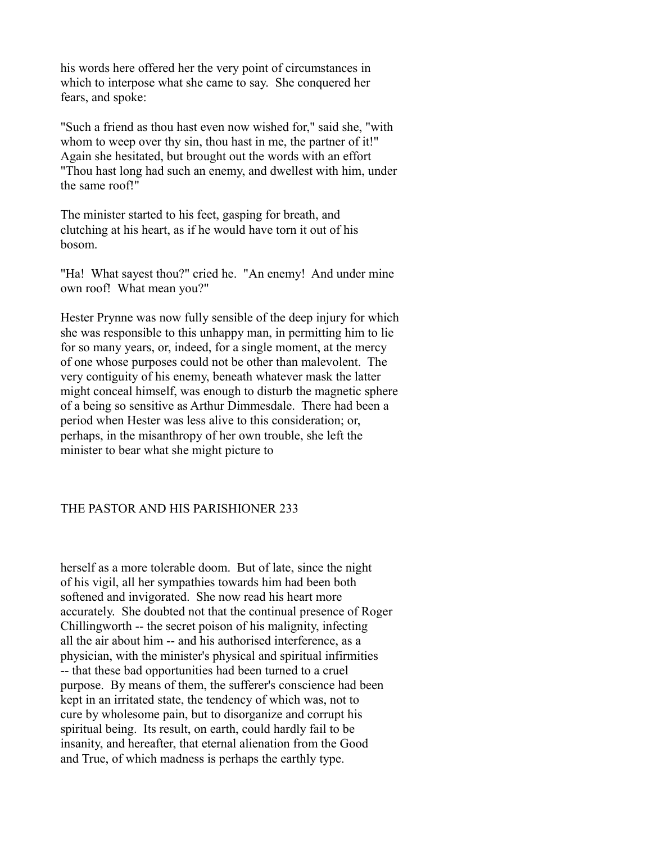his words here offered her the very point of circumstances in which to interpose what she came to say. She conquered her fears, and spoke:

"Such a friend as thou hast even now wished for," said she, "with whom to weep over thy sin, thou hast in me, the partner of it!" Again she hesitated, but brought out the words with an effort "Thou hast long had such an enemy, and dwellest with him, under the same roof!"

The minister started to his feet, gasping for breath, and clutching at his heart, as if he would have torn it out of his bosom.

"Ha! What sayest thou?" cried he. "An enemy! And under mine own roof! What mean you?"

Hester Prynne was now fully sensible of the deep injury for which she was responsible to this unhappy man, in permitting him to lie for so many years, or, indeed, for a single moment, at the mercy of one whose purposes could not be other than malevolent. The very contiguity of his enemy, beneath whatever mask the latter might conceal himself, was enough to disturb the magnetic sphere of a being so sensitive as Arthur Dimmesdale. There had been a period when Hester was less alive to this consideration; or, perhaps, in the misanthropy of her own trouble, she left the minister to bear what she might picture to

# THE PASTOR AND HIS PARISHIONER 233

herself as a more tolerable doom. But of late, since the night of his vigil, all her sympathies towards him had been both softened and invigorated. She now read his heart more accurately. She doubted not that the continual presence of Roger Chillingworth -- the secret poison of his malignity, infecting all the air about him -- and his authorised interference, as a physician, with the minister's physical and spiritual infirmities -- that these bad opportunities had been turned to a cruel purpose. By means of them, the sufferer's conscience had been kept in an irritated state, the tendency of which was, not to cure by wholesome pain, but to disorganize and corrupt his spiritual being. Its result, on earth, could hardly fail to be insanity, and hereafter, that eternal alienation from the Good and True, of which madness is perhaps the earthly type.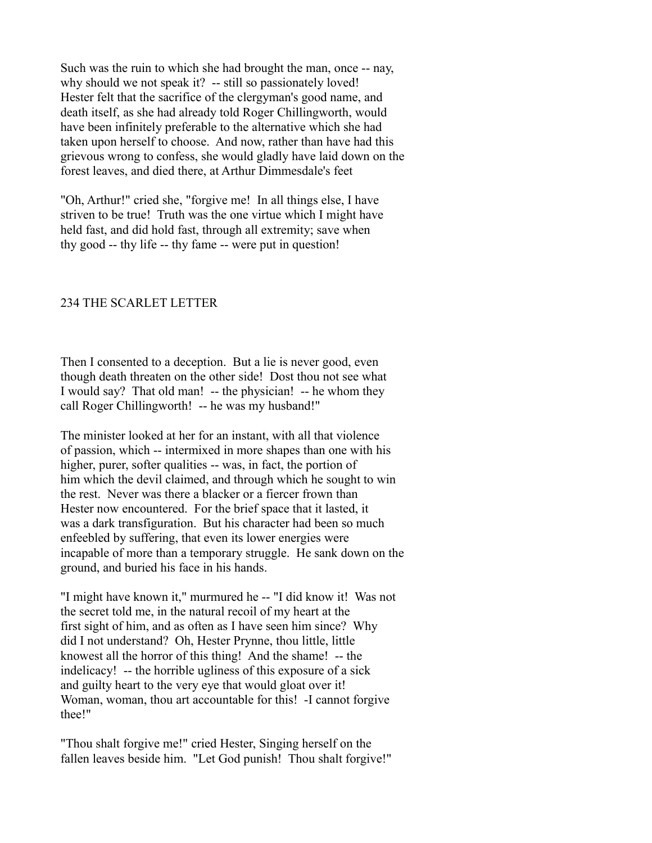Such was the ruin to which she had brought the man, once -- nay, why should we not speak it? -- still so passionately loved! Hester felt that the sacrifice of the clergyman's good name, and death itself, as she had already told Roger Chillingworth, would have been infinitely preferable to the alternative which she had taken upon herself to choose. And now, rather than have had this grievous wrong to confess, she would gladly have laid down on the forest leaves, and died there, at Arthur Dimmesdale's feet

"Oh, Arthur!" cried she, "forgive me! In all things else, I have striven to be true! Truth was the one virtue which I might have held fast, and did hold fast, through all extremity; save when thy good -- thy life -- thy fame -- were put in question!

## 234 THE SCARLET LETTER

Then I consented to a deception. But a lie is never good, even though death threaten on the other side! Dost thou not see what I would say? That old man! -- the physician! -- he whom they call Roger Chillingworth! -- he was my husband!"

The minister looked at her for an instant, with all that violence of passion, which -- intermixed in more shapes than one with his higher, purer, softer qualities -- was, in fact, the portion of him which the devil claimed, and through which he sought to win the rest. Never was there a blacker or a fiercer frown than Hester now encountered. For the brief space that it lasted, it was a dark transfiguration. But his character had been so much enfeebled by suffering, that even its lower energies were incapable of more than a temporary struggle. He sank down on the ground, and buried his face in his hands.

"I might have known it," murmured he -- "I did know it! Was not the secret told me, in the natural recoil of my heart at the first sight of him, and as often as I have seen him since? Why did I not understand? Oh, Hester Prynne, thou little, little knowest all the horror of this thing! And the shame! -- the indelicacy! -- the horrible ugliness of this exposure of a sick and guilty heart to the very eye that would gloat over it! Woman, woman, thou art accountable for this! -I cannot forgive thee!"

"Thou shalt forgive me!" cried Hester, Singing herself on the fallen leaves beside him. "Let God punish! Thou shalt forgive!"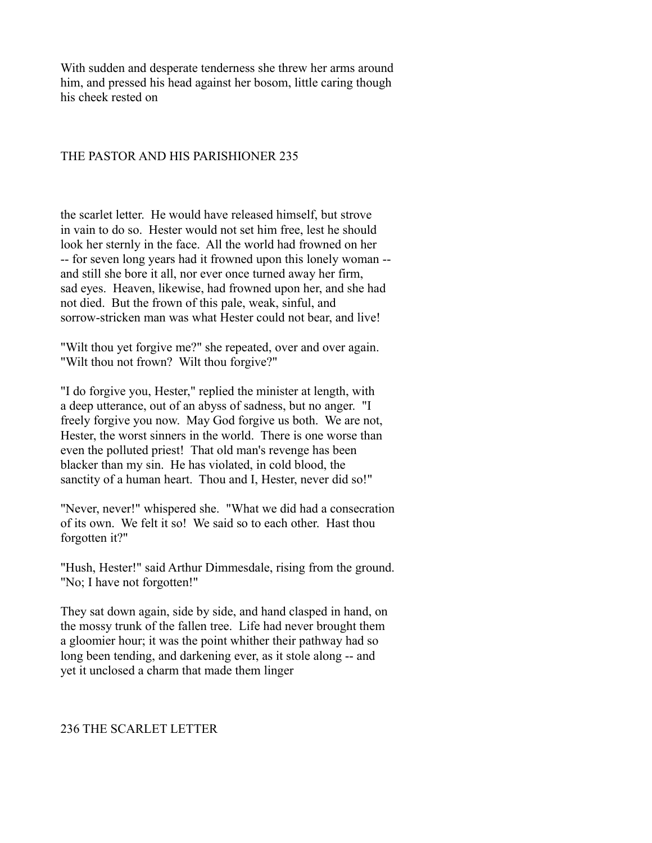With sudden and desperate tenderness she threw her arms around him, and pressed his head against her bosom, little caring though his cheek rested on

## THE PASTOR AND HIS PARISHIONER 235

the scarlet letter. He would have released himself, but strove in vain to do so. Hester would not set him free, lest he should look her sternly in the face. All the world had frowned on her -- for seven long years had it frowned upon this lonely woman - and still she bore it all, nor ever once turned away her firm, sad eyes. Heaven, likewise, had frowned upon her, and she had not died. But the frown of this pale, weak, sinful, and sorrow-stricken man was what Hester could not bear, and live!

"Wilt thou yet forgive me?" she repeated, over and over again. "Wilt thou not frown? Wilt thou forgive?"

"I do forgive you, Hester," replied the minister at length, with a deep utterance, out of an abyss of sadness, but no anger. "I freely forgive you now. May God forgive us both. We are not, Hester, the worst sinners in the world. There is one worse than even the polluted priest! That old man's revenge has been blacker than my sin. He has violated, in cold blood, the sanctity of a human heart. Thou and I, Hester, never did so!"

"Never, never!" whispered she. "What we did had a consecration of its own. We felt it so! We said so to each other. Hast thou forgotten it?"

"Hush, Hester!" said Arthur Dimmesdale, rising from the ground. "No; I have not forgotten!"

They sat down again, side by side, and hand clasped in hand, on the mossy trunk of the fallen tree. Life had never brought them a gloomier hour; it was the point whither their pathway had so long been tending, and darkening ever, as it stole along -- and yet it unclosed a charm that made them linger

### 236 THE SCARLET LETTER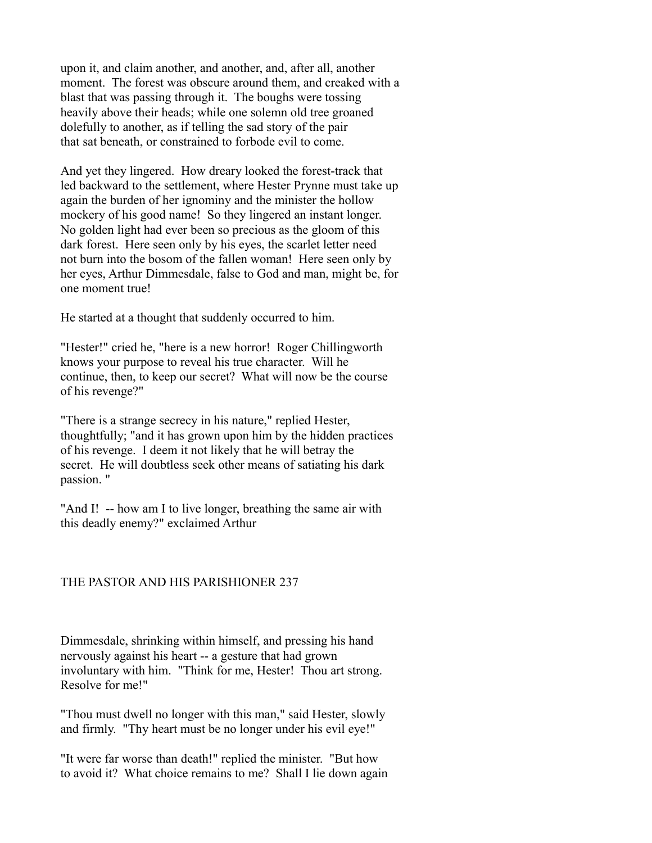upon it, and claim another, and another, and, after all, another moment. The forest was obscure around them, and creaked with a blast that was passing through it. The boughs were tossing heavily above their heads; while one solemn old tree groaned dolefully to another, as if telling the sad story of the pair that sat beneath, or constrained to forbode evil to come.

And yet they lingered. How dreary looked the forest-track that led backward to the settlement, where Hester Prynne must take up again the burden of her ignominy and the minister the hollow mockery of his good name! So they lingered an instant longer. No golden light had ever been so precious as the gloom of this dark forest. Here seen only by his eyes, the scarlet letter need not burn into the bosom of the fallen woman! Here seen only by her eyes, Arthur Dimmesdale, false to God and man, might be, for one moment true!

He started at a thought that suddenly occurred to him.

"Hester!" cried he, "here is a new horror! Roger Chillingworth knows your purpose to reveal his true character. Will he continue, then, to keep our secret? What will now be the course of his revenge?"

"There is a strange secrecy in his nature," replied Hester, thoughtfully; "and it has grown upon him by the hidden practices of his revenge. I deem it not likely that he will betray the secret. He will doubtless seek other means of satiating his dark passion. "

"And I! -- how am I to live longer, breathing the same air with this deadly enemy?" exclaimed Arthur

# THE PASTOR AND HIS PARISHIONER 237

Dimmesdale, shrinking within himself, and pressing his hand nervously against his heart -- a gesture that had grown involuntary with him. "Think for me, Hester! Thou art strong. Resolve for me!"

"Thou must dwell no longer with this man," said Hester, slowly and firmly. "Thy heart must be no longer under his evil eye!"

"It were far worse than death!" replied the minister. "But how to avoid it? What choice remains to me? Shall I lie down again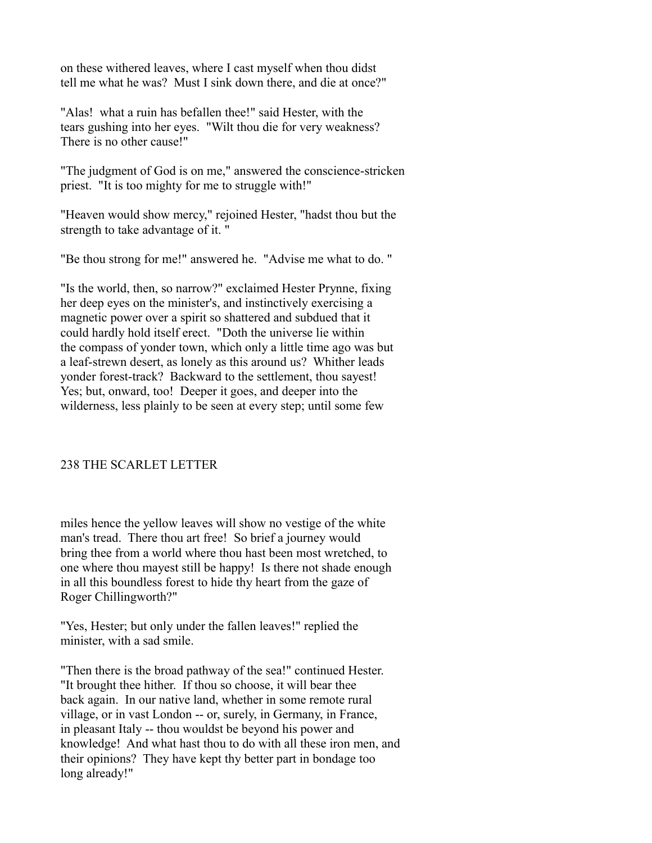on these withered leaves, where I cast myself when thou didst tell me what he was? Must I sink down there, and die at once?"

"Alas! what a ruin has befallen thee!" said Hester, with the tears gushing into her eyes. "Wilt thou die for very weakness? There is no other cause!"

"The judgment of God is on me," answered the conscience-stricken priest. "It is too mighty for me to struggle with!"

"Heaven would show mercy," rejoined Hester, "hadst thou but the strength to take advantage of it. "

"Be thou strong for me!" answered he. "Advise me what to do. "

"Is the world, then, so narrow?" exclaimed Hester Prynne, fixing her deep eyes on the minister's, and instinctively exercising a magnetic power over a spirit so shattered and subdued that it could hardly hold itself erect. "Doth the universe lie within the compass of yonder town, which only a little time ago was but a leaf-strewn desert, as lonely as this around us? Whither leads yonder forest-track? Backward to the settlement, thou sayest! Yes; but, onward, too! Deeper it goes, and deeper into the wilderness, less plainly to be seen at every step; until some few

# 238 THE SCARLET LETTER

miles hence the yellow leaves will show no vestige of the white man's tread. There thou art free! So brief a journey would bring thee from a world where thou hast been most wretched, to one where thou mayest still be happy! Is there not shade enough in all this boundless forest to hide thy heart from the gaze of Roger Chillingworth?"

"Yes, Hester; but only under the fallen leaves!" replied the minister, with a sad smile.

"Then there is the broad pathway of the sea!" continued Hester. "It brought thee hither. If thou so choose, it will bear thee back again. In our native land, whether in some remote rural village, or in vast London -- or, surely, in Germany, in France, in pleasant Italy -- thou wouldst be beyond his power and knowledge! And what hast thou to do with all these iron men, and their opinions? They have kept thy better part in bondage too long already!"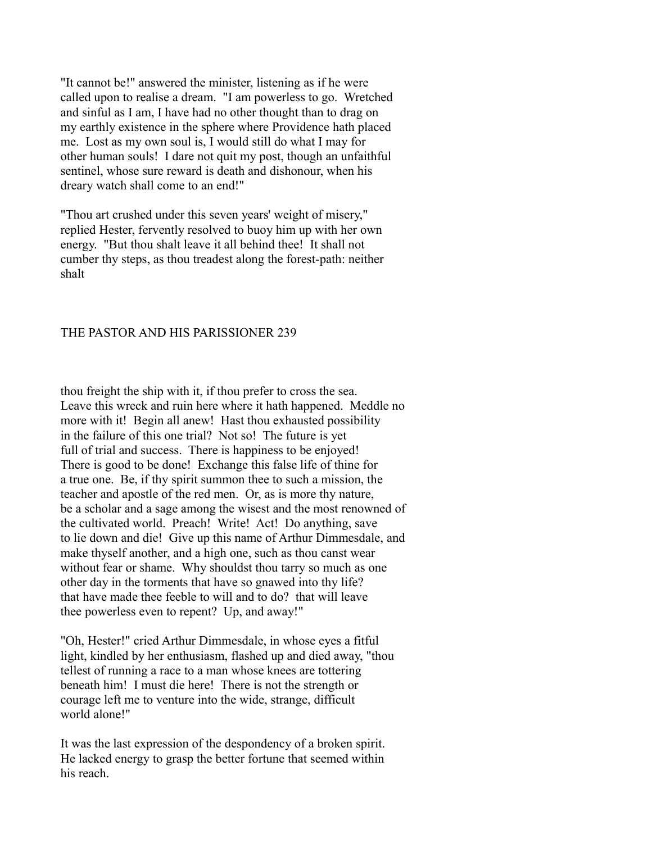"It cannot be!" answered the minister, listening as if he were called upon to realise a dream. "I am powerless to go. Wretched and sinful as I am, I have had no other thought than to drag on my earthly existence in the sphere where Providence hath placed me. Lost as my own soul is, I would still do what I may for other human souls! I dare not quit my post, though an unfaithful sentinel, whose sure reward is death and dishonour, when his dreary watch shall come to an end!"

"Thou art crushed under this seven years' weight of misery," replied Hester, fervently resolved to buoy him up with her own energy. "But thou shalt leave it all behind thee! It shall not cumber thy steps, as thou treadest along the forest-path: neither shalt

### THE PASTOR AND HIS PARISSIONER 239

thou freight the ship with it, if thou prefer to cross the sea. Leave this wreck and ruin here where it hath happened. Meddle no more with it! Begin all anew! Hast thou exhausted possibility in the failure of this one trial? Not so! The future is yet full of trial and success. There is happiness to be enjoyed! There is good to be done! Exchange this false life of thine for a true one. Be, if thy spirit summon thee to such a mission, the teacher and apostle of the red men. Or, as is more thy nature, be a scholar and a sage among the wisest and the most renowned of the cultivated world. Preach! Write! Act! Do anything, save to lie down and die! Give up this name of Arthur Dimmesdale, and make thyself another, and a high one, such as thou canst wear without fear or shame. Why shouldst thou tarry so much as one other day in the torments that have so gnawed into thy life? that have made thee feeble to will and to do? that will leave thee powerless even to repent? Up, and away!"

"Oh, Hester!" cried Arthur Dimmesdale, in whose eyes a fitful light, kindled by her enthusiasm, flashed up and died away, "thou tellest of running a race to a man whose knees are tottering beneath him! I must die here! There is not the strength or courage left me to venture into the wide, strange, difficult world alone!"

It was the last expression of the despondency of a broken spirit. He lacked energy to grasp the better fortune that seemed within his reach.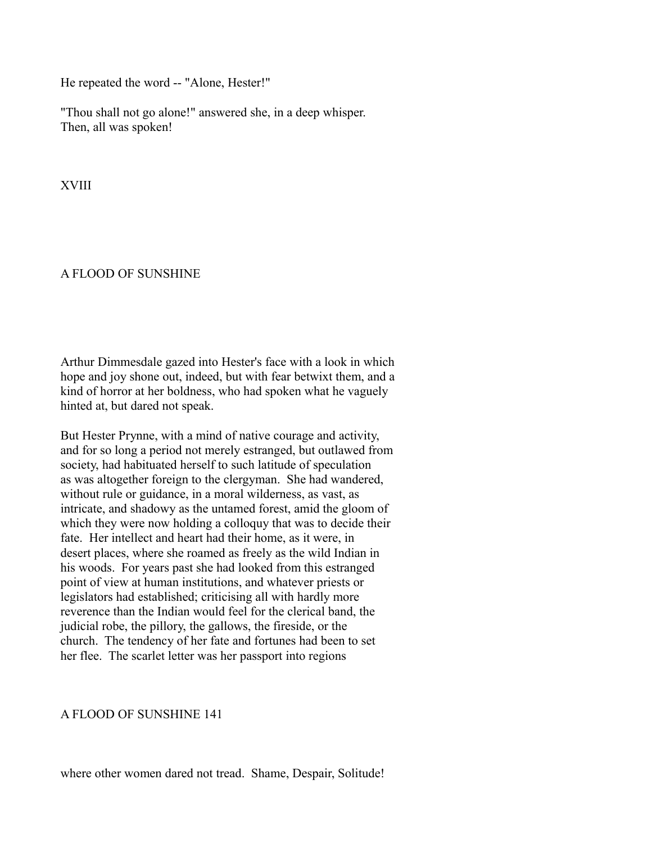He repeated the word -- "Alone, Hester!"

"Thou shall not go alone!" answered she, in a deep whisper. Then, all was spoken!

XVIII

## A FLOOD OF SUNSHINE

Arthur Dimmesdale gazed into Hester's face with a look in which hope and joy shone out, indeed, but with fear betwixt them, and a kind of horror at her boldness, who had spoken what he vaguely hinted at, but dared not speak.

But Hester Prynne, with a mind of native courage and activity, and for so long a period not merely estranged, but outlawed from society, had habituated herself to such latitude of speculation as was altogether foreign to the clergyman. She had wandered, without rule or guidance, in a moral wilderness, as vast, as intricate, and shadowy as the untamed forest, amid the gloom of which they were now holding a colloquy that was to decide their fate. Her intellect and heart had their home, as it were, in desert places, where she roamed as freely as the wild Indian in his woods. For years past she had looked from this estranged point of view at human institutions, and whatever priests or legislators had established; criticising all with hardly more reverence than the Indian would feel for the clerical band, the judicial robe, the pillory, the gallows, the fireside, or the church. The tendency of her fate and fortunes had been to set her flee. The scarlet letter was her passport into regions

# A FLOOD OF SUNSHINE 141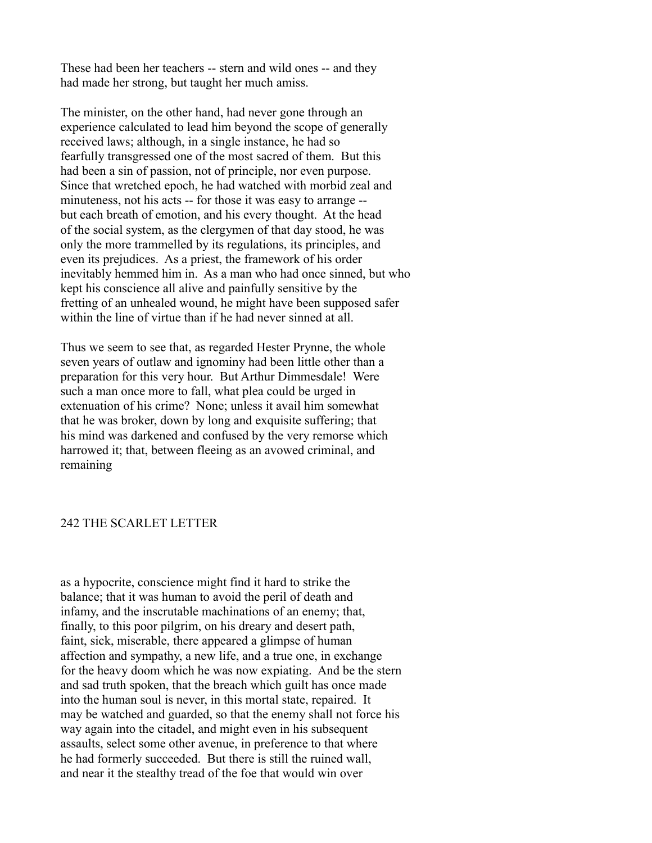These had been her teachers -- stern and wild ones -- and they had made her strong, but taught her much amiss.

The minister, on the other hand, had never gone through an experience calculated to lead him beyond the scope of generally received laws; although, in a single instance, he had so fearfully transgressed one of the most sacred of them. But this had been a sin of passion, not of principle, nor even purpose. Since that wretched epoch, he had watched with morbid zeal and minuteness, not his acts -- for those it was easy to arrange - but each breath of emotion, and his every thought. At the head of the social system, as the clergymen of that day stood, he was only the more trammelled by its regulations, its principles, and even its prejudices. As a priest, the framework of his order inevitably hemmed him in. As a man who had once sinned, but who kept his conscience all alive and painfully sensitive by the fretting of an unhealed wound, he might have been supposed safer within the line of virtue than if he had never sinned at all.

Thus we seem to see that, as regarded Hester Prynne, the whole seven years of outlaw and ignominy had been little other than a preparation for this very hour. But Arthur Dimmesdale! Were such a man once more to fall, what plea could be urged in extenuation of his crime? None; unless it avail him somewhat that he was broker, down by long and exquisite suffering; that his mind was darkened and confused by the very remorse which harrowed it; that, between fleeing as an avowed criminal, and remaining

### 242 THE SCARLET LETTER

as a hypocrite, conscience might find it hard to strike the balance; that it was human to avoid the peril of death and infamy, and the inscrutable machinations of an enemy; that, finally, to this poor pilgrim, on his dreary and desert path, faint, sick, miserable, there appeared a glimpse of human affection and sympathy, a new life, and a true one, in exchange for the heavy doom which he was now expiating. And be the stern and sad truth spoken, that the breach which guilt has once made into the human soul is never, in this mortal state, repaired. It may be watched and guarded, so that the enemy shall not force his way again into the citadel, and might even in his subsequent assaults, select some other avenue, in preference to that where he had formerly succeeded. But there is still the ruined wall, and near it the stealthy tread of the foe that would win over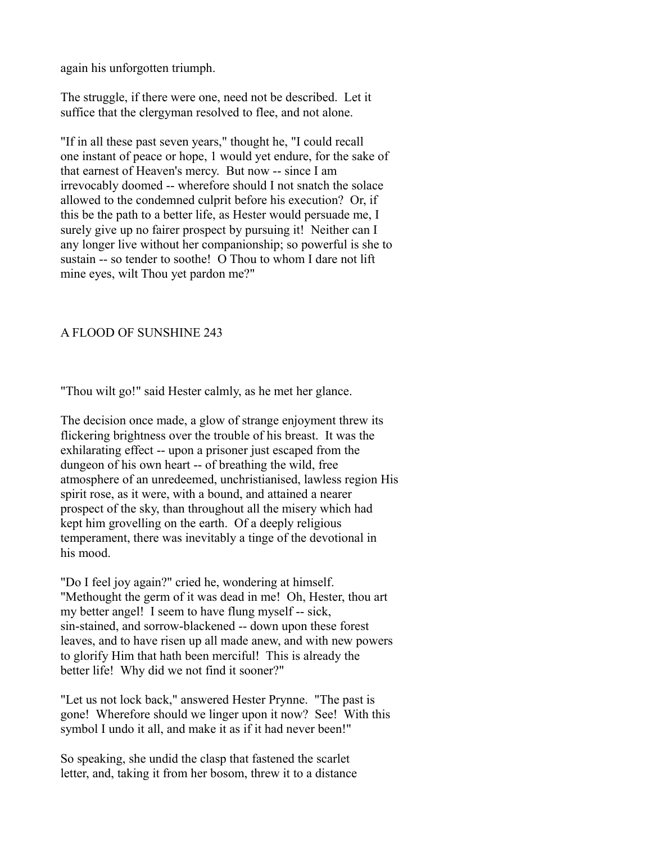again his unforgotten triumph.

The struggle, if there were one, need not be described. Let it suffice that the clergyman resolved to flee, and not alone.

"If in all these past seven years," thought he, "I could recall one instant of peace or hope, 1 would yet endure, for the sake of that earnest of Heaven's mercy. But now -- since I am irrevocably doomed -- wherefore should I not snatch the solace allowed to the condemned culprit before his execution? Or, if this be the path to a better life, as Hester would persuade me, I surely give up no fairer prospect by pursuing it! Neither can I any longer live without her companionship; so powerful is she to sustain -- so tender to soothe! O Thou to whom I dare not lift mine eyes, wilt Thou yet pardon me?"

# A FLOOD OF SUNSHINE 243

"Thou wilt go!" said Hester calmly, as he met her glance.

The decision once made, a glow of strange enjoyment threw its flickering brightness over the trouble of his breast. It was the exhilarating effect -- upon a prisoner just escaped from the dungeon of his own heart -- of breathing the wild, free atmosphere of an unredeemed, unchristianised, lawless region His spirit rose, as it were, with a bound, and attained a nearer prospect of the sky, than throughout all the misery which had kept him grovelling on the earth. Of a deeply religious temperament, there was inevitably a tinge of the devotional in his mood.

"Do I feel joy again?" cried he, wondering at himself. "Methought the germ of it was dead in me! Oh, Hester, thou art my better angel! I seem to have flung myself -- sick, sin-stained, and sorrow-blackened -- down upon these forest leaves, and to have risen up all made anew, and with new powers to glorify Him that hath been merciful! This is already the better life! Why did we not find it sooner?"

"Let us not lock back," answered Hester Prynne. "The past is gone! Wherefore should we linger upon it now? See! With this symbol I undo it all, and make it as if it had never been!"

So speaking, she undid the clasp that fastened the scarlet letter, and, taking it from her bosom, threw it to a distance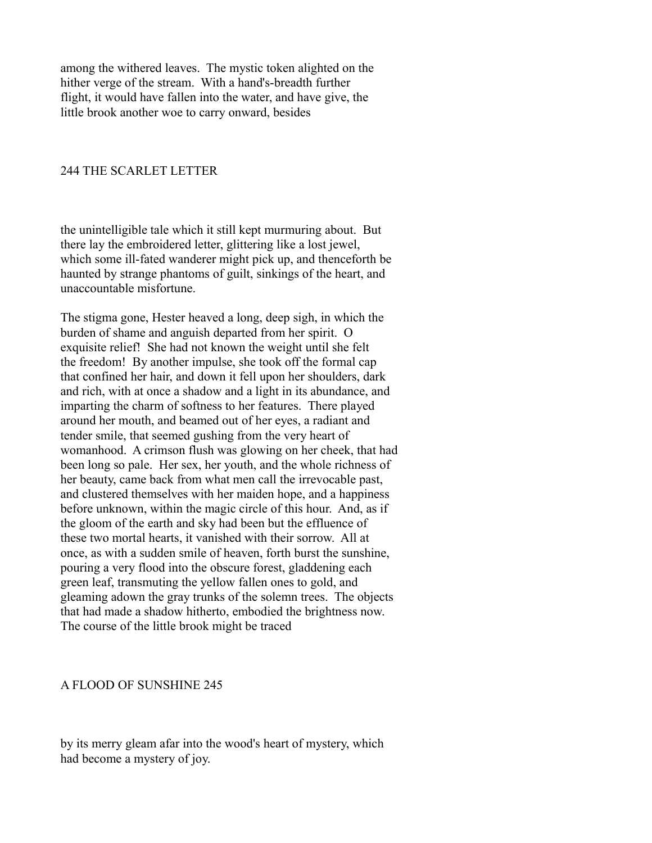among the withered leaves. The mystic token alighted on the hither verge of the stream. With a hand's-breadth further flight, it would have fallen into the water, and have give, the little brook another woe to carry onward, besides

## 244 THE SCARLET LETTER

the unintelligible tale which it still kept murmuring about. But there lay the embroidered letter, glittering like a lost jewel, which some ill-fated wanderer might pick up, and thenceforth be haunted by strange phantoms of guilt, sinkings of the heart, and unaccountable misfortune.

The stigma gone, Hester heaved a long, deep sigh, in which the burden of shame and anguish departed from her spirit. O exquisite relief! She had not known the weight until she felt the freedom! By another impulse, she took off the formal cap that confined her hair, and down it fell upon her shoulders, dark and rich, with at once a shadow and a light in its abundance, and imparting the charm of softness to her features. There played around her mouth, and beamed out of her eyes, a radiant and tender smile, that seemed gushing from the very heart of womanhood. A crimson flush was glowing on her cheek, that had been long so pale. Her sex, her youth, and the whole richness of her beauty, came back from what men call the irrevocable past, and clustered themselves with her maiden hope, and a happiness before unknown, within the magic circle of this hour. And, as if the gloom of the earth and sky had been but the effluence of these two mortal hearts, it vanished with their sorrow. All at once, as with a sudden smile of heaven, forth burst the sunshine, pouring a very flood into the obscure forest, gladdening each green leaf, transmuting the yellow fallen ones to gold, and gleaming adown the gray trunks of the solemn trees. The objects that had made a shadow hitherto, embodied the brightness now. The course of the little brook might be traced

### A FLOOD OF SUNSHINE 245

by its merry gleam afar into the wood's heart of mystery, which had become a mystery of joy.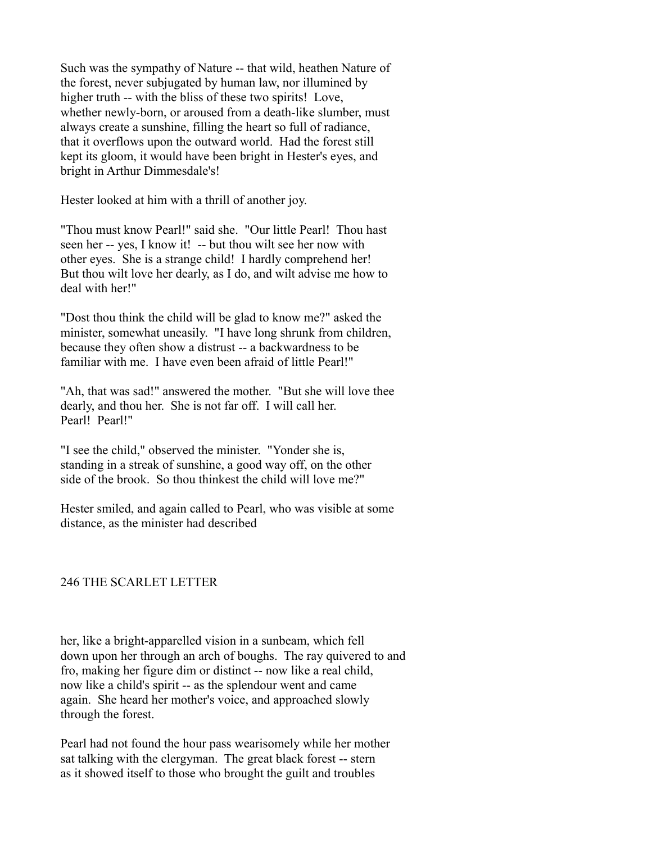Such was the sympathy of Nature -- that wild, heathen Nature of the forest, never subjugated by human law, nor illumined by higher truth -- with the bliss of these two spirits! Love, whether newly-born, or aroused from a death-like slumber, must always create a sunshine, filling the heart so full of radiance, that it overflows upon the outward world. Had the forest still kept its gloom, it would have been bright in Hester's eyes, and bright in Arthur Dimmesdale's!

Hester looked at him with a thrill of another joy.

"Thou must know Pearl!" said she. "Our little Pearl! Thou hast seen her -- yes, I know it! -- but thou wilt see her now with other eyes. She is a strange child! I hardly comprehend her! But thou wilt love her dearly, as I do, and wilt advise me how to deal with her!"

"Dost thou think the child will be glad to know me?" asked the minister, somewhat uneasily. "I have long shrunk from children, because they often show a distrust -- a backwardness to be familiar with me. I have even been afraid of little Pearl!"

"Ah, that was sad!" answered the mother. "But she will love thee dearly, and thou her. She is not far off. I will call her. Pearl! Pearl!"

"I see the child," observed the minister. "Yonder she is, standing in a streak of sunshine, a good way off, on the other side of the brook. So thou thinkest the child will love me?"

Hester smiled, and again called to Pearl, who was visible at some distance, as the minister had described

# 246 THE SCARLET LETTER

her, like a bright-apparelled vision in a sunbeam, which fell down upon her through an arch of boughs. The ray quivered to and fro, making her figure dim or distinct -- now like a real child, now like a child's spirit -- as the splendour went and came again. She heard her mother's voice, and approached slowly through the forest.

Pearl had not found the hour pass wearisomely while her mother sat talking with the clergyman. The great black forest -- stern as it showed itself to those who brought the guilt and troubles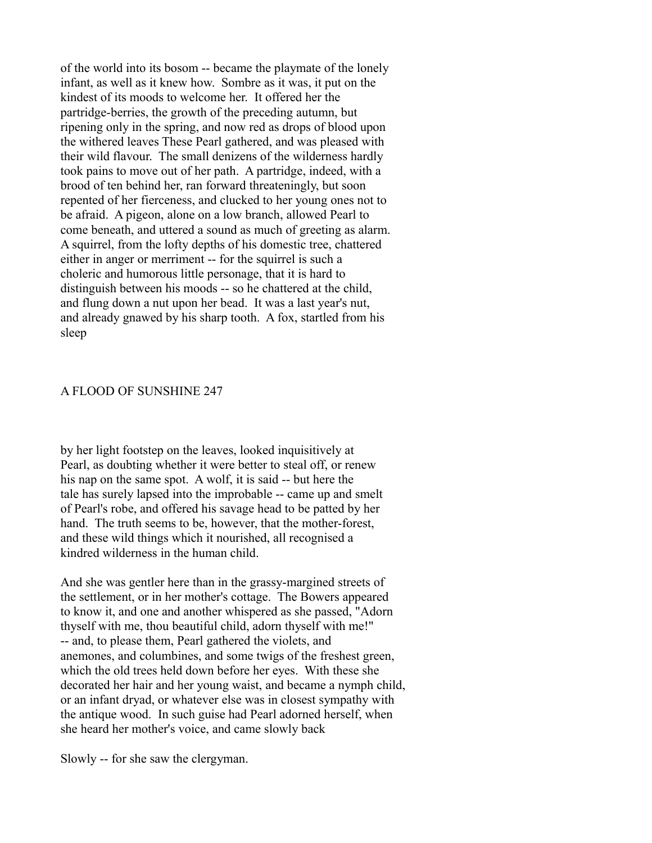of the world into its bosom -- became the playmate of the lonely infant, as well as it knew how. Sombre as it was, it put on the kindest of its moods to welcome her. It offered her the partridge-berries, the growth of the preceding autumn, but ripening only in the spring, and now red as drops of blood upon the withered leaves These Pearl gathered, and was pleased with their wild flavour. The small denizens of the wilderness hardly took pains to move out of her path. A partridge, indeed, with a brood of ten behind her, ran forward threateningly, but soon repented of her fierceness, and clucked to her young ones not to be afraid. A pigeon, alone on a low branch, allowed Pearl to come beneath, and uttered a sound as much of greeting as alarm. A squirrel, from the lofty depths of his domestic tree, chattered either in anger or merriment -- for the squirrel is such a choleric and humorous little personage, that it is hard to distinguish between his moods -- so he chattered at the child, and flung down a nut upon her bead. It was a last year's nut, and already gnawed by his sharp tooth. A fox, startled from his sleep

### A FLOOD OF SUNSHINE 247

by her light footstep on the leaves, looked inquisitively at Pearl, as doubting whether it were better to steal off, or renew his nap on the same spot. A wolf, it is said -- but here the tale has surely lapsed into the improbable -- came up and smelt of Pearl's robe, and offered his savage head to be patted by her hand. The truth seems to be, however, that the mother-forest, and these wild things which it nourished, all recognised a kindred wilderness in the human child.

And she was gentler here than in the grassy-margined streets of the settlement, or in her mother's cottage. The Bowers appeared to know it, and one and another whispered as she passed, "Adorn thyself with me, thou beautiful child, adorn thyself with me!" -- and, to please them, Pearl gathered the violets, and anemones, and columbines, and some twigs of the freshest green, which the old trees held down before her eyes. With these she decorated her hair and her young waist, and became a nymph child, or an infant dryad, or whatever else was in closest sympathy with the antique wood. In such guise had Pearl adorned herself, when she heard her mother's voice, and came slowly back

Slowly -- for she saw the clergyman.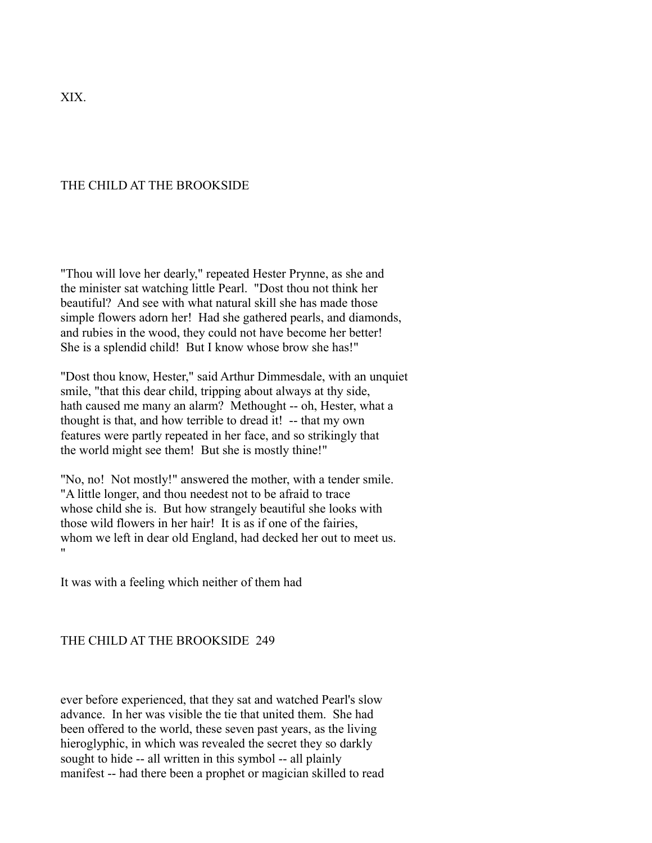XIX.

## THE CHILD AT THE BROOKSIDE

"Thou will love her dearly," repeated Hester Prynne, as she and the minister sat watching little Pearl. "Dost thou not think her beautiful? And see with what natural skill she has made those simple flowers adorn her! Had she gathered pearls, and diamonds, and rubies in the wood, they could not have become her better! She is a splendid child! But I know whose brow she has!"

"Dost thou know, Hester," said Arthur Dimmesdale, with an unquiet smile, "that this dear child, tripping about always at thy side, hath caused me many an alarm? Methought -- oh, Hester, what a thought is that, and how terrible to dread it! -- that my own features were partly repeated in her face, and so strikingly that the world might see them! But she is mostly thine!"

"No, no! Not mostly!" answered the mother, with a tender smile. "A little longer, and thou needest not to be afraid to trace whose child she is. But how strangely beautiful she looks with those wild flowers in her hair! It is as if one of the fairies, whom we left in dear old England, had decked her out to meet us. "

It was with a feeling which neither of them had

### THE CHILD AT THE BROOKSIDE 249

ever before experienced, that they sat and watched Pearl's slow advance. In her was visible the tie that united them. She had been offered to the world, these seven past years, as the living hieroglyphic, in which was revealed the secret they so darkly sought to hide -- all written in this symbol -- all plainly manifest -- had there been a prophet or magician skilled to read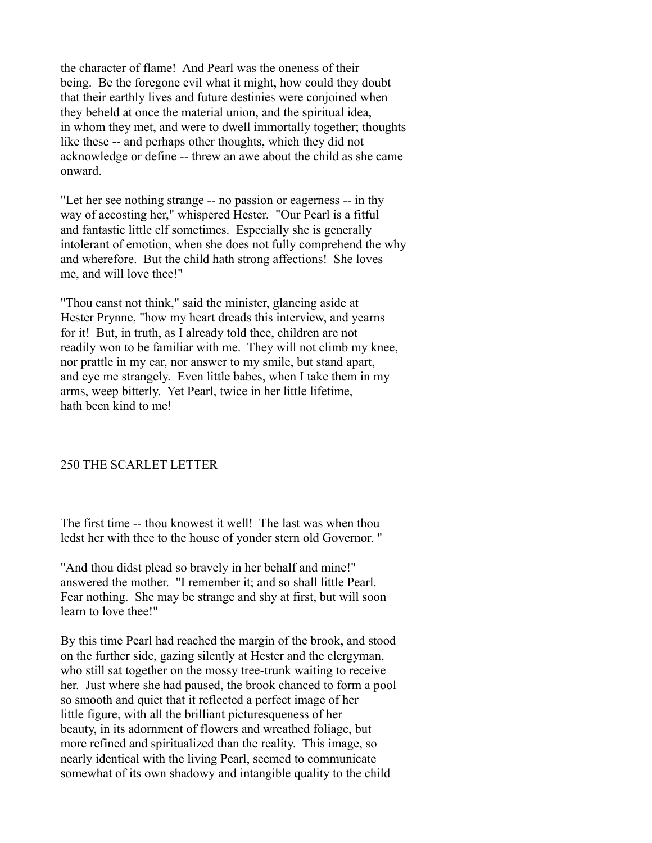the character of flame! And Pearl was the oneness of their being. Be the foregone evil what it might, how could they doubt that their earthly lives and future destinies were conjoined when they beheld at once the material union, and the spiritual idea, in whom they met, and were to dwell immortally together; thoughts like these -- and perhaps other thoughts, which they did not acknowledge or define -- threw an awe about the child as she came onward.

"Let her see nothing strange -- no passion or eagerness -- in thy way of accosting her," whispered Hester. "Our Pearl is a fitful and fantastic little elf sometimes. Especially she is generally intolerant of emotion, when she does not fully comprehend the why and wherefore. But the child hath strong affections! She loves me, and will love thee!"

"Thou canst not think," said the minister, glancing aside at Hester Prynne, "how my heart dreads this interview, and yearns for it! But, in truth, as I already told thee, children are not readily won to be familiar with me. They will not climb my knee, nor prattle in my ear, nor answer to my smile, but stand apart, and eye me strangely. Even little babes, when I take them in my arms, weep bitterly. Yet Pearl, twice in her little lifetime, hath been kind to me!

### 250 THE SCARLET LETTER

The first time -- thou knowest it well! The last was when thou ledst her with thee to the house of yonder stern old Governor. "

"And thou didst plead so bravely in her behalf and mine!" answered the mother. "I remember it; and so shall little Pearl. Fear nothing. She may be strange and shy at first, but will soon learn to love thee!"

By this time Pearl had reached the margin of the brook, and stood on the further side, gazing silently at Hester and the clergyman, who still sat together on the mossy tree-trunk waiting to receive her. Just where she had paused, the brook chanced to form a pool so smooth and quiet that it reflected a perfect image of her little figure, with all the brilliant picturesqueness of her beauty, in its adornment of flowers and wreathed foliage, but more refined and spiritualized than the reality. This image, so nearly identical with the living Pearl, seemed to communicate somewhat of its own shadowy and intangible quality to the child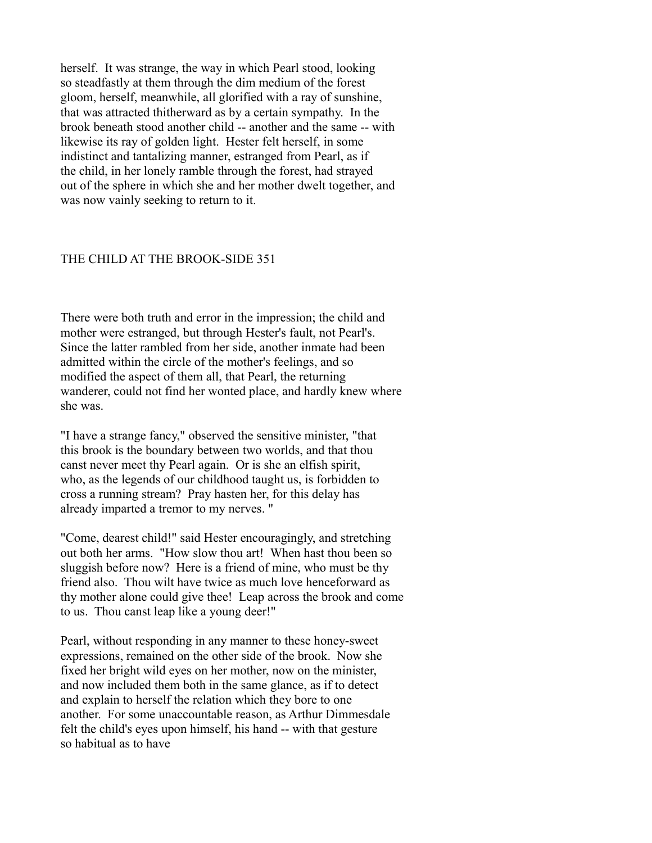herself. It was strange, the way in which Pearl stood, looking so steadfastly at them through the dim medium of the forest gloom, herself, meanwhile, all glorified with a ray of sunshine, that was attracted thitherward as by a certain sympathy. In the brook beneath stood another child -- another and the same -- with likewise its ray of golden light. Hester felt herself, in some indistinct and tantalizing manner, estranged from Pearl, as if the child, in her lonely ramble through the forest, had strayed out of the sphere in which she and her mother dwelt together, and was now vainly seeking to return to it.

### THE CHILD AT THE BROOK-SIDE 351

There were both truth and error in the impression; the child and mother were estranged, but through Hester's fault, not Pearl's. Since the latter rambled from her side, another inmate had been admitted within the circle of the mother's feelings, and so modified the aspect of them all, that Pearl, the returning wanderer, could not find her wonted place, and hardly knew where she was.

"I have a strange fancy," observed the sensitive minister, "that this brook is the boundary between two worlds, and that thou canst never meet thy Pearl again. Or is she an elfish spirit, who, as the legends of our childhood taught us, is forbidden to cross a running stream? Pray hasten her, for this delay has already imparted a tremor to my nerves. "

"Come, dearest child!" said Hester encouragingly, and stretching out both her arms. "How slow thou art! When hast thou been so sluggish before now? Here is a friend of mine, who must be thy friend also. Thou wilt have twice as much love henceforward as thy mother alone could give thee! Leap across the brook and come to us. Thou canst leap like a young deer!"

Pearl, without responding in any manner to these honey-sweet expressions, remained on the other side of the brook. Now she fixed her bright wild eyes on her mother, now on the minister, and now included them both in the same glance, as if to detect and explain to herself the relation which they bore to one another. For some unaccountable reason, as Arthur Dimmesdale felt the child's eyes upon himself, his hand -- with that gesture so habitual as to have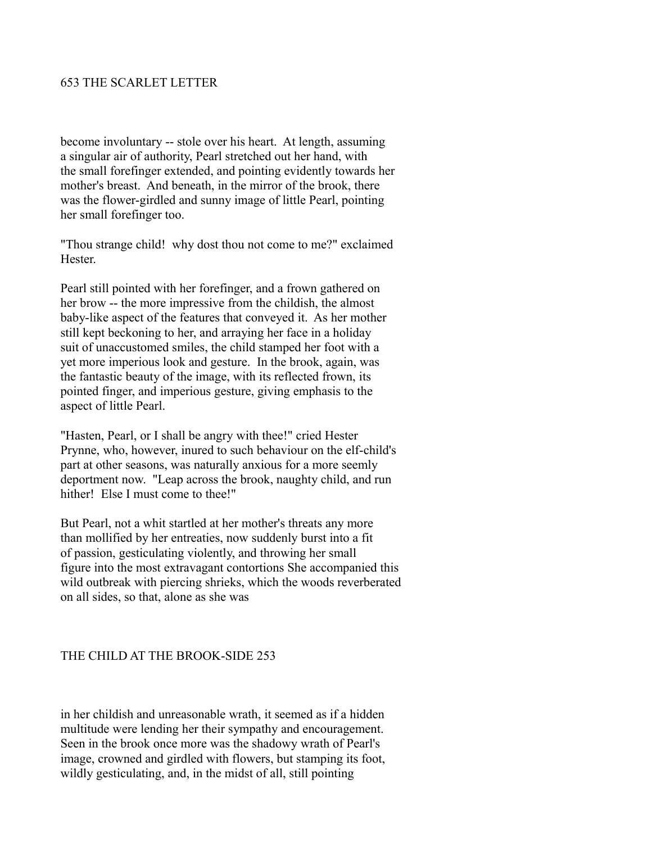## 653 THE SCARLET LETTER

become involuntary -- stole over his heart. At length, assuming a singular air of authority, Pearl stretched out her hand, with the small forefinger extended, and pointing evidently towards her mother's breast. And beneath, in the mirror of the brook, there was the flower-girdled and sunny image of little Pearl, pointing her small forefinger too.

"Thou strange child! why dost thou not come to me?" exclaimed Hester.

Pearl still pointed with her forefinger, and a frown gathered on her brow -- the more impressive from the childish, the almost baby-like aspect of the features that conveyed it. As her mother still kept beckoning to her, and arraying her face in a holiday suit of unaccustomed smiles, the child stamped her foot with a yet more imperious look and gesture. In the brook, again, was the fantastic beauty of the image, with its reflected frown, its pointed finger, and imperious gesture, giving emphasis to the aspect of little Pearl.

"Hasten, Pearl, or I shall be angry with thee!" cried Hester Prynne, who, however, inured to such behaviour on the elf-child's part at other seasons, was naturally anxious for a more seemly deportment now. "Leap across the brook, naughty child, and run hither! Else I must come to thee!"

But Pearl, not a whit startled at her mother's threats any more than mollified by her entreaties, now suddenly burst into a fit of passion, gesticulating violently, and throwing her small figure into the most extravagant contortions She accompanied this wild outbreak with piercing shrieks, which the woods reverberated on all sides, so that, alone as she was

## THE CHILD AT THE BROOK-SIDE 253

in her childish and unreasonable wrath, it seemed as if a hidden multitude were lending her their sympathy and encouragement. Seen in the brook once more was the shadowy wrath of Pearl's image, crowned and girdled with flowers, but stamping its foot, wildly gesticulating, and, in the midst of all, still pointing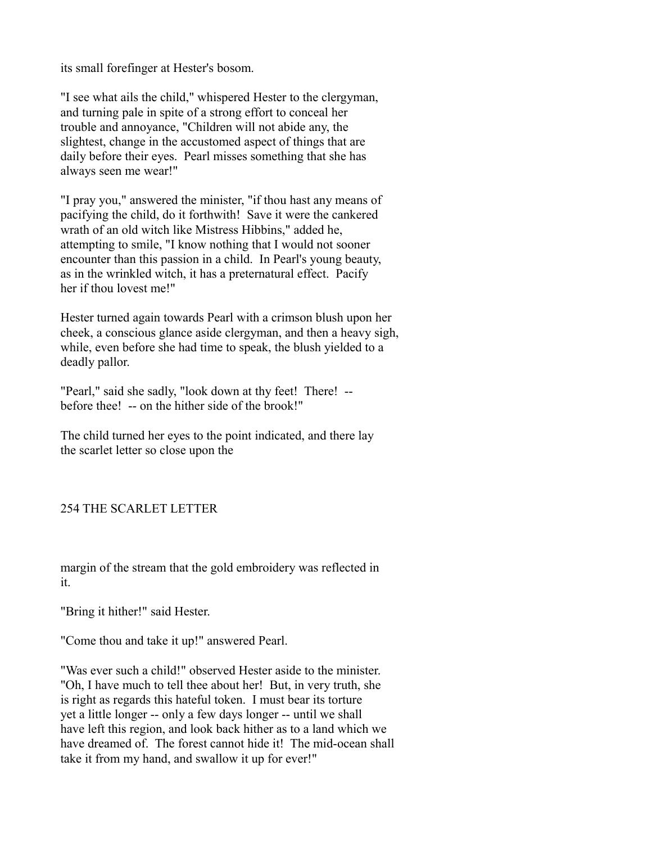its small forefinger at Hester's bosom.

"I see what ails the child," whispered Hester to the clergyman, and turning pale in spite of a strong effort to conceal her trouble and annoyance, "Children will not abide any, the slightest, change in the accustomed aspect of things that are daily before their eyes. Pearl misses something that she has always seen me wear!"

"I pray you," answered the minister, "if thou hast any means of pacifying the child, do it forthwith! Save it were the cankered wrath of an old witch like Mistress Hibbins," added he, attempting to smile, "I know nothing that I would not sooner encounter than this passion in a child. In Pearl's young beauty, as in the wrinkled witch, it has a preternatural effect. Pacify her if thou lovest me!"

Hester turned again towards Pearl with a crimson blush upon her cheek, a conscious glance aside clergyman, and then a heavy sigh, while, even before she had time to speak, the blush yielded to a deadly pallor.

"Pearl," said she sadly, "look down at thy feet! There! - before thee! -- on the hither side of the brook!"

The child turned her eyes to the point indicated, and there lay the scarlet letter so close upon the

## 254 THE SCARLET LETTER

margin of the stream that the gold embroidery was reflected in it.

"Bring it hither!" said Hester.

"Come thou and take it up!" answered Pearl.

"Was ever such a child!" observed Hester aside to the minister. "Oh, I have much to tell thee about her! But, in very truth, she is right as regards this hateful token. I must bear its torture yet a little longer -- only a few days longer -- until we shall have left this region, and look back hither as to a land which we have dreamed of. The forest cannot hide it! The mid-ocean shall take it from my hand, and swallow it up for ever!"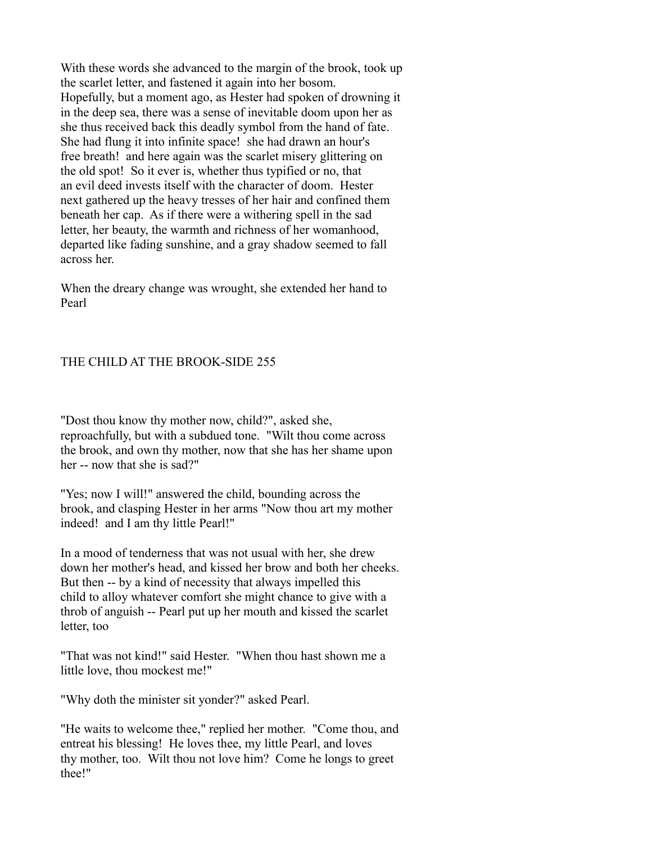With these words she advanced to the margin of the brook, took up the scarlet letter, and fastened it again into her bosom. Hopefully, but a moment ago, as Hester had spoken of drowning it in the deep sea, there was a sense of inevitable doom upon her as she thus received back this deadly symbol from the hand of fate. She had flung it into infinite space! she had drawn an hour's free breath! and here again was the scarlet misery glittering on the old spot! So it ever is, whether thus typified or no, that an evil deed invests itself with the character of doom. Hester next gathered up the heavy tresses of her hair and confined them beneath her cap. As if there were a withering spell in the sad letter, her beauty, the warmth and richness of her womanhood, departed like fading sunshine, and a gray shadow seemed to fall across her.

When the dreary change was wrought, she extended her hand to Pearl

## THE CHILD AT THE BROOK-SIDE 255

"Dost thou know thy mother now, child?", asked she, reproachfully, but with a subdued tone. "Wilt thou come across the brook, and own thy mother, now that she has her shame upon her -- now that she is sad?"

"Yes; now I will!" answered the child, bounding across the brook, and clasping Hester in her arms "Now thou art my mother indeed! and I am thy little Pearl!"

In a mood of tenderness that was not usual with her, she drew down her mother's head, and kissed her brow and both her cheeks. But then -- by a kind of necessity that always impelled this child to alloy whatever comfort she might chance to give with a throb of anguish -- Pearl put up her mouth and kissed the scarlet letter, too

"That was not kind!" said Hester. "When thou hast shown me a little love, thou mockest me!"

"Why doth the minister sit yonder?" asked Pearl.

"He waits to welcome thee," replied her mother. "Come thou, and entreat his blessing! He loves thee, my little Pearl, and loves thy mother, too. Wilt thou not love him? Come he longs to greet thee!"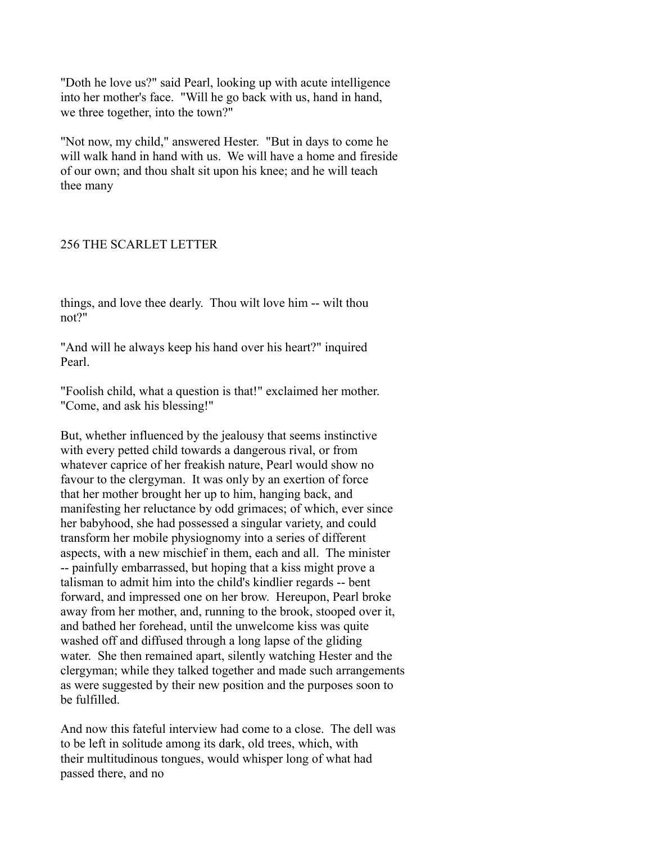"Doth he love us?" said Pearl, looking up with acute intelligence into her mother's face. "Will he go back with us, hand in hand, we three together, into the town?"

"Not now, my child," answered Hester. "But in days to come he will walk hand in hand with us. We will have a home and fireside of our own; and thou shalt sit upon his knee; and he will teach thee many

## 256 THE SCARLET LETTER

things, and love thee dearly. Thou wilt love him -- wilt thou not?"

"And will he always keep his hand over his heart?" inquired Pearl.

"Foolish child, what a question is that!" exclaimed her mother. "Come, and ask his blessing!"

But, whether influenced by the jealousy that seems instinctive with every petted child towards a dangerous rival, or from whatever caprice of her freakish nature, Pearl would show no favour to the clergyman. It was only by an exertion of force that her mother brought her up to him, hanging back, and manifesting her reluctance by odd grimaces; of which, ever since her babyhood, she had possessed a singular variety, and could transform her mobile physiognomy into a series of different aspects, with a new mischief in them, each and all. The minister -- painfully embarrassed, but hoping that a kiss might prove a talisman to admit him into the child's kindlier regards -- bent forward, and impressed one on her brow. Hereupon, Pearl broke away from her mother, and, running to the brook, stooped over it, and bathed her forehead, until the unwelcome kiss was quite washed off and diffused through a long lapse of the gliding water. She then remained apart, silently watching Hester and the clergyman; while they talked together and made such arrangements as were suggested by their new position and the purposes soon to be fulfilled.

And now this fateful interview had come to a close. The dell was to be left in solitude among its dark, old trees, which, with their multitudinous tongues, would whisper long of what had passed there, and no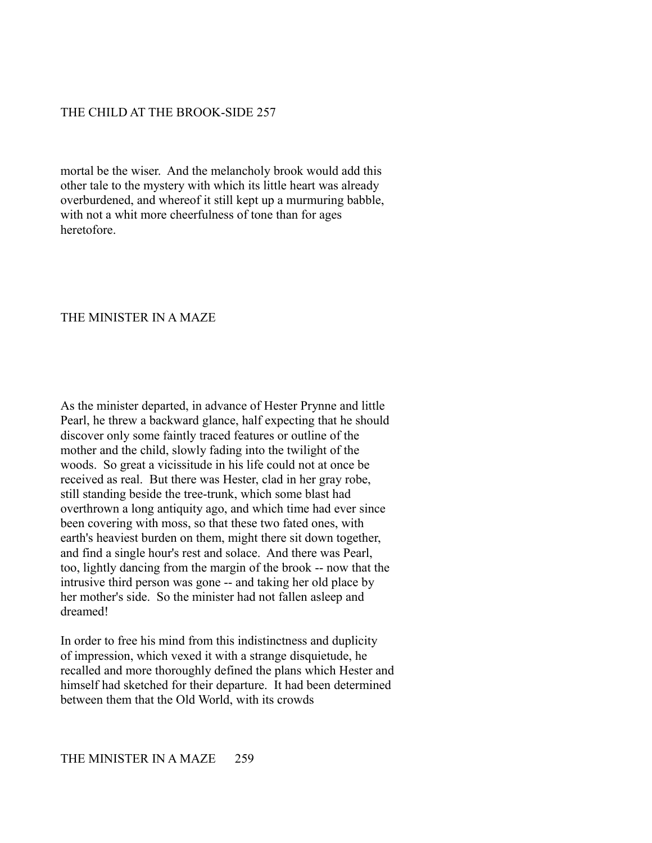## THE CHILD AT THE BROOK-SIDE 257

mortal be the wiser. And the melancholy brook would add this other tale to the mystery with which its little heart was already overburdened, and whereof it still kept up a murmuring babble, with not a whit more cheerfulness of tone than for ages heretofore.

### THE MINISTER IN A MAZE

As the minister departed, in advance of Hester Prynne and little Pearl, he threw a backward glance, half expecting that he should discover only some faintly traced features or outline of the mother and the child, slowly fading into the twilight of the woods. So great a vicissitude in his life could not at once be received as real. But there was Hester, clad in her gray robe, still standing beside the tree-trunk, which some blast had overthrown a long antiquity ago, and which time had ever since been covering with moss, so that these two fated ones, with earth's heaviest burden on them, might there sit down together, and find a single hour's rest and solace. And there was Pearl, too, lightly dancing from the margin of the brook -- now that the intrusive third person was gone -- and taking her old place by her mother's side. So the minister had not fallen asleep and dreamed!

In order to free his mind from this indistinctness and duplicity of impression, which vexed it with a strange disquietude, he recalled and more thoroughly defined the plans which Hester and himself had sketched for their departure. It had been determined between them that the Old World, with its crowds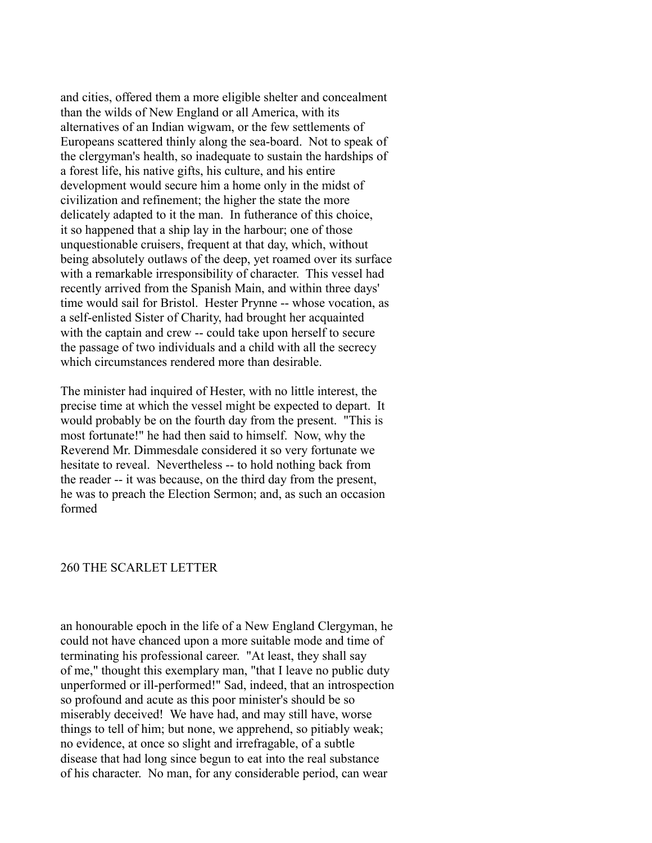and cities, offered them a more eligible shelter and concealment than the wilds of New England or all America, with its alternatives of an Indian wigwam, or the few settlements of Europeans scattered thinly along the sea-board. Not to speak of the clergyman's health, so inadequate to sustain the hardships of a forest life, his native gifts, his culture, and his entire development would secure him a home only in the midst of civilization and refinement; the higher the state the more delicately adapted to it the man. In futherance of this choice, it so happened that a ship lay in the harbour; one of those unquestionable cruisers, frequent at that day, which, without being absolutely outlaws of the deep, yet roamed over its surface with a remarkable irresponsibility of character. This vessel had recently arrived from the Spanish Main, and within three days' time would sail for Bristol. Hester Prynne -- whose vocation, as a self-enlisted Sister of Charity, had brought her acquainted with the captain and crew -- could take upon herself to secure the passage of two individuals and a child with all the secrecy which circumstances rendered more than desirable.

The minister had inquired of Hester, with no little interest, the precise time at which the vessel might be expected to depart. It would probably be on the fourth day from the present. "This is most fortunate!" he had then said to himself. Now, why the Reverend Mr. Dimmesdale considered it so very fortunate we hesitate to reveal. Nevertheless -- to hold nothing back from the reader -- it was because, on the third day from the present, he was to preach the Election Sermon; and, as such an occasion formed

### 260 THE SCARLET LETTER

an honourable epoch in the life of a New England Clergyman, he could not have chanced upon a more suitable mode and time of terminating his professional career. "At least, they shall say of me," thought this exemplary man, "that I leave no public duty unperformed or ill-performed!" Sad, indeed, that an introspection so profound and acute as this poor minister's should be so miserably deceived! We have had, and may still have, worse things to tell of him; but none, we apprehend, so pitiably weak; no evidence, at once so slight and irrefragable, of a subtle disease that had long since begun to eat into the real substance of his character. No man, for any considerable period, can wear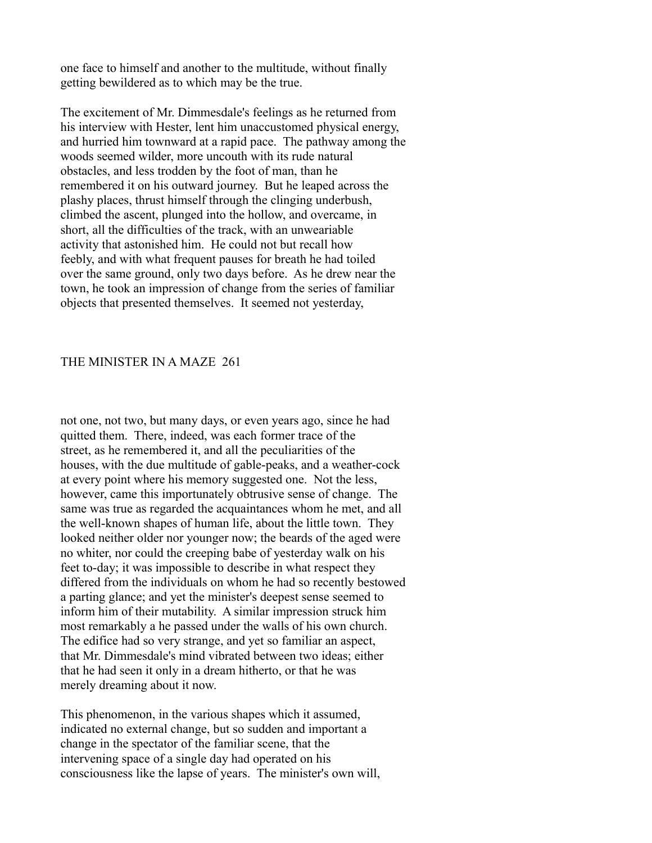one face to himself and another to the multitude, without finally getting bewildered as to which may be the true.

The excitement of Mr. Dimmesdale's feelings as he returned from his interview with Hester, lent him unaccustomed physical energy, and hurried him townward at a rapid pace. The pathway among the woods seemed wilder, more uncouth with its rude natural obstacles, and less trodden by the foot of man, than he remembered it on his outward journey. But he leaped across the plashy places, thrust himself through the clinging underbush, climbed the ascent, plunged into the hollow, and overcame, in short, all the difficulties of the track, with an unweariable activity that astonished him. He could not but recall how feebly, and with what frequent pauses for breath he had toiled over the same ground, only two days before. As he drew near the town, he took an impression of change from the series of familiar objects that presented themselves. It seemed not yesterday,

### THE MINISTER IN A MAZE 261

not one, not two, but many days, or even years ago, since he had quitted them. There, indeed, was each former trace of the street, as he remembered it, and all the peculiarities of the houses, with the due multitude of gable-peaks, and a weather-cock at every point where his memory suggested one. Not the less, however, came this importunately obtrusive sense of change. The same was true as regarded the acquaintances whom he met, and all the well-known shapes of human life, about the little town. They looked neither older nor younger now; the beards of the aged were no whiter, nor could the creeping babe of yesterday walk on his feet to-day; it was impossible to describe in what respect they differed from the individuals on whom he had so recently bestowed a parting glance; and yet the minister's deepest sense seemed to inform him of their mutability. A similar impression struck him most remarkably a he passed under the walls of his own church. The edifice had so very strange, and yet so familiar an aspect, that Mr. Dimmesdale's mind vibrated between two ideas; either that he had seen it only in a dream hitherto, or that he was merely dreaming about it now.

This phenomenon, in the various shapes which it assumed, indicated no external change, but so sudden and important a change in the spectator of the familiar scene, that the intervening space of a single day had operated on his consciousness like the lapse of years. The minister's own will,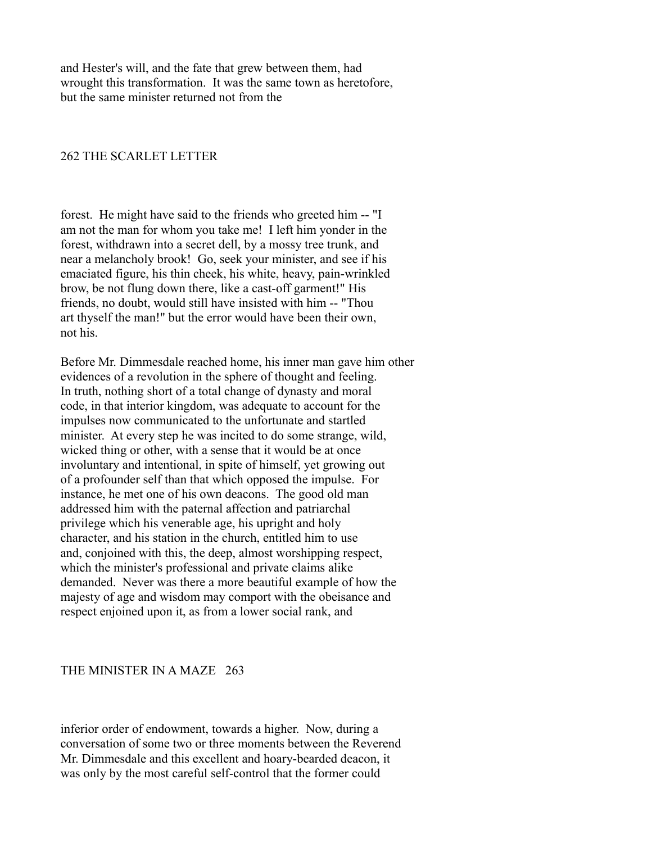and Hester's will, and the fate that grew between them, had wrought this transformation. It was the same town as heretofore, but the same minister returned not from the

### 262 THE SCARLET LETTER

forest. He might have said to the friends who greeted him -- "I am not the man for whom you take me! I left him yonder in the forest, withdrawn into a secret dell, by a mossy tree trunk, and near a melancholy brook! Go, seek your minister, and see if his emaciated figure, his thin cheek, his white, heavy, pain-wrinkled brow, be not flung down there, like a cast-off garment!" His friends, no doubt, would still have insisted with him -- "Thou art thyself the man!" but the error would have been their own, not his.

Before Mr. Dimmesdale reached home, his inner man gave him other evidences of a revolution in the sphere of thought and feeling. In truth, nothing short of a total change of dynasty and moral code, in that interior kingdom, was adequate to account for the impulses now communicated to the unfortunate and startled minister. At every step he was incited to do some strange, wild, wicked thing or other, with a sense that it would be at once involuntary and intentional, in spite of himself, yet growing out of a profounder self than that which opposed the impulse. For instance, he met one of his own deacons. The good old man addressed him with the paternal affection and patriarchal privilege which his venerable age, his upright and holy character, and his station in the church, entitled him to use and, conjoined with this, the deep, almost worshipping respect, which the minister's professional and private claims alike demanded. Never was there a more beautiful example of how the majesty of age and wisdom may comport with the obeisance and respect enjoined upon it, as from a lower social rank, and

#### THE MINISTER IN A MAZE 263

inferior order of endowment, towards a higher. Now, during a conversation of some two or three moments between the Reverend Mr. Dimmesdale and this excellent and hoary-bearded deacon, it was only by the most careful self-control that the former could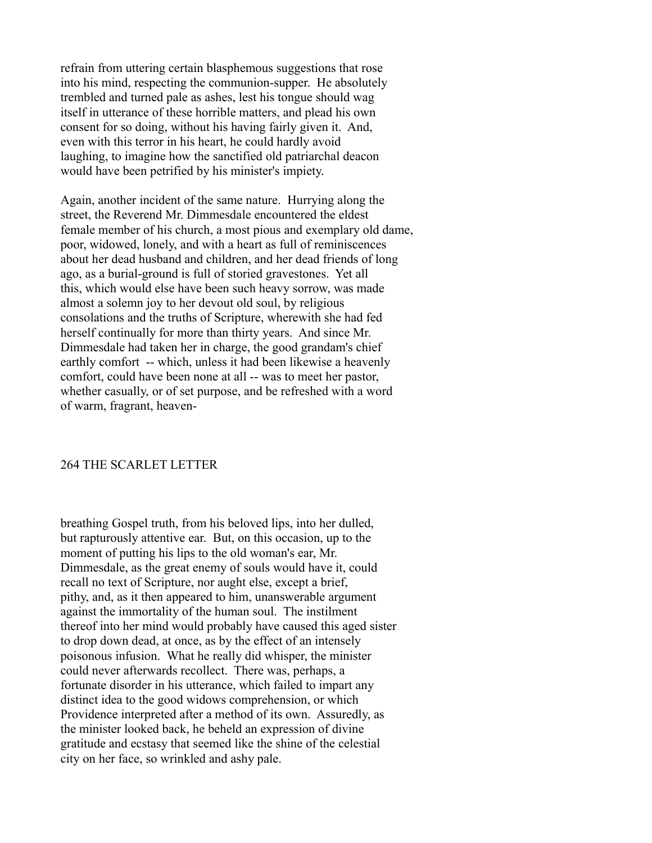refrain from uttering certain blasphemous suggestions that rose into his mind, respecting the communion-supper. He absolutely trembled and turned pale as ashes, lest his tongue should wag itself in utterance of these horrible matters, and plead his own consent for so doing, without his having fairly given it. And, even with this terror in his heart, he could hardly avoid laughing, to imagine how the sanctified old patriarchal deacon would have been petrified by his minister's impiety.

Again, another incident of the same nature. Hurrying along the street, the Reverend Mr. Dimmesdale encountered the eldest female member of his church, a most pious and exemplary old dame, poor, widowed, lonely, and with a heart as full of reminiscences about her dead husband and children, and her dead friends of long ago, as a burial-ground is full of storied gravestones. Yet all this, which would else have been such heavy sorrow, was made almost a solemn joy to her devout old soul, by religious consolations and the truths of Scripture, wherewith she had fed herself continually for more than thirty years. And since Mr. Dimmesdale had taken her in charge, the good grandam's chief earthly comfort -- which, unless it had been likewise a heavenly comfort, could have been none at all -- was to meet her pastor, whether casually, or of set purpose, and be refreshed with a word of warm, fragrant, heaven-

### 264 THE SCARLET LETTER

breathing Gospel truth, from his beloved lips, into her dulled, but rapturously attentive ear. But, on this occasion, up to the moment of putting his lips to the old woman's ear, Mr. Dimmesdale, as the great enemy of souls would have it, could recall no text of Scripture, nor aught else, except a brief, pithy, and, as it then appeared to him, unanswerable argument against the immortality of the human soul. The instilment thereof into her mind would probably have caused this aged sister to drop down dead, at once, as by the effect of an intensely poisonous infusion. What he really did whisper, the minister could never afterwards recollect. There was, perhaps, a fortunate disorder in his utterance, which failed to impart any distinct idea to the good widows comprehension, or which Providence interpreted after a method of its own. Assuredly, as the minister looked back, he beheld an expression of divine gratitude and ecstasy that seemed like the shine of the celestial city on her face, so wrinkled and ashy pale.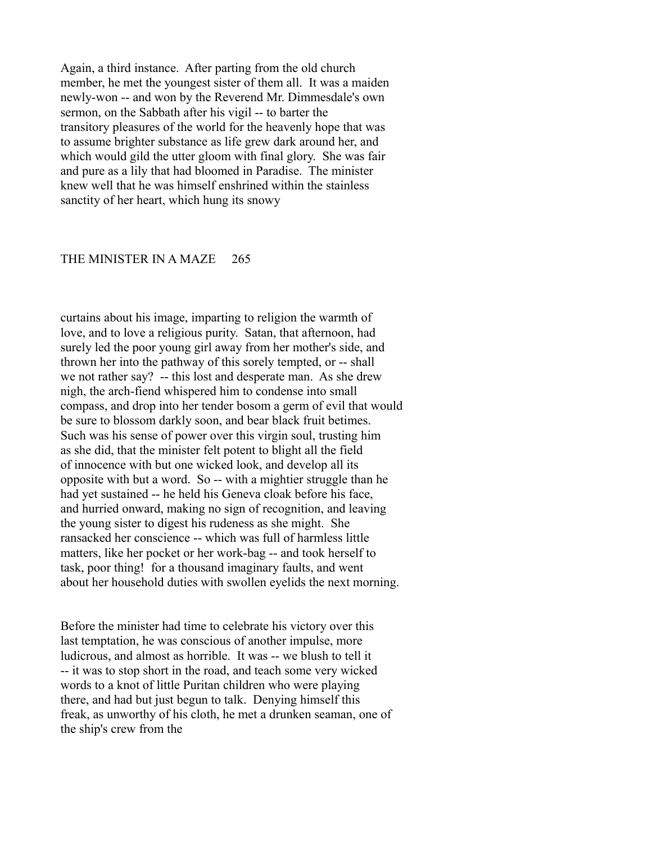Again, a third instance. After parting from the old church member, he met the youngest sister of them all. It was a maiden newly-won -- and won by the Reverend Mr. Dimmesdale's own sermon, on the Sabbath after his vigil -- to barter the transitory pleasures of the world for the heavenly hope that was to assume brighter substance as life grew dark around her, and which would gild the utter gloom with final glory. She was fair and pure as a lily that had bloomed in Paradise. The minister knew well that he was himself enshrined within the stainless sanctity of her heart, which hung its snowy

#### THE MINISTER IN A MAZE 265

curtains about his image, imparting to religion the warmth of love, and to love a religious purity. Satan, that afternoon, had surely led the poor young girl away from her mother's side, and thrown her into the pathway of this sorely tempted, or -- shall we not rather say? -- this lost and desperate man. As she drew nigh, the arch-fiend whispered him to condense into small compass, and drop into her tender bosom a germ of evil that would be sure to blossom darkly soon, and bear black fruit betimes. Such was his sense of power over this virgin soul, trusting him as she did, that the minister felt potent to blight all the field of innocence with but one wicked look, and develop all its opposite with but a word. So -- with a mightier struggle than he had yet sustained -- he held his Geneva cloak before his face, and hurried onward, making no sign of recognition, and leaving the young sister to digest his rudeness as she might. She ransacked her conscience -- which was full of harmless little matters, like her pocket or her work-bag -- and took herself to task, poor thing! for a thousand imaginary faults, and went about her household duties with swollen eyelids the next morning.

Before the minister had time to celebrate his victory over this last temptation, he was conscious of another impulse, more ludicrous, and almost as horrible. It was -- we blush to tell it -- it was to stop short in the road, and teach some very wicked words to a knot of little Puritan children who were playing there, and had but just begun to talk. Denying himself this freak, as unworthy of his cloth, he met a drunken seaman, one of the ship's crew from the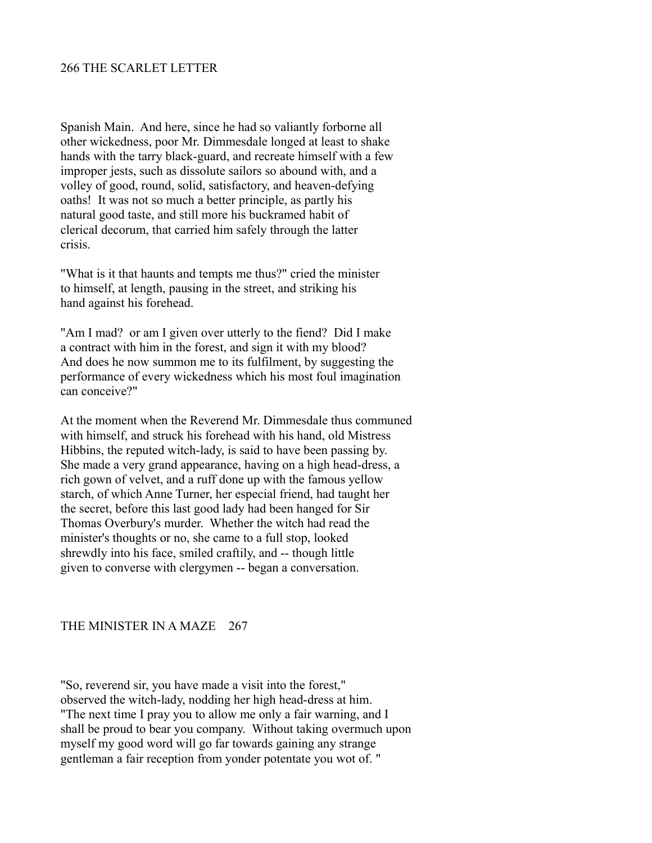### 266 THE SCARLET LETTER

Spanish Main. And here, since he had so valiantly forborne all other wickedness, poor Mr. Dimmesdale longed at least to shake hands with the tarry black-guard, and recreate himself with a few improper jests, such as dissolute sailors so abound with, and a volley of good, round, solid, satisfactory, and heaven-defying oaths! It was not so much a better principle, as partly his natural good taste, and still more his buckramed habit of clerical decorum, that carried him safely through the latter crisis.

"What is it that haunts and tempts me thus?" cried the minister to himself, at length, pausing in the street, and striking his hand against his forehead.

"Am I mad? or am I given over utterly to the fiend? Did I make a contract with him in the forest, and sign it with my blood? And does he now summon me to its fulfilment, by suggesting the performance of every wickedness which his most foul imagination can conceive?"

At the moment when the Reverend Mr. Dimmesdale thus communed with himself, and struck his forehead with his hand, old Mistress Hibbins, the reputed witch-lady, is said to have been passing by. She made a very grand appearance, having on a high head-dress, a rich gown of velvet, and a ruff done up with the famous yellow starch, of which Anne Turner, her especial friend, had taught her the secret, before this last good lady had been hanged for Sir Thomas Overbury's murder. Whether the witch had read the minister's thoughts or no, she came to a full stop, looked shrewdly into his face, smiled craftily, and -- though little given to converse with clergymen -- began a conversation.

### THE MINISTER IN A MAZE 267

"So, reverend sir, you have made a visit into the forest," observed the witch-lady, nodding her high head-dress at him. "The next time I pray you to allow me only a fair warning, and I shall be proud to bear you company. Without taking overmuch upon myself my good word will go far towards gaining any strange gentleman a fair reception from yonder potentate you wot of. "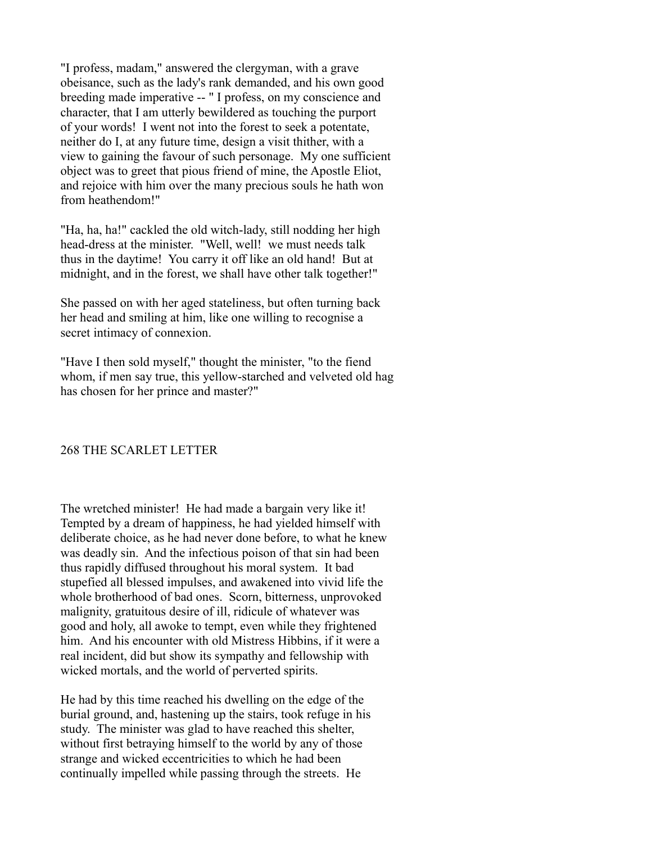"I profess, madam," answered the clergyman, with a grave obeisance, such as the lady's rank demanded, and his own good breeding made imperative -- " I profess, on my conscience and character, that I am utterly bewildered as touching the purport of your words! I went not into the forest to seek a potentate, neither do I, at any future time, design a visit thither, with a view to gaining the favour of such personage. My one sufficient object was to greet that pious friend of mine, the Apostle Eliot, and rejoice with him over the many precious souls he hath won from heathendom!"

"Ha, ha, ha!" cackled the old witch-lady, still nodding her high head-dress at the minister. "Well, well! we must needs talk thus in the daytime! You carry it off like an old hand! But at midnight, and in the forest, we shall have other talk together!"

She passed on with her aged stateliness, but often turning back her head and smiling at him, like one willing to recognise a secret intimacy of connexion.

"Have I then sold myself," thought the minister, "to the fiend whom, if men say true, this yellow-starched and velveted old hag has chosen for her prince and master?"

## 268 THE SCARLET LETTER

The wretched minister! He had made a bargain very like it! Tempted by a dream of happiness, he had yielded himself with deliberate choice, as he had never done before, to what he knew was deadly sin. And the infectious poison of that sin had been thus rapidly diffused throughout his moral system. It bad stupefied all blessed impulses, and awakened into vivid life the whole brotherhood of bad ones. Scorn, bitterness, unprovoked malignity, gratuitous desire of ill, ridicule of whatever was good and holy, all awoke to tempt, even while they frightened him. And his encounter with old Mistress Hibbins, if it were a real incident, did but show its sympathy and fellowship with wicked mortals, and the world of perverted spirits.

He had by this time reached his dwelling on the edge of the burial ground, and, hastening up the stairs, took refuge in his study. The minister was glad to have reached this shelter, without first betraying himself to the world by any of those strange and wicked eccentricities to which he had been continually impelled while passing through the streets. He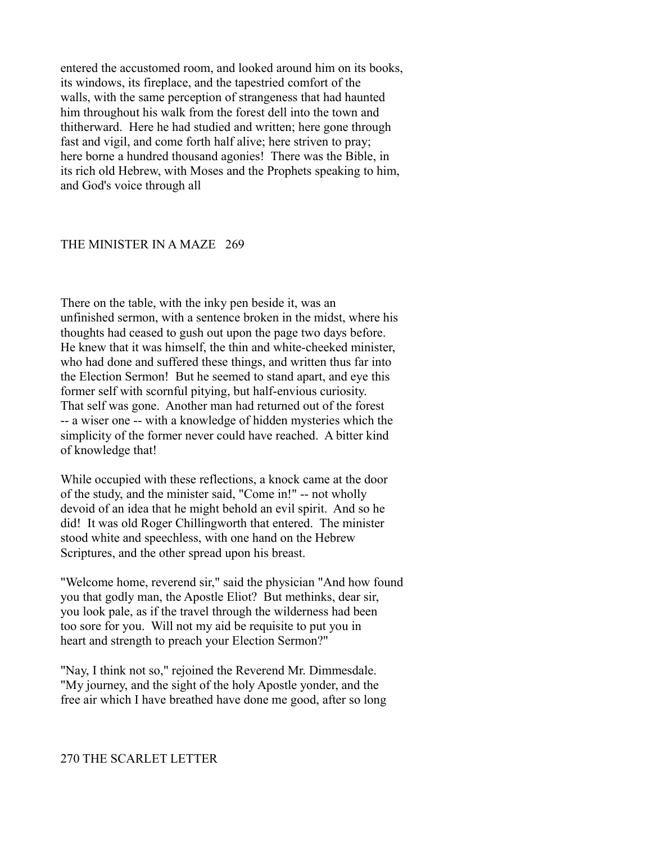entered the accustomed room, and looked around him on its books, its windows, its fireplace, and the tapestried comfort of the walls, with the same perception of strangeness that had haunted him throughout his walk from the forest dell into the town and thitherward. Here he had studied and written; here gone through fast and vigil, and come forth half alive; here striven to pray; here borne a hundred thousand agonies! There was the Bible, in its rich old Hebrew, with Moses and the Prophets speaking to him, and God's voice through all

#### THE MINISTER IN A MAZE 269

There on the table, with the inky pen beside it, was an unfinished sermon, with a sentence broken in the midst, where his thoughts had ceased to gush out upon the page two days before. He knew that it was himself, the thin and white-cheeked minister, who had done and suffered these things, and written thus far into the Election Sermon! But he seemed to stand apart, and eye this former self with scornful pitying, but half-envious curiosity. That self was gone. Another man had returned out of the forest -- a wiser one -- with a knowledge of hidden mysteries which the simplicity of the former never could have reached. A bitter kind of knowledge that!

While occupied with these reflections, a knock came at the door of the study, and the minister said, "Come in!" -- not wholly devoid of an idea that he might behold an evil spirit. And so he did! It was old Roger Chillingworth that entered. The minister stood white and speechless, with one hand on the Hebrew Scriptures, and the other spread upon his breast.

"Welcome home, reverend sir," said the physician "And how found you that godly man, the Apostle Eliot? But methinks, dear sir, you look pale, as if the travel through the wilderness had been too sore for you. Will not my aid be requisite to put you in heart and strength to preach your Election Sermon?"

"Nay, I think not so," rejoined the Reverend Mr. Dimmesdale. "My journey, and the sight of the holy Apostle yonder, and the free air which I have breathed have done me good, after so long

# 270 THE SCARLET LETTER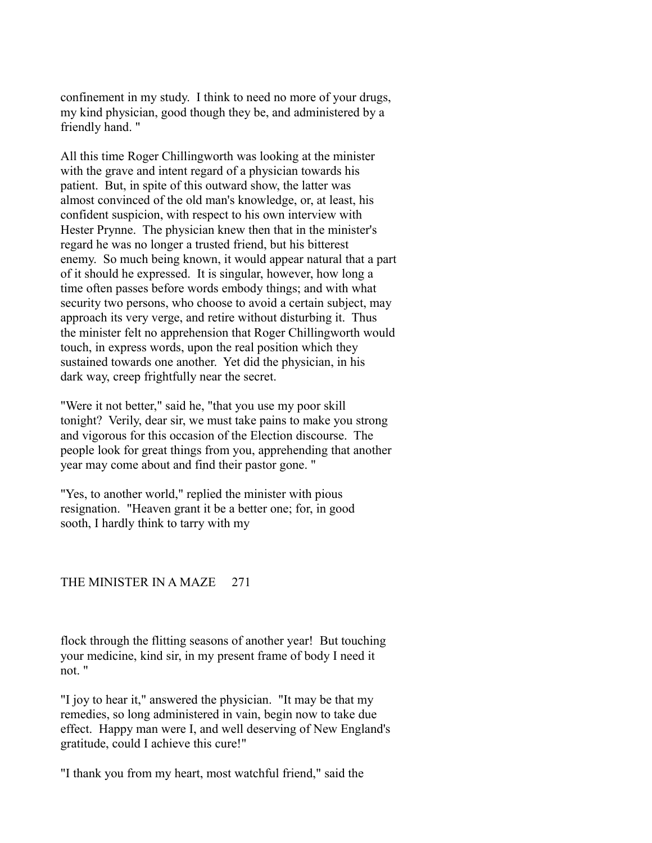confinement in my study. I think to need no more of your drugs, my kind physician, good though they be, and administered by a friendly hand. "

All this time Roger Chillingworth was looking at the minister with the grave and intent regard of a physician towards his patient. But, in spite of this outward show, the latter was almost convinced of the old man's knowledge, or, at least, his confident suspicion, with respect to his own interview with Hester Prynne. The physician knew then that in the minister's regard he was no longer a trusted friend, but his bitterest enemy. So much being known, it would appear natural that a part of it should he expressed. It is singular, however, how long a time often passes before words embody things; and with what security two persons, who choose to avoid a certain subject, may approach its very verge, and retire without disturbing it. Thus the minister felt no apprehension that Roger Chillingworth would touch, in express words, upon the real position which they sustained towards one another. Yet did the physician, in his dark way, creep frightfully near the secret.

"Were it not better," said he, "that you use my poor skill tonight? Verily, dear sir, we must take pains to make you strong and vigorous for this occasion of the Election discourse. The people look for great things from you, apprehending that another year may come about and find their pastor gone. "

"Yes, to another world," replied the minister with pious resignation. "Heaven grant it be a better one; for, in good sooth, I hardly think to tarry with my

## THE MINISTER IN A MAZE 271

flock through the flitting seasons of another year! But touching your medicine, kind sir, in my present frame of body I need it not. "

"I joy to hear it," answered the physician. "It may be that my remedies, so long administered in vain, begin now to take due effect. Happy man were I, and well deserving of New England's gratitude, could I achieve this cure!"

"I thank you from my heart, most watchful friend," said the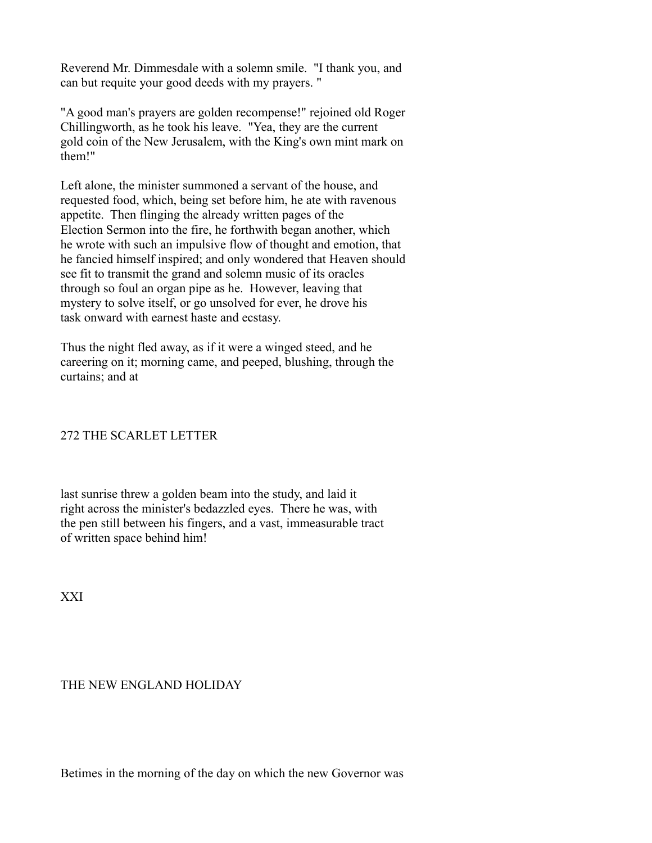Reverend Mr. Dimmesdale with a solemn smile. "I thank you, and can but requite your good deeds with my prayers. "

"A good man's prayers are golden recompense!" rejoined old Roger Chillingworth, as he took his leave. "Yea, they are the current gold coin of the New Jerusalem, with the King's own mint mark on them!"

Left alone, the minister summoned a servant of the house, and requested food, which, being set before him, he ate with ravenous appetite. Then flinging the already written pages of the Election Sermon into the fire, he forthwith began another, which he wrote with such an impulsive flow of thought and emotion, that he fancied himself inspired; and only wondered that Heaven should see fit to transmit the grand and solemn music of its oracles through so foul an organ pipe as he. However, leaving that mystery to solve itself, or go unsolved for ever, he drove his task onward with earnest haste and ecstasy.

Thus the night fled away, as if it were a winged steed, and he careering on it; morning came, and peeped, blushing, through the curtains; and at

## 272 THE SCARLET LETTER

last sunrise threw a golden beam into the study, and laid it right across the minister's bedazzled eyes. There he was, with the pen still between his fingers, and a vast, immeasurable tract of written space behind him!

XXI

## THE NEW ENGLAND HOLIDAY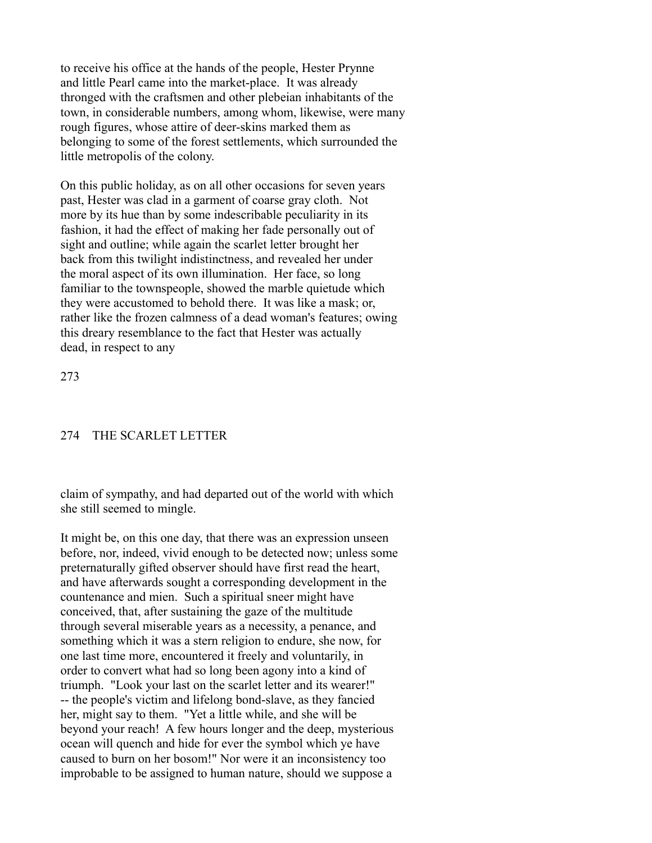to receive his office at the hands of the people, Hester Prynne and little Pearl came into the market-place. It was already thronged with the craftsmen and other plebeian inhabitants of the town, in considerable numbers, among whom, likewise, were many rough figures, whose attire of deer-skins marked them as belonging to some of the forest settlements, which surrounded the little metropolis of the colony.

On this public holiday, as on all other occasions for seven years past, Hester was clad in a garment of coarse gray cloth. Not more by its hue than by some indescribable peculiarity in its fashion, it had the effect of making her fade personally out of sight and outline; while again the scarlet letter brought her back from this twilight indistinctness, and revealed her under the moral aspect of its own illumination. Her face, so long familiar to the townspeople, showed the marble quietude which they were accustomed to behold there. It was like a mask; or, rather like the frozen calmness of a dead woman's features; owing this dreary resemblance to the fact that Hester was actually dead, in respect to any

273

### 274 THE SCARLET LETTER

claim of sympathy, and had departed out of the world with which she still seemed to mingle.

It might be, on this one day, that there was an expression unseen before, nor, indeed, vivid enough to be detected now; unless some preternaturally gifted observer should have first read the heart, and have afterwards sought a corresponding development in the countenance and mien. Such a spiritual sneer might have conceived, that, after sustaining the gaze of the multitude through several miserable years as a necessity, a penance, and something which it was a stern religion to endure, she now, for one last time more, encountered it freely and voluntarily, in order to convert what had so long been agony into a kind of triumph. "Look your last on the scarlet letter and its wearer!" -- the people's victim and lifelong bond-slave, as they fancied her, might say to them. "Yet a little while, and she will be beyond your reach! A few hours longer and the deep, mysterious ocean will quench and hide for ever the symbol which ye have caused to burn on her bosom!" Nor were it an inconsistency too improbable to be assigned to human nature, should we suppose a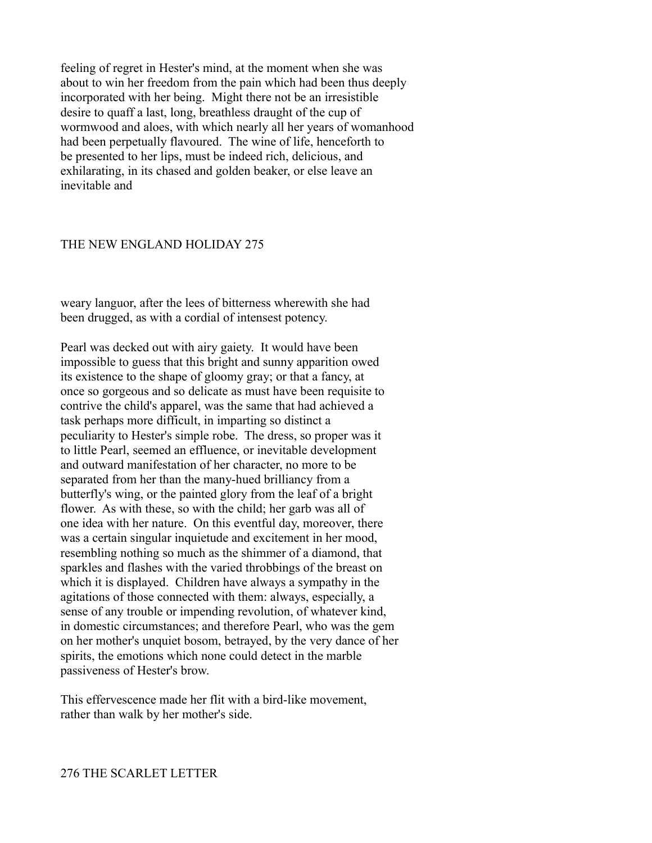feeling of regret in Hester's mind, at the moment when she was about to win her freedom from the pain which had been thus deeply incorporated with her being. Might there not be an irresistible desire to quaff a last, long, breathless draught of the cup of wormwood and aloes, with which nearly all her years of womanhood had been perpetually flavoured. The wine of life, henceforth to be presented to her lips, must be indeed rich, delicious, and exhilarating, in its chased and golden beaker, or else leave an inevitable and

#### THE NEW ENGLAND HOLIDAY 275

weary languor, after the lees of bitterness wherewith she had been drugged, as with a cordial of intensest potency.

Pearl was decked out with airy gaiety. It would have been impossible to guess that this bright and sunny apparition owed its existence to the shape of gloomy gray; or that a fancy, at once so gorgeous and so delicate as must have been requisite to contrive the child's apparel, was the same that had achieved a task perhaps more difficult, in imparting so distinct a peculiarity to Hester's simple robe. The dress, so proper was it to little Pearl, seemed an effluence, or inevitable development and outward manifestation of her character, no more to be separated from her than the many-hued brilliancy from a butterfly's wing, or the painted glory from the leaf of a bright flower. As with these, so with the child; her garb was all of one idea with her nature. On this eventful day, moreover, there was a certain singular inquietude and excitement in her mood, resembling nothing so much as the shimmer of a diamond, that sparkles and flashes with the varied throbbings of the breast on which it is displayed. Children have always a sympathy in the agitations of those connected with them: always, especially, a sense of any trouble or impending revolution, of whatever kind, in domestic circumstances; and therefore Pearl, who was the gem on her mother's unquiet bosom, betrayed, by the very dance of her spirits, the emotions which none could detect in the marble passiveness of Hester's brow.

This effervescence made her flit with a bird-like movement, rather than walk by her mother's side.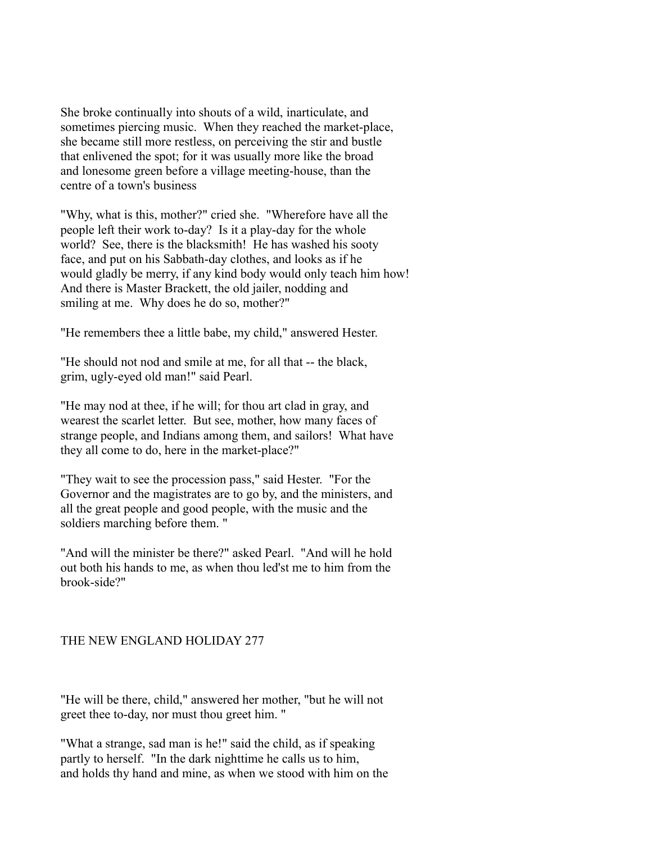She broke continually into shouts of a wild, inarticulate, and sometimes piercing music. When they reached the market-place, she became still more restless, on perceiving the stir and bustle that enlivened the spot; for it was usually more like the broad and lonesome green before a village meeting-house, than the centre of a town's business

"Why, what is this, mother?" cried she. "Wherefore have all the people left their work to-day? Is it a play-day for the whole world? See, there is the blacksmith! He has washed his sooty face, and put on his Sabbath-day clothes, and looks as if he would gladly be merry, if any kind body would only teach him how! And there is Master Brackett, the old jailer, nodding and smiling at me. Why does he do so, mother?"

"He remembers thee a little babe, my child," answered Hester.

"He should not nod and smile at me, for all that -- the black, grim, ugly-eyed old man!" said Pearl.

"He may nod at thee, if he will; for thou art clad in gray, and wearest the scarlet letter. But see, mother, how many faces of strange people, and Indians among them, and sailors! What have they all come to do, here in the market-place?"

"They wait to see the procession pass," said Hester. "For the Governor and the magistrates are to go by, and the ministers, and all the great people and good people, with the music and the soldiers marching before them. "

"And will the minister be there?" asked Pearl. "And will he hold out both his hands to me, as when thou led'st me to him from the brook-side?"

## THE NEW ENGLAND HOLIDAY 277

"He will be there, child," answered her mother, "but he will not greet thee to-day, nor must thou greet him. "

"What a strange, sad man is he!" said the child, as if speaking partly to herself. "In the dark nighttime he calls us to him, and holds thy hand and mine, as when we stood with him on the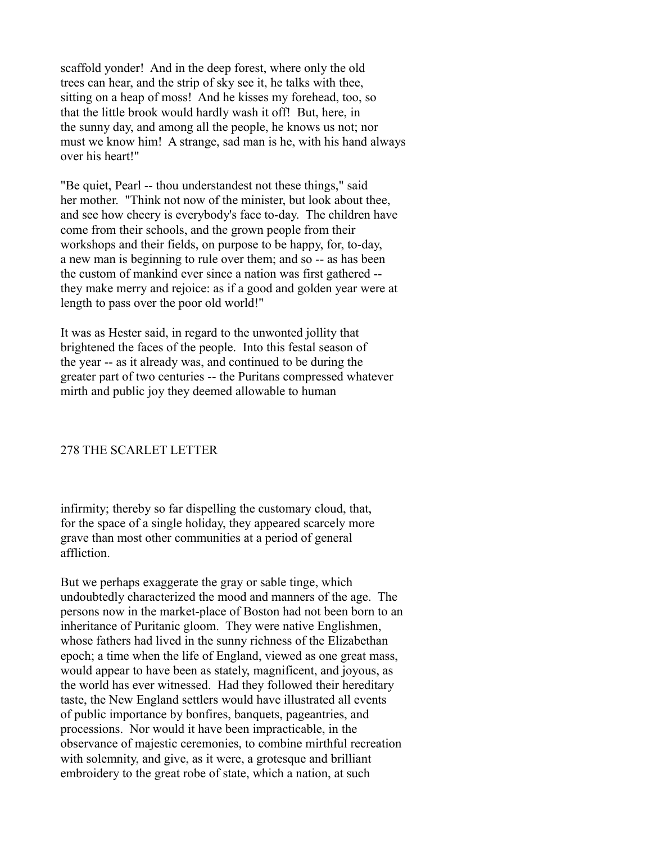scaffold yonder! And in the deep forest, where only the old trees can hear, and the strip of sky see it, he talks with thee, sitting on a heap of moss! And he kisses my forehead, too, so that the little brook would hardly wash it off! But, here, in the sunny day, and among all the people, he knows us not; nor must we know him! A strange, sad man is he, with his hand always over his heart!"

"Be quiet, Pearl -- thou understandest not these things," said her mother. "Think not now of the minister, but look about thee, and see how cheery is everybody's face to-day. The children have come from their schools, and the grown people from their workshops and their fields, on purpose to be happy, for, to-day, a new man is beginning to rule over them; and so -- as has been the custom of mankind ever since a nation was first gathered - they make merry and rejoice: as if a good and golden year were at length to pass over the poor old world!"

It was as Hester said, in regard to the unwonted jollity that brightened the faces of the people. Into this festal season of the year -- as it already was, and continued to be during the greater part of two centuries -- the Puritans compressed whatever mirth and public joy they deemed allowable to human

### 278 THE SCARLET LETTER

infirmity; thereby so far dispelling the customary cloud, that, for the space of a single holiday, they appeared scarcely more grave than most other communities at a period of general affliction.

But we perhaps exaggerate the gray or sable tinge, which undoubtedly characterized the mood and manners of the age. The persons now in the market-place of Boston had not been born to an inheritance of Puritanic gloom. They were native Englishmen, whose fathers had lived in the sunny richness of the Elizabethan epoch; a time when the life of England, viewed as one great mass, would appear to have been as stately, magnificent, and joyous, as the world has ever witnessed. Had they followed their hereditary taste, the New England settlers would have illustrated all events of public importance by bonfires, banquets, pageantries, and processions. Nor would it have been impracticable, in the observance of majestic ceremonies, to combine mirthful recreation with solemnity, and give, as it were, a grotesque and brilliant embroidery to the great robe of state, which a nation, at such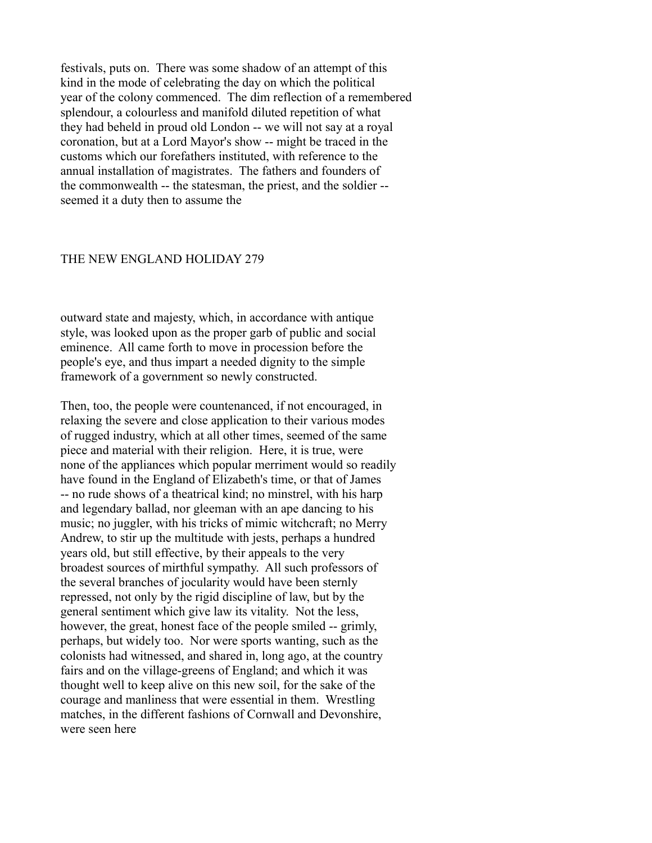festivals, puts on. There was some shadow of an attempt of this kind in the mode of celebrating the day on which the political year of the colony commenced. The dim reflection of a remembered splendour, a colourless and manifold diluted repetition of what they had beheld in proud old London -- we will not say at a royal coronation, but at a Lord Mayor's show -- might be traced in the customs which our forefathers instituted, with reference to the annual installation of magistrates. The fathers and founders of the commonwealth -- the statesman, the priest, and the soldier - seemed it a duty then to assume the

#### THE NEW ENGLAND HOLIDAY 279

outward state and majesty, which, in accordance with antique style, was looked upon as the proper garb of public and social eminence. All came forth to move in procession before the people's eye, and thus impart a needed dignity to the simple framework of a government so newly constructed.

Then, too, the people were countenanced, if not encouraged, in relaxing the severe and close application to their various modes of rugged industry, which at all other times, seemed of the same piece and material with their religion. Here, it is true, were none of the appliances which popular merriment would so readily have found in the England of Elizabeth's time, or that of James -- no rude shows of a theatrical kind; no minstrel, with his harp and legendary ballad, nor gleeman with an ape dancing to his music; no juggler, with his tricks of mimic witchcraft; no Merry Andrew, to stir up the multitude with jests, perhaps a hundred years old, but still effective, by their appeals to the very broadest sources of mirthful sympathy. All such professors of the several branches of jocularity would have been sternly repressed, not only by the rigid discipline of law, but by the general sentiment which give law its vitality. Not the less, however, the great, honest face of the people smiled -- grimly, perhaps, but widely too. Nor were sports wanting, such as the colonists had witnessed, and shared in, long ago, at the country fairs and on the village-greens of England; and which it was thought well to keep alive on this new soil, for the sake of the courage and manliness that were essential in them. Wrestling matches, in the different fashions of Cornwall and Devonshire, were seen here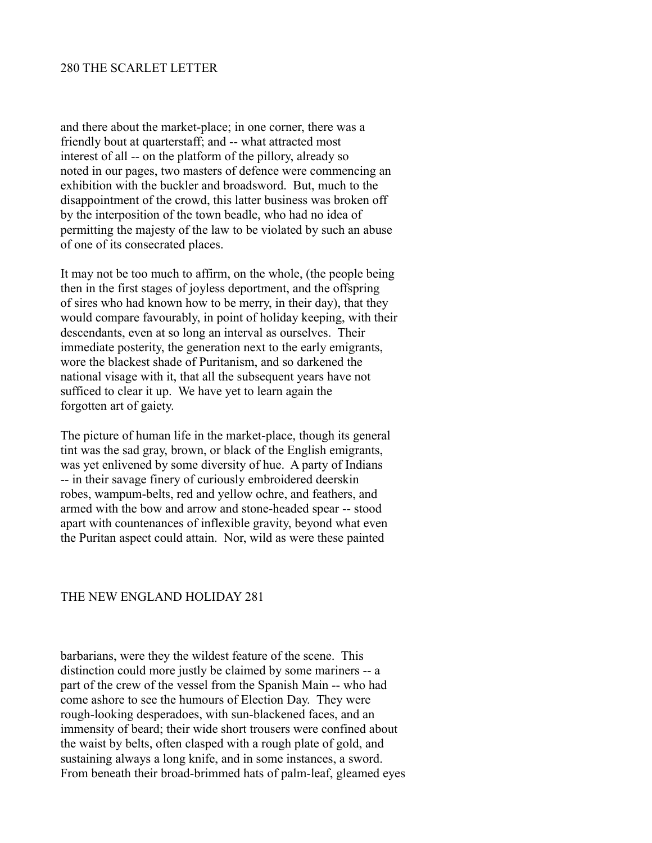and there about the market-place; in one corner, there was a friendly bout at quarterstaff; and -- what attracted most interest of all -- on the platform of the pillory, already so noted in our pages, two masters of defence were commencing an exhibition with the buckler and broadsword. But, much to the disappointment of the crowd, this latter business was broken off by the interposition of the town beadle, who had no idea of permitting the majesty of the law to be violated by such an abuse of one of its consecrated places.

It may not be too much to affirm, on the whole, (the people being then in the first stages of joyless deportment, and the offspring of sires who had known how to be merry, in their day), that they would compare favourably, in point of holiday keeping, with their descendants, even at so long an interval as ourselves. Their immediate posterity, the generation next to the early emigrants, wore the blackest shade of Puritanism, and so darkened the national visage with it, that all the subsequent years have not sufficed to clear it up. We have yet to learn again the forgotten art of gaiety.

The picture of human life in the market-place, though its general tint was the sad gray, brown, or black of the English emigrants, was yet enlivened by some diversity of hue. A party of Indians -- in their savage finery of curiously embroidered deerskin robes, wampum-belts, red and yellow ochre, and feathers, and armed with the bow and arrow and stone-headed spear -- stood apart with countenances of inflexible gravity, beyond what even the Puritan aspect could attain. Nor, wild as were these painted

## THE NEW ENGLAND HOLIDAY 281

barbarians, were they the wildest feature of the scene. This distinction could more justly be claimed by some mariners -- a part of the crew of the vessel from the Spanish Main -- who had come ashore to see the humours of Election Day. They were rough-looking desperadoes, with sun-blackened faces, and an immensity of beard; their wide short trousers were confined about the waist by belts, often clasped with a rough plate of gold, and sustaining always a long knife, and in some instances, a sword. From beneath their broad-brimmed hats of palm-leaf, gleamed eyes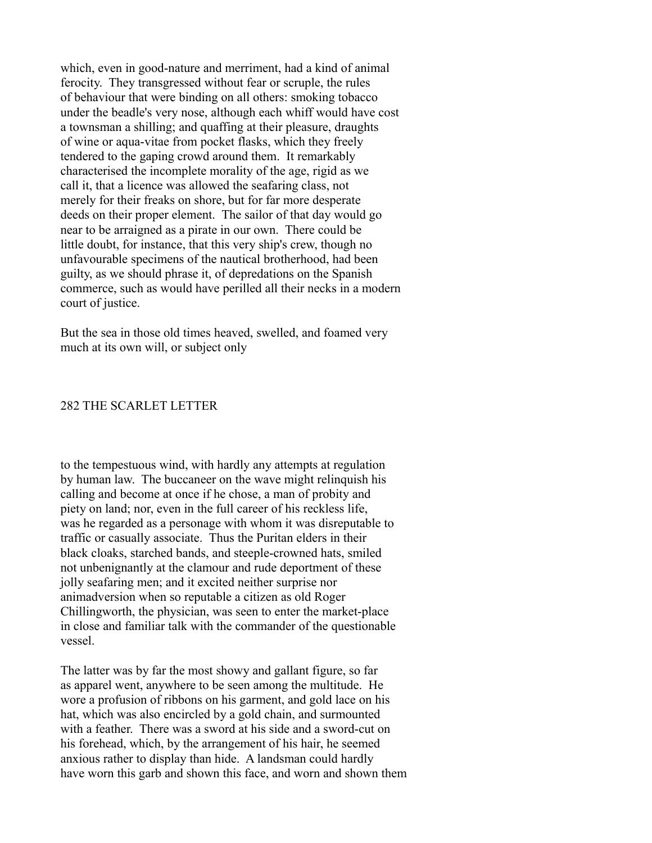which, even in good-nature and merriment, had a kind of animal ferocity. They transgressed without fear or scruple, the rules of behaviour that were binding on all others: smoking tobacco under the beadle's very nose, although each whiff would have cost a townsman a shilling; and quaffing at their pleasure, draughts of wine or aqua-vitae from pocket flasks, which they freely tendered to the gaping crowd around them. It remarkably characterised the incomplete morality of the age, rigid as we call it, that a licence was allowed the seafaring class, not merely for their freaks on shore, but for far more desperate deeds on their proper element. The sailor of that day would go near to be arraigned as a pirate in our own. There could be little doubt, for instance, that this very ship's crew, though no unfavourable specimens of the nautical brotherhood, had been guilty, as we should phrase it, of depredations on the Spanish commerce, such as would have perilled all their necks in a modern court of justice.

But the sea in those old times heaved, swelled, and foamed very much at its own will, or subject only

#### 282 THE SCARLET LETTER

to the tempestuous wind, with hardly any attempts at regulation by human law. The buccaneer on the wave might relinquish his calling and become at once if he chose, a man of probity and piety on land; nor, even in the full career of his reckless life, was he regarded as a personage with whom it was disreputable to traffic or casually associate. Thus the Puritan elders in their black cloaks, starched bands, and steeple-crowned hats, smiled not unbenignantly at the clamour and rude deportment of these jolly seafaring men; and it excited neither surprise nor animadversion when so reputable a citizen as old Roger Chillingworth, the physician, was seen to enter the market-place in close and familiar talk with the commander of the questionable vessel.

The latter was by far the most showy and gallant figure, so far as apparel went, anywhere to be seen among the multitude. He wore a profusion of ribbons on his garment, and gold lace on his hat, which was also encircled by a gold chain, and surmounted with a feather. There was a sword at his side and a sword-cut on his forehead, which, by the arrangement of his hair, he seemed anxious rather to display than hide. A landsman could hardly have worn this garb and shown this face, and worn and shown them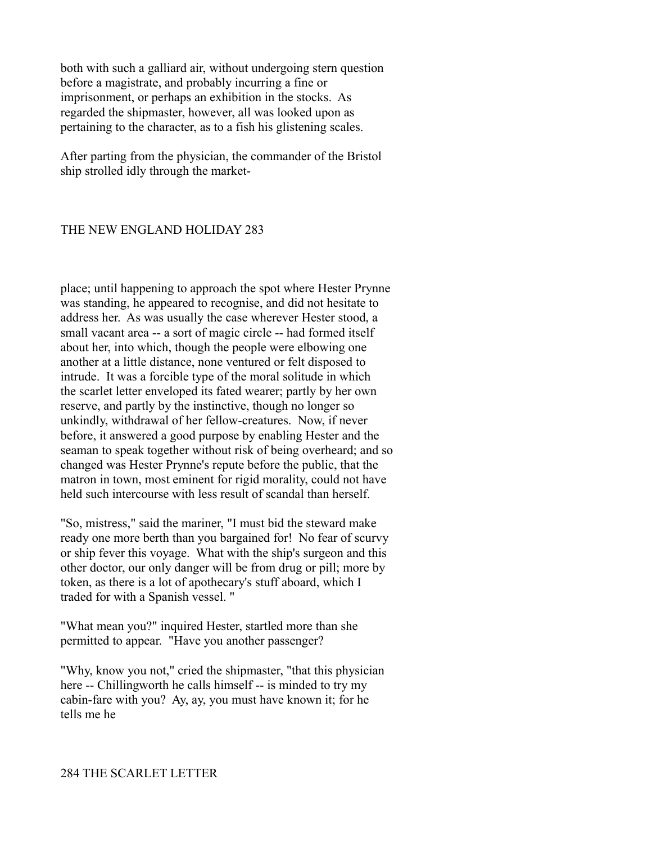both with such a galliard air, without undergoing stern question before a magistrate, and probably incurring a fine or imprisonment, or perhaps an exhibition in the stocks. As regarded the shipmaster, however, all was looked upon as pertaining to the character, as to a fish his glistening scales.

After parting from the physician, the commander of the Bristol ship strolled idly through the market-

## THE NEW ENGLAND HOLIDAY 283

place; until happening to approach the spot where Hester Prynne was standing, he appeared to recognise, and did not hesitate to address her. As was usually the case wherever Hester stood, a small vacant area -- a sort of magic circle -- had formed itself about her, into which, though the people were elbowing one another at a little distance, none ventured or felt disposed to intrude. It was a forcible type of the moral solitude in which the scarlet letter enveloped its fated wearer; partly by her own reserve, and partly by the instinctive, though no longer so unkindly, withdrawal of her fellow-creatures. Now, if never before, it answered a good purpose by enabling Hester and the seaman to speak together without risk of being overheard; and so changed was Hester Prynne's repute before the public, that the matron in town, most eminent for rigid morality, could not have held such intercourse with less result of scandal than herself.

"So, mistress," said the mariner, "I must bid the steward make ready one more berth than you bargained for! No fear of scurvy or ship fever this voyage. What with the ship's surgeon and this other doctor, our only danger will be from drug or pill; more by token, as there is a lot of apothecary's stuff aboard, which I traded for with a Spanish vessel. "

"What mean you?" inquired Hester, startled more than she permitted to appear. "Have you another passenger?

"Why, know you not," cried the shipmaster, "that this physician here -- Chillingworth he calls himself -- is minded to try my cabin-fare with you? Ay, ay, you must have known it; for he tells me he

#### 284 THE SCARLET LETTER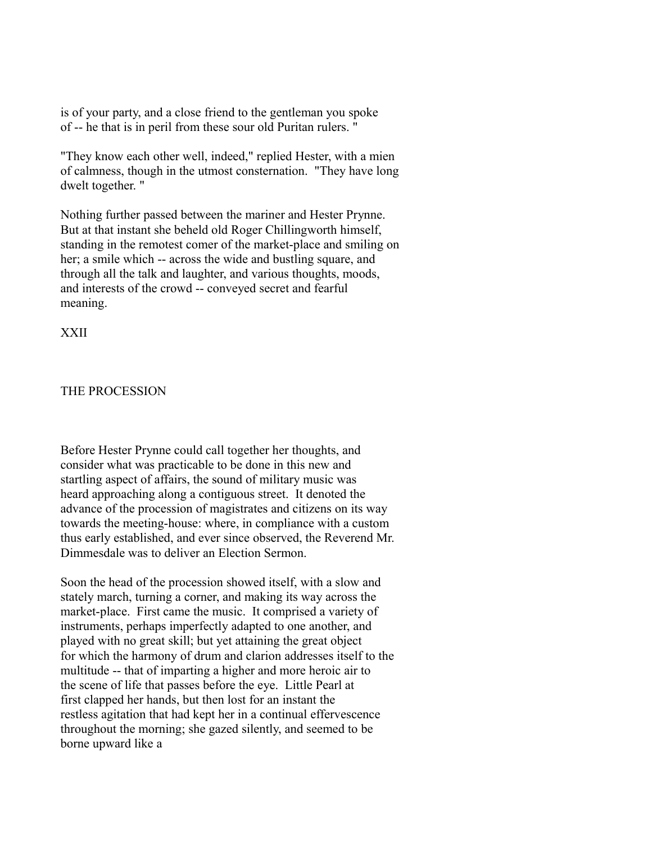is of your party, and a close friend to the gentleman you spoke of -- he that is in peril from these sour old Puritan rulers. "

"They know each other well, indeed," replied Hester, with a mien of calmness, though in the utmost consternation. "They have long dwelt together. "

Nothing further passed between the mariner and Hester Prynne. But at that instant she beheld old Roger Chillingworth himself, standing in the remotest comer of the market-place and smiling on her; a smile which -- across the wide and bustling square, and through all the talk and laughter, and various thoughts, moods, and interests of the crowd -- conveyed secret and fearful meaning.

XXII

### THE PROCESSION

Before Hester Prynne could call together her thoughts, and consider what was practicable to be done in this new and startling aspect of affairs, the sound of military music was heard approaching along a contiguous street. It denoted the advance of the procession of magistrates and citizens on its way towards the meeting-house: where, in compliance with a custom thus early established, and ever since observed, the Reverend Mr. Dimmesdale was to deliver an Election Sermon.

Soon the head of the procession showed itself, with a slow and stately march, turning a corner, and making its way across the market-place. First came the music. It comprised a variety of instruments, perhaps imperfectly adapted to one another, and played with no great skill; but yet attaining the great object for which the harmony of drum and clarion addresses itself to the multitude -- that of imparting a higher and more heroic air to the scene of life that passes before the eye. Little Pearl at first clapped her hands, but then lost for an instant the restless agitation that had kept her in a continual effervescence throughout the morning; she gazed silently, and seemed to be borne upward like a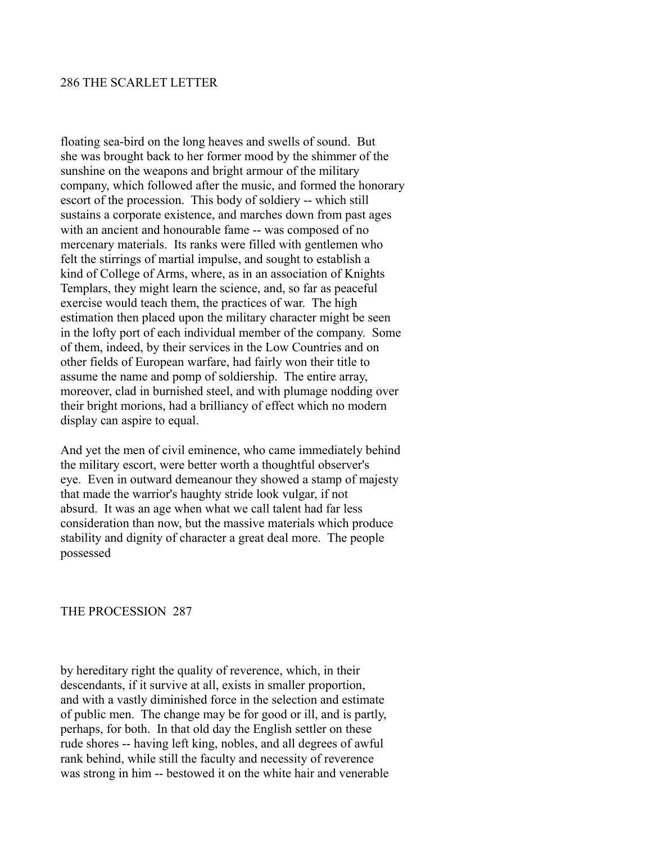## 286 THE SCARLET LETTER

floating sea-bird on the long heaves and swells of sound. But she was brought back to her former mood by the shimmer of the sunshine on the weapons and bright armour of the military company, which followed after the music, and formed the honorary escort of the procession. This body of soldiery -- which still sustains a corporate existence, and marches down from past ages with an ancient and honourable fame -- was composed of no mercenary materials. Its ranks were filled with gentlemen who felt the stirrings of martial impulse, and sought to establish a kind of College of Arms, where, as in an association of Knights Templars, they might learn the science, and, so far as peaceful exercise would teach them, the practices of war. The high estimation then placed upon the military character might be seen in the lofty port of each individual member of the company. Some of them, indeed, by their services in the Low Countries and on other fields of European warfare, had fairly won their title to assume the name and pomp of soldiership. The entire array, moreover, clad in burnished steel, and with plumage nodding over their bright morions, had a brilliancy of effect which no modern display can aspire to equal.

And yet the men of civil eminence, who came immediately behind the military escort, were better worth a thoughtful observer's eye. Even in outward demeanour they showed a stamp of majesty that made the warrior's haughty stride look vulgar, if not absurd. It was an age when what we call talent had far less consideration than now, but the massive materials which produce stability and dignity of character a great deal more. The people possessed

### THE PROCESSION 287

by hereditary right the quality of reverence, which, in their descendants, if it survive at all, exists in smaller proportion, and with a vastly diminished force in the selection and estimate of public men. The change may be for good or ill, and is partly, perhaps, for both. In that old day the English settler on these rude shores -- having left king, nobles, and all degrees of awful rank behind, while still the faculty and necessity of reverence was strong in him -- bestowed it on the white hair and venerable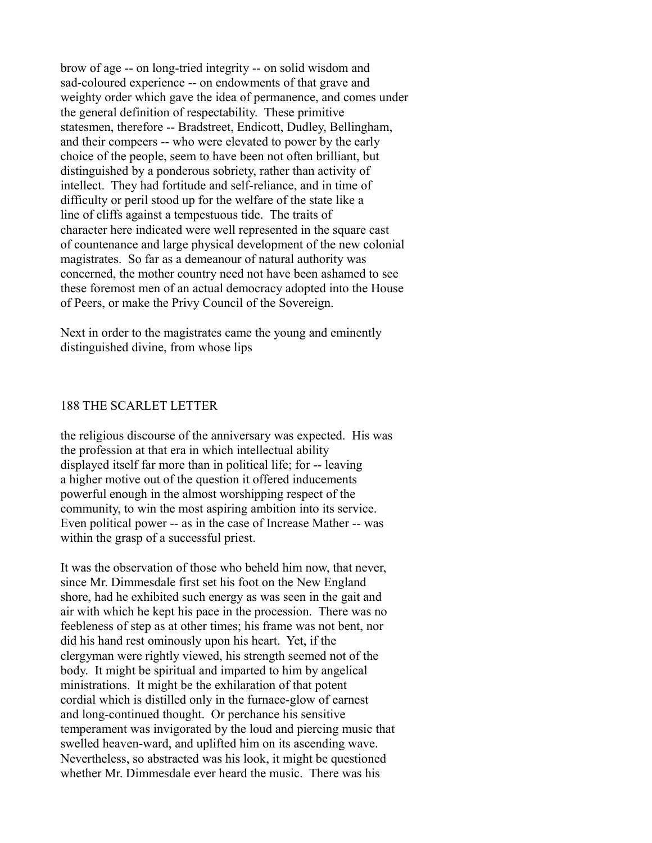brow of age -- on long-tried integrity -- on solid wisdom and sad-coloured experience -- on endowments of that grave and weighty order which gave the idea of permanence, and comes under the general definition of respectability. These primitive statesmen, therefore -- Bradstreet, Endicott, Dudley, Bellingham, and their compeers -- who were elevated to power by the early choice of the people, seem to have been not often brilliant, but distinguished by a ponderous sobriety, rather than activity of intellect. They had fortitude and self-reliance, and in time of difficulty or peril stood up for the welfare of the state like a line of cliffs against a tempestuous tide. The traits of character here indicated were well represented in the square cast of countenance and large physical development of the new colonial magistrates. So far as a demeanour of natural authority was concerned, the mother country need not have been ashamed to see these foremost men of an actual democracy adopted into the House of Peers, or make the Privy Council of the Sovereign.

Next in order to the magistrates came the young and eminently distinguished divine, from whose lips

### 188 THE SCARLET LETTER

the religious discourse of the anniversary was expected. His was the profession at that era in which intellectual ability displayed itself far more than in political life; for -- leaving a higher motive out of the question it offered inducements powerful enough in the almost worshipping respect of the community, to win the most aspiring ambition into its service. Even political power -- as in the case of Increase Mather -- was within the grasp of a successful priest.

It was the observation of those who beheld him now, that never, since Mr. Dimmesdale first set his foot on the New England shore, had he exhibited such energy as was seen in the gait and air with which he kept his pace in the procession. There was no feebleness of step as at other times; his frame was not bent, nor did his hand rest ominously upon his heart. Yet, if the clergyman were rightly viewed, his strength seemed not of the body. It might be spiritual and imparted to him by angelical ministrations. It might be the exhilaration of that potent cordial which is distilled only in the furnace-glow of earnest and long-continued thought. Or perchance his sensitive temperament was invigorated by the loud and piercing music that swelled heaven-ward, and uplifted him on its ascending wave. Nevertheless, so abstracted was his look, it might be questioned whether Mr. Dimmesdale ever heard the music. There was his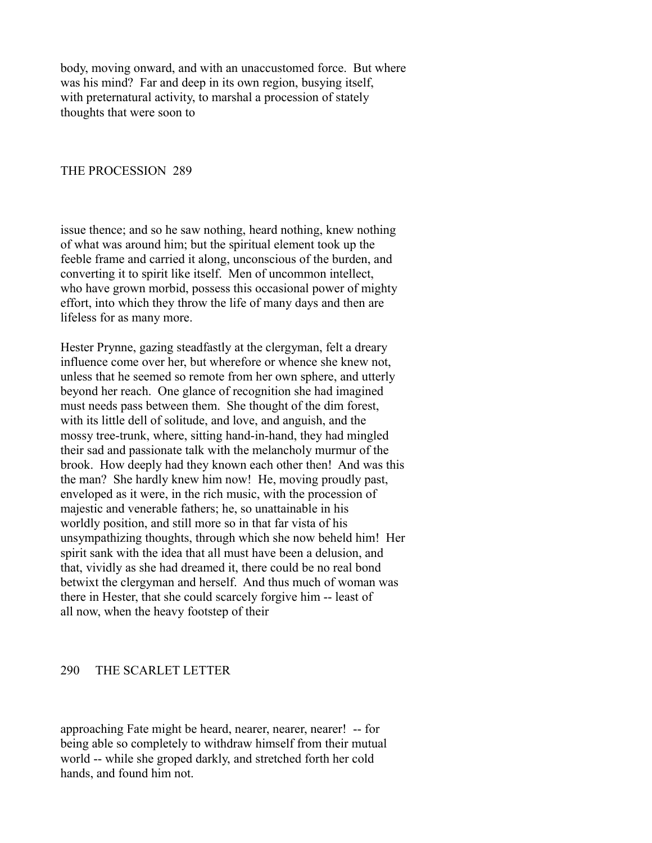body, moving onward, and with an unaccustomed force. But where was his mind? Far and deep in its own region, busying itself, with preternatural activity, to marshal a procession of stately thoughts that were soon to

### THE PROCESSION 289

issue thence; and so he saw nothing, heard nothing, knew nothing of what was around him; but the spiritual element took up the feeble frame and carried it along, unconscious of the burden, and converting it to spirit like itself. Men of uncommon intellect, who have grown morbid, possess this occasional power of mighty effort, into which they throw the life of many days and then are lifeless for as many more.

Hester Prynne, gazing steadfastly at the clergyman, felt a dreary influence come over her, but wherefore or whence she knew not, unless that he seemed so remote from her own sphere, and utterly beyond her reach. One glance of recognition she had imagined must needs pass between them. She thought of the dim forest, with its little dell of solitude, and love, and anguish, and the mossy tree-trunk, where, sitting hand-in-hand, they had mingled their sad and passionate talk with the melancholy murmur of the brook. How deeply had they known each other then! And was this the man? She hardly knew him now! He, moving proudly past, enveloped as it were, in the rich music, with the procession of majestic and venerable fathers; he, so unattainable in his worldly position, and still more so in that far vista of his unsympathizing thoughts, through which she now beheld him! Her spirit sank with the idea that all must have been a delusion, and that, vividly as she had dreamed it, there could be no real bond betwixt the clergyman and herself. And thus much of woman was there in Hester, that she could scarcely forgive him -- least of all now, when the heavy footstep of their

#### 290 THE SCARLET LETTER

approaching Fate might be heard, nearer, nearer, nearer! -- for being able so completely to withdraw himself from their mutual world -- while she groped darkly, and stretched forth her cold hands, and found him not.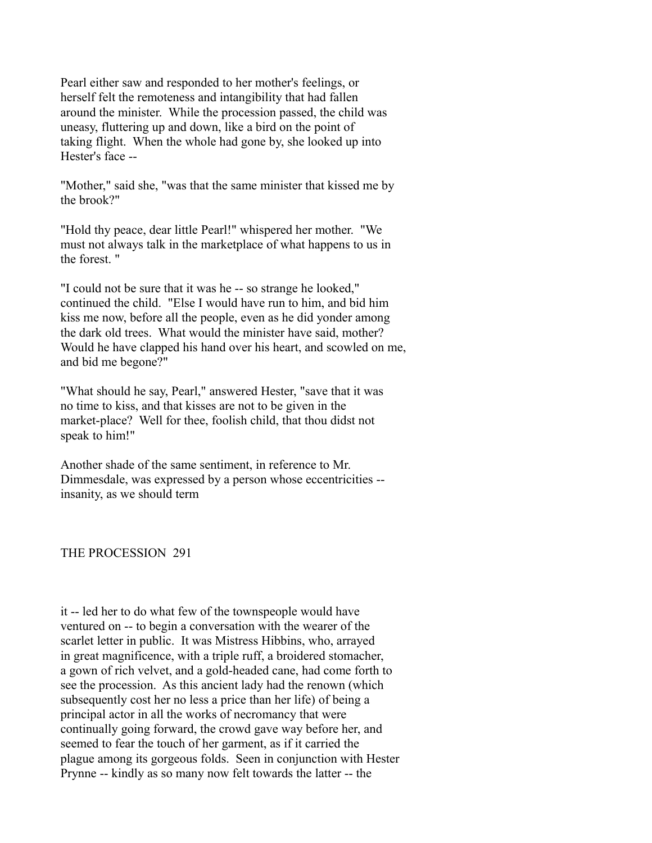Pearl either saw and responded to her mother's feelings, or herself felt the remoteness and intangibility that had fallen around the minister. While the procession passed, the child was uneasy, fluttering up and down, like a bird on the point of taking flight. When the whole had gone by, she looked up into Hester's face --

"Mother," said she, "was that the same minister that kissed me by the brook?"

"Hold thy peace, dear little Pearl!" whispered her mother. "We must not always talk in the marketplace of what happens to us in the forest. "

"I could not be sure that it was he -- so strange he looked," continued the child. "Else I would have run to him, and bid him kiss me now, before all the people, even as he did yonder among the dark old trees. What would the minister have said, mother? Would he have clapped his hand over his heart, and scowled on me, and bid me begone?"

"What should he say, Pearl," answered Hester, "save that it was no time to kiss, and that kisses are not to be given in the market-place? Well for thee, foolish child, that thou didst not speak to him!"

Another shade of the same sentiment, in reference to Mr. Dimmesdale, was expressed by a person whose eccentricities - insanity, as we should term

THE PROCESSION 291

it -- led her to do what few of the townspeople would have ventured on -- to begin a conversation with the wearer of the scarlet letter in public. It was Mistress Hibbins, who, arrayed in great magnificence, with a triple ruff, a broidered stomacher, a gown of rich velvet, and a gold-headed cane, had come forth to see the procession. As this ancient lady had the renown (which subsequently cost her no less a price than her life) of being a principal actor in all the works of necromancy that were continually going forward, the crowd gave way before her, and seemed to fear the touch of her garment, as if it carried the plague among its gorgeous folds. Seen in conjunction with Hester Prynne -- kindly as so many now felt towards the latter -- the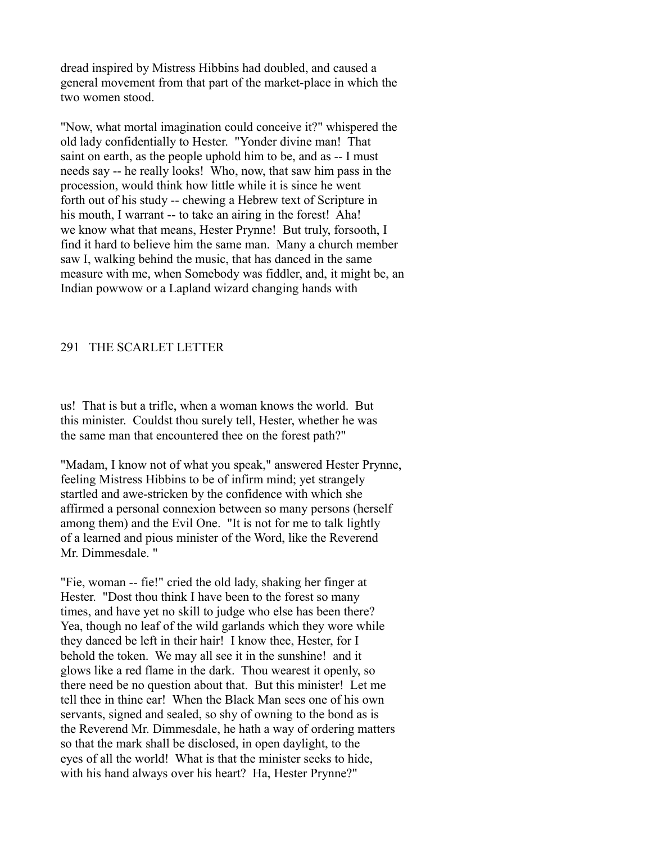dread inspired by Mistress Hibbins had doubled, and caused a general movement from that part of the market-place in which the two women stood.

"Now, what mortal imagination could conceive it?" whispered the old lady confidentially to Hester. "Yonder divine man! That saint on earth, as the people uphold him to be, and as -- I must needs say -- he really looks! Who, now, that saw him pass in the procession, would think how little while it is since he went forth out of his study -- chewing a Hebrew text of Scripture in his mouth, I warrant -- to take an airing in the forest! Aha! we know what that means, Hester Prynne! But truly, forsooth, I find it hard to believe him the same man. Many a church member saw I, walking behind the music, that has danced in the same measure with me, when Somebody was fiddler, and, it might be, an Indian powwow or a Lapland wizard changing hands with

### 291 THE SCARLET LETTER

us! That is but a trifle, when a woman knows the world. But this minister. Couldst thou surely tell, Hester, whether he was the same man that encountered thee on the forest path?"

"Madam, I know not of what you speak," answered Hester Prynne, feeling Mistress Hibbins to be of infirm mind; yet strangely startled and awe-stricken by the confidence with which she affirmed a personal connexion between so many persons (herself among them) and the Evil One. "It is not for me to talk lightly of a learned and pious minister of the Word, like the Reverend Mr. Dimmesdale. "

"Fie, woman -- fie!" cried the old lady, shaking her finger at Hester. "Dost thou think I have been to the forest so many times, and have yet no skill to judge who else has been there? Yea, though no leaf of the wild garlands which they wore while they danced be left in their hair! I know thee, Hester, for I behold the token. We may all see it in the sunshine! and it glows like a red flame in the dark. Thou wearest it openly, so there need be no question about that. But this minister! Let me tell thee in thine ear! When the Black Man sees one of his own servants, signed and sealed, so shy of owning to the bond as is the Reverend Mr. Dimmesdale, he hath a way of ordering matters so that the mark shall be disclosed, in open daylight, to the eyes of all the world! What is that the minister seeks to hide, with his hand always over his heart? Ha, Hester Prynne?"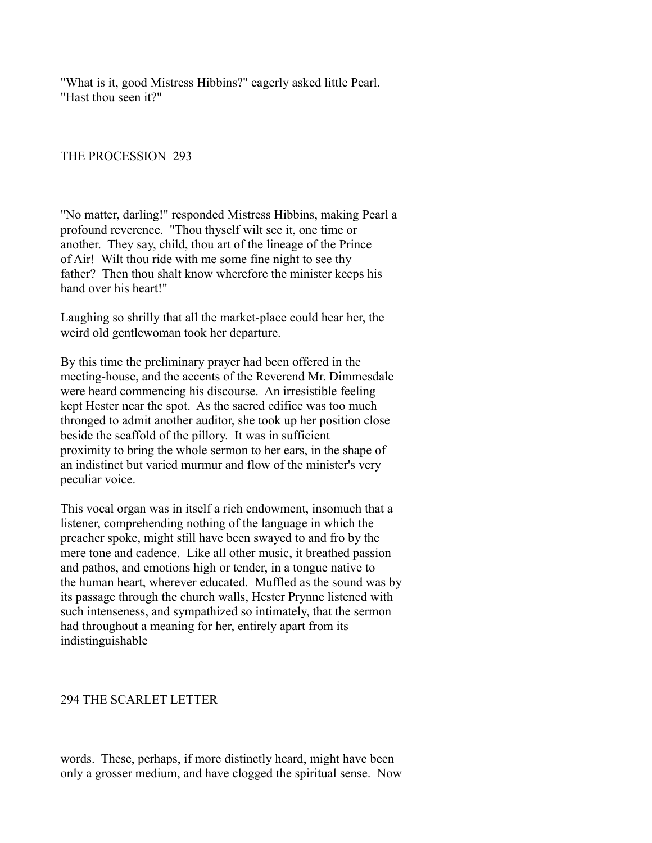"What is it, good Mistress Hibbins?" eagerly asked little Pearl. "Hast thou seen it?"

THE PROCESSION 293

"No matter, darling!" responded Mistress Hibbins, making Pearl a profound reverence. "Thou thyself wilt see it, one time or another. They say, child, thou art of the lineage of the Prince of Air! Wilt thou ride with me some fine night to see thy father? Then thou shalt know wherefore the minister keeps his hand over his heart!"

Laughing so shrilly that all the market-place could hear her, the weird old gentlewoman took her departure.

By this time the preliminary prayer had been offered in the meeting-house, and the accents of the Reverend Mr. Dimmesdale were heard commencing his discourse. An irresistible feeling kept Hester near the spot. As the sacred edifice was too much thronged to admit another auditor, she took up her position close beside the scaffold of the pillory. It was in sufficient proximity to bring the whole sermon to her ears, in the shape of an indistinct but varied murmur and flow of the minister's very peculiar voice.

This vocal organ was in itself a rich endowment, insomuch that a listener, comprehending nothing of the language in which the preacher spoke, might still have been swayed to and fro by the mere tone and cadence. Like all other music, it breathed passion and pathos, and emotions high or tender, in a tongue native to the human heart, wherever educated. Muffled as the sound was by its passage through the church walls, Hester Prynne listened with such intenseness, and sympathized so intimately, that the sermon had throughout a meaning for her, entirely apart from its indistinguishable

### 294 THE SCARLET LETTER

words. These, perhaps, if more distinctly heard, might have been only a grosser medium, and have clogged the spiritual sense. Now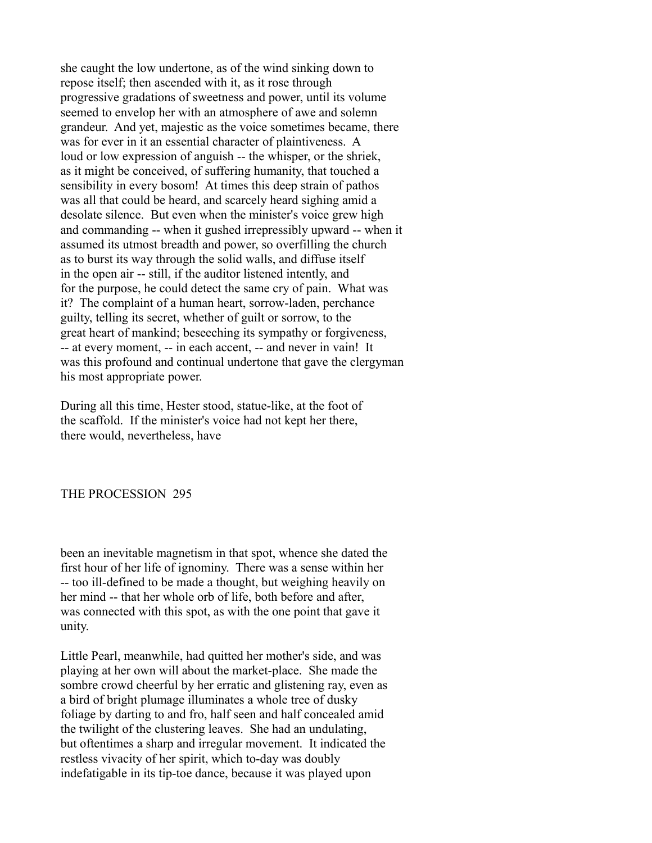she caught the low undertone, as of the wind sinking down to repose itself; then ascended with it, as it rose through progressive gradations of sweetness and power, until its volume seemed to envelop her with an atmosphere of awe and solemn grandeur. And yet, majestic as the voice sometimes became, there was for ever in it an essential character of plaintiveness. A loud or low expression of anguish -- the whisper, or the shriek, as it might be conceived, of suffering humanity, that touched a sensibility in every bosom! At times this deep strain of pathos was all that could be heard, and scarcely heard sighing amid a desolate silence. But even when the minister's voice grew high and commanding -- when it gushed irrepressibly upward -- when it assumed its utmost breadth and power, so overfilling the church as to burst its way through the solid walls, and diffuse itself in the open air -- still, if the auditor listened intently, and for the purpose, he could detect the same cry of pain. What was it? The complaint of a human heart, sorrow-laden, perchance guilty, telling its secret, whether of guilt or sorrow, to the great heart of mankind; beseeching its sympathy or forgiveness, -- at every moment, -- in each accent, -- and never in vain! It was this profound and continual undertone that gave the clergyman his most appropriate power.

During all this time, Hester stood, statue-like, at the foot of the scaffold. If the minister's voice had not kept her there, there would, nevertheless, have

### THE PROCESSION 295

been an inevitable magnetism in that spot, whence she dated the first hour of her life of ignominy. There was a sense within her -- too ill-defined to be made a thought, but weighing heavily on her mind -- that her whole orb of life, both before and after, was connected with this spot, as with the one point that gave it unity.

Little Pearl, meanwhile, had quitted her mother's side, and was playing at her own will about the market-place. She made the sombre crowd cheerful by her erratic and glistening ray, even as a bird of bright plumage illuminates a whole tree of dusky foliage by darting to and fro, half seen and half concealed amid the twilight of the clustering leaves. She had an undulating, but oftentimes a sharp and irregular movement. It indicated the restless vivacity of her spirit, which to-day was doubly indefatigable in its tip-toe dance, because it was played upon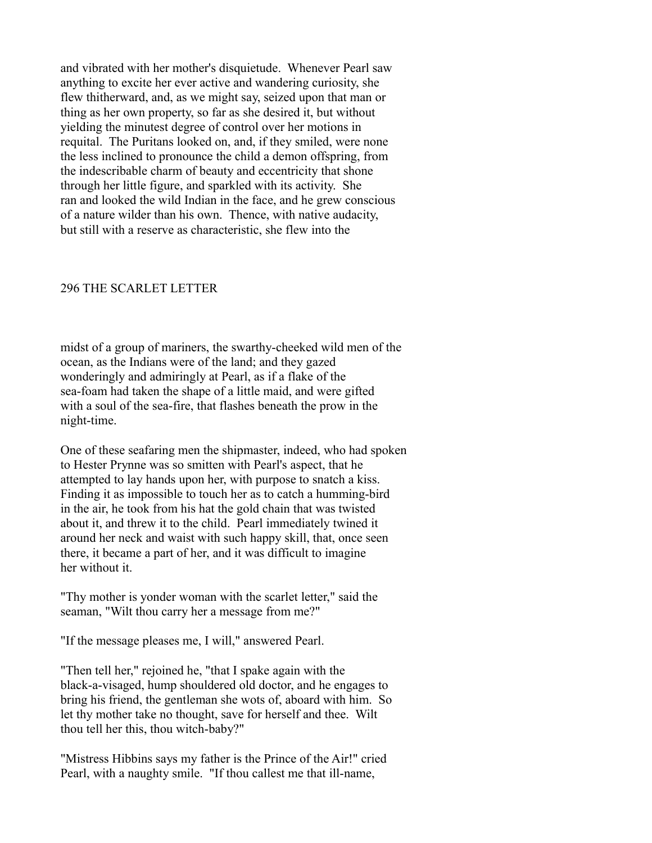and vibrated with her mother's disquietude. Whenever Pearl saw anything to excite her ever active and wandering curiosity, she flew thitherward, and, as we might say, seized upon that man or thing as her own property, so far as she desired it, but without yielding the minutest degree of control over her motions in requital. The Puritans looked on, and, if they smiled, were none the less inclined to pronounce the child a demon offspring, from the indescribable charm of beauty and eccentricity that shone through her little figure, and sparkled with its activity. She ran and looked the wild Indian in the face, and he grew conscious of a nature wilder than his own. Thence, with native audacity, but still with a reserve as characteristic, she flew into the

### 296 THE SCARLET LETTER

midst of a group of mariners, the swarthy-cheeked wild men of the ocean, as the Indians were of the land; and they gazed wonderingly and admiringly at Pearl, as if a flake of the sea-foam had taken the shape of a little maid, and were gifted with a soul of the sea-fire, that flashes beneath the prow in the night-time.

One of these seafaring men the shipmaster, indeed, who had spoken to Hester Prynne was so smitten with Pearl's aspect, that he attempted to lay hands upon her, with purpose to snatch a kiss. Finding it as impossible to touch her as to catch a humming-bird in the air, he took from his hat the gold chain that was twisted about it, and threw it to the child. Pearl immediately twined it around her neck and waist with such happy skill, that, once seen there, it became a part of her, and it was difficult to imagine her without it.

"Thy mother is yonder woman with the scarlet letter," said the seaman, "Wilt thou carry her a message from me?"

"If the message pleases me, I will," answered Pearl.

"Then tell her," rejoined he, "that I spake again with the black-a-visaged, hump shouldered old doctor, and he engages to bring his friend, the gentleman she wots of, aboard with him. So let thy mother take no thought, save for herself and thee. Wilt thou tell her this, thou witch-baby?"

"Mistress Hibbins says my father is the Prince of the Air!" cried Pearl, with a naughty smile. "If thou callest me that ill-name,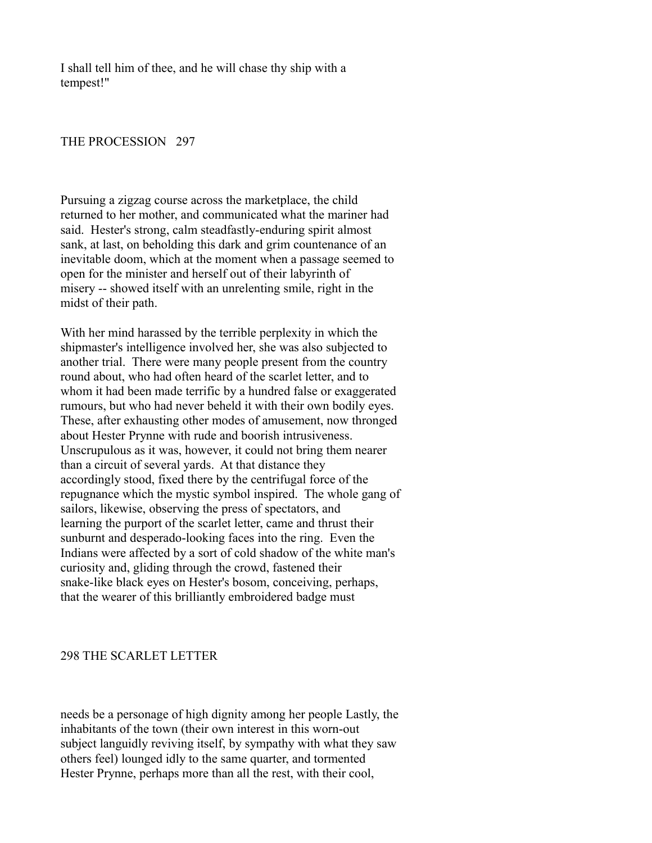I shall tell him of thee, and he will chase thy ship with a tempest!"

### THE PROCESSION 297

Pursuing a zigzag course across the marketplace, the child returned to her mother, and communicated what the mariner had said. Hester's strong, calm steadfastly-enduring spirit almost sank, at last, on beholding this dark and grim countenance of an inevitable doom, which at the moment when a passage seemed to open for the minister and herself out of their labyrinth of misery -- showed itself with an unrelenting smile, right in the midst of their path.

With her mind harassed by the terrible perplexity in which the shipmaster's intelligence involved her, she was also subjected to another trial. There were many people present from the country round about, who had often heard of the scarlet letter, and to whom it had been made terrific by a hundred false or exaggerated rumours, but who had never beheld it with their own bodily eyes. These, after exhausting other modes of amusement, now thronged about Hester Prynne with rude and boorish intrusiveness. Unscrupulous as it was, however, it could not bring them nearer than a circuit of several yards. At that distance they accordingly stood, fixed there by the centrifugal force of the repugnance which the mystic symbol inspired. The whole gang of sailors, likewise, observing the press of spectators, and learning the purport of the scarlet letter, came and thrust their sunburnt and desperado-looking faces into the ring. Even the Indians were affected by a sort of cold shadow of the white man's curiosity and, gliding through the crowd, fastened their snake-like black eyes on Hester's bosom, conceiving, perhaps, that the wearer of this brilliantly embroidered badge must

### 298 THE SCARLET LETTER

needs be a personage of high dignity among her people Lastly, the inhabitants of the town (their own interest in this worn-out subject languidly reviving itself, by sympathy with what they saw others feel) lounged idly to the same quarter, and tormented Hester Prynne, perhaps more than all the rest, with their cool,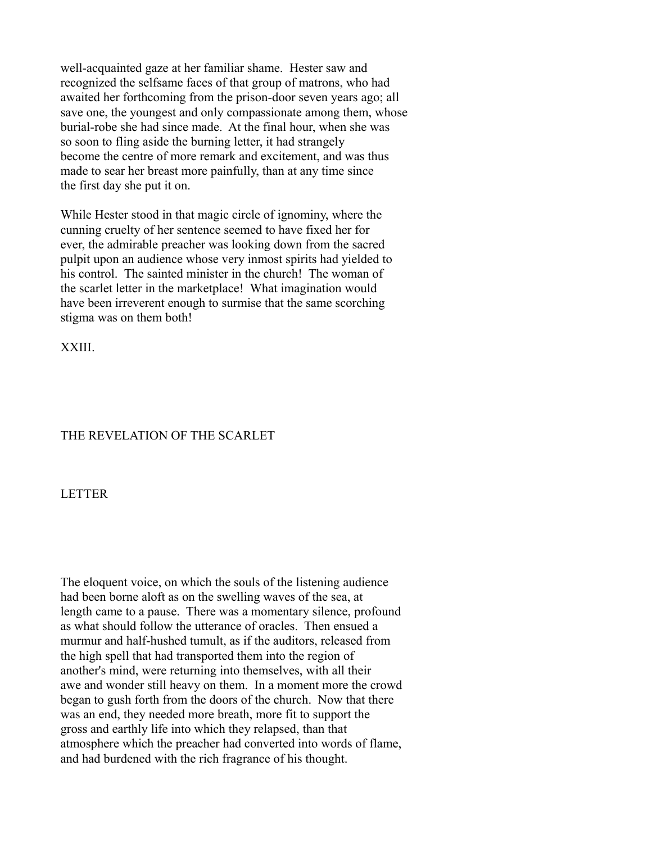well-acquainted gaze at her familiar shame. Hester saw and recognized the selfsame faces of that group of matrons, who had awaited her forthcoming from the prison-door seven years ago; all save one, the youngest and only compassionate among them, whose burial-robe she had since made. At the final hour, when she was so soon to fling aside the burning letter, it had strangely become the centre of more remark and excitement, and was thus made to sear her breast more painfully, than at any time since the first day she put it on.

While Hester stood in that magic circle of ignominy, where the cunning cruelty of her sentence seemed to have fixed her for ever, the admirable preacher was looking down from the sacred pulpit upon an audience whose very inmost spirits had yielded to his control. The sainted minister in the church! The woman of the scarlet letter in the marketplace! What imagination would have been irreverent enough to surmise that the same scorching stigma was on them both!

XXIII.

# THE REVELATION OF THE SCARLET

LETTER

The eloquent voice, on which the souls of the listening audience had been borne aloft as on the swelling waves of the sea, at length came to a pause. There was a momentary silence, profound as what should follow the utterance of oracles. Then ensued a murmur and half-hushed tumult, as if the auditors, released from the high spell that had transported them into the region of another's mind, were returning into themselves, with all their awe and wonder still heavy on them. In a moment more the crowd began to gush forth from the doors of the church. Now that there was an end, they needed more breath, more fit to support the gross and earthly life into which they relapsed, than that atmosphere which the preacher had converted into words of flame, and had burdened with the rich fragrance of his thought.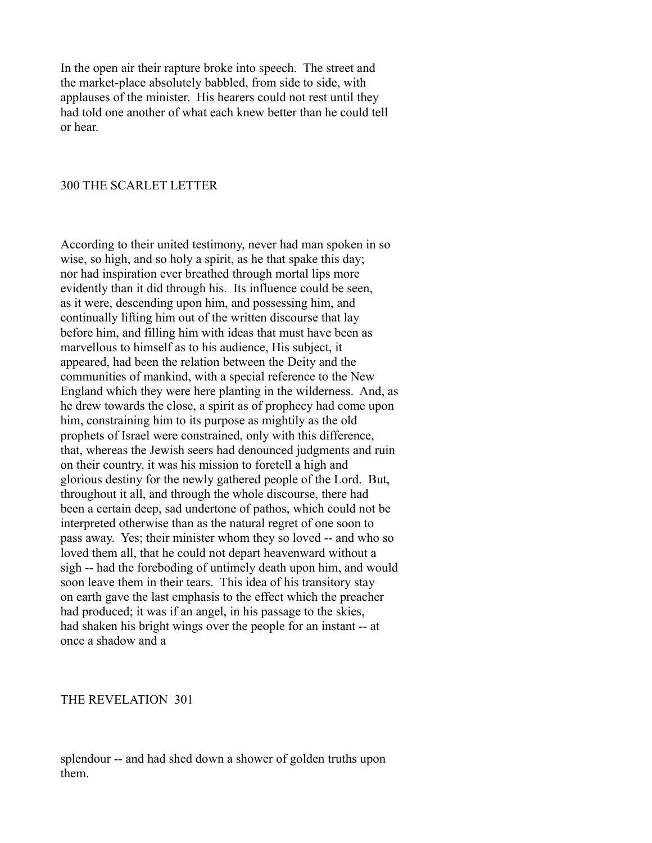In the open air their rapture broke into speech. The street and the market-place absolutely babbled, from side to side, with applauses of the minister. His hearers could not rest until they had told one another of what each knew better than he could tell or hear.

#### 300 THE SCARLET LETTER

According to their united testimony, never had man spoken in so wise, so high, and so holy a spirit, as he that spake this day; nor had inspiration ever breathed through mortal lips more evidently than it did through his. Its influence could be seen, as it were, descending upon him, and possessing him, and continually lifting him out of the written discourse that lay before him, and filling him with ideas that must have been as marvellous to himself as to his audience, His subject, it appeared, had been the relation between the Deity and the communities of mankind, with a special reference to the New England which they were here planting in the wilderness. And, as he drew towards the close, a spirit as of prophecy had come upon him, constraining him to its purpose as mightily as the old prophets of Israel were constrained, only with this difference, that, whereas the Jewish seers had denounced judgments and ruin on their country, it was his mission to foretell a high and glorious destiny for the newly gathered people of the Lord. But, throughout it all, and through the whole discourse, there had been a certain deep, sad undertone of pathos, which could not be interpreted otherwise than as the natural regret of one soon to pass away. Yes; their minister whom they so loved -- and who so loved them all, that he could not depart heavenward without a sigh -- had the foreboding of untimely death upon him, and would soon leave them in their tears. This idea of his transitory stay on earth gave the last emphasis to the effect which the preacher had produced; it was if an angel, in his passage to the skies, had shaken his bright wings over the people for an instant -- at once a shadow and a

#### THE REVELATION 301

splendour -- and had shed down a shower of golden truths upon them.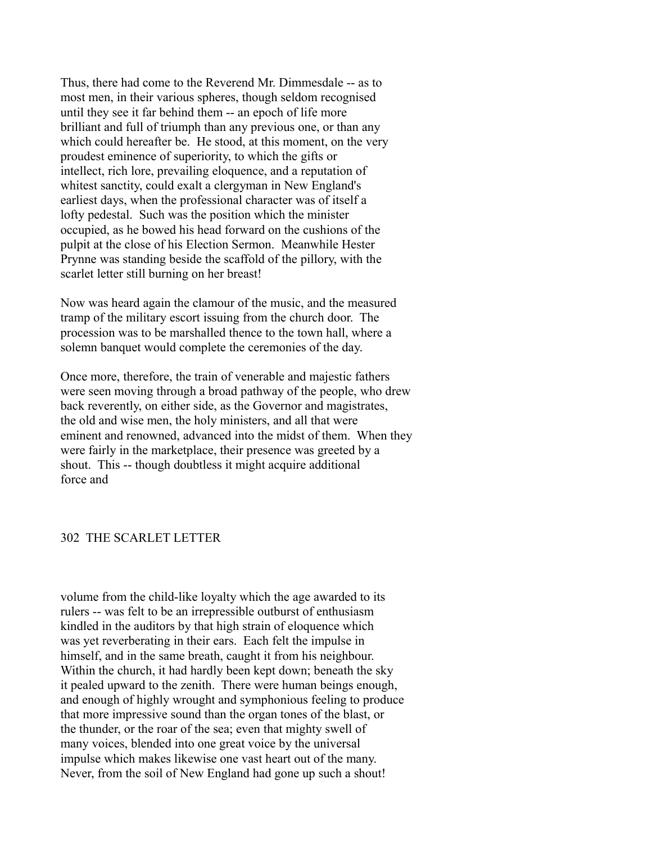Thus, there had come to the Reverend Mr. Dimmesdale -- as to most men, in their various spheres, though seldom recognised until they see it far behind them -- an epoch of life more brilliant and full of triumph than any previous one, or than any which could hereafter be. He stood, at this moment, on the very proudest eminence of superiority, to which the gifts or intellect, rich lore, prevailing eloquence, and a reputation of whitest sanctity, could exalt a clergyman in New England's earliest days, when the professional character was of itself a lofty pedestal. Such was the position which the minister occupied, as he bowed his head forward on the cushions of the pulpit at the close of his Election Sermon. Meanwhile Hester Prynne was standing beside the scaffold of the pillory, with the scarlet letter still burning on her breast!

Now was heard again the clamour of the music, and the measured tramp of the military escort issuing from the church door. The procession was to be marshalled thence to the town hall, where a solemn banquet would complete the ceremonies of the day.

Once more, therefore, the train of venerable and majestic fathers were seen moving through a broad pathway of the people, who drew back reverently, on either side, as the Governor and magistrates, the old and wise men, the holy ministers, and all that were eminent and renowned, advanced into the midst of them. When they were fairly in the marketplace, their presence was greeted by a shout. This -- though doubtless it might acquire additional force and

### 302 THE SCARLET LETTER

volume from the child-like loyalty which the age awarded to its rulers -- was felt to be an irrepressible outburst of enthusiasm kindled in the auditors by that high strain of eloquence which was yet reverberating in their ears. Each felt the impulse in himself, and in the same breath, caught it from his neighbour. Within the church, it had hardly been kept down; beneath the sky it pealed upward to the zenith. There were human beings enough, and enough of highly wrought and symphonious feeling to produce that more impressive sound than the organ tones of the blast, or the thunder, or the roar of the sea; even that mighty swell of many voices, blended into one great voice by the universal impulse which makes likewise one vast heart out of the many. Never, from the soil of New England had gone up such a shout!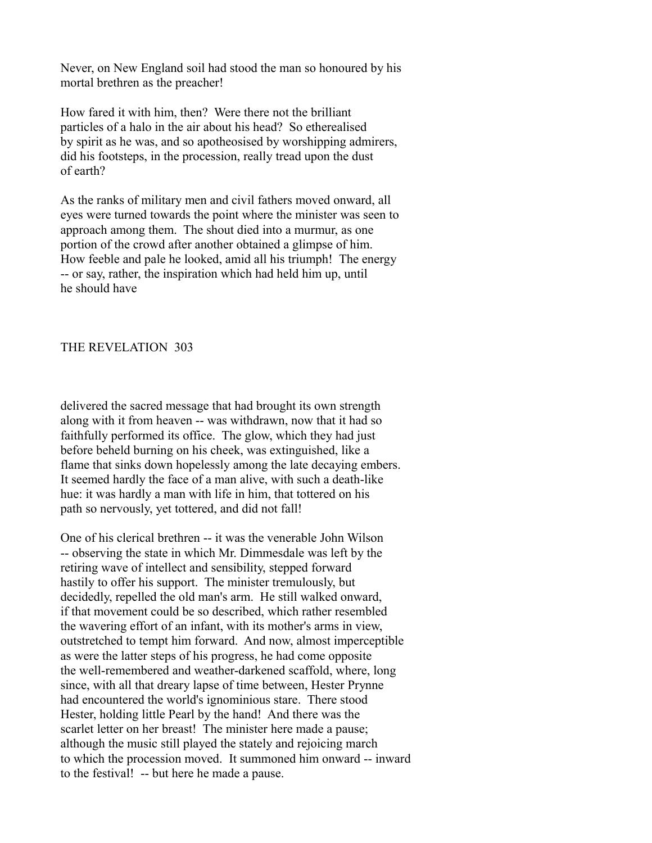Never, on New England soil had stood the man so honoured by his mortal brethren as the preacher!

How fared it with him, then? Were there not the brilliant particles of a halo in the air about his head? So etherealised by spirit as he was, and so apotheosised by worshipping admirers, did his footsteps, in the procession, really tread upon the dust of earth?

As the ranks of military men and civil fathers moved onward, all eyes were turned towards the point where the minister was seen to approach among them. The shout died into a murmur, as one portion of the crowd after another obtained a glimpse of him. How feeble and pale he looked, amid all his triumph! The energy -- or say, rather, the inspiration which had held him up, until he should have

# THE REVELATION 303

delivered the sacred message that had brought its own strength along with it from heaven -- was withdrawn, now that it had so faithfully performed its office. The glow, which they had just before beheld burning on his cheek, was extinguished, like a flame that sinks down hopelessly among the late decaying embers. It seemed hardly the face of a man alive, with such a death-like hue: it was hardly a man with life in him, that tottered on his path so nervously, yet tottered, and did not fall!

One of his clerical brethren -- it was the venerable John Wilson -- observing the state in which Mr. Dimmesdale was left by the retiring wave of intellect and sensibility, stepped forward hastily to offer his support. The minister tremulously, but decidedly, repelled the old man's arm. He still walked onward, if that movement could be so described, which rather resembled the wavering effort of an infant, with its mother's arms in view, outstretched to tempt him forward. And now, almost imperceptible as were the latter steps of his progress, he had come opposite the well-remembered and weather-darkened scaffold, where, long since, with all that dreary lapse of time between, Hester Prynne had encountered the world's ignominious stare. There stood Hester, holding little Pearl by the hand! And there was the scarlet letter on her breast! The minister here made a pause; although the music still played the stately and rejoicing march to which the procession moved. It summoned him onward -- inward to the festival! -- but here he made a pause.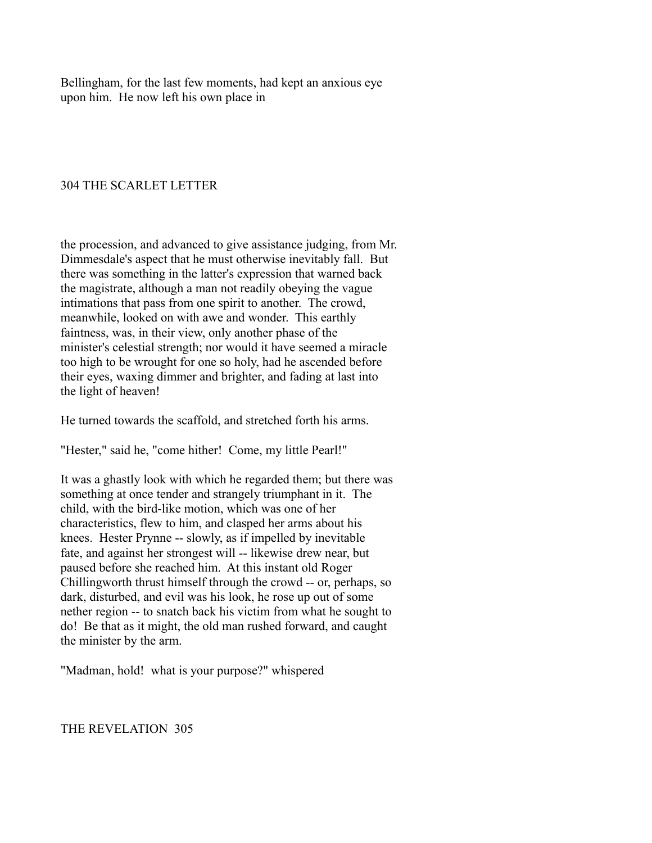Bellingham, for the last few moments, had kept an anxious eye upon him. He now left his own place in

## 304 THE SCARLET LETTER

the procession, and advanced to give assistance judging, from Mr. Dimmesdale's aspect that he must otherwise inevitably fall. But there was something in the latter's expression that warned back the magistrate, although a man not readily obeying the vague intimations that pass from one spirit to another. The crowd, meanwhile, looked on with awe and wonder. This earthly faintness, was, in their view, only another phase of the minister's celestial strength; nor would it have seemed a miracle too high to be wrought for one so holy, had he ascended before their eyes, waxing dimmer and brighter, and fading at last into the light of heaven!

He turned towards the scaffold, and stretched forth his arms.

"Hester," said he, "come hither! Come, my little Pearl!"

It was a ghastly look with which he regarded them; but there was something at once tender and strangely triumphant in it. The child, with the bird-like motion, which was one of her characteristics, flew to him, and clasped her arms about his knees. Hester Prynne -- slowly, as if impelled by inevitable fate, and against her strongest will -- likewise drew near, but paused before she reached him. At this instant old Roger Chillingworth thrust himself through the crowd -- or, perhaps, so dark, disturbed, and evil was his look, he rose up out of some nether region -- to snatch back his victim from what he sought to do! Be that as it might, the old man rushed forward, and caught the minister by the arm.

"Madman, hold! what is your purpose?" whispered

THE REVELATION 305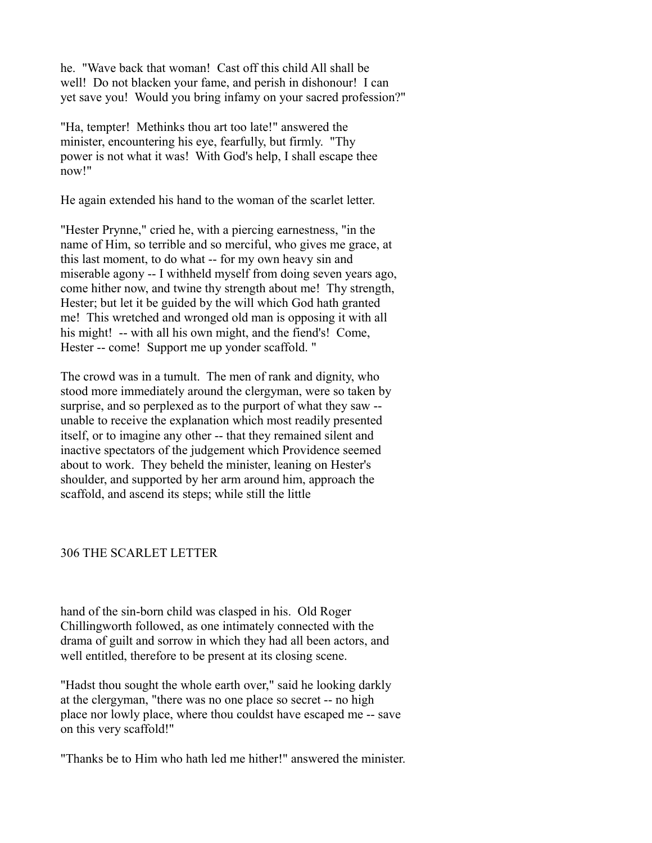he. "Wave back that woman! Cast off this child All shall be well! Do not blacken your fame, and perish in dishonour! I can yet save you! Would you bring infamy on your sacred profession?"

"Ha, tempter! Methinks thou art too late!" answered the minister, encountering his eye, fearfully, but firmly. "Thy power is not what it was! With God's help, I shall escape thee now!"

He again extended his hand to the woman of the scarlet letter.

"Hester Prynne," cried he, with a piercing earnestness, "in the name of Him, so terrible and so merciful, who gives me grace, at this last moment, to do what -- for my own heavy sin and miserable agony -- I withheld myself from doing seven years ago, come hither now, and twine thy strength about me! Thy strength, Hester; but let it be guided by the will which God hath granted me! This wretched and wronged old man is opposing it with all his might! -- with all his own might, and the fiend's! Come, Hester -- come! Support me up yonder scaffold. "

The crowd was in a tumult. The men of rank and dignity, who stood more immediately around the clergyman, were so taken by surprise, and so perplexed as to the purport of what they saw - unable to receive the explanation which most readily presented itself, or to imagine any other -- that they remained silent and inactive spectators of the judgement which Providence seemed about to work. They beheld the minister, leaning on Hester's shoulder, and supported by her arm around him, approach the scaffold, and ascend its steps; while still the little

# 306 THE SCARLET LETTER

hand of the sin-born child was clasped in his. Old Roger Chillingworth followed, as one intimately connected with the drama of guilt and sorrow in which they had all been actors, and well entitled, therefore to be present at its closing scene.

"Hadst thou sought the whole earth over," said he looking darkly at the clergyman, "there was no one place so secret -- no high place nor lowly place, where thou couldst have escaped me -- save on this very scaffold!"

"Thanks be to Him who hath led me hither!" answered the minister.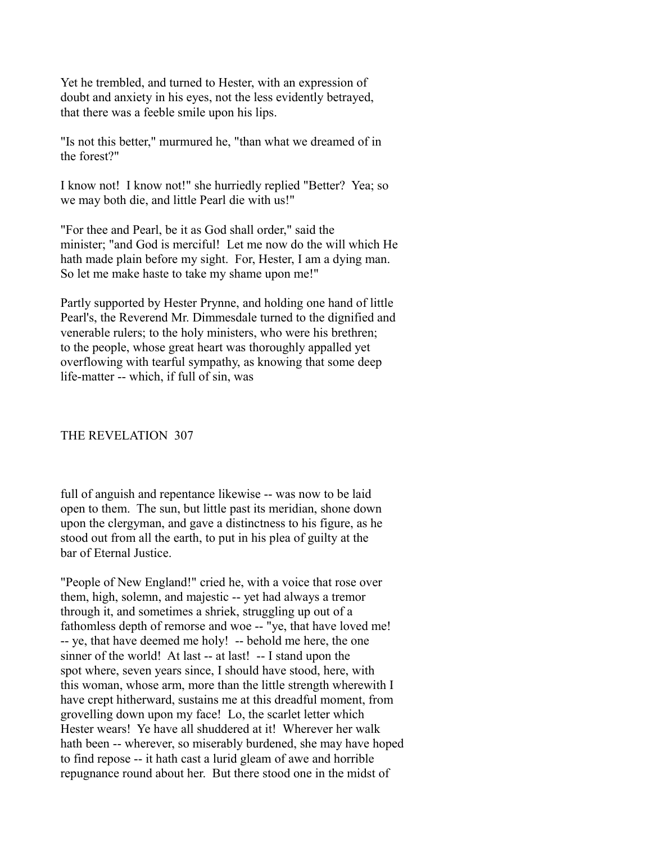Yet he trembled, and turned to Hester, with an expression of doubt and anxiety in his eyes, not the less evidently betrayed, that there was a feeble smile upon his lips.

"Is not this better," murmured he, "than what we dreamed of in the forest?"

I know not! I know not!" she hurriedly replied "Better? Yea; so we may both die, and little Pearl die with us!"

"For thee and Pearl, be it as God shall order," said the minister; "and God is merciful! Let me now do the will which He hath made plain before my sight. For, Hester, I am a dying man. So let me make haste to take my shame upon me!"

Partly supported by Hester Prynne, and holding one hand of little Pearl's, the Reverend Mr. Dimmesdale turned to the dignified and venerable rulers; to the holy ministers, who were his brethren; to the people, whose great heart was thoroughly appalled yet overflowing with tearful sympathy, as knowing that some deep life-matter -- which, if full of sin, was

# THE REVELATION 307

full of anguish and repentance likewise -- was now to be laid open to them. The sun, but little past its meridian, shone down upon the clergyman, and gave a distinctness to his figure, as he stood out from all the earth, to put in his plea of guilty at the bar of Eternal Justice.

"People of New England!" cried he, with a voice that rose over them, high, solemn, and majestic -- yet had always a tremor through it, and sometimes a shriek, struggling up out of a fathomless depth of remorse and woe -- "ye, that have loved me! -- ye, that have deemed me holy! -- behold me here, the one sinner of the world! At last -- at last! -- I stand upon the spot where, seven years since, I should have stood, here, with this woman, whose arm, more than the little strength wherewith I have crept hitherward, sustains me at this dreadful moment, from grovelling down upon my face! Lo, the scarlet letter which Hester wears! Ye have all shuddered at it! Wherever her walk hath been -- wherever, so miserably burdened, she may have hoped to find repose -- it hath cast a lurid gleam of awe and horrible repugnance round about her. But there stood one in the midst of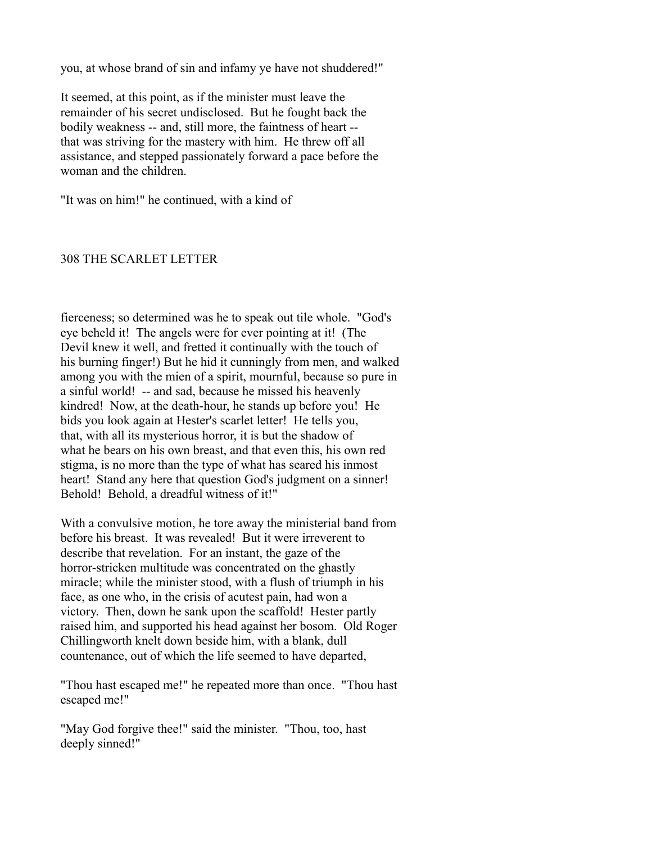you, at whose brand of sin and infamy ye have not shuddered!"

It seemed, at this point, as if the minister must leave the remainder of his secret undisclosed. But he fought back the bodily weakness -- and, still more, the faintness of heart - that was striving for the mastery with him. He threw off all assistance, and stepped passionately forward a pace before the woman and the children.

"It was on him!" he continued, with a kind of

#### 308 THE SCARLET LETTER

fierceness; so determined was he to speak out tile whole. "God's eye beheld it! The angels were for ever pointing at it! (The Devil knew it well, and fretted it continually with the touch of his burning finger!) But he hid it cunningly from men, and walked among you with the mien of a spirit, mournful, because so pure in a sinful world! -- and sad, because he missed his heavenly kindred! Now, at the death-hour, he stands up before you! He bids you look again at Hester's scarlet letter! He tells you, that, with all its mysterious horror, it is but the shadow of what he bears on his own breast, and that even this, his own red stigma, is no more than the type of what has seared his inmost heart! Stand any here that question God's judgment on a sinner! Behold! Behold, a dreadful witness of it!"

With a convulsive motion, he tore away the ministerial band from before his breast. It was revealed! But it were irreverent to describe that revelation. For an instant, the gaze of the horror-stricken multitude was concentrated on the ghastly miracle; while the minister stood, with a flush of triumph in his face, as one who, in the crisis of acutest pain, had won a victory. Then, down he sank upon the scaffold! Hester partly raised him, and supported his head against her bosom. Old Roger Chillingworth knelt down beside him, with a blank, dull countenance, out of which the life seemed to have departed,

"Thou hast escaped me!" he repeated more than once. "Thou hast escaped me!"

"May God forgive thee!" said the minister. "Thou, too, hast deeply sinned!"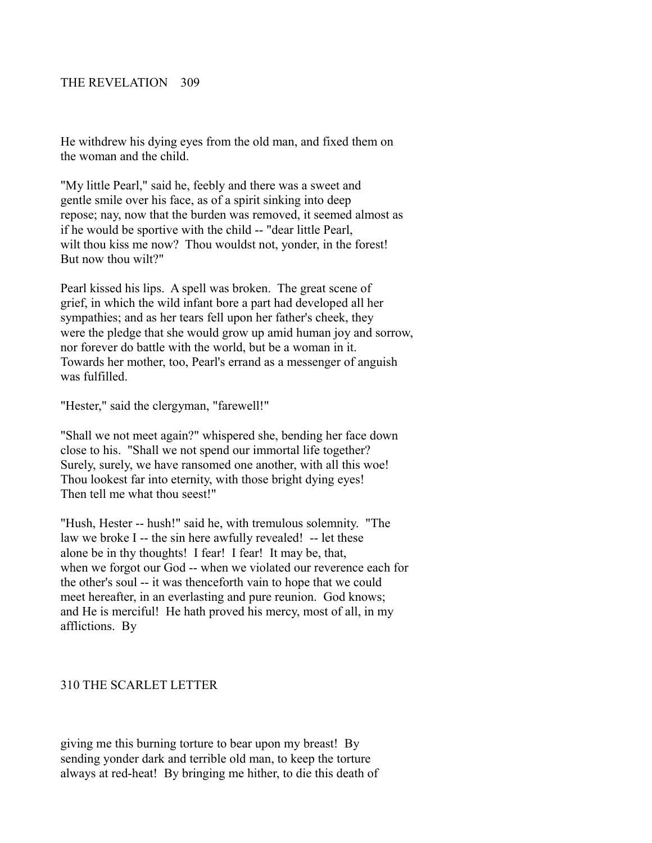He withdrew his dying eyes from the old man, and fixed them on the woman and the child.

"My little Pearl," said he, feebly and there was a sweet and gentle smile over his face, as of a spirit sinking into deep repose; nay, now that the burden was removed, it seemed almost as if he would be sportive with the child -- "dear little Pearl, wilt thou kiss me now? Thou wouldst not, yonder, in the forest! But now thou wilt?"

Pearl kissed his lips. A spell was broken. The great scene of grief, in which the wild infant bore a part had developed all her sympathies; and as her tears fell upon her father's cheek, they were the pledge that she would grow up amid human joy and sorrow, nor forever do battle with the world, but be a woman in it. Towards her mother, too, Pearl's errand as a messenger of anguish was fulfilled.

"Hester," said the clergyman, "farewell!"

"Shall we not meet again?" whispered she, bending her face down close to his. "Shall we not spend our immortal life together? Surely, surely, we have ransomed one another, with all this woe! Thou lookest far into eternity, with those bright dying eyes! Then tell me what thou seest!"

"Hush, Hester -- hush!" said he, with tremulous solemnity. "The law we broke I -- the sin here awfully revealed! -- let these alone be in thy thoughts! I fear! I fear! It may be, that, when we forgot our God -- when we violated our reverence each for the other's soul -- it was thenceforth vain to hope that we could meet hereafter, in an everlasting and pure reunion. God knows; and He is merciful! He hath proved his mercy, most of all, in my afflictions. By

# 310 THE SCARLET LETTER

giving me this burning torture to bear upon my breast! By sending yonder dark and terrible old man, to keep the torture always at red-heat! By bringing me hither, to die this death of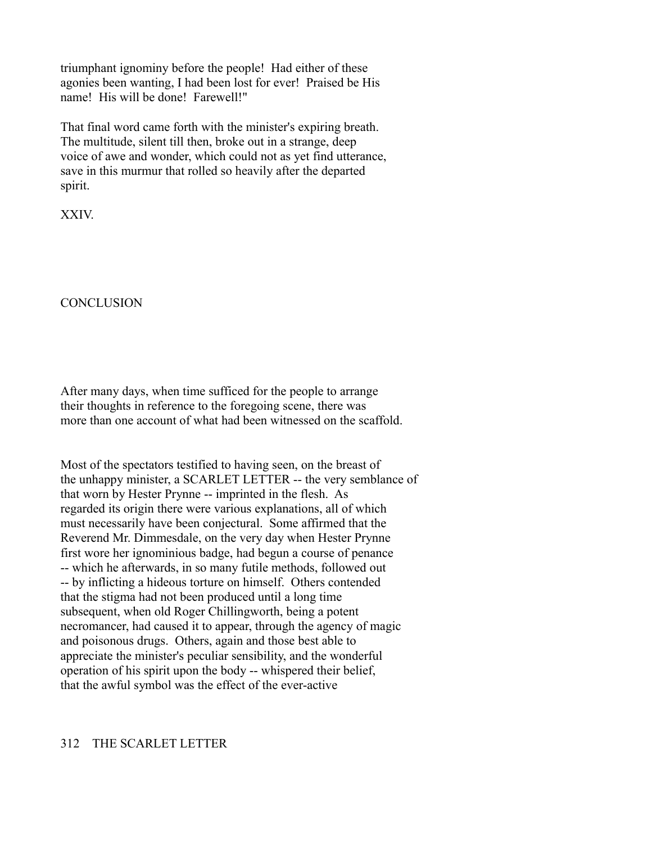triumphant ignominy before the people! Had either of these agonies been wanting, I had been lost for ever! Praised be His name! His will be done! Farewell!"

That final word came forth with the minister's expiring breath. The multitude, silent till then, broke out in a strange, deep voice of awe and wonder, which could not as yet find utterance, save in this murmur that rolled so heavily after the departed spirit.

XXIV.

**CONCLUSION** 

After many days, when time sufficed for the people to arrange their thoughts in reference to the foregoing scene, there was more than one account of what had been witnessed on the scaffold.

Most of the spectators testified to having seen, on the breast of the unhappy minister, a SCARLET LETTER -- the very semblance of that worn by Hester Prynne -- imprinted in the flesh. As regarded its origin there were various explanations, all of which must necessarily have been conjectural. Some affirmed that the Reverend Mr. Dimmesdale, on the very day when Hester Prynne first wore her ignominious badge, had begun a course of penance -- which he afterwards, in so many futile methods, followed out -- by inflicting a hideous torture on himself. Others contended that the stigma had not been produced until a long time subsequent, when old Roger Chillingworth, being a potent necromancer, had caused it to appear, through the agency of magic and poisonous drugs. Others, again and those best able to appreciate the minister's peculiar sensibility, and the wonderful operation of his spirit upon the body -- whispered their belief, that the awful symbol was the effect of the ever-active

312 THE SCARLET LETTER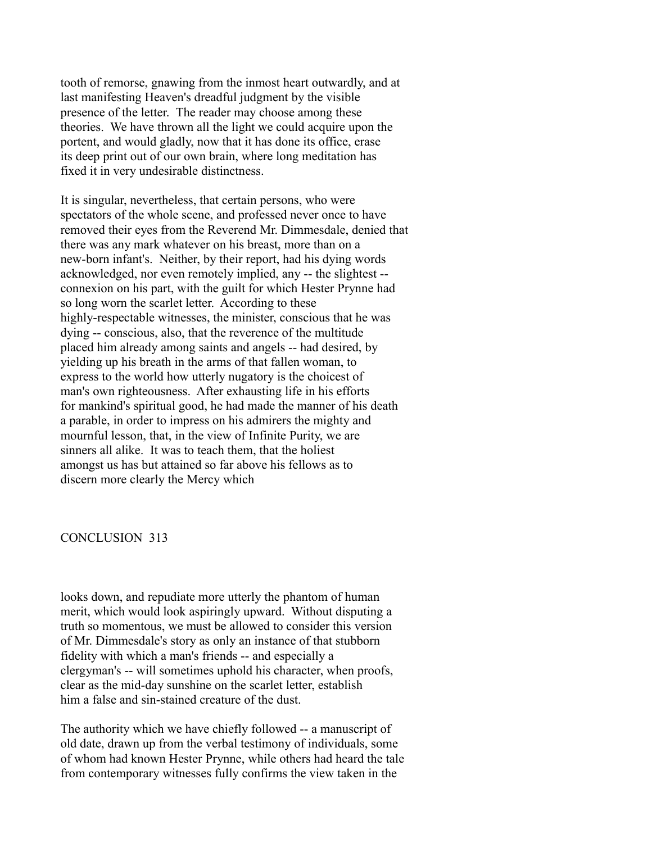tooth of remorse, gnawing from the inmost heart outwardly, and at last manifesting Heaven's dreadful judgment by the visible presence of the letter. The reader may choose among these theories. We have thrown all the light we could acquire upon the portent, and would gladly, now that it has done its office, erase its deep print out of our own brain, where long meditation has fixed it in very undesirable distinctness.

It is singular, nevertheless, that certain persons, who were spectators of the whole scene, and professed never once to have removed their eyes from the Reverend Mr. Dimmesdale, denied that there was any mark whatever on his breast, more than on a new-born infant's. Neither, by their report, had his dying words acknowledged, nor even remotely implied, any -- the slightest - connexion on his part, with the guilt for which Hester Prynne had so long worn the scarlet letter. According to these highly-respectable witnesses, the minister, conscious that he was dying -- conscious, also, that the reverence of the multitude placed him already among saints and angels -- had desired, by yielding up his breath in the arms of that fallen woman, to express to the world how utterly nugatory is the choicest of man's own righteousness. After exhausting life in his efforts for mankind's spiritual good, he had made the manner of his death a parable, in order to impress on his admirers the mighty and mournful lesson, that, in the view of Infinite Purity, we are sinners all alike. It was to teach them, that the holiest amongst us has but attained so far above his fellows as to discern more clearly the Mercy which

#### CONCLUSION 313

looks down, and repudiate more utterly the phantom of human merit, which would look aspiringly upward. Without disputing a truth so momentous, we must be allowed to consider this version of Mr. Dimmesdale's story as only an instance of that stubborn fidelity with which a man's friends -- and especially a clergyman's -- will sometimes uphold his character, when proofs, clear as the mid-day sunshine on the scarlet letter, establish him a false and sin-stained creature of the dust.

The authority which we have chiefly followed -- a manuscript of old date, drawn up from the verbal testimony of individuals, some of whom had known Hester Prynne, while others had heard the tale from contemporary witnesses fully confirms the view taken in the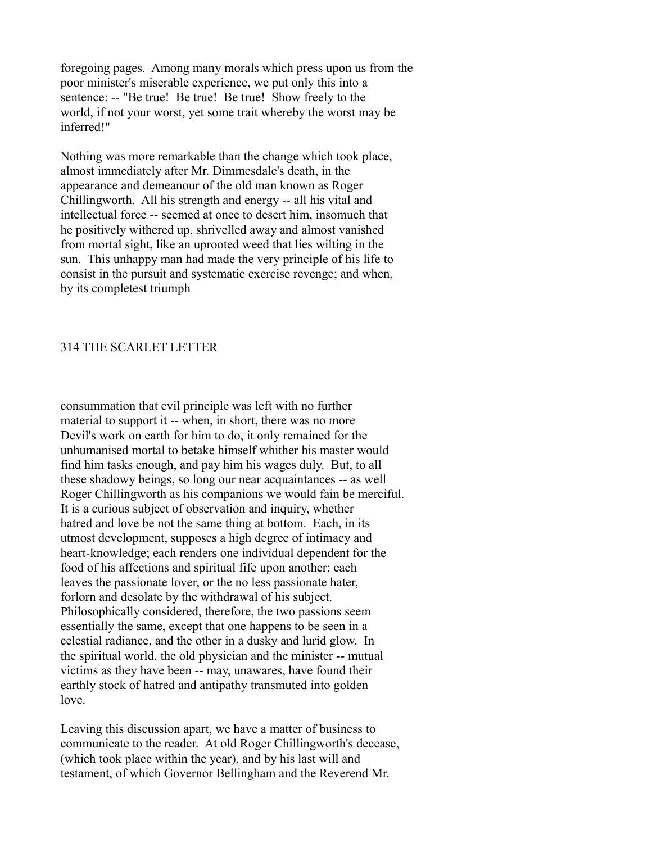foregoing pages. Among many morals which press upon us from the poor minister's miserable experience, we put only this into a sentence: -- "Be true! Be true! Be true! Show freely to the world, if not your worst, yet some trait whereby the worst may be inferred!"

Nothing was more remarkable than the change which took place, almost immediately after Mr. Dimmesdale's death, in the appearance and demeanour of the old man known as Roger Chillingworth. All his strength and energy -- all his vital and intellectual force -- seemed at once to desert him, insomuch that he positively withered up, shrivelled away and almost vanished from mortal sight, like an uprooted weed that lies wilting in the sun. This unhappy man had made the very principle of his life to consist in the pursuit and systematic exercise revenge; and when, by its completest triumph

# 314 THE SCARLET LETTER

consummation that evil principle was left with no further material to support it -- when, in short, there was no more Devil's work on earth for him to do, it only remained for the unhumanised mortal to betake himself whither his master would find him tasks enough, and pay him his wages duly. But, to all these shadowy beings, so long our near acquaintances -- as well Roger Chillingworth as his companions we would fain be merciful. It is a curious subject of observation and inquiry, whether hatred and love be not the same thing at bottom. Each, in its utmost development, supposes a high degree of intimacy and heart-knowledge; each renders one individual dependent for the food of his affections and spiritual fife upon another: each leaves the passionate lover, or the no less passionate hater, forlorn and desolate by the withdrawal of his subject. Philosophically considered, therefore, the two passions seem essentially the same, except that one happens to be seen in a celestial radiance, and the other in a dusky and lurid glow. In the spiritual world, the old physician and the minister -- mutual victims as they have been -- may, unawares, have found their earthly stock of hatred and antipathy transmuted into golden love.

Leaving this discussion apart, we have a matter of business to communicate to the reader. At old Roger Chillingworth's decease, (which took place within the year), and by his last will and testament, of which Governor Bellingham and the Reverend Mr.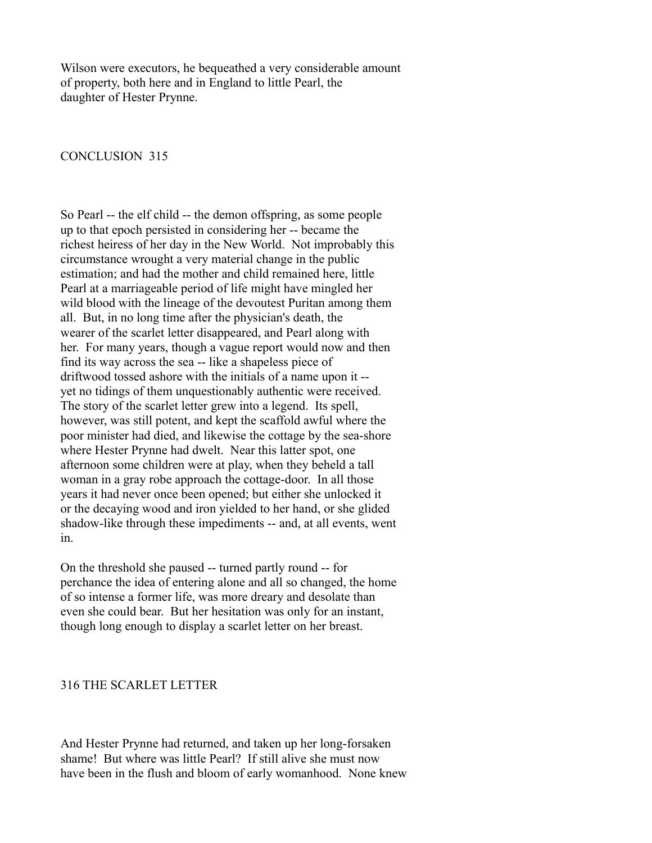Wilson were executors, he bequeathed a very considerable amount of property, both here and in England to little Pearl, the daughter of Hester Prynne.

CONCLUSION 315

So Pearl -- the elf child -- the demon offspring, as some people up to that epoch persisted in considering her -- became the richest heiress of her day in the New World. Not improbably this circumstance wrought a very material change in the public estimation; and had the mother and child remained here, little Pearl at a marriageable period of life might have mingled her wild blood with the lineage of the devoutest Puritan among them all. But, in no long time after the physician's death, the wearer of the scarlet letter disappeared, and Pearl along with her. For many years, though a vague report would now and then find its way across the sea -- like a shapeless piece of driftwood tossed ashore with the initials of a name upon it - yet no tidings of them unquestionably authentic were received. The story of the scarlet letter grew into a legend. Its spell, however, was still potent, and kept the scaffold awful where the poor minister had died, and likewise the cottage by the sea-shore where Hester Prynne had dwelt. Near this latter spot, one afternoon some children were at play, when they beheld a tall woman in a gray robe approach the cottage-door. In all those years it had never once been opened; but either she unlocked it or the decaying wood and iron yielded to her hand, or she glided shadow-like through these impediments -- and, at all events, went in.

On the threshold she paused -- turned partly round -- for perchance the idea of entering alone and all so changed, the home of so intense a former life, was more dreary and desolate than even she could bear. But her hesitation was only for an instant, though long enough to display a scarlet letter on her breast.

## 316 THE SCARLET LETTER

And Hester Prynne had returned, and taken up her long-forsaken shame! But where was little Pearl? If still alive she must now have been in the flush and bloom of early womanhood. None knew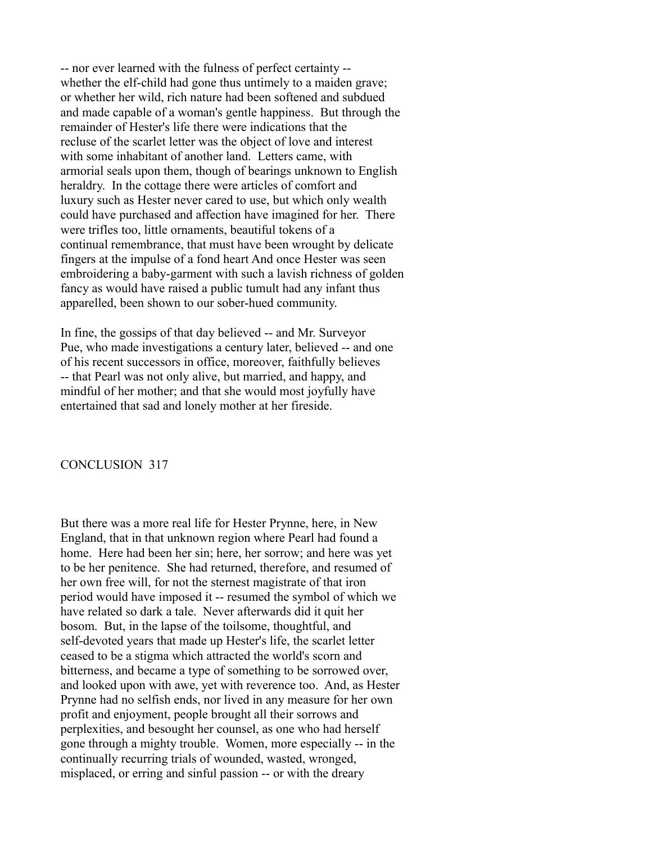-- nor ever learned with the fulness of perfect certainty - whether the elf-child had gone thus untimely to a maiden grave; or whether her wild, rich nature had been softened and subdued and made capable of a woman's gentle happiness. But through the remainder of Hester's life there were indications that the recluse of the scarlet letter was the object of love and interest with some inhabitant of another land. Letters came, with armorial seals upon them, though of bearings unknown to English heraldry. In the cottage there were articles of comfort and luxury such as Hester never cared to use, but which only wealth could have purchased and affection have imagined for her. There were trifles too, little ornaments, beautiful tokens of a continual remembrance, that must have been wrought by delicate fingers at the impulse of a fond heart And once Hester was seen embroidering a baby-garment with such a lavish richness of golden fancy as would have raised a public tumult had any infant thus apparelled, been shown to our sober-hued community.

In fine, the gossips of that day believed -- and Mr. Surveyor Pue, who made investigations a century later, believed -- and one of his recent successors in office, moreover, faithfully believes -- that Pearl was not only alive, but married, and happy, and mindful of her mother; and that she would most joyfully have entertained that sad and lonely mother at her fireside.

### CONCLUSION 317

But there was a more real life for Hester Prynne, here, in New England, that in that unknown region where Pearl had found a home. Here had been her sin; here, her sorrow; and here was yet to be her penitence. She had returned, therefore, and resumed of her own free will, for not the sternest magistrate of that iron period would have imposed it -- resumed the symbol of which we have related so dark a tale. Never afterwards did it quit her bosom. But, in the lapse of the toilsome, thoughtful, and self-devoted years that made up Hester's life, the scarlet letter ceased to be a stigma which attracted the world's scorn and bitterness, and became a type of something to be sorrowed over, and looked upon with awe, yet with reverence too. And, as Hester Prynne had no selfish ends, nor lived in any measure for her own profit and enjoyment, people brought all their sorrows and perplexities, and besought her counsel, as one who had herself gone through a mighty trouble. Women, more especially -- in the continually recurring trials of wounded, wasted, wronged, misplaced, or erring and sinful passion -- or with the dreary